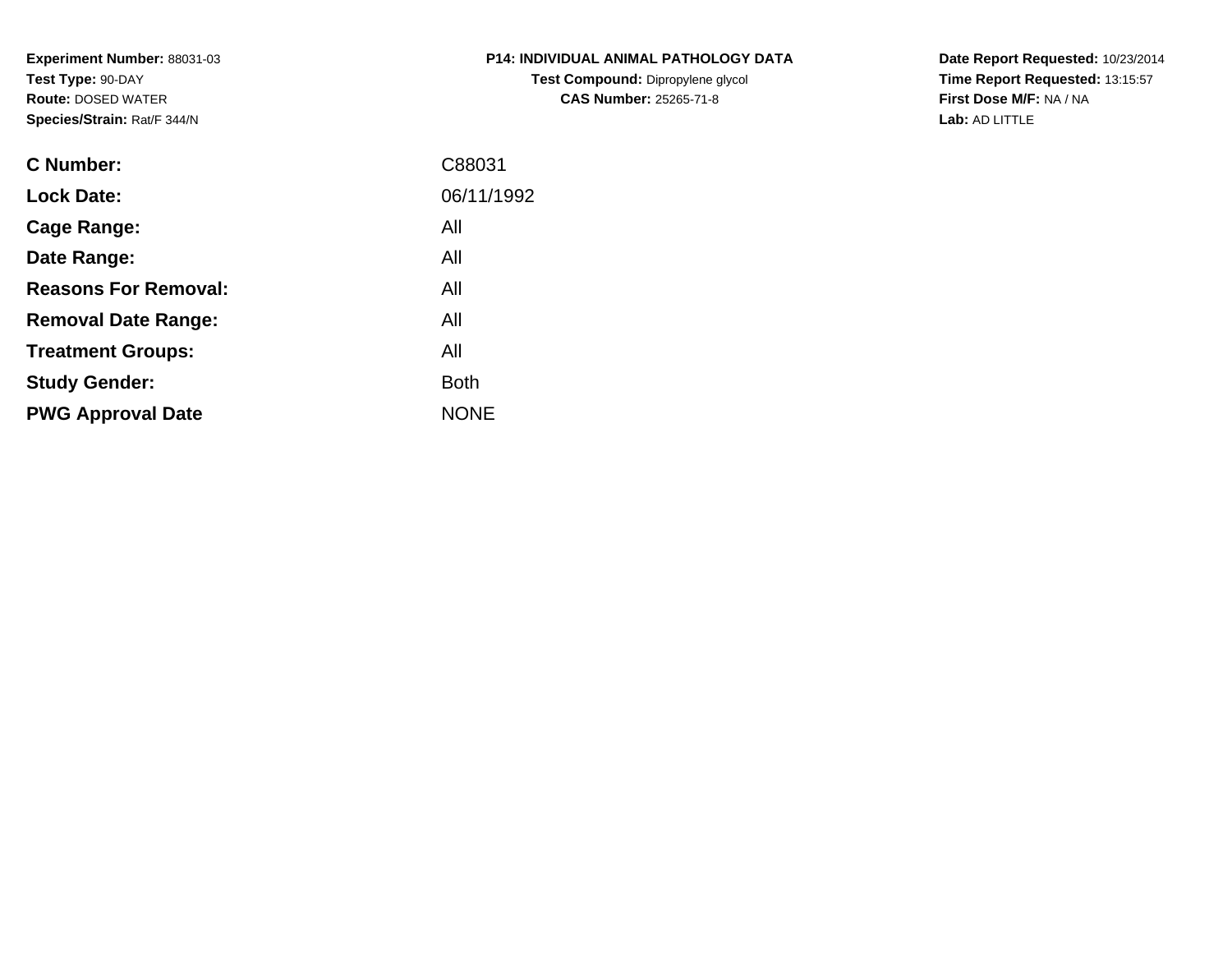**Experiment Number:** 88031-03**Test Type:** 90-DAY **Route:** DOSED WATER**Species/Strain:** Rat/F 344/N

| <b>P14: INDIVIDUAL ANIMAL PATHOLOGY DATA</b> |  |
|----------------------------------------------|--|
| <b>Test Compound: Dipropylene glycol</b>     |  |
| <b>CAS Number: 25265-71-8</b>                |  |

**Date Report Requested:** 10/23/2014 **Time Report Requested:** 13:15:57**First Dose M/F:** NA / NA**Lab:** AD LITTLE

| <b>C</b> Number:            | C88031      |
|-----------------------------|-------------|
| <b>Lock Date:</b>           | 06/11/1992  |
| Cage Range:                 | All         |
| Date Range:                 | All         |
| <b>Reasons For Removal:</b> | All         |
| <b>Removal Date Range:</b>  | All         |
| <b>Treatment Groups:</b>    | All         |
| <b>Study Gender:</b>        | <b>Both</b> |
| <b>PWG Approval Date</b>    | <b>NONE</b> |
|                             |             |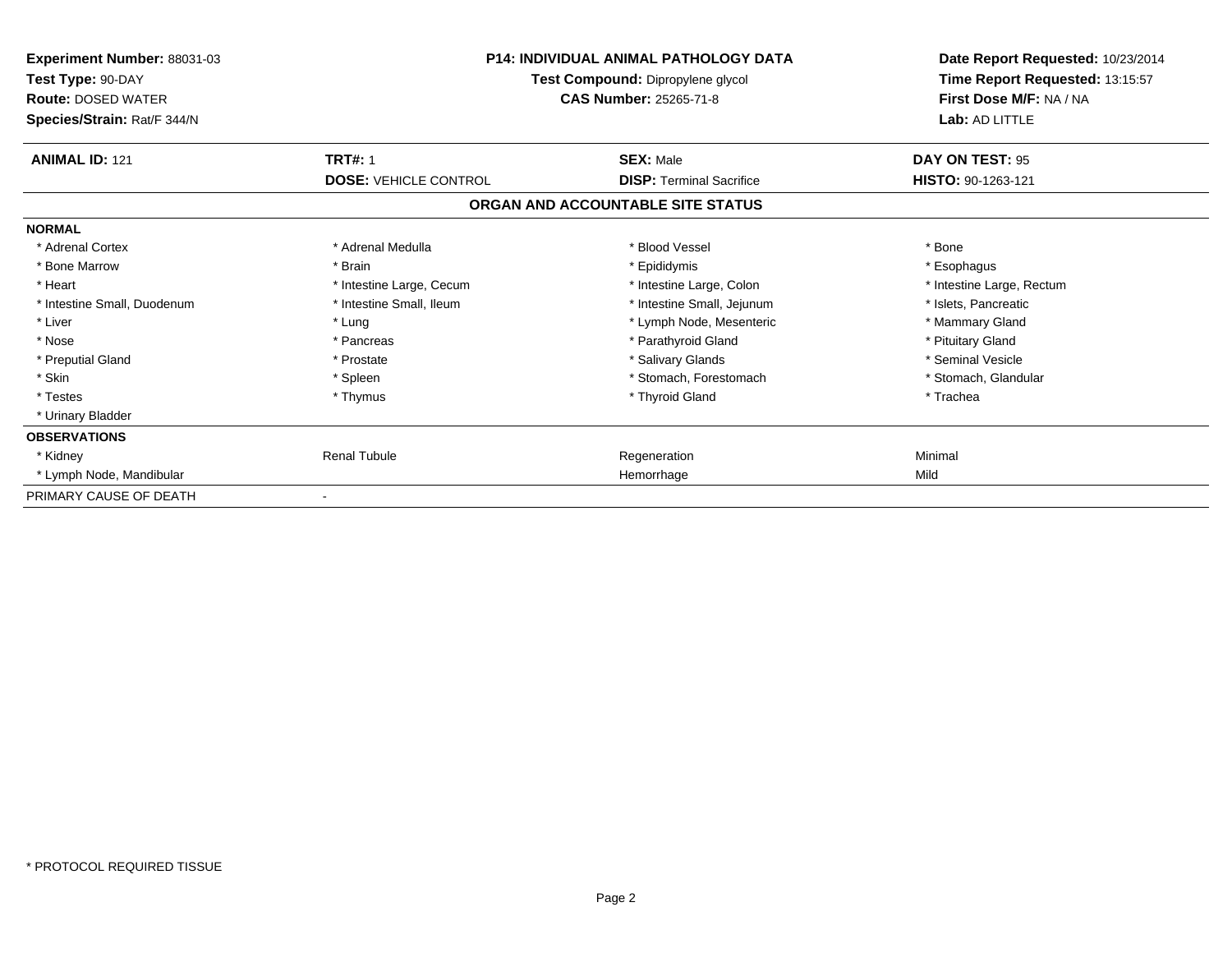| <b>Experiment Number: 88031-03</b><br>Test Type: 90-DAY<br><b>Route: DOSED WATER</b><br>Species/Strain: Rat/F 344/N | <b>P14: INDIVIDUAL ANIMAL PATHOLOGY DATA</b><br>Test Compound: Dipropylene glycol<br><b>CAS Number: 25265-71-8</b> |                                   | Date Report Requested: 10/23/2014<br>Time Report Requested: 13:15:57<br>First Dose M/F: NA / NA<br>Lab: AD LITTLE |
|---------------------------------------------------------------------------------------------------------------------|--------------------------------------------------------------------------------------------------------------------|-----------------------------------|-------------------------------------------------------------------------------------------------------------------|
| <b>ANIMAL ID: 121</b>                                                                                               | <b>TRT#: 1</b>                                                                                                     | <b>SEX: Male</b>                  | DAY ON TEST: 95                                                                                                   |
|                                                                                                                     | <b>DOSE: VEHICLE CONTROL</b>                                                                                       | <b>DISP: Terminal Sacrifice</b>   | HISTO: 90-1263-121                                                                                                |
|                                                                                                                     |                                                                                                                    | ORGAN AND ACCOUNTABLE SITE STATUS |                                                                                                                   |
| <b>NORMAL</b>                                                                                                       |                                                                                                                    |                                   |                                                                                                                   |
| * Adrenal Cortex                                                                                                    | * Adrenal Medulla                                                                                                  | * Blood Vessel                    | * Bone                                                                                                            |
| * Bone Marrow                                                                                                       | * Brain                                                                                                            | * Epididymis                      | * Esophagus                                                                                                       |
| * Heart                                                                                                             | * Intestine Large, Cecum                                                                                           | * Intestine Large, Colon          | * Intestine Large, Rectum                                                                                         |
| * Intestine Small, Duodenum                                                                                         | * Intestine Small, Ileum                                                                                           | * Intestine Small, Jejunum        | * Islets, Pancreatic                                                                                              |
| * Liver                                                                                                             | * Lung                                                                                                             | * Lymph Node, Mesenteric          | * Mammary Gland                                                                                                   |
| * Nose                                                                                                              | * Pancreas                                                                                                         | * Parathyroid Gland               | * Pituitary Gland                                                                                                 |
| * Preputial Gland                                                                                                   | * Prostate                                                                                                         | * Salivary Glands                 | * Seminal Vesicle                                                                                                 |
| * Skin                                                                                                              | * Spleen                                                                                                           | * Stomach. Forestomach            | * Stomach, Glandular                                                                                              |
| * Testes                                                                                                            | * Thymus                                                                                                           | * Thyroid Gland                   | * Trachea                                                                                                         |
| * Urinary Bladder                                                                                                   |                                                                                                                    |                                   |                                                                                                                   |
| <b>OBSERVATIONS</b>                                                                                                 |                                                                                                                    |                                   |                                                                                                                   |
| * Kidney                                                                                                            | <b>Renal Tubule</b>                                                                                                | Regeneration                      | Minimal                                                                                                           |
| * Lymph Node, Mandibular                                                                                            |                                                                                                                    | Hemorrhage                        | Mild                                                                                                              |
| PRIMARY CAUSE OF DEATH                                                                                              |                                                                                                                    |                                   |                                                                                                                   |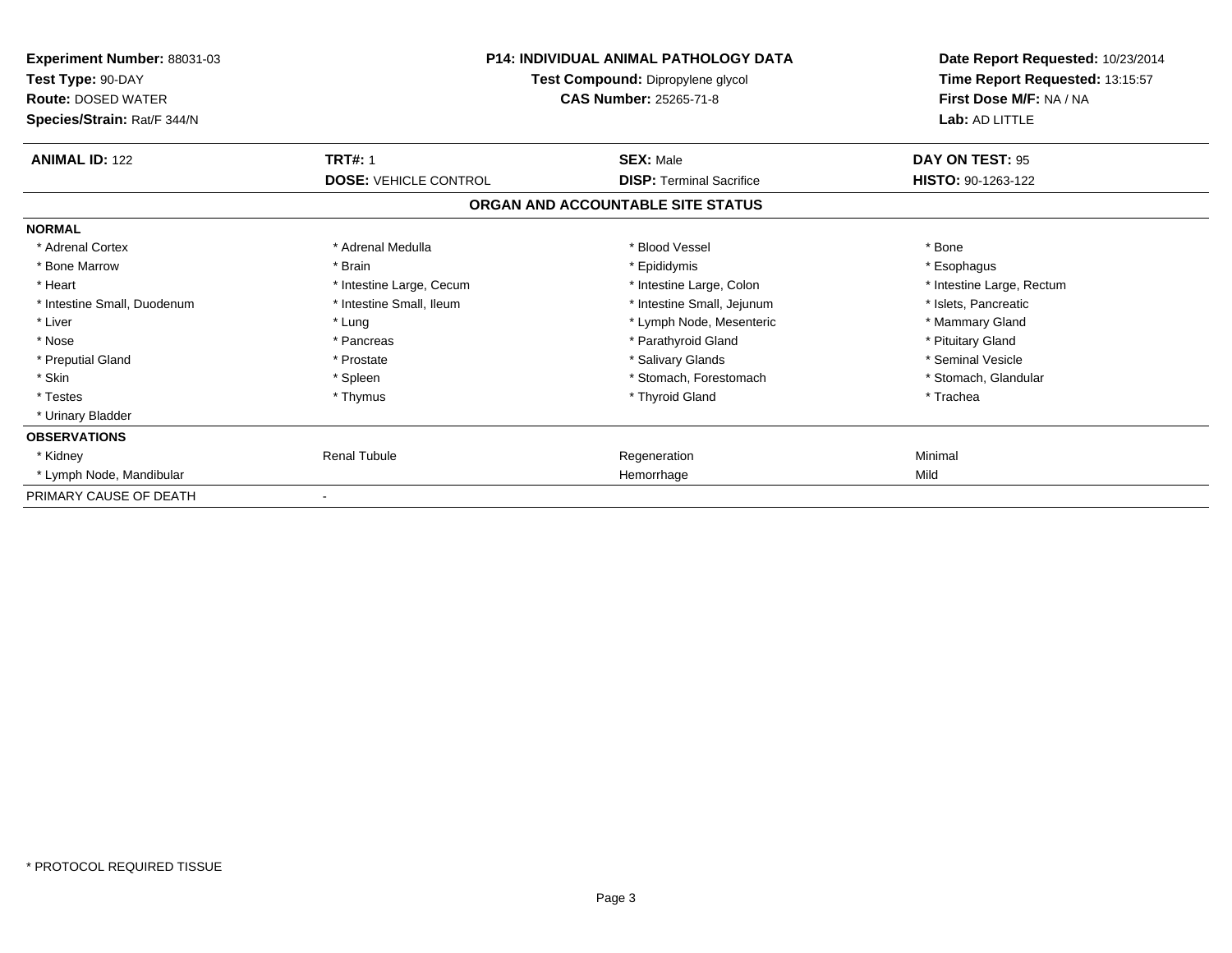| Experiment Number: 88031-03<br>Test Type: 90-DAY<br><b>Route: DOSED WATER</b><br>Species/Strain: Rat/F 344/N | <b>P14: INDIVIDUAL ANIMAL PATHOLOGY DATA</b><br>Test Compound: Dipropylene glycol<br><b>CAS Number: 25265-71-8</b> |                                                     | Date Report Requested: 10/23/2014<br>Time Report Requested: 13:15:57<br>First Dose M/F: NA / NA<br>Lab: AD LITTLE |
|--------------------------------------------------------------------------------------------------------------|--------------------------------------------------------------------------------------------------------------------|-----------------------------------------------------|-------------------------------------------------------------------------------------------------------------------|
| <b>ANIMAL ID: 122</b>                                                                                        | <b>TRT#: 1</b><br><b>DOSE: VEHICLE CONTROL</b>                                                                     | <b>SEX: Male</b><br><b>DISP:</b> Terminal Sacrifice | DAY ON TEST: 95<br>HISTO: 90-1263-122                                                                             |
|                                                                                                              |                                                                                                                    | ORGAN AND ACCOUNTABLE SITE STATUS                   |                                                                                                                   |
| <b>NORMAL</b>                                                                                                |                                                                                                                    |                                                     |                                                                                                                   |
| * Adrenal Cortex                                                                                             | * Adrenal Medulla                                                                                                  | * Blood Vessel                                      | * Bone                                                                                                            |
| * Bone Marrow                                                                                                | * Brain                                                                                                            | * Epididymis                                        | * Esophagus                                                                                                       |
| * Heart                                                                                                      | * Intestine Large, Cecum                                                                                           | * Intestine Large, Colon                            | * Intestine Large, Rectum                                                                                         |
| * Intestine Small, Duodenum                                                                                  | * Intestine Small, Ileum                                                                                           | * Intestine Small, Jejunum                          | * Islets, Pancreatic                                                                                              |
| * Liver                                                                                                      | * Lung                                                                                                             | * Lymph Node, Mesenteric                            | * Mammary Gland                                                                                                   |
| * Nose                                                                                                       | * Pancreas                                                                                                         | * Parathyroid Gland                                 | * Pituitary Gland                                                                                                 |
| * Preputial Gland                                                                                            | * Prostate                                                                                                         | * Salivary Glands                                   | * Seminal Vesicle                                                                                                 |
| * Skin                                                                                                       | * Spleen                                                                                                           | * Stomach, Forestomach                              | * Stomach, Glandular                                                                                              |
| * Testes                                                                                                     | * Thymus                                                                                                           | * Thyroid Gland                                     | * Trachea                                                                                                         |
| * Urinary Bladder                                                                                            |                                                                                                                    |                                                     |                                                                                                                   |
| <b>OBSERVATIONS</b>                                                                                          |                                                                                                                    |                                                     |                                                                                                                   |
| * Kidney                                                                                                     | <b>Renal Tubule</b>                                                                                                | Regeneration                                        | Minimal                                                                                                           |
| * Lymph Node, Mandibular                                                                                     |                                                                                                                    | Hemorrhage                                          | Mild                                                                                                              |
| PRIMARY CAUSE OF DEATH                                                                                       |                                                                                                                    |                                                     |                                                                                                                   |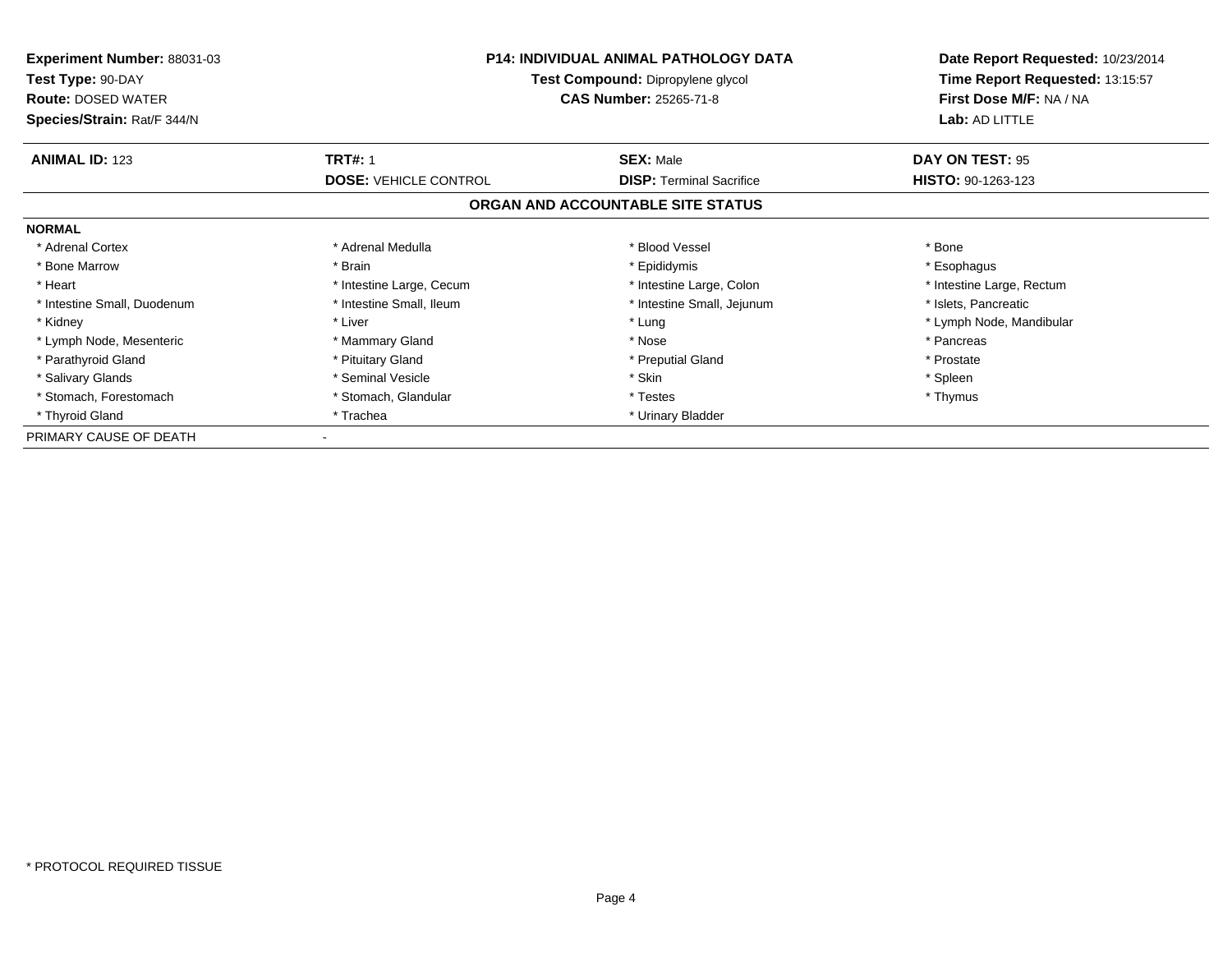| <b>Experiment Number: 88031-03</b><br>Test Type: 90-DAY<br><b>Route: DOSED WATER</b><br>Species/Strain: Rat/F 344/N | <b>P14: INDIVIDUAL ANIMAL PATHOLOGY DATA</b><br>Test Compound: Dipropylene glycol<br><b>CAS Number: 25265-71-8</b> |                                   | Date Report Requested: 10/23/2014<br>Time Report Requested: 13:15:57<br>First Dose M/F: NA / NA<br>Lab: AD LITTLE |
|---------------------------------------------------------------------------------------------------------------------|--------------------------------------------------------------------------------------------------------------------|-----------------------------------|-------------------------------------------------------------------------------------------------------------------|
| <b>ANIMAL ID: 123</b>                                                                                               | <b>TRT#: 1</b>                                                                                                     | <b>SEX: Male</b>                  | DAY ON TEST: 95                                                                                                   |
|                                                                                                                     | <b>DOSE: VEHICLE CONTROL</b>                                                                                       | <b>DISP:</b> Terminal Sacrifice   | HISTO: 90-1263-123                                                                                                |
|                                                                                                                     |                                                                                                                    | ORGAN AND ACCOUNTABLE SITE STATUS |                                                                                                                   |
| <b>NORMAL</b>                                                                                                       |                                                                                                                    |                                   |                                                                                                                   |
| * Adrenal Cortex                                                                                                    | * Adrenal Medulla                                                                                                  | * Blood Vessel                    | * Bone                                                                                                            |
| * Bone Marrow                                                                                                       | * Brain                                                                                                            | * Epididymis                      | * Esophagus                                                                                                       |
| * Heart                                                                                                             | * Intestine Large, Cecum                                                                                           | * Intestine Large, Colon          | * Intestine Large, Rectum                                                                                         |
| * Intestine Small, Duodenum                                                                                         | * Intestine Small, Ileum                                                                                           | * Intestine Small, Jejunum        | * Islets, Pancreatic                                                                                              |
| * Kidney                                                                                                            | * Liver                                                                                                            | * Lung                            | * Lymph Node, Mandibular                                                                                          |
| * Lymph Node, Mesenteric                                                                                            | * Mammary Gland                                                                                                    | * Nose                            | * Pancreas                                                                                                        |
| * Parathyroid Gland                                                                                                 | * Pituitary Gland                                                                                                  | * Preputial Gland                 | * Prostate                                                                                                        |
| * Salivary Glands                                                                                                   | * Seminal Vesicle                                                                                                  | * Skin                            | * Spleen                                                                                                          |
| * Stomach, Forestomach                                                                                              | * Stomach, Glandular                                                                                               | * Testes                          | * Thymus                                                                                                          |
| * Thyroid Gland                                                                                                     | * Trachea                                                                                                          | * Urinary Bladder                 |                                                                                                                   |
| PRIMARY CAUSE OF DEATH                                                                                              |                                                                                                                    |                                   |                                                                                                                   |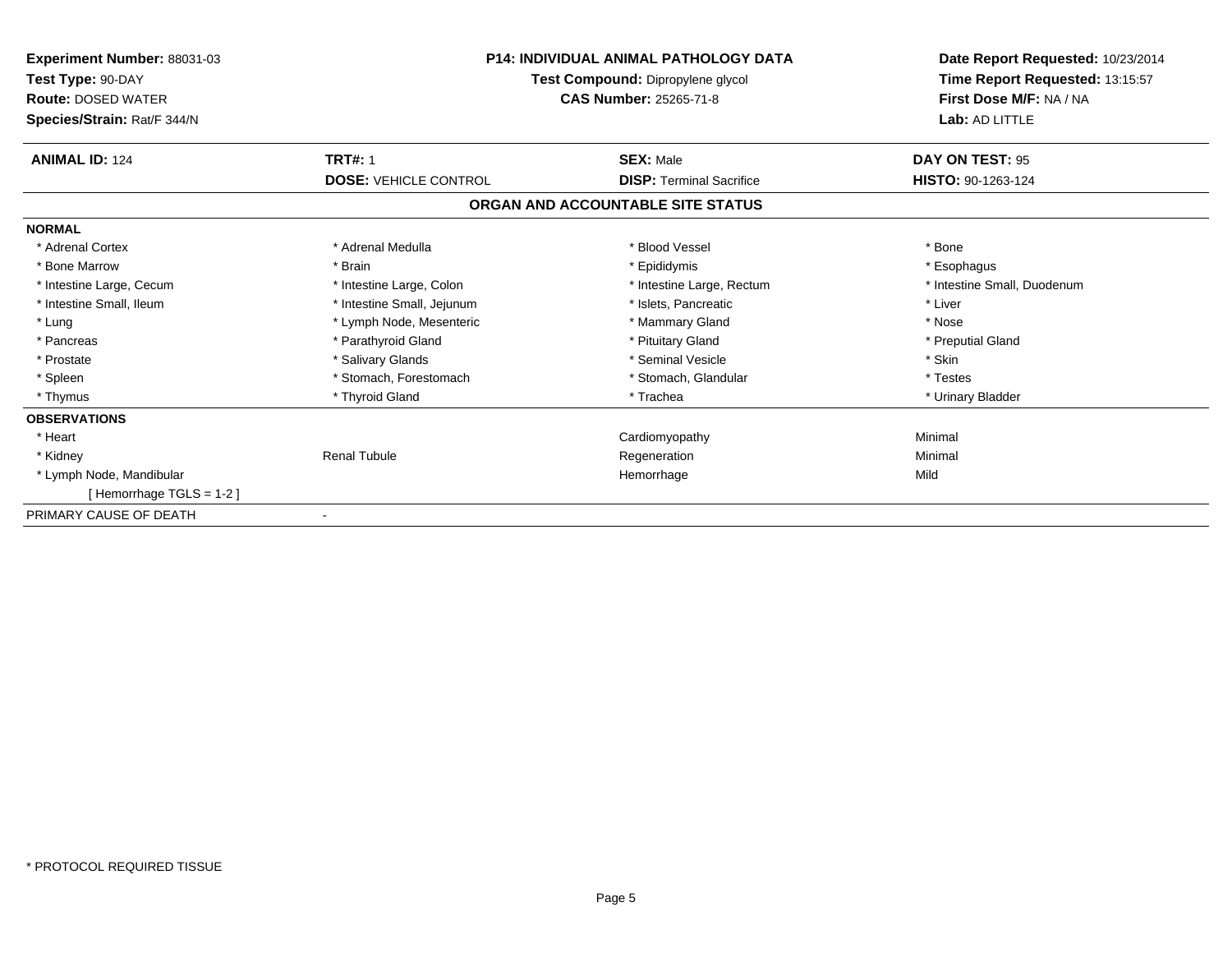| Experiment Number: 88031-03<br>Test Type: 90-DAY<br><b>Route: DOSED WATER</b> | <b>P14: INDIVIDUAL ANIMAL PATHOLOGY DATA</b><br>Test Compound: Dipropylene glycol<br><b>CAS Number: 25265-71-8</b> |                                   | Time Report Requested: 13:15:57<br>First Dose M/F: NA / NA |  | Date Report Requested: 10/23/2014 |
|-------------------------------------------------------------------------------|--------------------------------------------------------------------------------------------------------------------|-----------------------------------|------------------------------------------------------------|--|-----------------------------------|
| Species/Strain: Rat/F 344/N                                                   |                                                                                                                    |                                   | Lab: AD LITTLE                                             |  |                                   |
| <b>ANIMAL ID: 124</b>                                                         | <b>TRT#: 1</b>                                                                                                     | <b>SEX: Male</b>                  | DAY ON TEST: 95                                            |  |                                   |
|                                                                               | <b>DOSE: VEHICLE CONTROL</b>                                                                                       | <b>DISP: Terminal Sacrifice</b>   | HISTO: 90-1263-124                                         |  |                                   |
|                                                                               |                                                                                                                    | ORGAN AND ACCOUNTABLE SITE STATUS |                                                            |  |                                   |
| <b>NORMAL</b>                                                                 |                                                                                                                    |                                   |                                                            |  |                                   |
| * Adrenal Cortex                                                              | * Adrenal Medulla                                                                                                  | * Blood Vessel                    | * Bone                                                     |  |                                   |
| * Bone Marrow                                                                 | * Brain                                                                                                            | * Epididymis                      | * Esophagus                                                |  |                                   |
| * Intestine Large, Cecum                                                      | * Intestine Large, Colon                                                                                           | * Intestine Large, Rectum         | * Intestine Small, Duodenum                                |  |                                   |
| * Intestine Small, Ileum                                                      | * Intestine Small, Jejunum                                                                                         | * Islets. Pancreatic              | * Liver                                                    |  |                                   |
| * Lung                                                                        | * Lymph Node, Mesenteric                                                                                           | * Mammary Gland                   | * Nose                                                     |  |                                   |
| * Pancreas                                                                    | * Parathyroid Gland                                                                                                | * Pituitary Gland                 | * Preputial Gland                                          |  |                                   |
| * Prostate                                                                    | * Salivary Glands                                                                                                  | * Seminal Vesicle                 | * Skin                                                     |  |                                   |
| * Spleen                                                                      | * Stomach, Forestomach                                                                                             | * Stomach, Glandular              | * Testes                                                   |  |                                   |
| * Thymus                                                                      | * Thyroid Gland                                                                                                    | * Trachea                         | * Urinary Bladder                                          |  |                                   |
| <b>OBSERVATIONS</b>                                                           |                                                                                                                    |                                   |                                                            |  |                                   |
| * Heart                                                                       |                                                                                                                    | Cardiomyopathy                    | Minimal                                                    |  |                                   |
| * Kidney                                                                      | <b>Renal Tubule</b>                                                                                                | Regeneration                      | Minimal                                                    |  |                                   |
| * Lymph Node, Mandibular                                                      |                                                                                                                    | Hemorrhage                        | Mild                                                       |  |                                   |
| [Hemorrhage TGLS = 1-2]                                                       |                                                                                                                    |                                   |                                                            |  |                                   |
| PRIMARY CAUSE OF DEATH                                                        |                                                                                                                    |                                   |                                                            |  |                                   |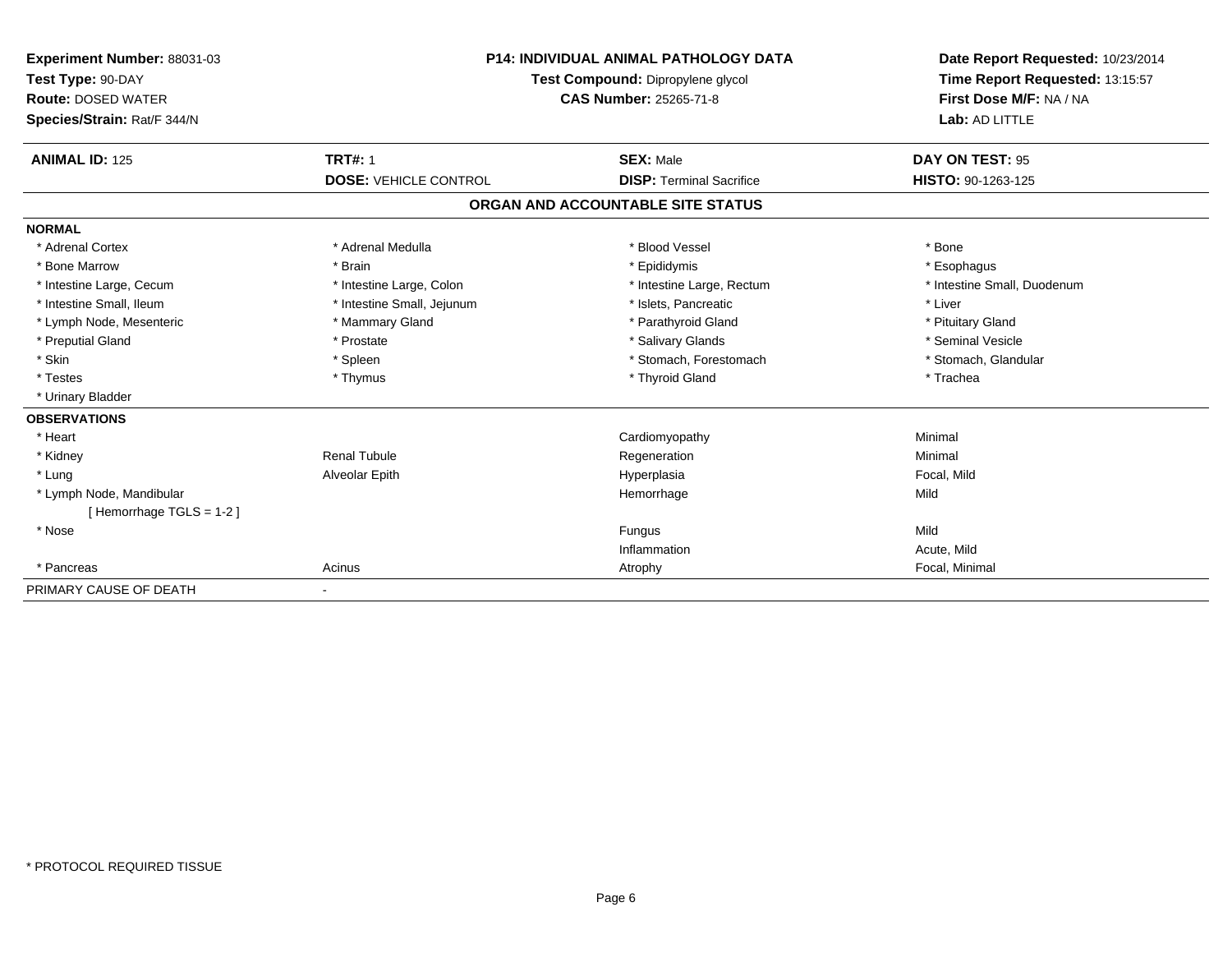| Experiment Number: 88031-03<br>Test Type: 90-DAY<br><b>Route: DOSED WATER</b><br>Species/Strain: Rat/F 344/N<br><b>ANIMAL ID: 125</b> | <b>TRT#: 1</b>               | <b>P14: INDIVIDUAL ANIMAL PATHOLOGY DATA</b><br>Test Compound: Dipropylene glycol<br><b>CAS Number: 25265-71-8</b><br><b>SEX: Male</b> | Date Report Requested: 10/23/2014<br>Time Report Requested: 13:15:57<br>First Dose M/F: NA / NA<br>Lab: AD LITTLE<br>DAY ON TEST: 95 |
|---------------------------------------------------------------------------------------------------------------------------------------|------------------------------|----------------------------------------------------------------------------------------------------------------------------------------|--------------------------------------------------------------------------------------------------------------------------------------|
|                                                                                                                                       | <b>DOSE: VEHICLE CONTROL</b> | <b>DISP: Terminal Sacrifice</b>                                                                                                        | HISTO: 90-1263-125                                                                                                                   |
|                                                                                                                                       |                              | ORGAN AND ACCOUNTABLE SITE STATUS                                                                                                      |                                                                                                                                      |
| <b>NORMAL</b>                                                                                                                         |                              |                                                                                                                                        |                                                                                                                                      |
| * Adrenal Cortex                                                                                                                      | * Adrenal Medulla            | * Blood Vessel                                                                                                                         | * Bone                                                                                                                               |
| * Bone Marrow                                                                                                                         | * Brain                      | * Epididymis                                                                                                                           | * Esophagus                                                                                                                          |
| * Intestine Large, Cecum                                                                                                              | * Intestine Large, Colon     | * Intestine Large, Rectum                                                                                                              | * Intestine Small, Duodenum                                                                                                          |
| * Intestine Small, Ileum                                                                                                              | * Intestine Small, Jejunum   | * Islets, Pancreatic                                                                                                                   | * Liver                                                                                                                              |
| * Lymph Node, Mesenteric                                                                                                              | * Mammary Gland              | * Parathyroid Gland                                                                                                                    | * Pituitary Gland                                                                                                                    |
| * Preputial Gland                                                                                                                     | * Prostate                   | * Salivary Glands                                                                                                                      | * Seminal Vesicle                                                                                                                    |
| * Skin                                                                                                                                | * Spleen                     | * Stomach, Forestomach                                                                                                                 | * Stomach, Glandular                                                                                                                 |
| * Testes                                                                                                                              | * Thymus                     | * Thyroid Gland                                                                                                                        | * Trachea                                                                                                                            |
| * Urinary Bladder                                                                                                                     |                              |                                                                                                                                        |                                                                                                                                      |
| <b>OBSERVATIONS</b>                                                                                                                   |                              |                                                                                                                                        |                                                                                                                                      |
| * Heart                                                                                                                               |                              | Cardiomyopathy                                                                                                                         | Minimal                                                                                                                              |
| * Kidney                                                                                                                              | <b>Renal Tubule</b>          | Regeneration                                                                                                                           | Minimal                                                                                                                              |
| * Lung                                                                                                                                | Alveolar Epith               | Hyperplasia                                                                                                                            | Focal, Mild                                                                                                                          |
| * Lymph Node, Mandibular                                                                                                              |                              | Hemorrhage                                                                                                                             | Mild                                                                                                                                 |
| [Hemorrhage TGLS = 1-2]                                                                                                               |                              |                                                                                                                                        |                                                                                                                                      |
| * Nose                                                                                                                                |                              | Fungus                                                                                                                                 | Mild                                                                                                                                 |
|                                                                                                                                       |                              | Inflammation                                                                                                                           | Acute, Mild                                                                                                                          |
| * Pancreas                                                                                                                            | Acinus                       | Atrophy                                                                                                                                | Focal, Minimal                                                                                                                       |
| PRIMARY CAUSE OF DEATH                                                                                                                | $\blacksquare$               |                                                                                                                                        |                                                                                                                                      |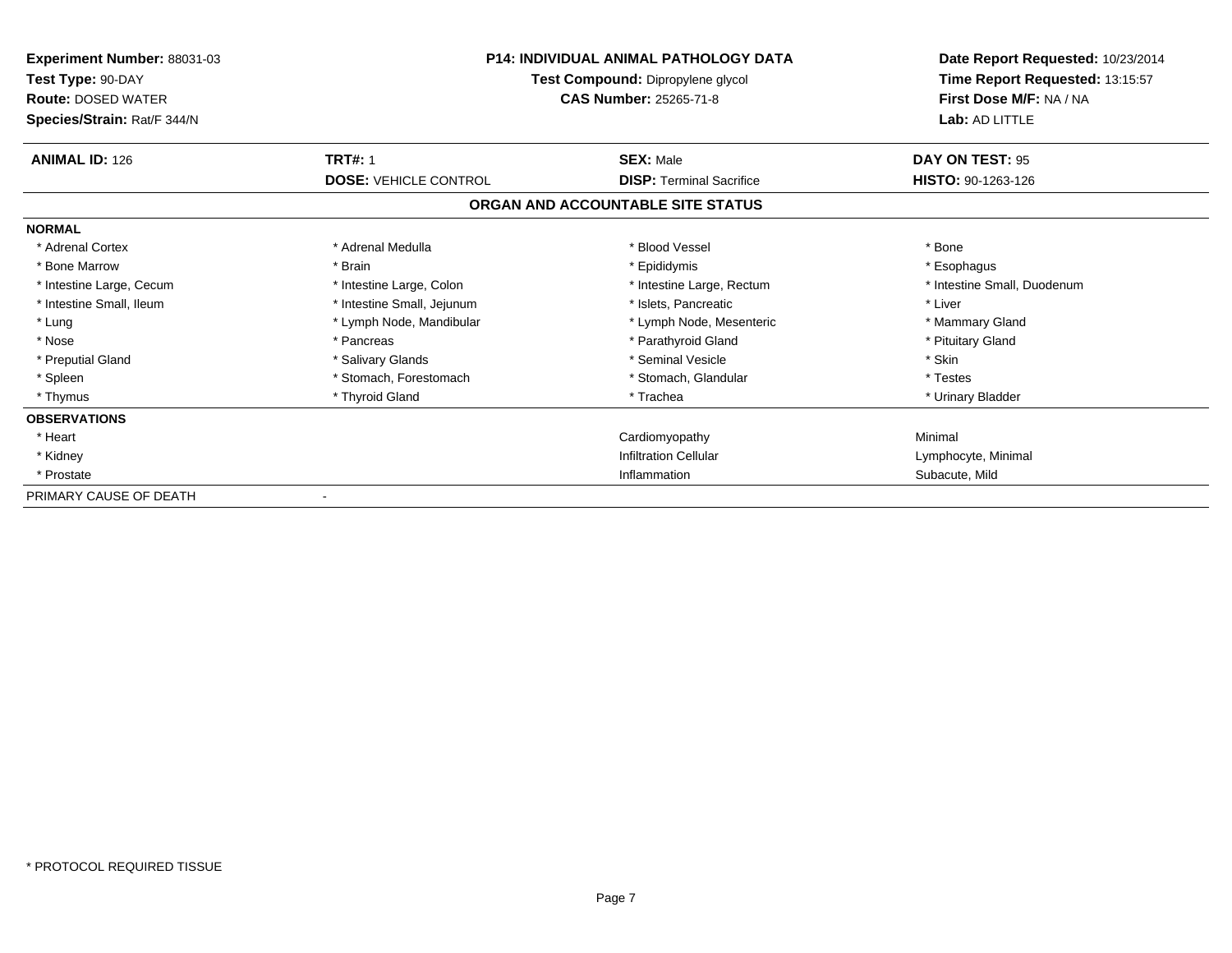| Experiment Number: 88031-03<br>Test Type: 90-DAY<br><b>Route: DOSED WATER</b><br>Species/Strain: Rat/F 344/N |                              | <b>P14: INDIVIDUAL ANIMAL PATHOLOGY DATA</b><br>Test Compound: Dipropylene glycol<br><b>CAS Number: 25265-71-8</b> | Date Report Requested: 10/23/2014<br>Time Report Requested: 13:15:57<br>First Dose M/F: NA / NA<br>Lab: AD LITTLE |
|--------------------------------------------------------------------------------------------------------------|------------------------------|--------------------------------------------------------------------------------------------------------------------|-------------------------------------------------------------------------------------------------------------------|
| <b>ANIMAL ID: 126</b>                                                                                        | <b>TRT#: 1</b>               | <b>SEX: Male</b>                                                                                                   | DAY ON TEST: 95                                                                                                   |
|                                                                                                              | <b>DOSE: VEHICLE CONTROL</b> | <b>DISP: Terminal Sacrifice</b>                                                                                    | <b>HISTO: 90-1263-126</b>                                                                                         |
|                                                                                                              |                              | ORGAN AND ACCOUNTABLE SITE STATUS                                                                                  |                                                                                                                   |
| <b>NORMAL</b>                                                                                                |                              |                                                                                                                    |                                                                                                                   |
| * Adrenal Cortex                                                                                             | * Adrenal Medulla            | * Blood Vessel                                                                                                     | * Bone                                                                                                            |
| * Bone Marrow                                                                                                | * Brain                      | * Epididymis                                                                                                       | * Esophagus                                                                                                       |
| * Intestine Large, Cecum                                                                                     | * Intestine Large, Colon     | * Intestine Large, Rectum                                                                                          | * Intestine Small, Duodenum                                                                                       |
| * Intestine Small. Ileum                                                                                     | * Intestine Small, Jejunum   | * Islets. Pancreatic                                                                                               | * Liver                                                                                                           |
| * Lung                                                                                                       | * Lymph Node, Mandibular     | * Lymph Node, Mesenteric                                                                                           | * Mammary Gland                                                                                                   |
| * Nose                                                                                                       | * Pancreas                   | * Parathyroid Gland                                                                                                | * Pituitary Gland                                                                                                 |
| * Preputial Gland                                                                                            | * Salivary Glands            | * Seminal Vesicle                                                                                                  | * Skin                                                                                                            |
| * Spleen                                                                                                     | * Stomach, Forestomach       | * Stomach, Glandular                                                                                               | * Testes                                                                                                          |
| * Thymus                                                                                                     | * Thyroid Gland              | * Trachea                                                                                                          | * Urinary Bladder                                                                                                 |
| <b>OBSERVATIONS</b>                                                                                          |                              |                                                                                                                    |                                                                                                                   |
| * Heart                                                                                                      |                              | Cardiomyopathy                                                                                                     | Minimal                                                                                                           |
| * Kidney                                                                                                     |                              | <b>Infiltration Cellular</b>                                                                                       | Lymphocyte, Minimal                                                                                               |
| * Prostate                                                                                                   |                              | Inflammation                                                                                                       | Subacute, Mild                                                                                                    |
| PRIMARY CAUSE OF DEATH                                                                                       |                              |                                                                                                                    |                                                                                                                   |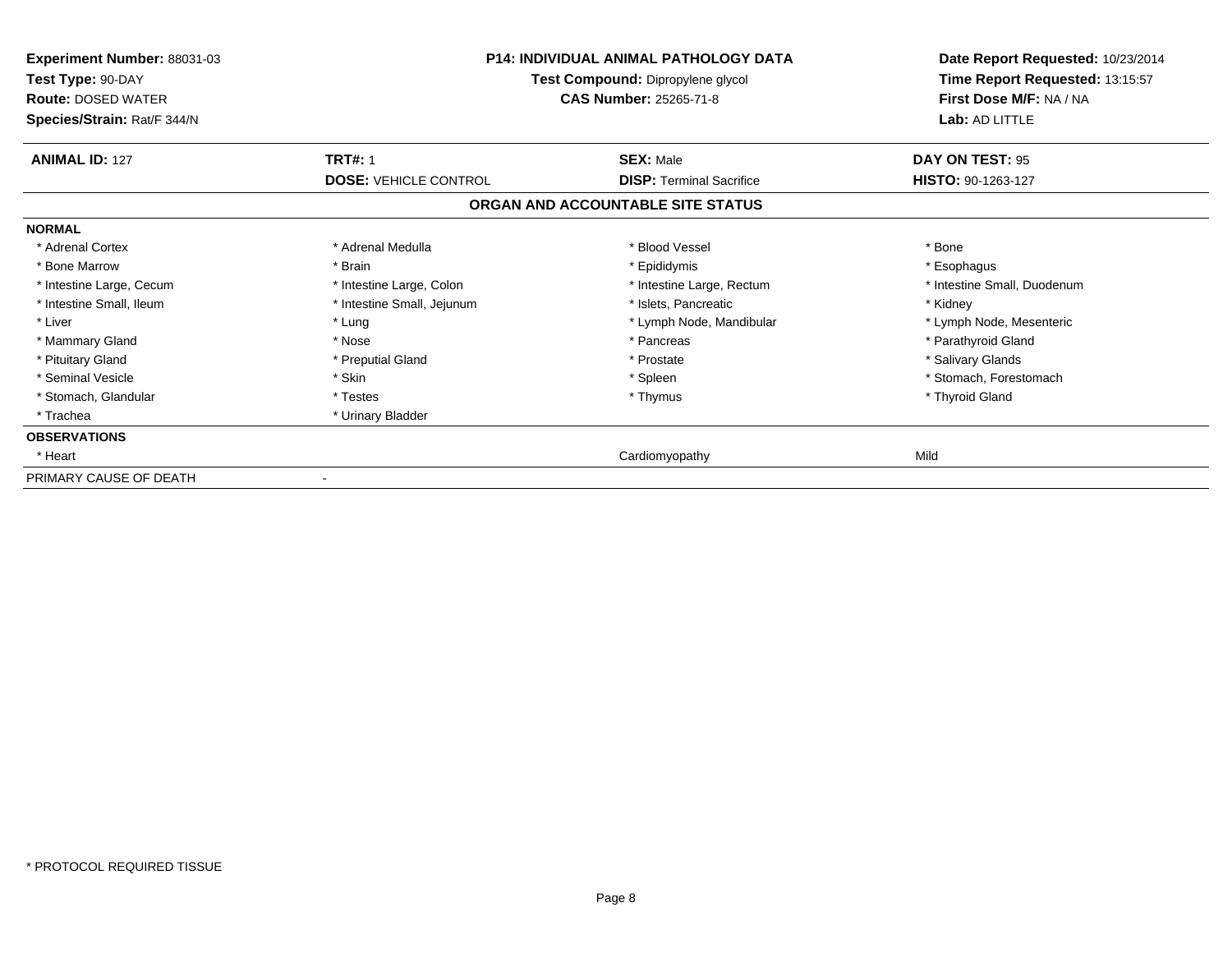| Experiment Number: 88031-03<br>Test Type: 90-DAY<br><b>Route: DOSED WATER</b><br>Species/Strain: Rat/F 344/N | <b>P14: INDIVIDUAL ANIMAL PATHOLOGY DATA</b><br>Test Compound: Dipropylene glycol<br>CAS Number: 25265-71-8 |                                   | Date Report Requested: 10/23/2014<br>Time Report Requested: 13:15:57<br>First Dose M/F: NA / NA<br>Lab: AD LITTLE |
|--------------------------------------------------------------------------------------------------------------|-------------------------------------------------------------------------------------------------------------|-----------------------------------|-------------------------------------------------------------------------------------------------------------------|
| <b>ANIMAL ID: 127</b>                                                                                        | <b>TRT#: 1</b>                                                                                              | <b>SEX: Male</b>                  | DAY ON TEST: 95                                                                                                   |
|                                                                                                              | <b>DOSE: VEHICLE CONTROL</b>                                                                                | <b>DISP: Terminal Sacrifice</b>   | HISTO: 90-1263-127                                                                                                |
|                                                                                                              |                                                                                                             | ORGAN AND ACCOUNTABLE SITE STATUS |                                                                                                                   |
| <b>NORMAL</b>                                                                                                |                                                                                                             |                                   |                                                                                                                   |
| * Adrenal Cortex                                                                                             | * Adrenal Medulla                                                                                           | * Blood Vessel                    | * Bone                                                                                                            |
| * Bone Marrow                                                                                                | * Brain                                                                                                     | * Epididymis                      | * Esophagus                                                                                                       |
| * Intestine Large, Cecum                                                                                     | * Intestine Large, Colon                                                                                    | * Intestine Large, Rectum         | * Intestine Small, Duodenum                                                                                       |
| * Intestine Small, Ileum                                                                                     | * Intestine Small, Jejunum                                                                                  | * Islets, Pancreatic              | * Kidney                                                                                                          |
| * Liver                                                                                                      | * Lung                                                                                                      | * Lymph Node, Mandibular          | * Lymph Node, Mesenteric                                                                                          |
| * Mammary Gland                                                                                              | * Nose                                                                                                      | * Pancreas                        | * Parathyroid Gland                                                                                               |
| * Pituitary Gland                                                                                            | * Preputial Gland                                                                                           | * Prostate                        | * Salivary Glands                                                                                                 |
| * Seminal Vesicle                                                                                            | * Skin                                                                                                      | * Spleen                          | * Stomach, Forestomach                                                                                            |
| * Stomach, Glandular                                                                                         | * Testes                                                                                                    | * Thymus                          | * Thyroid Gland                                                                                                   |
| * Trachea                                                                                                    | * Urinary Bladder                                                                                           |                                   |                                                                                                                   |
| <b>OBSERVATIONS</b>                                                                                          |                                                                                                             |                                   |                                                                                                                   |
| * Heart                                                                                                      |                                                                                                             | Cardiomyopathy                    | Mild                                                                                                              |
| PRIMARY CAUSE OF DEATH                                                                                       |                                                                                                             |                                   |                                                                                                                   |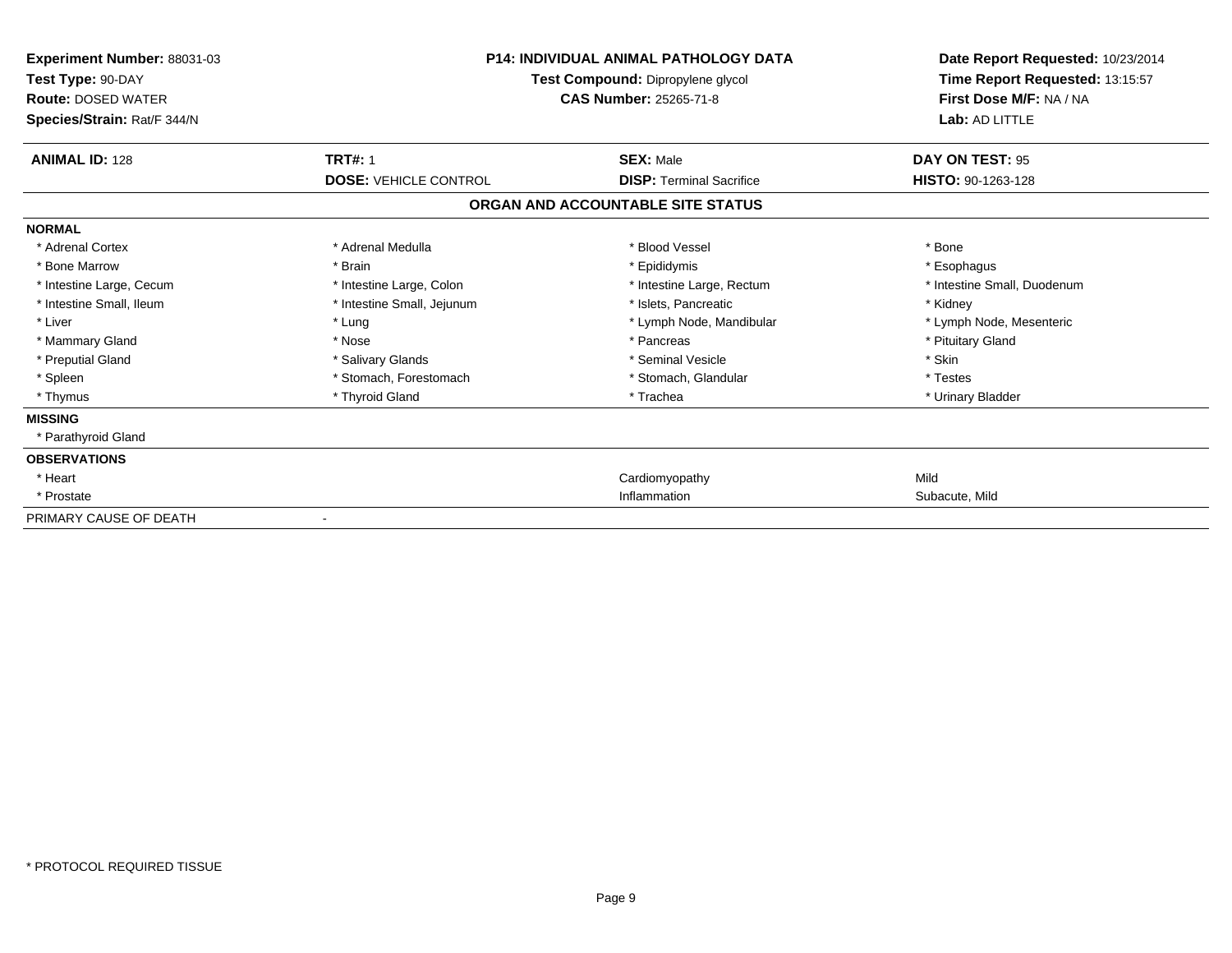| <b>Experiment Number: 88031-03</b><br>Test Type: 90-DAY<br><b>Route: DOSED WATER</b><br>Species/Strain: Rat/F 344/N | <b>P14: INDIVIDUAL ANIMAL PATHOLOGY DATA</b><br>Test Compound: Dipropylene glycol<br><b>CAS Number: 25265-71-8</b> |                                   | Date Report Requested: 10/23/2014<br>Time Report Requested: 13:15:57<br>First Dose M/F: NA / NA<br>Lab: AD LITTLE |
|---------------------------------------------------------------------------------------------------------------------|--------------------------------------------------------------------------------------------------------------------|-----------------------------------|-------------------------------------------------------------------------------------------------------------------|
| <b>ANIMAL ID: 128</b>                                                                                               | <b>TRT#: 1</b>                                                                                                     | <b>SEX: Male</b>                  | DAY ON TEST: 95                                                                                                   |
|                                                                                                                     | <b>DOSE: VEHICLE CONTROL</b>                                                                                       | <b>DISP: Terminal Sacrifice</b>   | HISTO: 90-1263-128                                                                                                |
|                                                                                                                     |                                                                                                                    | ORGAN AND ACCOUNTABLE SITE STATUS |                                                                                                                   |
| <b>NORMAL</b>                                                                                                       |                                                                                                                    |                                   |                                                                                                                   |
| * Adrenal Cortex                                                                                                    | * Adrenal Medulla                                                                                                  | * Blood Vessel                    | * Bone                                                                                                            |
| * Bone Marrow                                                                                                       | * Brain                                                                                                            | * Epididymis                      | * Esophagus                                                                                                       |
| * Intestine Large, Cecum                                                                                            | * Intestine Large, Colon                                                                                           | * Intestine Large, Rectum         | * Intestine Small, Duodenum                                                                                       |
| * Intestine Small, Ileum                                                                                            | * Intestine Small, Jejunum                                                                                         | * Islets, Pancreatic              | * Kidney                                                                                                          |
| * Liver                                                                                                             | * Lung                                                                                                             | * Lymph Node, Mandibular          | * Lymph Node, Mesenteric                                                                                          |
| * Mammary Gland                                                                                                     | * Nose                                                                                                             | * Pancreas                        | * Pituitary Gland                                                                                                 |
| * Preputial Gland                                                                                                   | * Salivary Glands                                                                                                  | * Seminal Vesicle                 | * Skin                                                                                                            |
| * Spleen                                                                                                            | * Stomach, Forestomach                                                                                             | * Stomach, Glandular              | * Testes                                                                                                          |
| * Thymus                                                                                                            | * Thyroid Gland                                                                                                    | * Trachea                         | * Urinary Bladder                                                                                                 |
| <b>MISSING</b>                                                                                                      |                                                                                                                    |                                   |                                                                                                                   |
| * Parathyroid Gland                                                                                                 |                                                                                                                    |                                   |                                                                                                                   |
| <b>OBSERVATIONS</b>                                                                                                 |                                                                                                                    |                                   |                                                                                                                   |
| * Heart                                                                                                             |                                                                                                                    | Cardiomyopathy                    | Mild                                                                                                              |
| * Prostate                                                                                                          |                                                                                                                    | Inflammation                      | Subacute, Mild                                                                                                    |
| PRIMARY CAUSE OF DEATH                                                                                              | $\blacksquare$                                                                                                     |                                   |                                                                                                                   |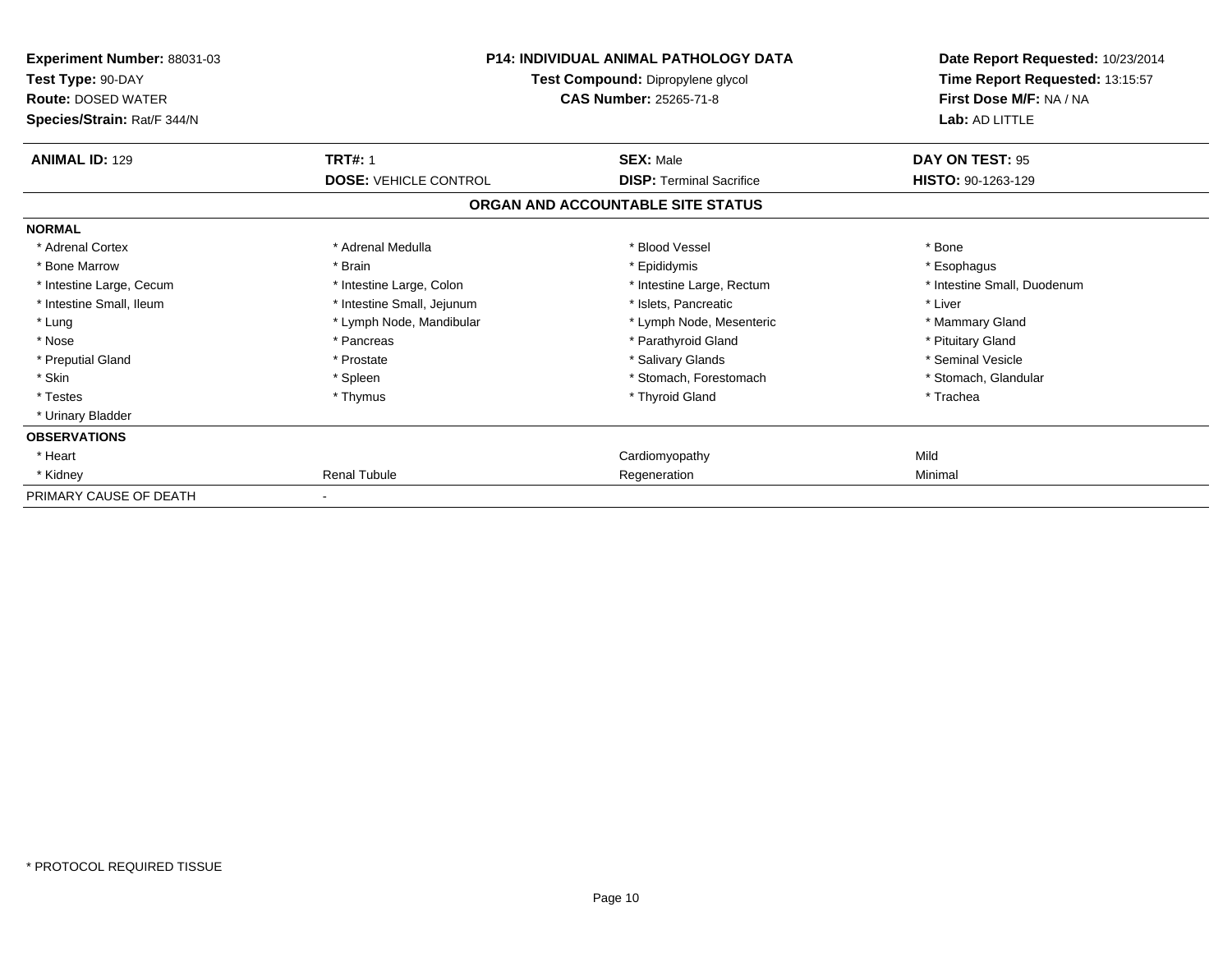| Experiment Number: 88031-03<br>Test Type: 90-DAY<br><b>Route: DOSED WATER</b><br>Species/Strain: Rat/F 344/N | <b>P14: INDIVIDUAL ANIMAL PATHOLOGY DATA</b><br>Test Compound: Dipropylene glycol<br><b>CAS Number: 25265-71-8</b> |                                   | Date Report Requested: 10/23/2014<br>Time Report Requested: 13:15:57<br>First Dose M/F: NA / NA<br>Lab: AD LITTLE |
|--------------------------------------------------------------------------------------------------------------|--------------------------------------------------------------------------------------------------------------------|-----------------------------------|-------------------------------------------------------------------------------------------------------------------|
| <b>ANIMAL ID: 129</b>                                                                                        | <b>TRT#: 1</b>                                                                                                     | <b>SEX: Male</b>                  | DAY ON TEST: 95                                                                                                   |
|                                                                                                              | <b>DOSE: VEHICLE CONTROL</b>                                                                                       | <b>DISP: Terminal Sacrifice</b>   | HISTO: 90-1263-129                                                                                                |
|                                                                                                              |                                                                                                                    | ORGAN AND ACCOUNTABLE SITE STATUS |                                                                                                                   |
| <b>NORMAL</b>                                                                                                |                                                                                                                    |                                   |                                                                                                                   |
| * Adrenal Cortex                                                                                             | * Adrenal Medulla                                                                                                  | * Blood Vessel                    | * Bone                                                                                                            |
| * Bone Marrow                                                                                                | * Brain                                                                                                            | * Epididymis                      | * Esophagus                                                                                                       |
| * Intestine Large, Cecum                                                                                     | * Intestine Large, Colon                                                                                           | * Intestine Large, Rectum         | * Intestine Small, Duodenum                                                                                       |
| * Intestine Small, Ileum                                                                                     | * Intestine Small, Jejunum                                                                                         | * Islets. Pancreatic              | * Liver                                                                                                           |
| * Lung                                                                                                       | * Lymph Node, Mandibular                                                                                           | * Lymph Node, Mesenteric          | * Mammary Gland                                                                                                   |
| * Nose                                                                                                       | * Pancreas                                                                                                         | * Parathyroid Gland               | * Pituitary Gland                                                                                                 |
| * Preputial Gland                                                                                            | * Prostate                                                                                                         | * Salivary Glands                 | * Seminal Vesicle                                                                                                 |
| * Skin                                                                                                       | * Spleen                                                                                                           | * Stomach, Forestomach            | * Stomach, Glandular                                                                                              |
| * Testes                                                                                                     | * Thymus                                                                                                           | * Thyroid Gland                   | * Trachea                                                                                                         |
| * Urinary Bladder                                                                                            |                                                                                                                    |                                   |                                                                                                                   |
| <b>OBSERVATIONS</b>                                                                                          |                                                                                                                    |                                   |                                                                                                                   |
| * Heart                                                                                                      |                                                                                                                    | Cardiomyopathy                    | Mild                                                                                                              |
| * Kidney                                                                                                     | <b>Renal Tubule</b>                                                                                                | Regeneration                      | Minimal                                                                                                           |
| PRIMARY CAUSE OF DEATH                                                                                       |                                                                                                                    |                                   |                                                                                                                   |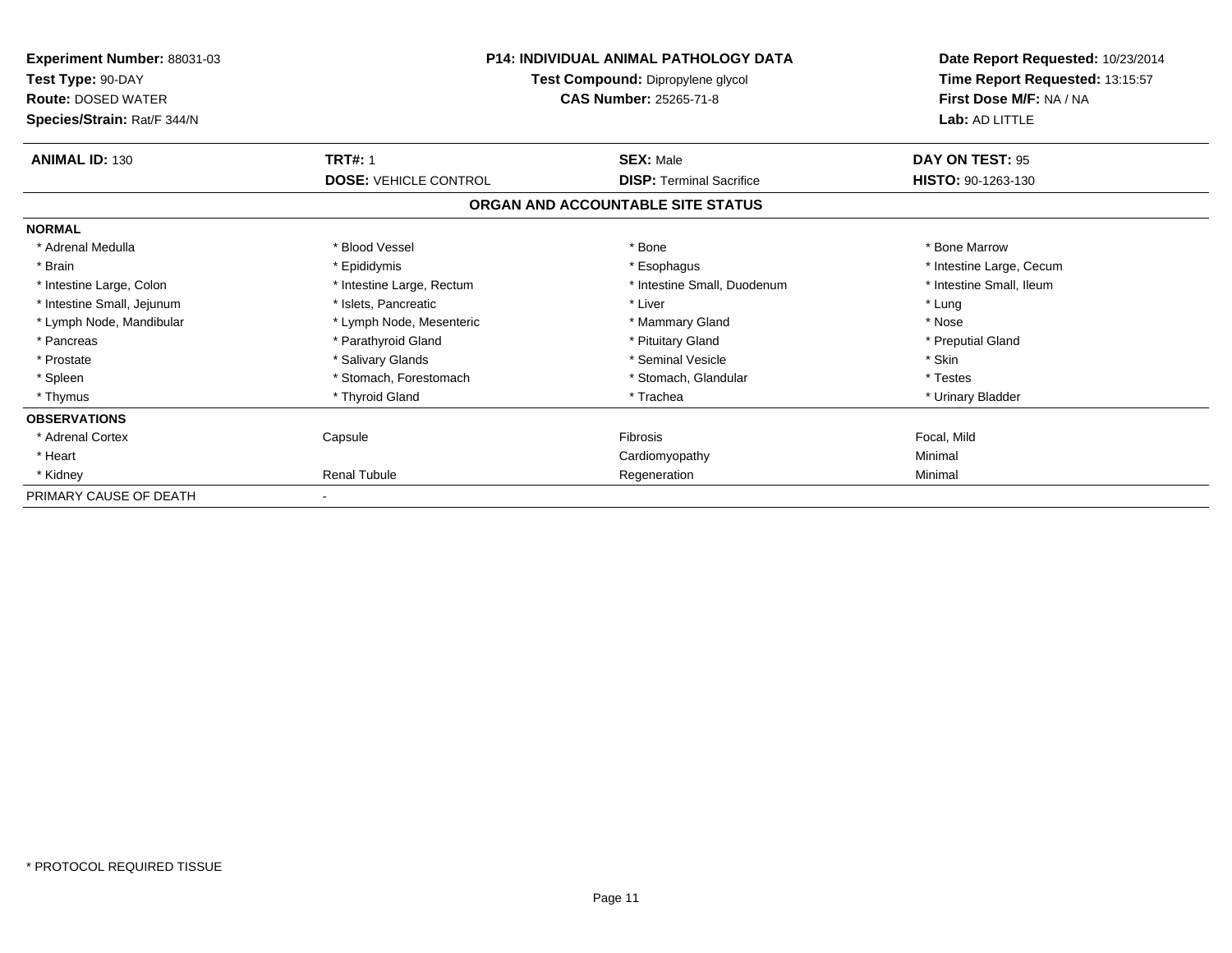| Experiment Number: 88031-03<br>Test Type: 90-DAY<br><b>Route: DOSED WATER</b><br>Species/Strain: Rat/F 344/N | <b>P14: INDIVIDUAL ANIMAL PATHOLOGY DATA</b><br>Test Compound: Dipropylene glycol<br><b>CAS Number: 25265-71-8</b> |                                                     | Date Report Requested: 10/23/2014<br>Time Report Requested: 13:15:57<br>First Dose M/F: NA / NA<br>Lab: AD LITTLE |
|--------------------------------------------------------------------------------------------------------------|--------------------------------------------------------------------------------------------------------------------|-----------------------------------------------------|-------------------------------------------------------------------------------------------------------------------|
| <b>ANIMAL ID: 130</b>                                                                                        | <b>TRT#: 1</b><br><b>DOSE: VEHICLE CONTROL</b>                                                                     | <b>SEX: Male</b><br><b>DISP:</b> Terminal Sacrifice | DAY ON TEST: 95<br><b>HISTO: 90-1263-130</b>                                                                      |
|                                                                                                              |                                                                                                                    | ORGAN AND ACCOUNTABLE SITE STATUS                   |                                                                                                                   |
| <b>NORMAL</b>                                                                                                |                                                                                                                    |                                                     |                                                                                                                   |
| * Adrenal Medulla                                                                                            | * Blood Vessel                                                                                                     | * Bone                                              | * Bone Marrow                                                                                                     |
| * Brain                                                                                                      | * Epididymis                                                                                                       | * Esophagus                                         | * Intestine Large, Cecum                                                                                          |
| * Intestine Large, Colon                                                                                     | * Intestine Large, Rectum                                                                                          | * Intestine Small, Duodenum                         | * Intestine Small. Ileum                                                                                          |
| * Intestine Small, Jejunum                                                                                   | * Islets, Pancreatic                                                                                               | * Liver                                             | * Lung                                                                                                            |
| * Lymph Node, Mandibular                                                                                     | * Lymph Node, Mesenteric                                                                                           | * Mammary Gland                                     | * Nose                                                                                                            |
| * Pancreas                                                                                                   | * Parathyroid Gland                                                                                                | * Pituitary Gland                                   | * Preputial Gland                                                                                                 |
| * Prostate                                                                                                   | * Salivary Glands                                                                                                  | * Seminal Vesicle                                   | * Skin                                                                                                            |
| * Spleen                                                                                                     | * Stomach, Forestomach                                                                                             | * Stomach, Glandular                                | * Testes                                                                                                          |
| * Thymus                                                                                                     | * Thyroid Gland                                                                                                    | * Trachea                                           | * Urinary Bladder                                                                                                 |
| <b>OBSERVATIONS</b>                                                                                          |                                                                                                                    |                                                     |                                                                                                                   |
| * Adrenal Cortex                                                                                             | Capsule                                                                                                            | Fibrosis                                            | Focal, Mild                                                                                                       |
| * Heart                                                                                                      |                                                                                                                    | Cardiomyopathy                                      | Minimal                                                                                                           |
| * Kidney                                                                                                     | <b>Renal Tubule</b>                                                                                                | Regeneration                                        | Minimal                                                                                                           |
| PRIMARY CAUSE OF DEATH                                                                                       |                                                                                                                    |                                                     |                                                                                                                   |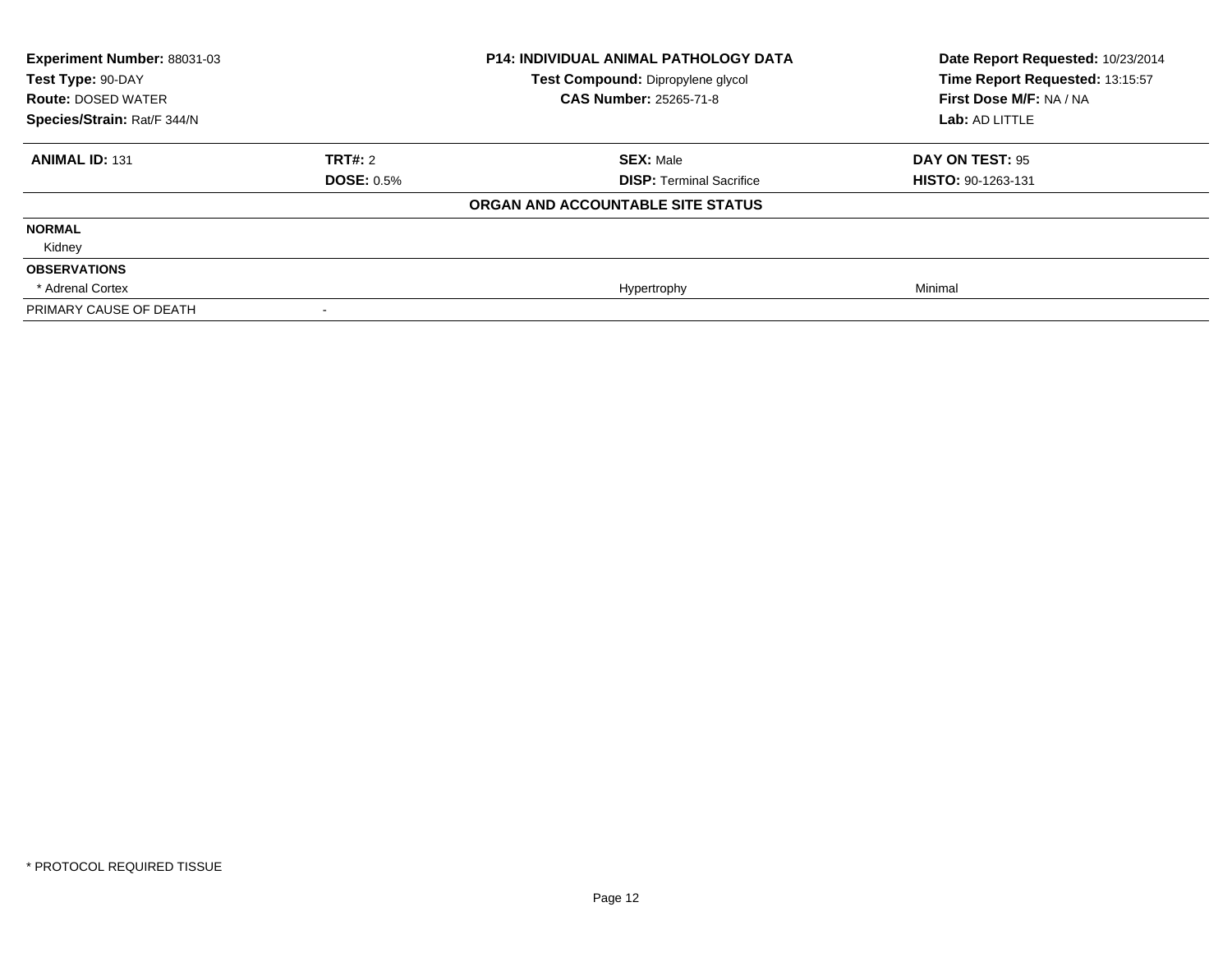| Experiment Number: 88031-03 | <b>P14: INDIVIDUAL ANIMAL PATHOLOGY DATA</b> |                                   | Date Report Requested: 10/23/2014 |
|-----------------------------|----------------------------------------------|-----------------------------------|-----------------------------------|
| Test Type: 90-DAY           |                                              | Test Compound: Dipropylene glycol | Time Report Requested: 13:15:57   |
| <b>Route: DOSED WATER</b>   |                                              | <b>CAS Number: 25265-71-8</b>     | First Dose M/F: NA / NA           |
| Species/Strain: Rat/F 344/N |                                              |                                   | Lab: AD LITTLE                    |
| <b>ANIMAL ID: 131</b>       | TRT#: 2                                      | <b>SEX: Male</b>                  | DAY ON TEST: 95                   |
|                             | <b>DOSE: 0.5%</b>                            | <b>DISP: Terminal Sacrifice</b>   | <b>HISTO: 90-1263-131</b>         |
|                             |                                              | ORGAN AND ACCOUNTABLE SITE STATUS |                                   |
| <b>NORMAL</b>               |                                              |                                   |                                   |
| Kidney                      |                                              |                                   |                                   |
| <b>OBSERVATIONS</b>         |                                              |                                   |                                   |
| * Adrenal Cortex            |                                              | Hypertrophy                       | Minimal                           |
| PRIMARY CAUSE OF DEATH      |                                              |                                   |                                   |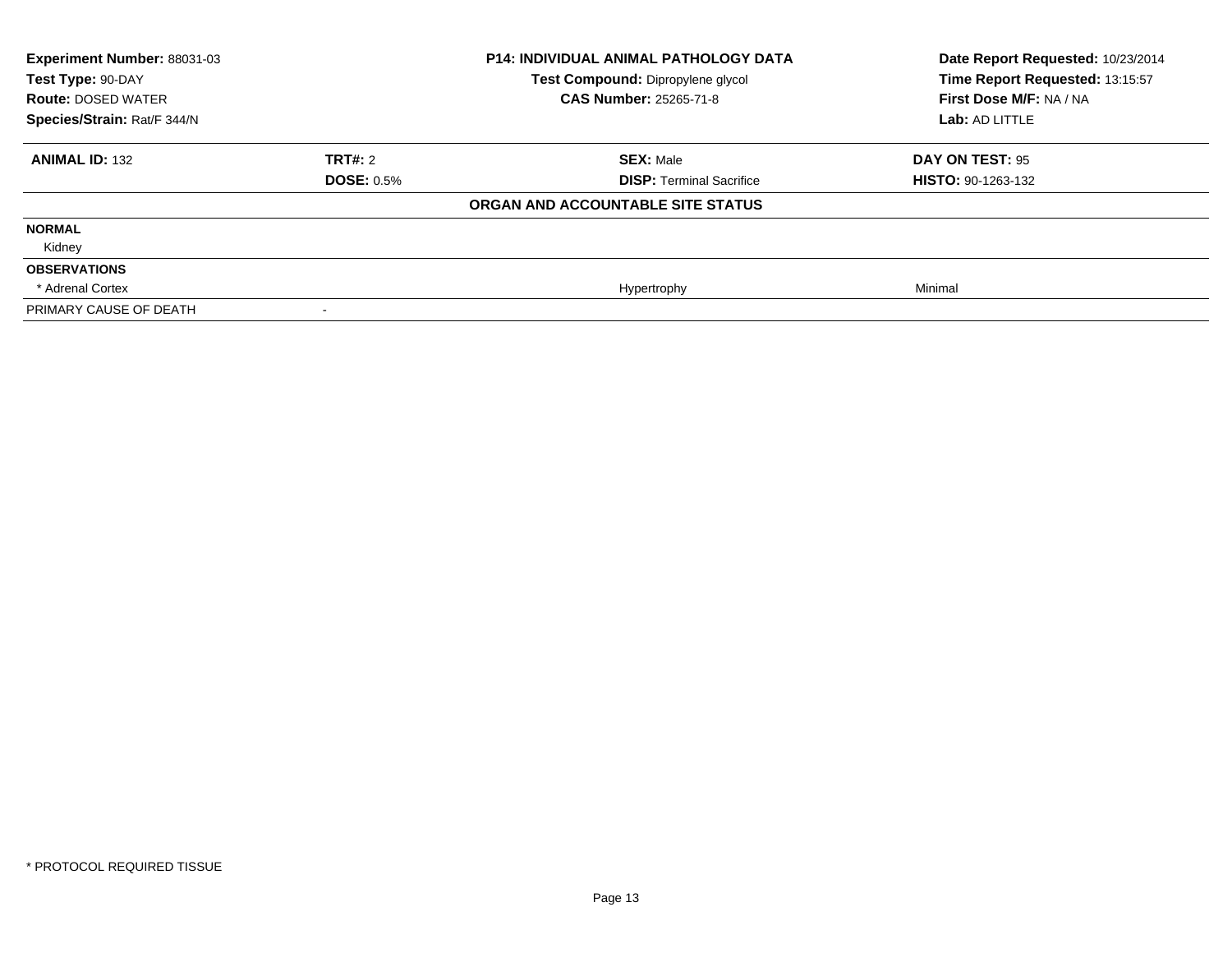| <b>Experiment Number: 88031-03</b><br>Test Type: 90-DAY<br><b>Route: DOSED WATER</b><br>Species/Strain: Rat/F 344/N |                   | <b>P14: INDIVIDUAL ANIMAL PATHOLOGY DATA</b><br>Test Compound: Dipropylene glycol<br><b>CAS Number: 25265-71-8</b> | Date Report Requested: 10/23/2014<br>Time Report Requested: 13:15:57<br>First Dose M/F: NA / NA<br>Lab: AD LITTLE |
|---------------------------------------------------------------------------------------------------------------------|-------------------|--------------------------------------------------------------------------------------------------------------------|-------------------------------------------------------------------------------------------------------------------|
|                                                                                                                     |                   |                                                                                                                    |                                                                                                                   |
| <b>ANIMAL ID: 132</b>                                                                                               | TRT#: 2           | <b>SEX: Male</b>                                                                                                   | DAY ON TEST: 95                                                                                                   |
|                                                                                                                     | <b>DOSE: 0.5%</b> | <b>DISP: Terminal Sacrifice</b>                                                                                    | <b>HISTO: 90-1263-132</b>                                                                                         |
|                                                                                                                     |                   | ORGAN AND ACCOUNTABLE SITE STATUS                                                                                  |                                                                                                                   |
| <b>NORMAL</b>                                                                                                       |                   |                                                                                                                    |                                                                                                                   |
| Kidney                                                                                                              |                   |                                                                                                                    |                                                                                                                   |
| <b>OBSERVATIONS</b>                                                                                                 |                   |                                                                                                                    |                                                                                                                   |
| * Adrenal Cortex                                                                                                    |                   | Hypertrophy                                                                                                        | Minimal                                                                                                           |
| PRIMARY CAUSE OF DEATH                                                                                              |                   |                                                                                                                    |                                                                                                                   |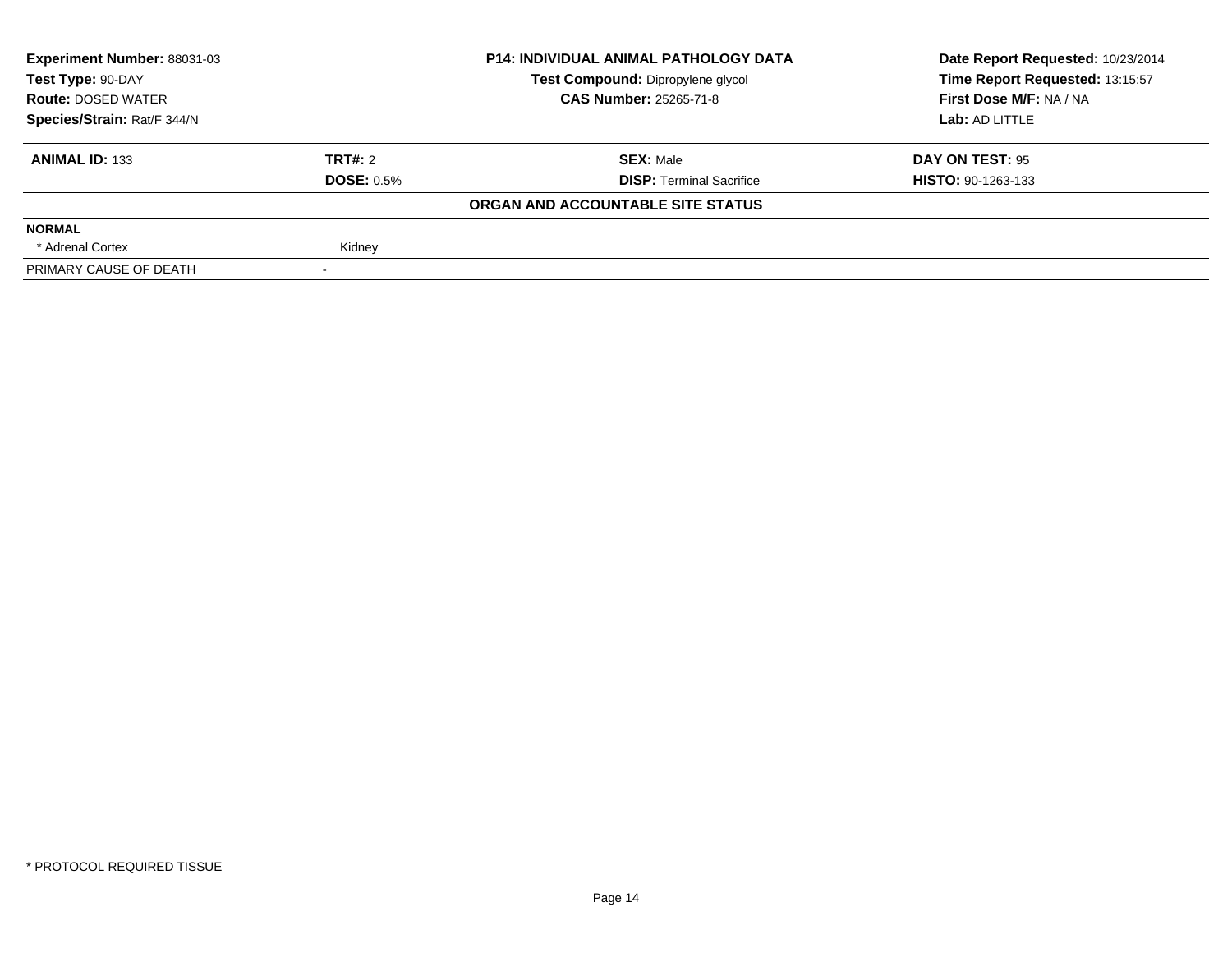| Experiment Number: 88031-03 | <b>P14: INDIVIDUAL ANIMAL PATHOLOGY DATA</b> |                                   | Date Report Requested: 10/23/2014 |
|-----------------------------|----------------------------------------------|-----------------------------------|-----------------------------------|
| Test Type: 90-DAY           |                                              | Test Compound: Dipropylene glycol | Time Report Requested: 13:15:57   |
| <b>Route: DOSED WATER</b>   |                                              | <b>CAS Number: 25265-71-8</b>     | First Dose M/F: NA / NA           |
| Species/Strain: Rat/F 344/N |                                              |                                   | Lab: AD LITTLE                    |
| <b>ANIMAL ID: 133</b>       | <b>TRT#: 2</b>                               | <b>SEX: Male</b>                  | DAY ON TEST: 95                   |
|                             | <b>DOSE: 0.5%</b>                            | <b>DISP:</b> Terminal Sacrifice   | <b>HISTO: 90-1263-133</b>         |
|                             |                                              | ORGAN AND ACCOUNTABLE SITE STATUS |                                   |
| <b>NORMAL</b>               |                                              |                                   |                                   |
| * Adrenal Cortex            | Kidney                                       |                                   |                                   |
| PRIMARY CAUSE OF DEATH      |                                              |                                   |                                   |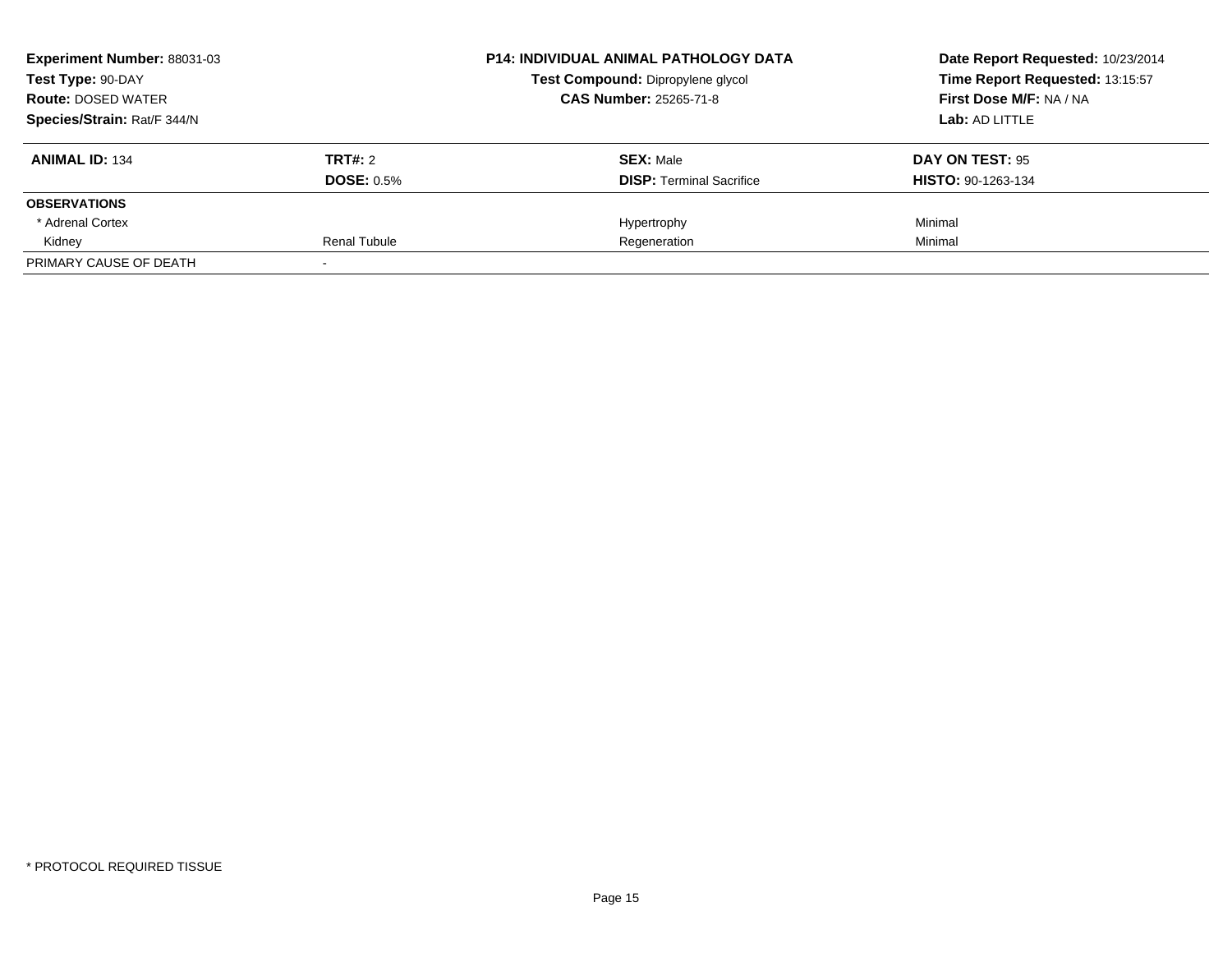| Experiment Number: 88031-03 |                     | <b>P14: INDIVIDUAL ANIMAL PATHOLOGY DATA</b> | Date Report Requested: 10/23/2014<br>Time Report Requested: 13:15:57 |
|-----------------------------|---------------------|----------------------------------------------|----------------------------------------------------------------------|
| Test Type: 90-DAY           |                     | Test Compound: Dipropylene glycol            |                                                                      |
| <b>Route: DOSED WATER</b>   |                     | <b>CAS Number: 25265-71-8</b>                | First Dose M/F: NA / NA                                              |
| Species/Strain: Rat/F 344/N |                     |                                              | Lab: AD LITTLE                                                       |
| <b>ANIMAL ID: 134</b>       | TRT#: 2             | <b>SEX: Male</b>                             | DAY ON TEST: 95                                                      |
|                             | <b>DOSE: 0.5%</b>   | <b>DISP:</b> Terminal Sacrifice              | <b>HISTO: 90-1263-134</b>                                            |
| <b>OBSERVATIONS</b>         |                     |                                              |                                                                      |
| * Adrenal Cortex            |                     | Hypertrophy                                  | Minimal                                                              |
| Kidney                      | <b>Renal Tubule</b> | Regeneration                                 | Minimal                                                              |
| PRIMARY CAUSE OF DEATH      |                     |                                              |                                                                      |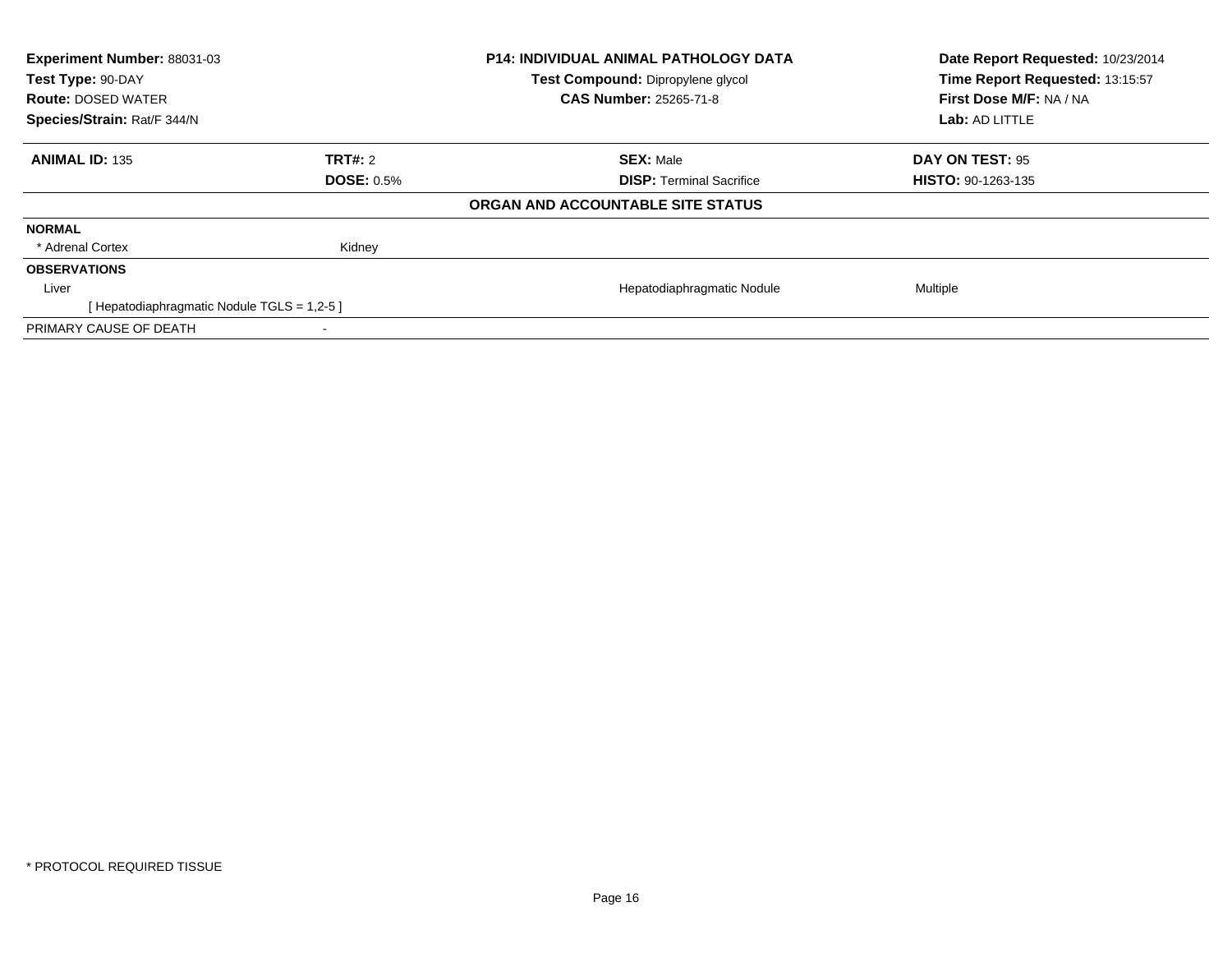| Experiment Number: 88031-03               | <b>P14: INDIVIDUAL ANIMAL PATHOLOGY DATA</b> | Date Report Requested: 10/23/2014 |                                 |
|-------------------------------------------|----------------------------------------------|-----------------------------------|---------------------------------|
| Test Type: 90-DAY                         |                                              | Test Compound: Dipropylene glycol | Time Report Requested: 13:15:57 |
| <b>Route: DOSED WATER</b>                 |                                              | <b>CAS Number: 25265-71-8</b>     | First Dose M/F: NA / NA         |
| Species/Strain: Rat/F 344/N               |                                              |                                   | Lab: AD LITTLE                  |
| <b>ANIMAL ID: 135</b>                     | TRT#: 2                                      | <b>SEX: Male</b>                  | DAY ON TEST: 95                 |
|                                           | <b>DOSE: 0.5%</b>                            | <b>DISP:</b> Terminal Sacrifice   | <b>HISTO: 90-1263-135</b>       |
|                                           |                                              | ORGAN AND ACCOUNTABLE SITE STATUS |                                 |
| <b>NORMAL</b>                             |                                              |                                   |                                 |
| * Adrenal Cortex                          | Kidney                                       |                                   |                                 |
| <b>OBSERVATIONS</b>                       |                                              |                                   |                                 |
| Liver                                     |                                              | Hepatodiaphragmatic Nodule        | Multiple                        |
| [Hepatodiaphragmatic Nodule TGLS = 1,2-5] |                                              |                                   |                                 |
| PRIMARY CAUSE OF DEATH                    |                                              |                                   |                                 |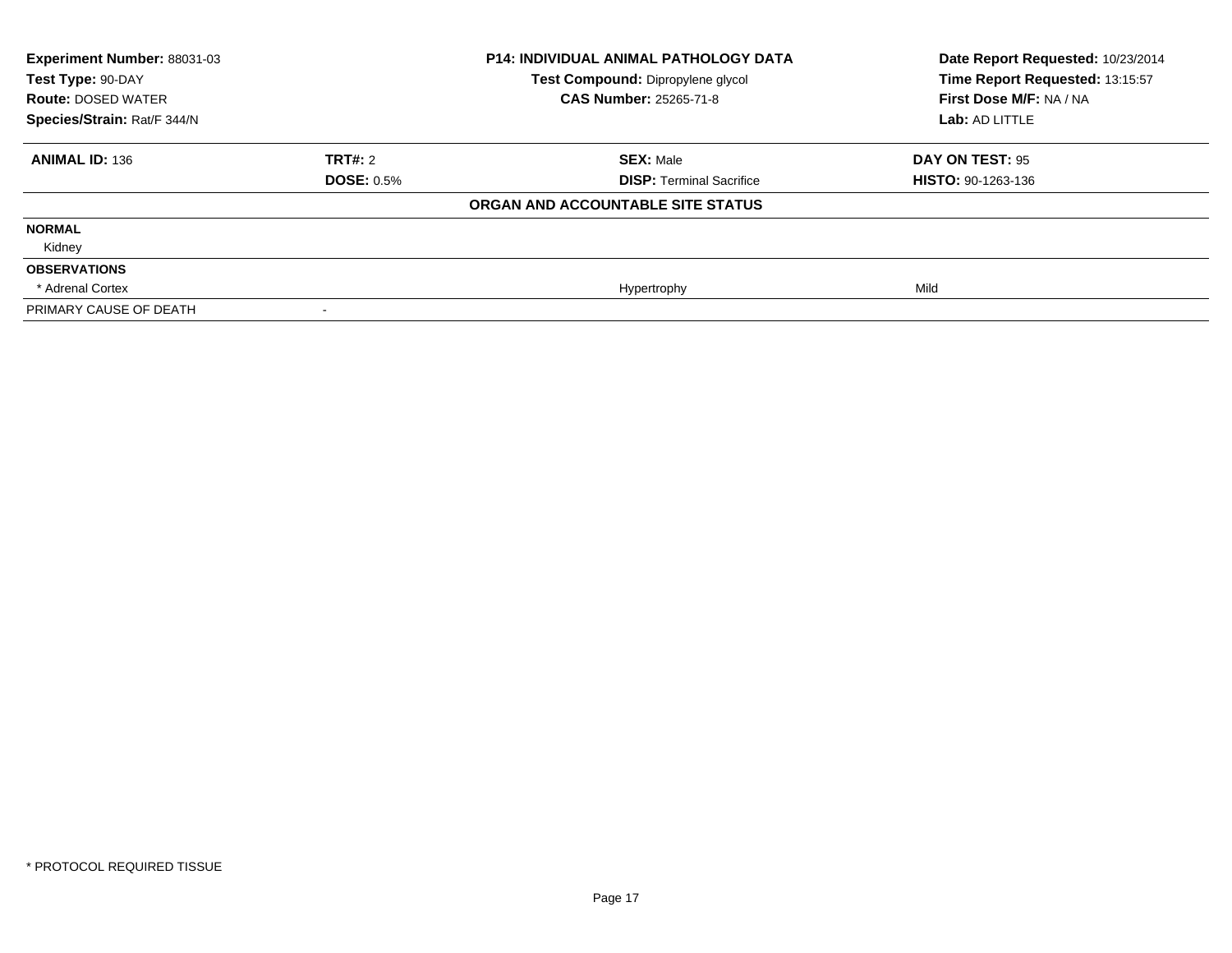| Experiment Number: 88031-03<br>Test Type: 90-DAY |                   | <b>P14: INDIVIDUAL ANIMAL PATHOLOGY DATA</b><br>Test Compound: Dipropylene glycol | Date Report Requested: 10/23/2014<br>Time Report Requested: 13:15:57 |
|--------------------------------------------------|-------------------|-----------------------------------------------------------------------------------|----------------------------------------------------------------------|
| <b>Route: DOSED WATER</b>                        |                   | CAS Number: 25265-71-8                                                            | First Dose M/F: NA / NA                                              |
| Species/Strain: Rat/F 344/N                      |                   |                                                                                   | Lab: AD LITTLE                                                       |
| <b>ANIMAL ID: 136</b>                            | TRT#: 2           | <b>SEX: Male</b>                                                                  | DAY ON TEST: 95                                                      |
|                                                  | <b>DOSE: 0.5%</b> | <b>DISP: Terminal Sacrifice</b>                                                   | <b>HISTO: 90-1263-136</b>                                            |
|                                                  |                   | ORGAN AND ACCOUNTABLE SITE STATUS                                                 |                                                                      |
| <b>NORMAL</b>                                    |                   |                                                                                   |                                                                      |
| Kidney                                           |                   |                                                                                   |                                                                      |
| <b>OBSERVATIONS</b>                              |                   |                                                                                   |                                                                      |
| * Adrenal Cortex                                 |                   | Hypertrophy                                                                       | Mild                                                                 |
| PRIMARY CAUSE OF DEATH                           |                   |                                                                                   |                                                                      |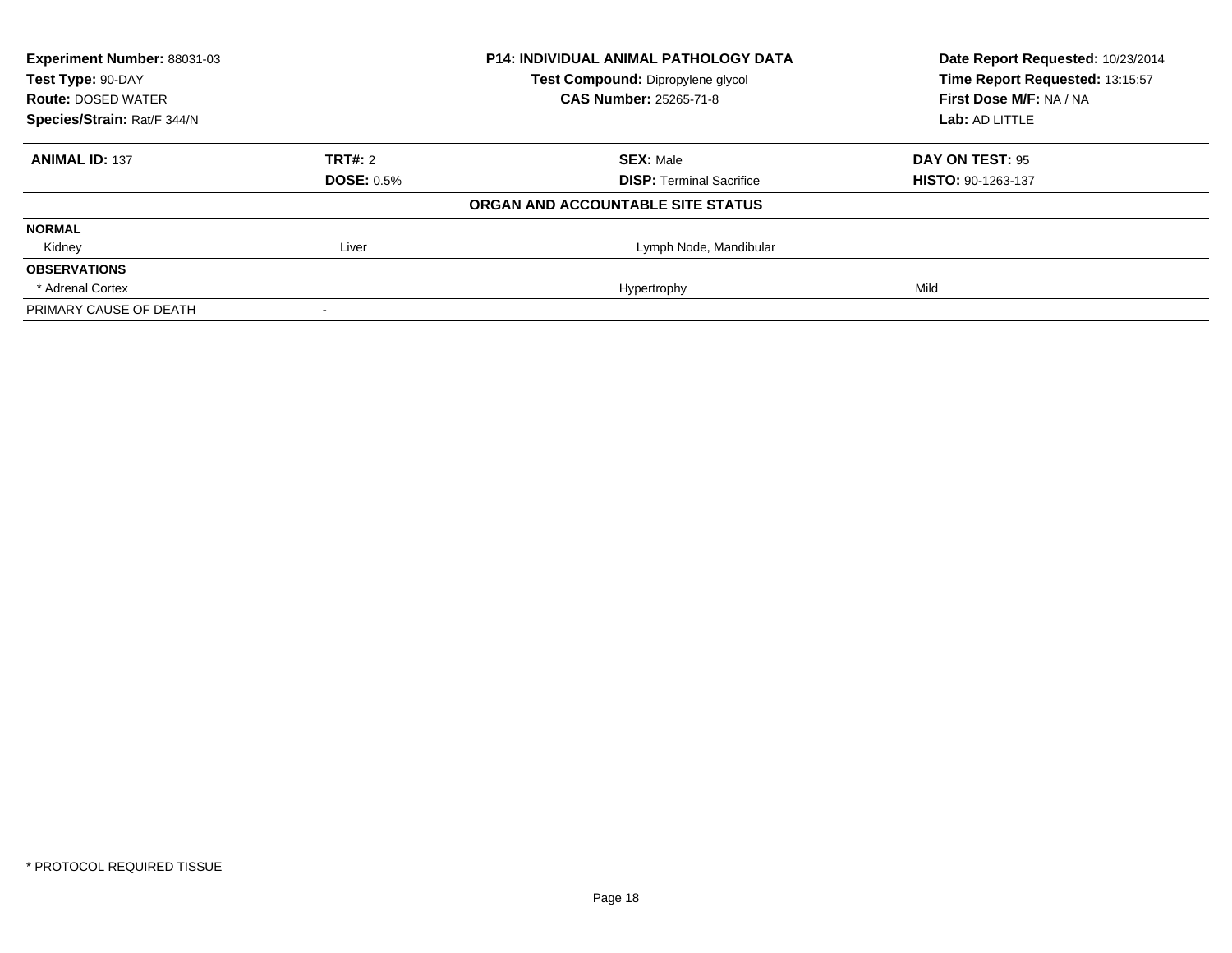| Experiment Number: 88031-03 | <b>P14: INDIVIDUAL ANIMAL PATHOLOGY DATA</b> |                                   | Date Report Requested: 10/23/2014 |  |
|-----------------------------|----------------------------------------------|-----------------------------------|-----------------------------------|--|
| Test Type: 90-DAY           |                                              | Test Compound: Dipropylene glycol | Time Report Requested: 13:15:57   |  |
| <b>Route: DOSED WATER</b>   |                                              | <b>CAS Number: 25265-71-8</b>     | First Dose M/F: NA / NA           |  |
| Species/Strain: Rat/F 344/N |                                              |                                   | Lab: AD LITTLE                    |  |
| <b>ANIMAL ID: 137</b>       | <b>TRT#: 2</b>                               | <b>SEX: Male</b>                  | DAY ON TEST: 95                   |  |
|                             | <b>DOSE: 0.5%</b>                            | <b>DISP: Terminal Sacrifice</b>   | <b>HISTO: 90-1263-137</b>         |  |
|                             |                                              | ORGAN AND ACCOUNTABLE SITE STATUS |                                   |  |
| <b>NORMAL</b>               |                                              |                                   |                                   |  |
| Kidney                      | Liver                                        | Lymph Node, Mandibular            |                                   |  |
| <b>OBSERVATIONS</b>         |                                              |                                   |                                   |  |
| * Adrenal Cortex            |                                              | Hypertrophy                       | Mild                              |  |
| PRIMARY CAUSE OF DEATH      |                                              |                                   |                                   |  |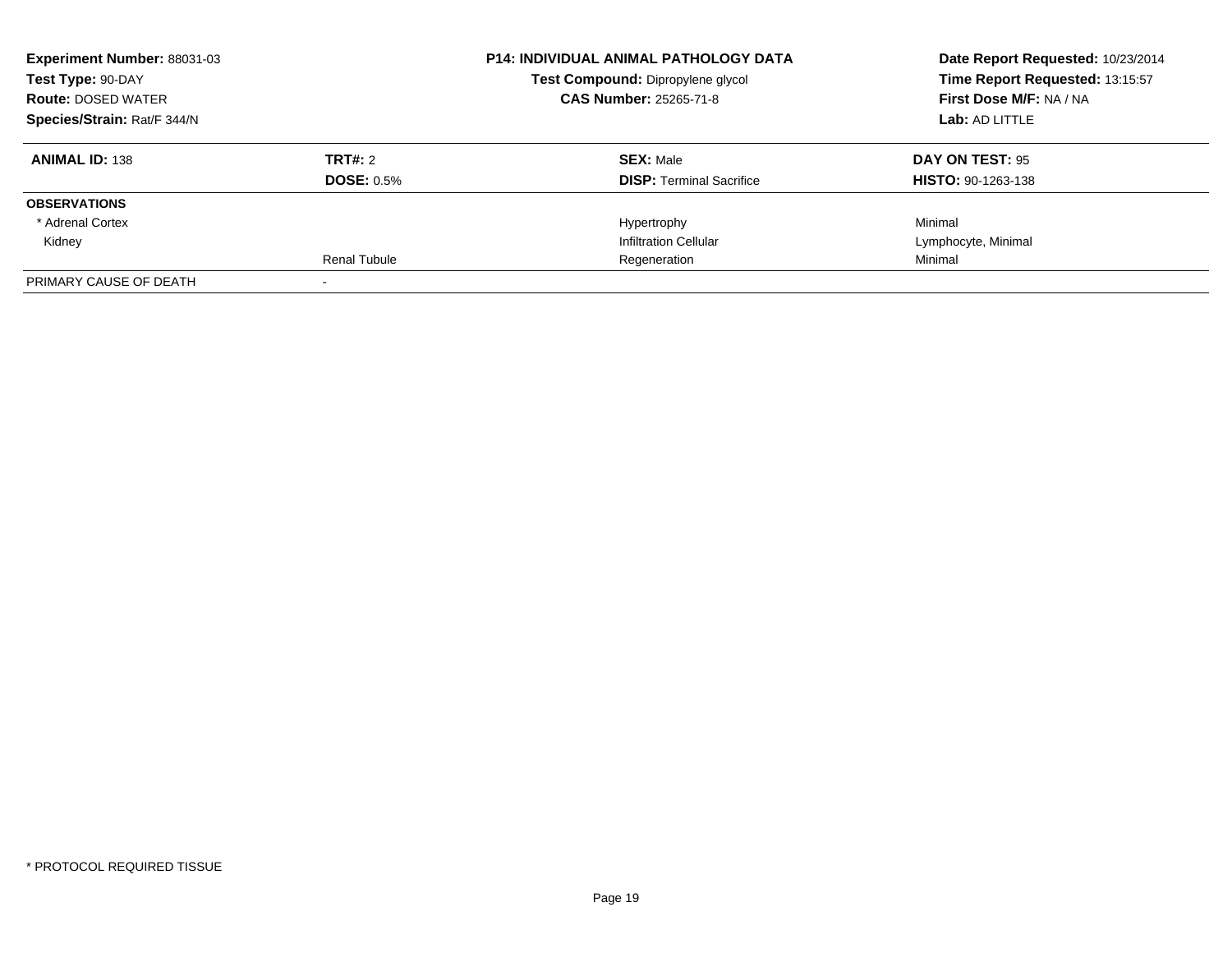| Experiment Number: 88031-03 | <b>P14: INDIVIDUAL ANIMAL PATHOLOGY DATA</b> |                                          | Date Report Requested: 10/23/2014 |
|-----------------------------|----------------------------------------------|------------------------------------------|-----------------------------------|
| Test Type: 90-DAY           |                                              | <b>Test Compound: Dipropylene glycol</b> | Time Report Requested: 13:15:57   |
| <b>Route: DOSED WATER</b>   |                                              | <b>CAS Number: 25265-71-8</b>            | <b>First Dose M/F: NA / NA</b>    |
| Species/Strain: Rat/F 344/N |                                              |                                          | Lab: AD LITTLE                    |
| <b>ANIMAL ID: 138</b>       | TRT#: 2                                      | <b>SEX: Male</b>                         | DAY ON TEST: 95                   |
|                             | <b>DOSE: 0.5%</b>                            | <b>DISP: Terminal Sacrifice</b>          | <b>HISTO: 90-1263-138</b>         |
| <b>OBSERVATIONS</b>         |                                              |                                          |                                   |
| * Adrenal Cortex            |                                              | Hypertrophy                              | Minimal                           |
| Kidney                      |                                              | <b>Infiltration Cellular</b>             | Lymphocyte, Minimal               |
|                             | <b>Renal Tubule</b>                          | Regeneration                             | Minimal                           |
| PRIMARY CAUSE OF DEATH      |                                              |                                          |                                   |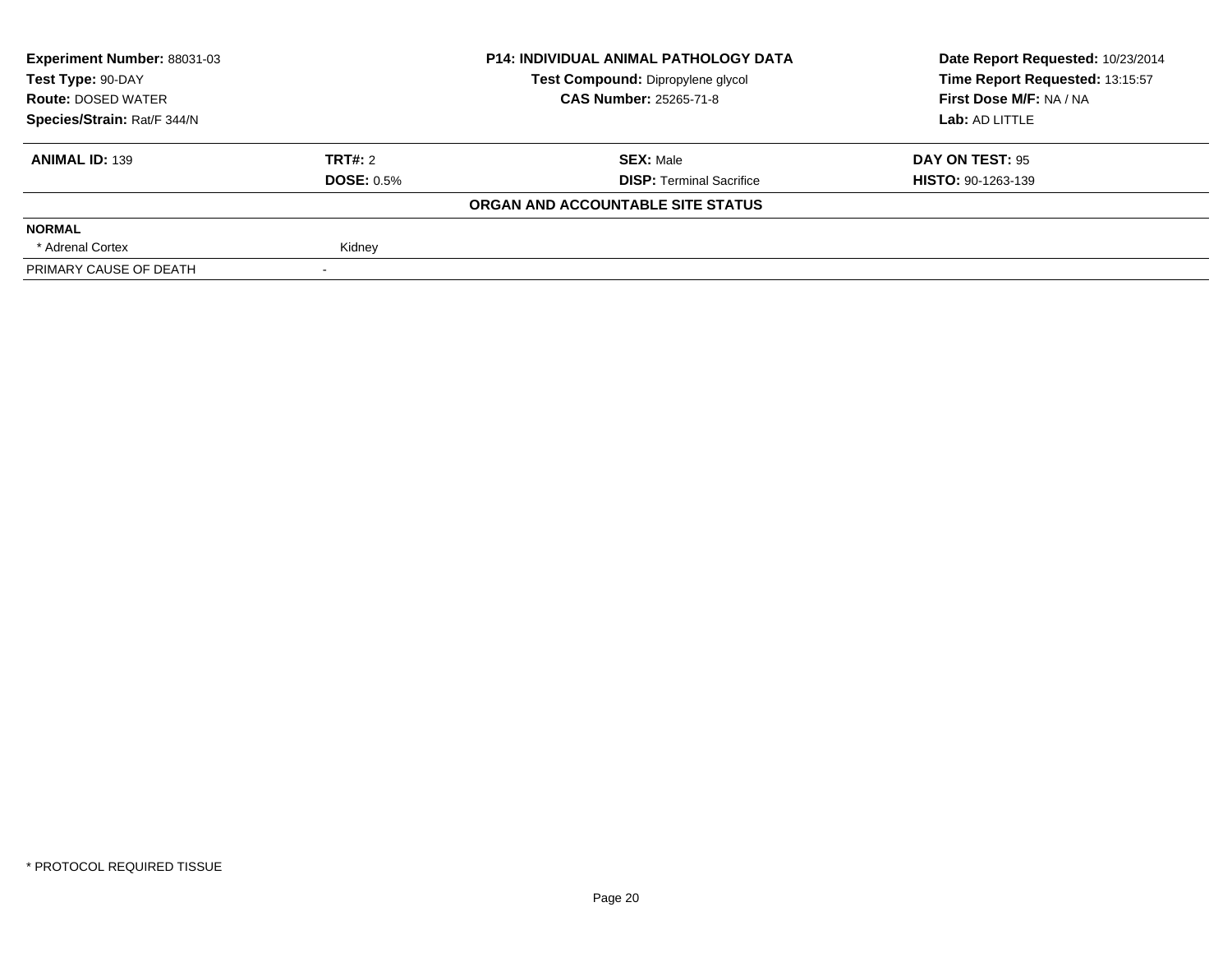| Experiment Number: 88031-03 | <b>P14: INDIVIDUAL ANIMAL PATHOLOGY DATA</b><br>Test Compound: Dipropylene glycol<br><b>CAS Number: 25265-71-8</b> | Date Report Requested: 10/23/2014 |                           |
|-----------------------------|--------------------------------------------------------------------------------------------------------------------|-----------------------------------|---------------------------|
| Test Type: 90-DAY           |                                                                                                                    | Time Report Requested: 13:15:57   |                           |
| <b>Route: DOSED WATER</b>   |                                                                                                                    |                                   | First Dose M/F: NA / NA   |
| Species/Strain: Rat/F 344/N |                                                                                                                    |                                   | Lab: AD LITTLE            |
| <b>ANIMAL ID: 139</b>       | TRT#: 2                                                                                                            | <b>SEX: Male</b>                  | DAY ON TEST: 95           |
|                             | <b>DOSE: 0.5%</b>                                                                                                  | <b>DISP:</b> Terminal Sacrifice   | <b>HISTO: 90-1263-139</b> |
|                             |                                                                                                                    | ORGAN AND ACCOUNTABLE SITE STATUS |                           |
| <b>NORMAL</b>               |                                                                                                                    |                                   |                           |
| * Adrenal Cortex            | Kidney                                                                                                             |                                   |                           |
| PRIMARY CAUSE OF DEATH      |                                                                                                                    |                                   |                           |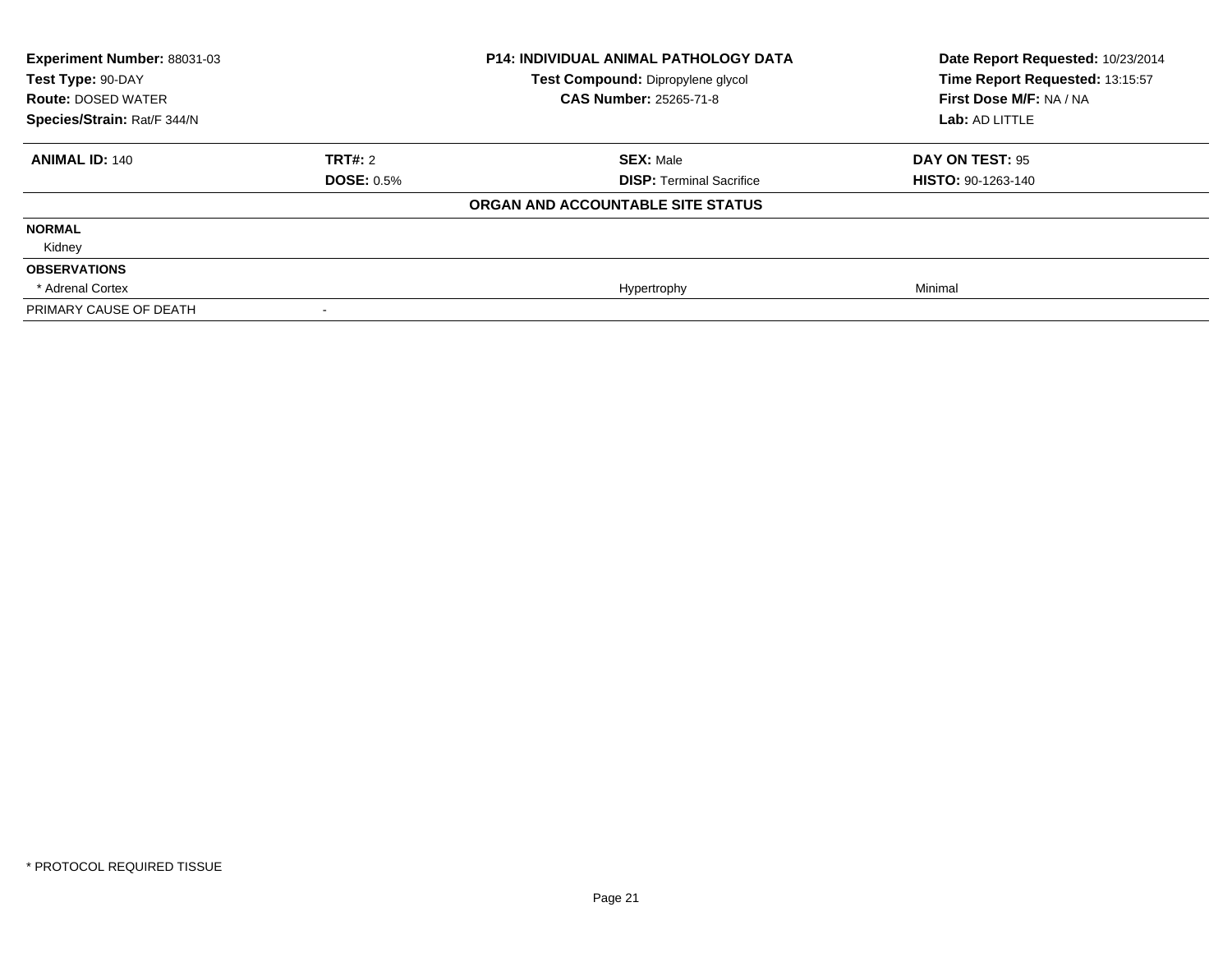| <b>Experiment Number: 88031-03</b><br>Test Type: 90-DAY<br><b>Route: DOSED WATER</b> |                   | <b>P14: INDIVIDUAL ANIMAL PATHOLOGY DATA</b><br>Test Compound: Dipropylene glycol<br><b>CAS Number: 25265-71-8</b> | Date Report Requested: 10/23/2014<br>Time Report Requested: 13:15:57<br>First Dose M/F: NA / NA |
|--------------------------------------------------------------------------------------|-------------------|--------------------------------------------------------------------------------------------------------------------|-------------------------------------------------------------------------------------------------|
| Species/Strain: Rat/F 344/N                                                          |                   |                                                                                                                    | Lab: AD LITTLE                                                                                  |
| <b>ANIMAL ID: 140</b>                                                                | TRT#: 2           | <b>SEX: Male</b>                                                                                                   | DAY ON TEST: 95                                                                                 |
|                                                                                      | <b>DOSE: 0.5%</b> | <b>DISP: Terminal Sacrifice</b>                                                                                    | <b>HISTO: 90-1263-140</b>                                                                       |
|                                                                                      |                   | ORGAN AND ACCOUNTABLE SITE STATUS                                                                                  |                                                                                                 |
| <b>NORMAL</b>                                                                        |                   |                                                                                                                    |                                                                                                 |
| Kidney                                                                               |                   |                                                                                                                    |                                                                                                 |
| <b>OBSERVATIONS</b>                                                                  |                   |                                                                                                                    |                                                                                                 |
| * Adrenal Cortex                                                                     |                   | Hypertrophy                                                                                                        | Minimal                                                                                         |
| PRIMARY CAUSE OF DEATH                                                               |                   |                                                                                                                    |                                                                                                 |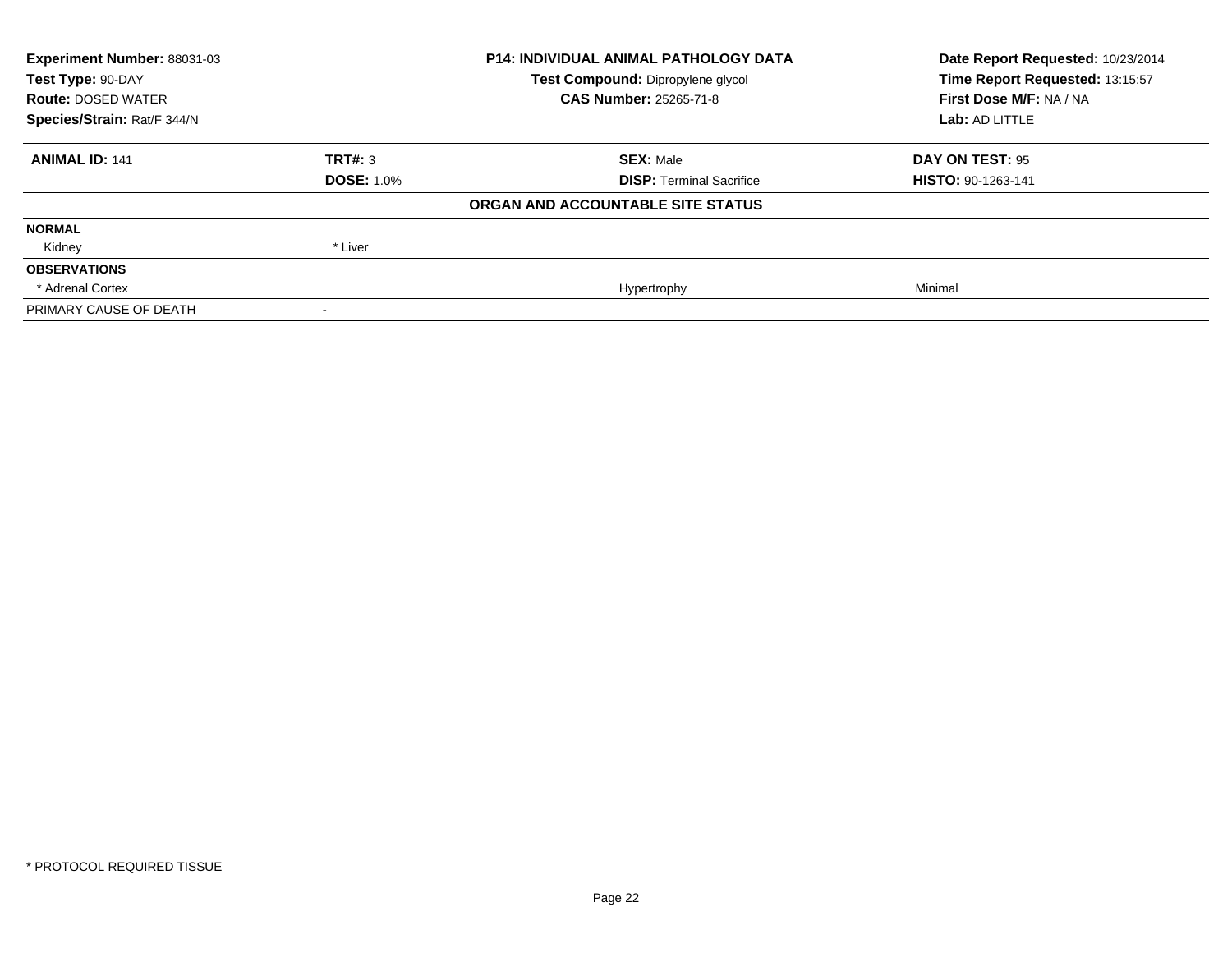| Experiment Number: 88031-03 | <b>P14: INDIVIDUAL ANIMAL PATHOLOGY DATA</b> |                                   | Date Report Requested: 10/23/2014 |
|-----------------------------|----------------------------------------------|-----------------------------------|-----------------------------------|
| Test Type: 90-DAY           |                                              | Test Compound: Dipropylene glycol | Time Report Requested: 13:15:57   |
| <b>Route: DOSED WATER</b>   |                                              | <b>CAS Number: 25265-71-8</b>     | First Dose M/F: NA / NA           |
| Species/Strain: Rat/F 344/N |                                              |                                   | Lab: AD LITTLE                    |
| <b>ANIMAL ID: 141</b>       | TRT#: 3                                      | <b>SEX: Male</b>                  | DAY ON TEST: 95                   |
|                             | <b>DOSE: 1.0%</b>                            | <b>DISP:</b> Terminal Sacrifice   | <b>HISTO: 90-1263-141</b>         |
|                             |                                              | ORGAN AND ACCOUNTABLE SITE STATUS |                                   |
| <b>NORMAL</b>               |                                              |                                   |                                   |
| Kidney                      | * Liver                                      |                                   |                                   |
| <b>OBSERVATIONS</b>         |                                              |                                   |                                   |
| * Adrenal Cortex            |                                              | Hypertrophy                       | Minimal                           |
| PRIMARY CAUSE OF DEATH      |                                              |                                   |                                   |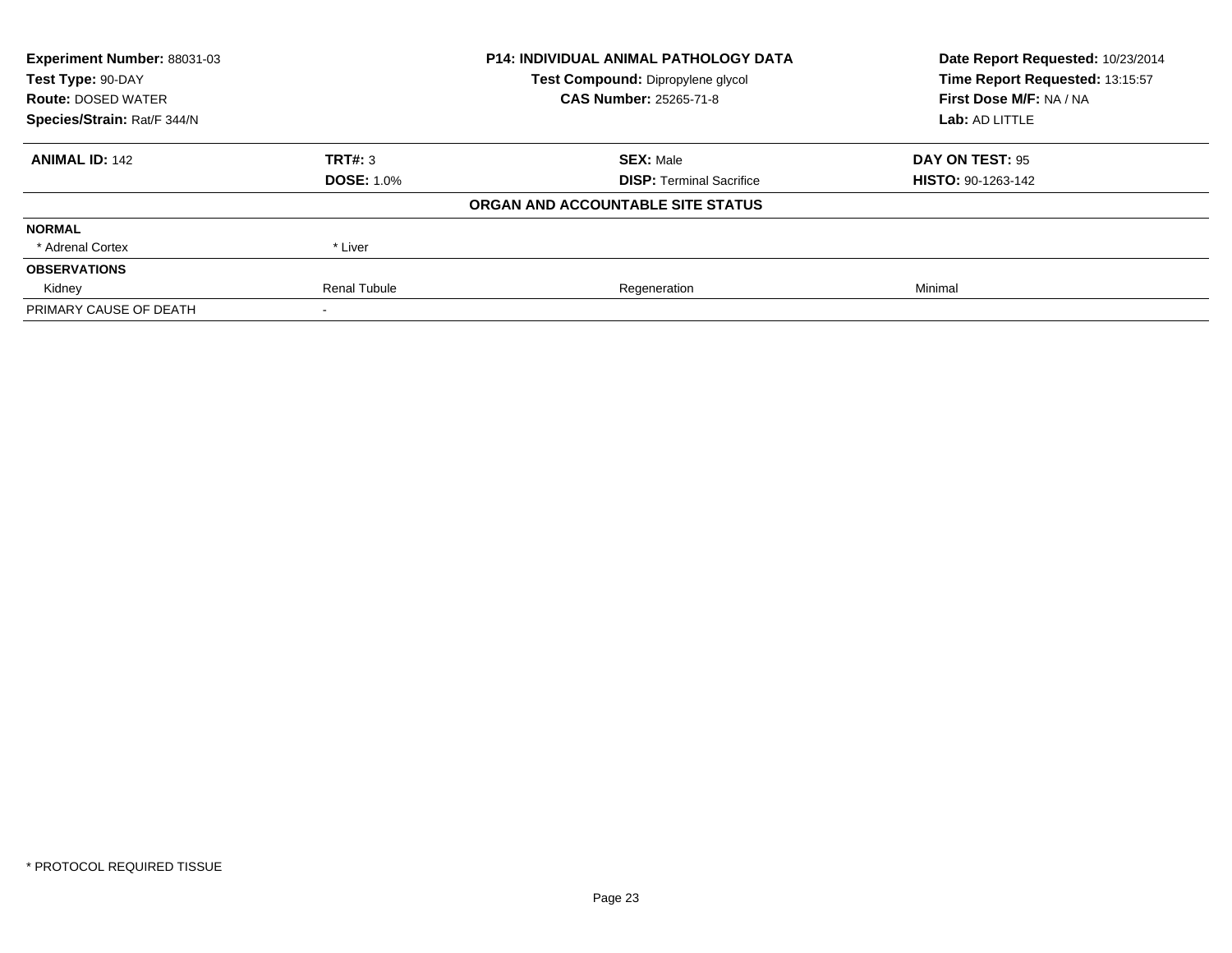| Experiment Number: 88031-03 | <b>P14: INDIVIDUAL ANIMAL PATHOLOGY DATA</b> |                                   | Date Report Requested: 10/23/2014 |
|-----------------------------|----------------------------------------------|-----------------------------------|-----------------------------------|
| Test Type: 90-DAY           |                                              | Test Compound: Dipropylene glycol | Time Report Requested: 13:15:57   |
| <b>Route: DOSED WATER</b>   |                                              | <b>CAS Number: 25265-71-8</b>     | First Dose M/F: NA / NA           |
| Species/Strain: Rat/F 344/N |                                              |                                   | Lab: AD LITTLE                    |
| <b>ANIMAL ID: 142</b>       | TRT#: 3                                      | <b>SEX: Male</b>                  | DAY ON TEST: 95                   |
|                             | <b>DOSE: 1.0%</b>                            | <b>DISP:</b> Terminal Sacrifice   | <b>HISTO: 90-1263-142</b>         |
|                             |                                              | ORGAN AND ACCOUNTABLE SITE STATUS |                                   |
| <b>NORMAL</b>               |                                              |                                   |                                   |
| * Adrenal Cortex            | * Liver                                      |                                   |                                   |
| <b>OBSERVATIONS</b>         |                                              |                                   |                                   |
| Kidney                      | <b>Renal Tubule</b>                          | Regeneration                      | Minimal                           |
| PRIMARY CAUSE OF DEATH      |                                              |                                   |                                   |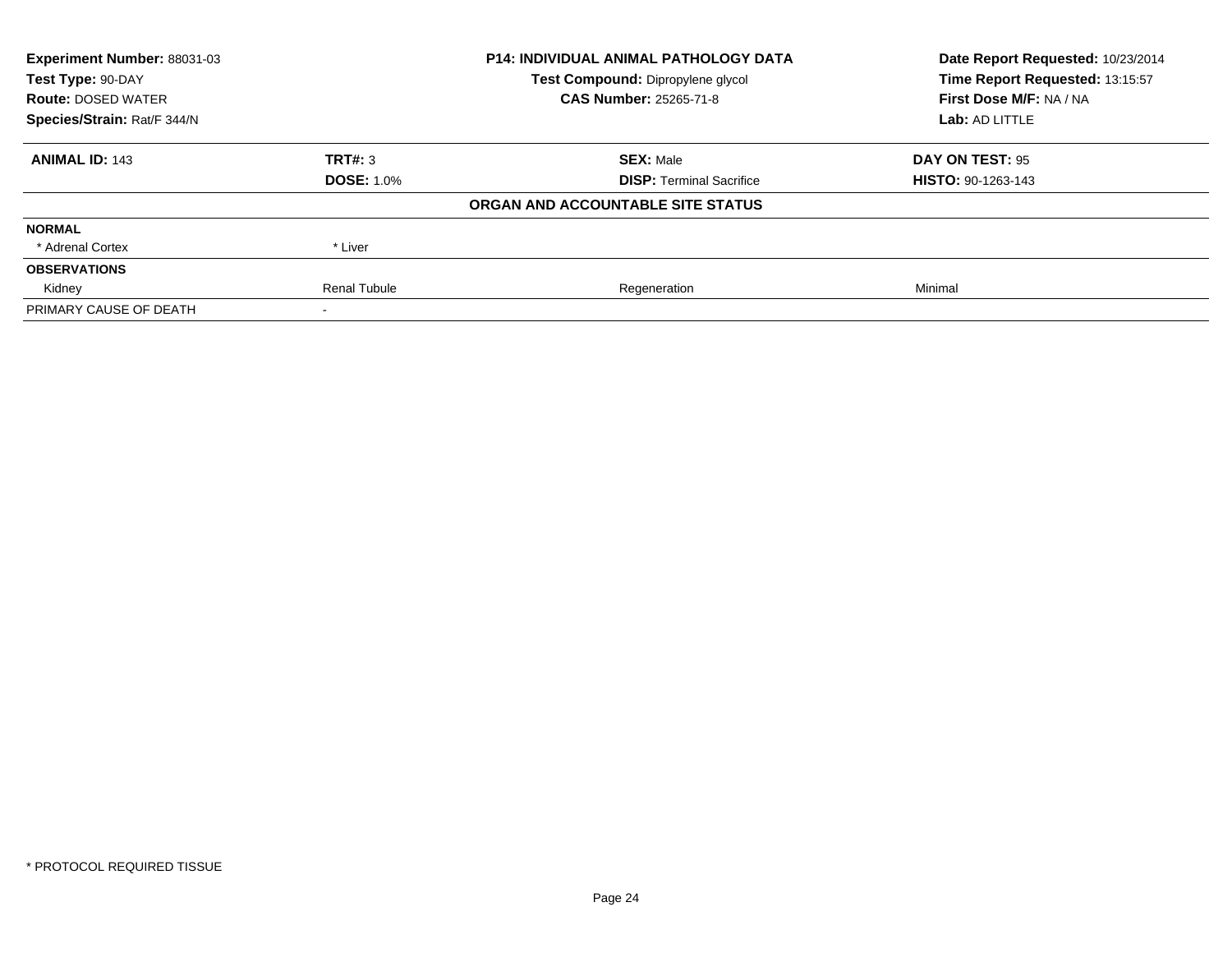| Experiment Number: 88031-03 |                     | <b>P14: INDIVIDUAL ANIMAL PATHOLOGY DATA</b> | Date Report Requested: 10/23/2014 |
|-----------------------------|---------------------|----------------------------------------------|-----------------------------------|
| Test Type: 90-DAY           |                     | Test Compound: Dipropylene glycol            | Time Report Requested: 13:15:57   |
| <b>Route: DOSED WATER</b>   |                     | <b>CAS Number: 25265-71-8</b>                | First Dose M/F: NA / NA           |
| Species/Strain: Rat/F 344/N |                     |                                              | Lab: AD LITTLE                    |
| <b>ANIMAL ID: 143</b>       | TRT#: 3             | <b>SEX: Male</b>                             | DAY ON TEST: 95                   |
|                             | <b>DOSE: 1.0%</b>   | <b>DISP:</b> Terminal Sacrifice              | <b>HISTO: 90-1263-143</b>         |
|                             |                     | ORGAN AND ACCOUNTABLE SITE STATUS            |                                   |
| <b>NORMAL</b>               |                     |                                              |                                   |
| * Adrenal Cortex            | * Liver             |                                              |                                   |
| <b>OBSERVATIONS</b>         |                     |                                              |                                   |
| Kidney                      | <b>Renal Tubule</b> | Regeneration                                 | Minimal                           |
| PRIMARY CAUSE OF DEATH      |                     |                                              |                                   |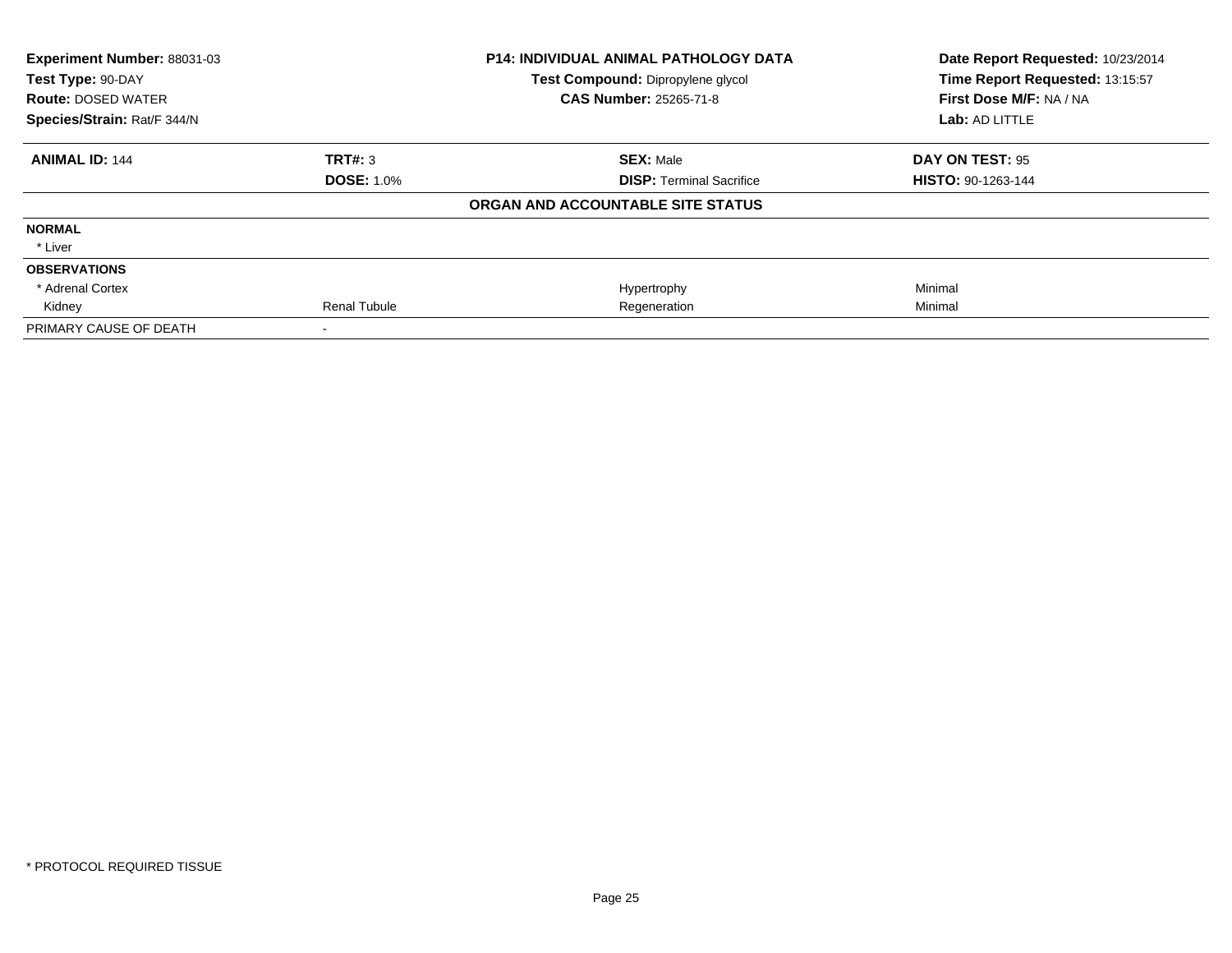| Experiment Number: 88031-03 |                     | <b>P14: INDIVIDUAL ANIMAL PATHOLOGY DATA</b> | Date Report Requested: 10/23/2014 |
|-----------------------------|---------------------|----------------------------------------------|-----------------------------------|
| Test Type: 90-DAY           |                     | Test Compound: Dipropylene glycol            | Time Report Requested: 13:15:57   |
| <b>Route: DOSED WATER</b>   |                     | <b>CAS Number: 25265-71-8</b>                | First Dose M/F: NA / NA           |
| Species/Strain: Rat/F 344/N |                     |                                              | Lab: AD LITTLE                    |
| <b>ANIMAL ID: 144</b>       | TRT#: 3             | <b>SEX: Male</b>                             | DAY ON TEST: 95                   |
|                             | <b>DOSE: 1.0%</b>   | <b>DISP: Terminal Sacrifice</b>              | <b>HISTO: 90-1263-144</b>         |
|                             |                     | ORGAN AND ACCOUNTABLE SITE STATUS            |                                   |
| <b>NORMAL</b>               |                     |                                              |                                   |
| * Liver                     |                     |                                              |                                   |
| <b>OBSERVATIONS</b>         |                     |                                              |                                   |
| * Adrenal Cortex            |                     | Hypertrophy                                  | Minimal                           |
| Kidney                      | <b>Renal Tubule</b> | Regeneration                                 | Minimal                           |
| PRIMARY CAUSE OF DEATH      |                     |                                              |                                   |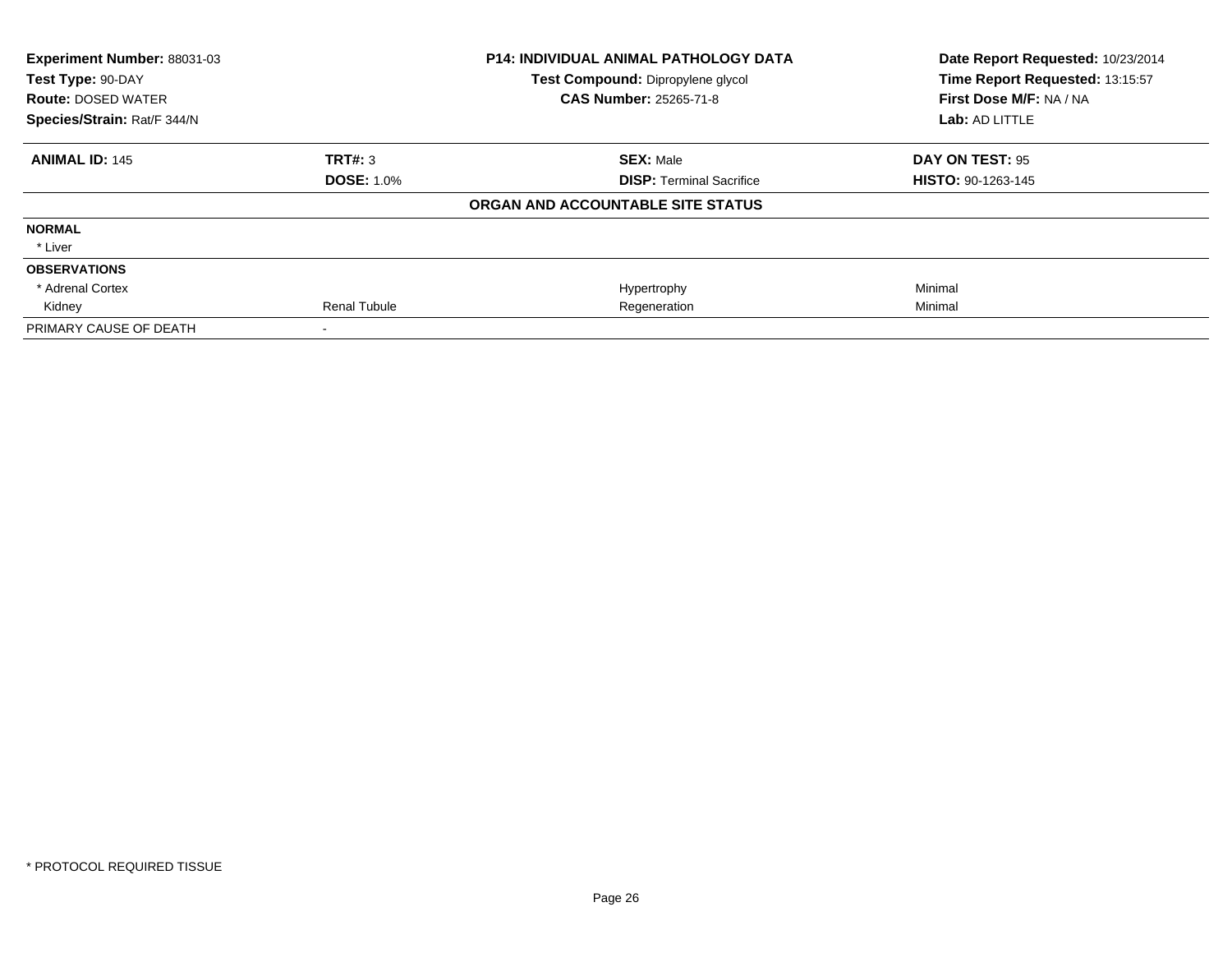| Experiment Number: 88031-03 |                     | <b>P14: INDIVIDUAL ANIMAL PATHOLOGY DATA</b> | Date Report Requested: 10/23/2014 |
|-----------------------------|---------------------|----------------------------------------------|-----------------------------------|
| Test Type: 90-DAY           |                     | Test Compound: Dipropylene glycol            | Time Report Requested: 13:15:57   |
| <b>Route: DOSED WATER</b>   |                     | <b>CAS Number: 25265-71-8</b>                | First Dose M/F: NA / NA           |
| Species/Strain: Rat/F 344/N |                     |                                              | Lab: AD LITTLE                    |
| <b>ANIMAL ID: 145</b>       | TRT#: 3             | <b>SEX: Male</b>                             | DAY ON TEST: 95                   |
|                             | <b>DOSE: 1.0%</b>   | <b>DISP: Terminal Sacrifice</b>              | <b>HISTO: 90-1263-145</b>         |
|                             |                     | ORGAN AND ACCOUNTABLE SITE STATUS            |                                   |
| <b>NORMAL</b>               |                     |                                              |                                   |
| * Liver                     |                     |                                              |                                   |
| <b>OBSERVATIONS</b>         |                     |                                              |                                   |
| * Adrenal Cortex            |                     | Hypertrophy                                  | Minimal                           |
| Kidney                      | <b>Renal Tubule</b> | Regeneration                                 | Minimal                           |
| PRIMARY CAUSE OF DEATH      |                     |                                              |                                   |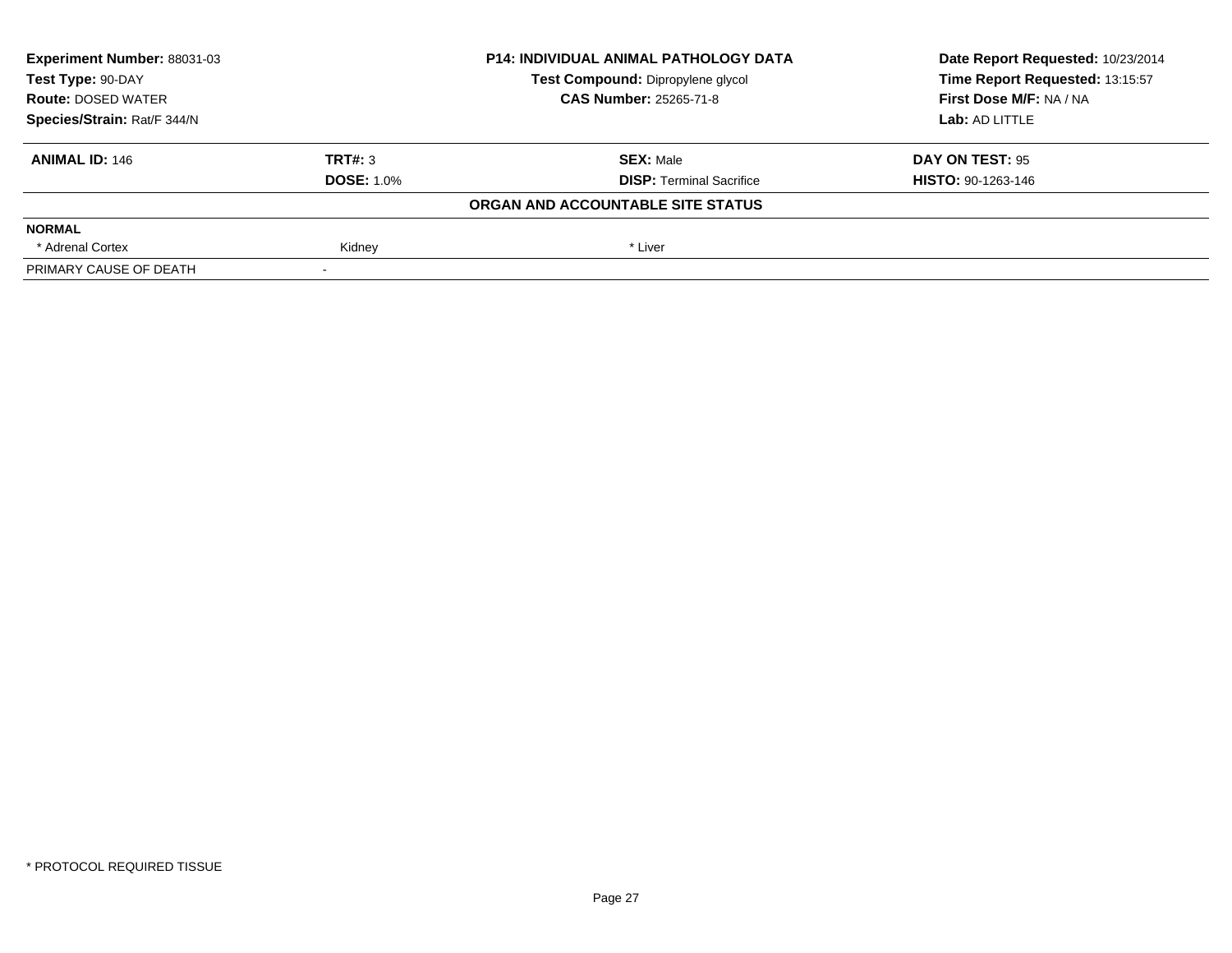| Experiment Number: 88031-03 | <b>P14: INDIVIDUAL ANIMAL PATHOLOGY DATA</b> |                                   | Date Report Requested: 10/23/2014 |
|-----------------------------|----------------------------------------------|-----------------------------------|-----------------------------------|
| Test Type: 90-DAY           |                                              | Test Compound: Dipropylene glycol | Time Report Requested: 13:15:57   |
| <b>Route: DOSED WATER</b>   |                                              | <b>CAS Number: 25265-71-8</b>     | First Dose M/F: NA / NA           |
| Species/Strain: Rat/F 344/N |                                              |                                   | Lab: AD LITTLE                    |
| <b>ANIMAL ID: 146</b>       | TRT#: 3                                      | <b>SEX: Male</b>                  | DAY ON TEST: 95                   |
|                             | <b>DOSE: 1.0%</b>                            | <b>DISP:</b> Terminal Sacrifice   | <b>HISTO: 90-1263-146</b>         |
|                             |                                              | ORGAN AND ACCOUNTABLE SITE STATUS |                                   |
| <b>NORMAL</b>               |                                              |                                   |                                   |
| * Adrenal Cortex            | Kidney                                       | * Liver                           |                                   |
| PRIMARY CAUSE OF DEATH      |                                              |                                   |                                   |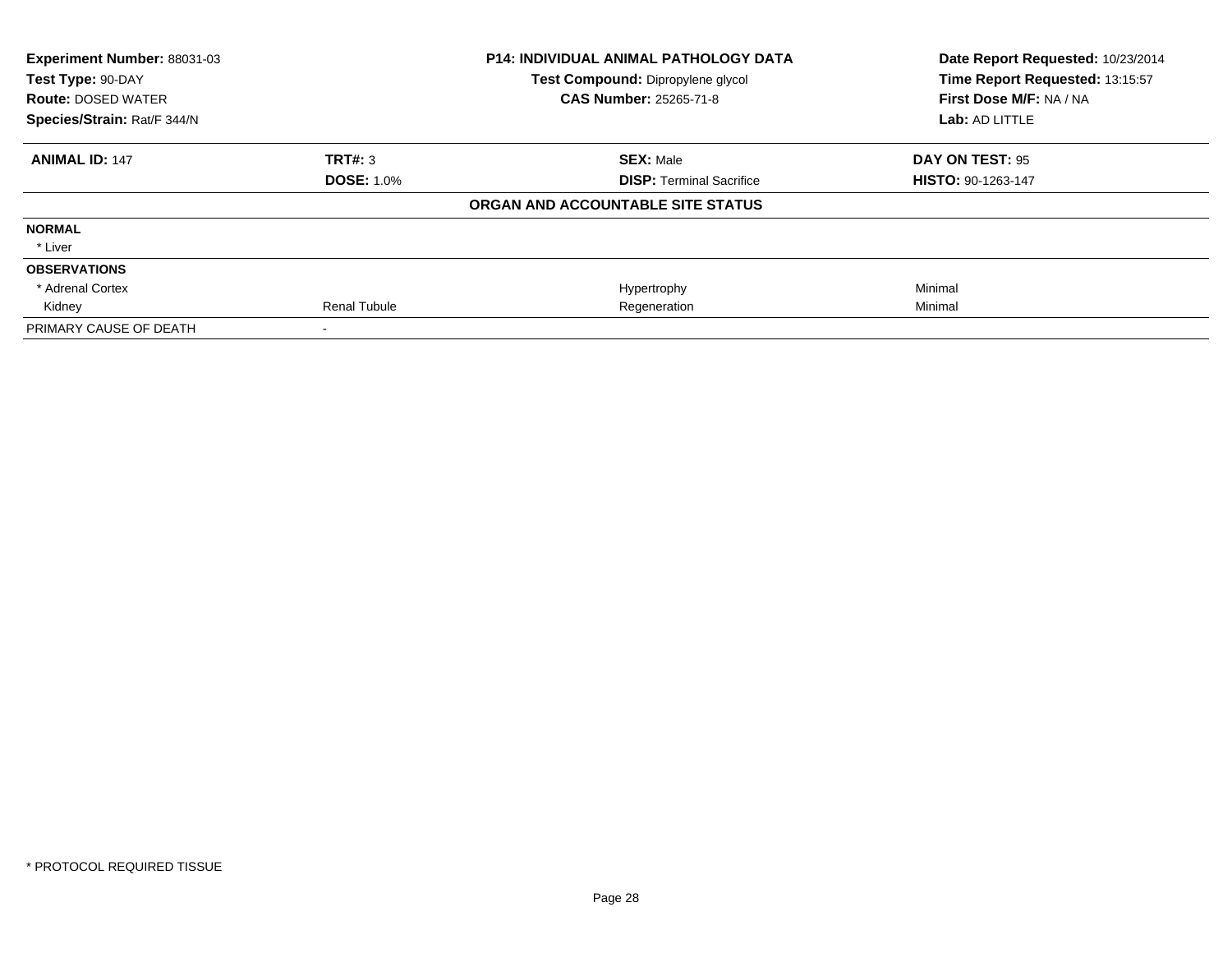| Experiment Number: 88031-03 |                     | <b>P14: INDIVIDUAL ANIMAL PATHOLOGY DATA</b> | Date Report Requested: 10/23/2014 |
|-----------------------------|---------------------|----------------------------------------------|-----------------------------------|
| Test Type: 90-DAY           |                     | Test Compound: Dipropylene glycol            | Time Report Requested: 13:15:57   |
| <b>Route: DOSED WATER</b>   |                     | <b>CAS Number: 25265-71-8</b>                | First Dose M/F: NA / NA           |
| Species/Strain: Rat/F 344/N |                     |                                              | Lab: AD LITTLE                    |
| <b>ANIMAL ID: 147</b>       | TRT#: 3             | <b>SEX: Male</b>                             | DAY ON TEST: 95                   |
|                             | <b>DOSE: 1.0%</b>   | <b>DISP: Terminal Sacrifice</b>              | <b>HISTO: 90-1263-147</b>         |
|                             |                     | ORGAN AND ACCOUNTABLE SITE STATUS            |                                   |
| <b>NORMAL</b>               |                     |                                              |                                   |
| * Liver                     |                     |                                              |                                   |
| <b>OBSERVATIONS</b>         |                     |                                              |                                   |
| * Adrenal Cortex            |                     | Hypertrophy                                  | Minimal                           |
| Kidney                      | <b>Renal Tubule</b> | Regeneration                                 | Minimal                           |
| PRIMARY CAUSE OF DEATH      |                     |                                              |                                   |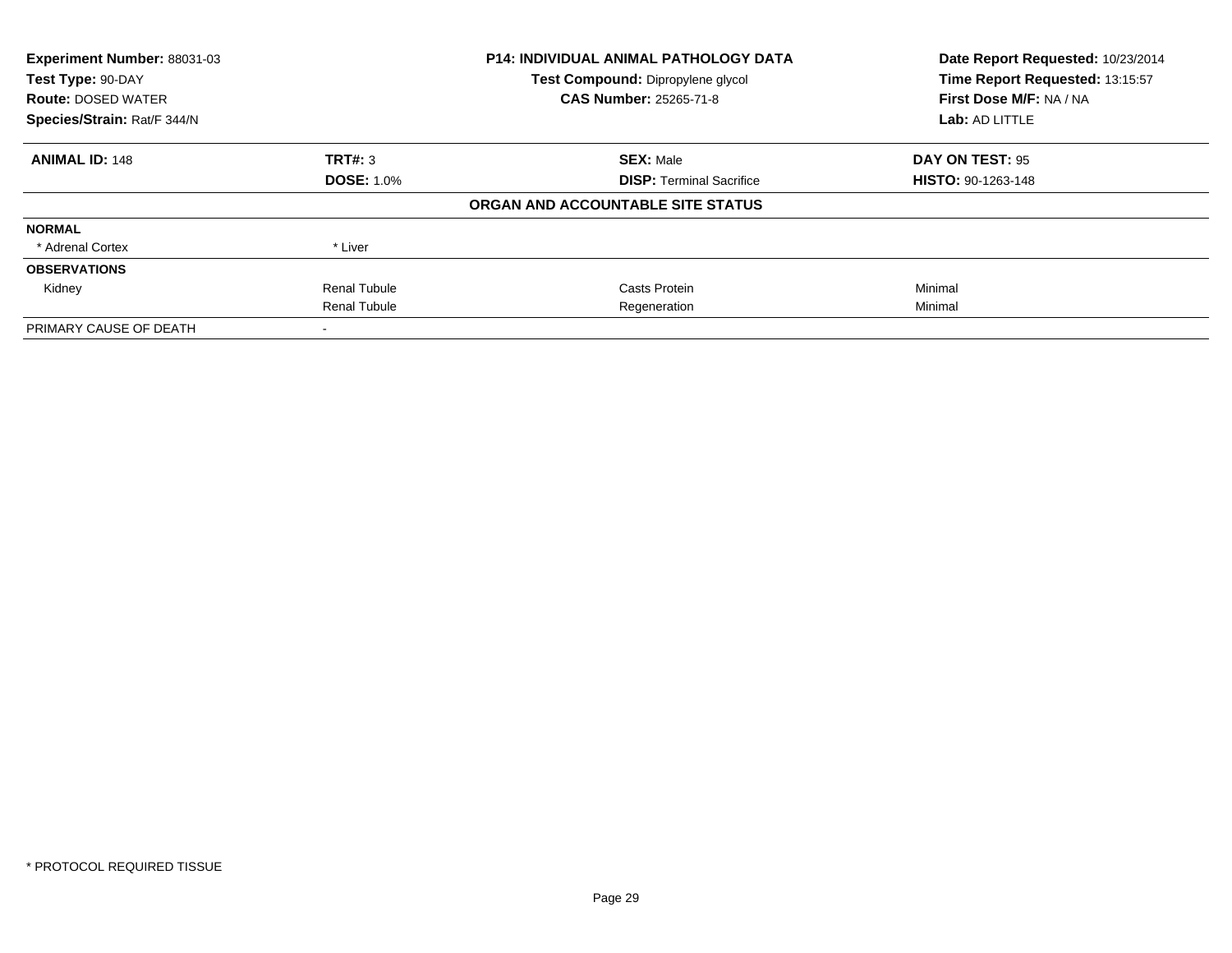| Experiment Number: 88031-03 | <b>P14: INDIVIDUAL ANIMAL PATHOLOGY DATA</b> |                                   | Date Report Requested: 10/23/2014 |
|-----------------------------|----------------------------------------------|-----------------------------------|-----------------------------------|
| Test Type: 90-DAY           |                                              | Test Compound: Dipropylene glycol | Time Report Requested: 13:15:57   |
| <b>Route: DOSED WATER</b>   |                                              | <b>CAS Number: 25265-71-8</b>     | First Dose M/F: NA / NA           |
| Species/Strain: Rat/F 344/N |                                              |                                   | Lab: AD LITTLE                    |
| <b>ANIMAL ID: 148</b>       | TRT#: 3                                      | <b>SEX: Male</b>                  | DAY ON TEST: 95                   |
|                             | <b>DOSE: 1.0%</b>                            | <b>DISP:</b> Terminal Sacrifice   | <b>HISTO: 90-1263-148</b>         |
|                             |                                              | ORGAN AND ACCOUNTABLE SITE STATUS |                                   |
| <b>NORMAL</b>               |                                              |                                   |                                   |
| * Adrenal Cortex            | * Liver                                      |                                   |                                   |
| <b>OBSERVATIONS</b>         |                                              |                                   |                                   |
| Kidney                      | <b>Renal Tubule</b>                          | Casts Protein                     | Minimal                           |
|                             | <b>Renal Tubule</b>                          | Regeneration                      | Minimal                           |
| PRIMARY CAUSE OF DEATH      |                                              |                                   |                                   |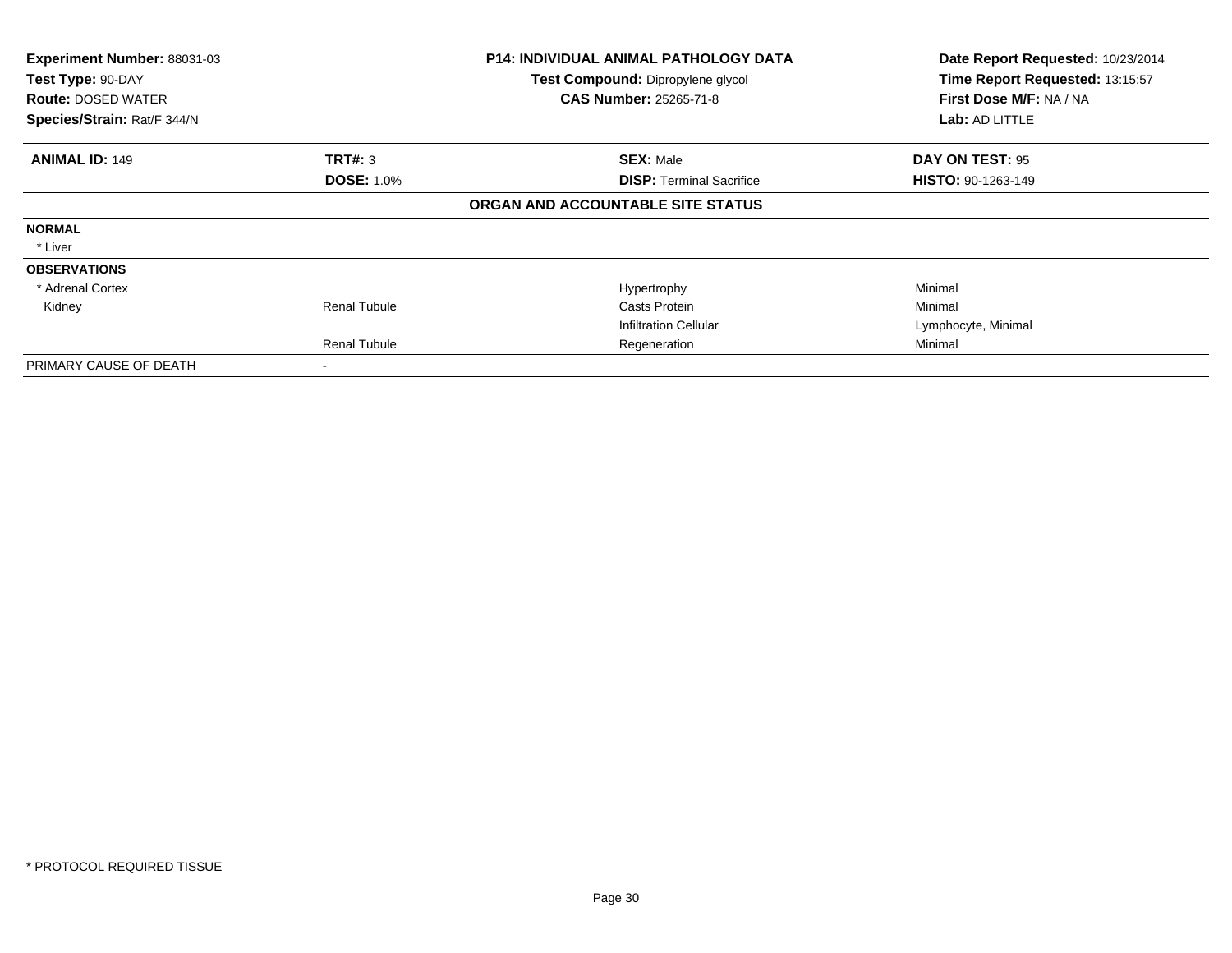| Experiment Number: 88031-03<br>Test Type: 90-DAY<br><b>Route: DOSED WATER</b><br>Species/Strain: Rat/F 344/N |                     | <b>P14: INDIVIDUAL ANIMAL PATHOLOGY DATA</b><br>Test Compound: Dipropylene glycol<br><b>CAS Number: 25265-71-8</b> | Date Report Requested: 10/23/2014<br>Time Report Requested: 13:15:57<br>First Dose M/F: NA / NA<br>Lab: AD LITTLE |
|--------------------------------------------------------------------------------------------------------------|---------------------|--------------------------------------------------------------------------------------------------------------------|-------------------------------------------------------------------------------------------------------------------|
|                                                                                                              |                     |                                                                                                                    |                                                                                                                   |
| <b>ANIMAL ID: 149</b>                                                                                        | <b>TRT#: 3</b>      | <b>SEX: Male</b>                                                                                                   | DAY ON TEST: 95                                                                                                   |
|                                                                                                              | <b>DOSE: 1.0%</b>   | <b>DISP:</b> Terminal Sacrifice                                                                                    | <b>HISTO: 90-1263-149</b>                                                                                         |
|                                                                                                              |                     | ORGAN AND ACCOUNTABLE SITE STATUS                                                                                  |                                                                                                                   |
| <b>NORMAL</b>                                                                                                |                     |                                                                                                                    |                                                                                                                   |
| * Liver                                                                                                      |                     |                                                                                                                    |                                                                                                                   |
| <b>OBSERVATIONS</b>                                                                                          |                     |                                                                                                                    |                                                                                                                   |
| * Adrenal Cortex                                                                                             |                     | Hypertrophy                                                                                                        | Minimal                                                                                                           |
| Kidney                                                                                                       | <b>Renal Tubule</b> | Casts Protein                                                                                                      | Minimal                                                                                                           |
|                                                                                                              |                     | <b>Infiltration Cellular</b>                                                                                       | Lymphocyte, Minimal                                                                                               |
|                                                                                                              | <b>Renal Tubule</b> | Regeneration                                                                                                       | Minimal                                                                                                           |
| PRIMARY CAUSE OF DEATH                                                                                       |                     |                                                                                                                    |                                                                                                                   |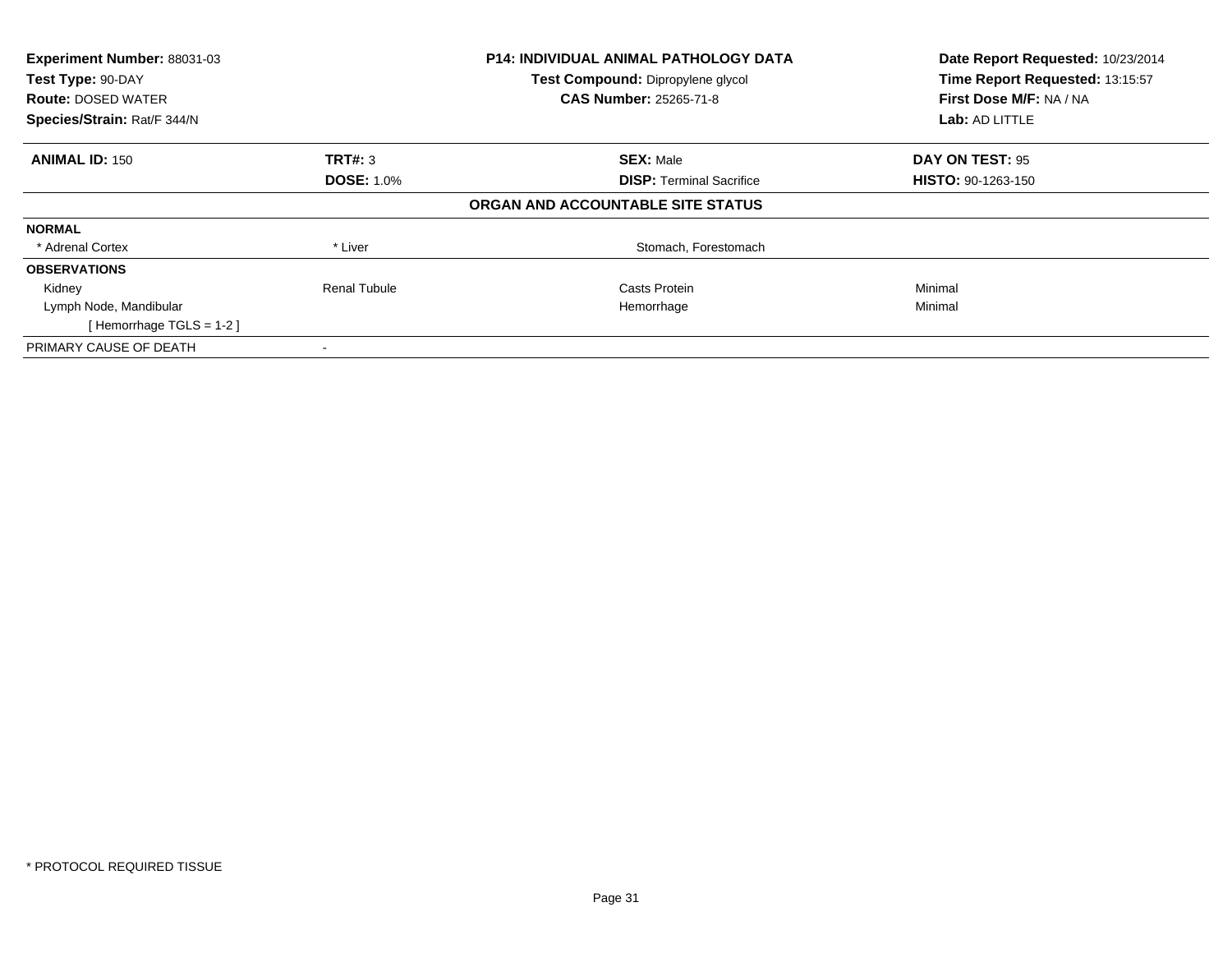| Experiment Number: 88031-03<br>Test Type: 90-DAY |                     | <b>P14: INDIVIDUAL ANIMAL PATHOLOGY DATA</b> | Date Report Requested: 10/23/2014<br>Time Report Requested: 13:15:57 |
|--------------------------------------------------|---------------------|----------------------------------------------|----------------------------------------------------------------------|
|                                                  |                     | <b>Test Compound: Dipropylene glycol</b>     |                                                                      |
| <b>Route: DOSED WATER</b>                        |                     | <b>CAS Number: 25265-71-8</b>                | First Dose M/F: NA / NA                                              |
| Species/Strain: Rat/F 344/N                      |                     |                                              | <b>Lab: AD LITTLE</b>                                                |
| <b>ANIMAL ID: 150</b>                            | TRT#: 3             | <b>SEX: Male</b>                             | DAY ON TEST: 95                                                      |
|                                                  | <b>DOSE: 1.0%</b>   | <b>DISP:</b> Terminal Sacrifice              | <b>HISTO: 90-1263-150</b>                                            |
|                                                  |                     | ORGAN AND ACCOUNTABLE SITE STATUS            |                                                                      |
| <b>NORMAL</b>                                    |                     |                                              |                                                                      |
| * Adrenal Cortex                                 | * Liver             | Stomach, Forestomach                         |                                                                      |
| <b>OBSERVATIONS</b>                              |                     |                                              |                                                                      |
| Kidney                                           | <b>Renal Tubule</b> | Casts Protein                                | Minimal                                                              |
| Lymph Node, Mandibular                           |                     | Hemorrhage                                   | Minimal                                                              |
| [Hemorrhage TGLS = $1-2$ ]                       |                     |                                              |                                                                      |
| PRIMARY CAUSE OF DEATH                           |                     |                                              |                                                                      |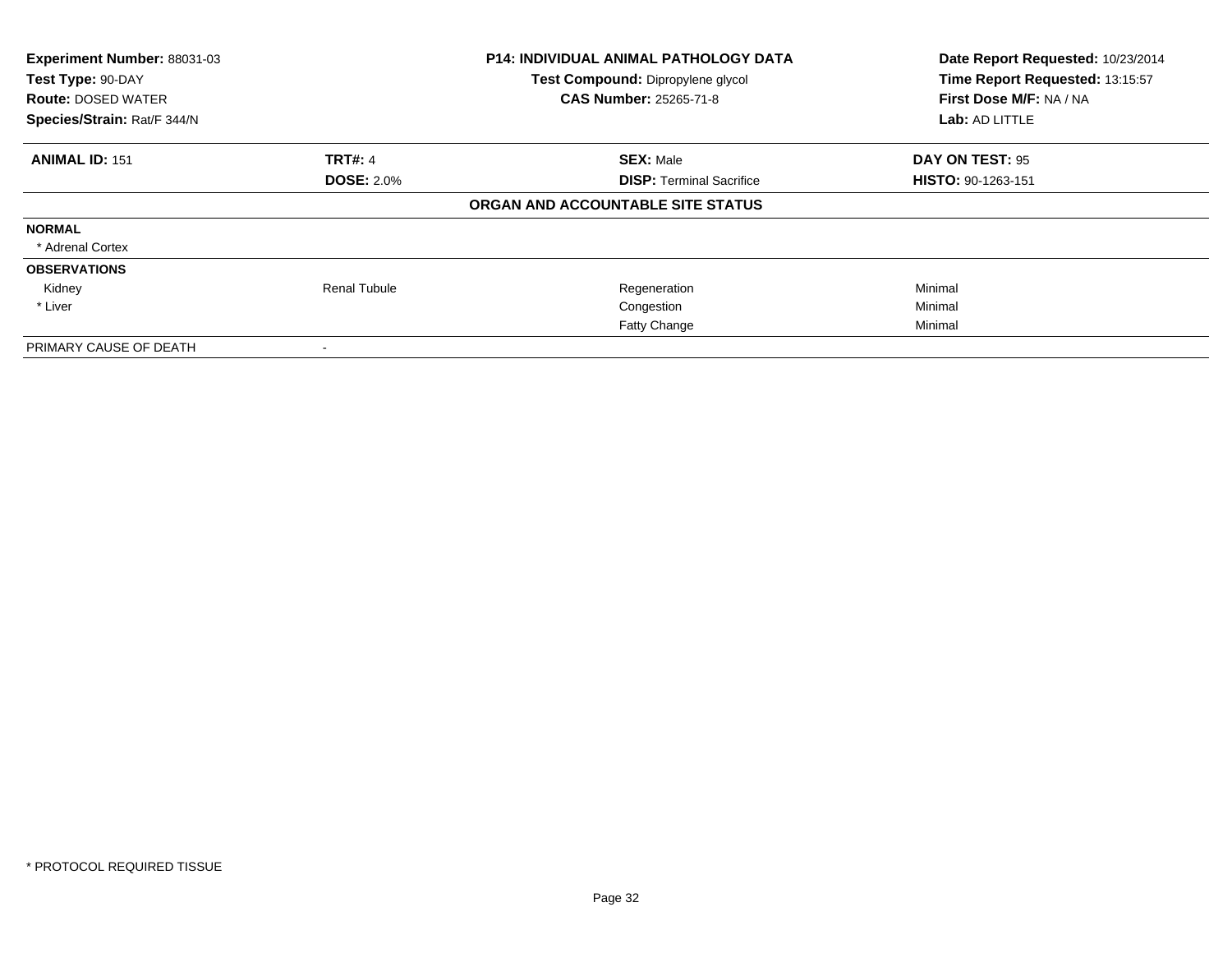| Experiment Number: 88031-03 | <b>P14: INDIVIDUAL ANIMAL PATHOLOGY DATA</b> |                                   | Date Report Requested: 10/23/2014 |
|-----------------------------|----------------------------------------------|-----------------------------------|-----------------------------------|
| Test Type: 90-DAY           |                                              | Test Compound: Dipropylene glycol | Time Report Requested: 13:15:57   |
| <b>Route: DOSED WATER</b>   |                                              | <b>CAS Number: 25265-71-8</b>     | First Dose M/F: NA / NA           |
| Species/Strain: Rat/F 344/N |                                              |                                   | Lab: AD LITTLE                    |
| <b>ANIMAL ID: 151</b>       | <b>TRT#: 4</b>                               | <b>SEX: Male</b>                  | DAY ON TEST: 95                   |
|                             | <b>DOSE: 2.0%</b>                            | <b>DISP:</b> Terminal Sacrifice   | <b>HISTO: 90-1263-151</b>         |
|                             |                                              | ORGAN AND ACCOUNTABLE SITE STATUS |                                   |
| <b>NORMAL</b>               |                                              |                                   |                                   |
| * Adrenal Cortex            |                                              |                                   |                                   |
| <b>OBSERVATIONS</b>         |                                              |                                   |                                   |
| Kidney                      | <b>Renal Tubule</b>                          | Regeneration                      | Minimal                           |
| * Liver                     |                                              | Congestion                        | Minimal                           |
|                             |                                              | <b>Fatty Change</b>               | Minimal                           |
| PRIMARY CAUSE OF DEATH      |                                              |                                   |                                   |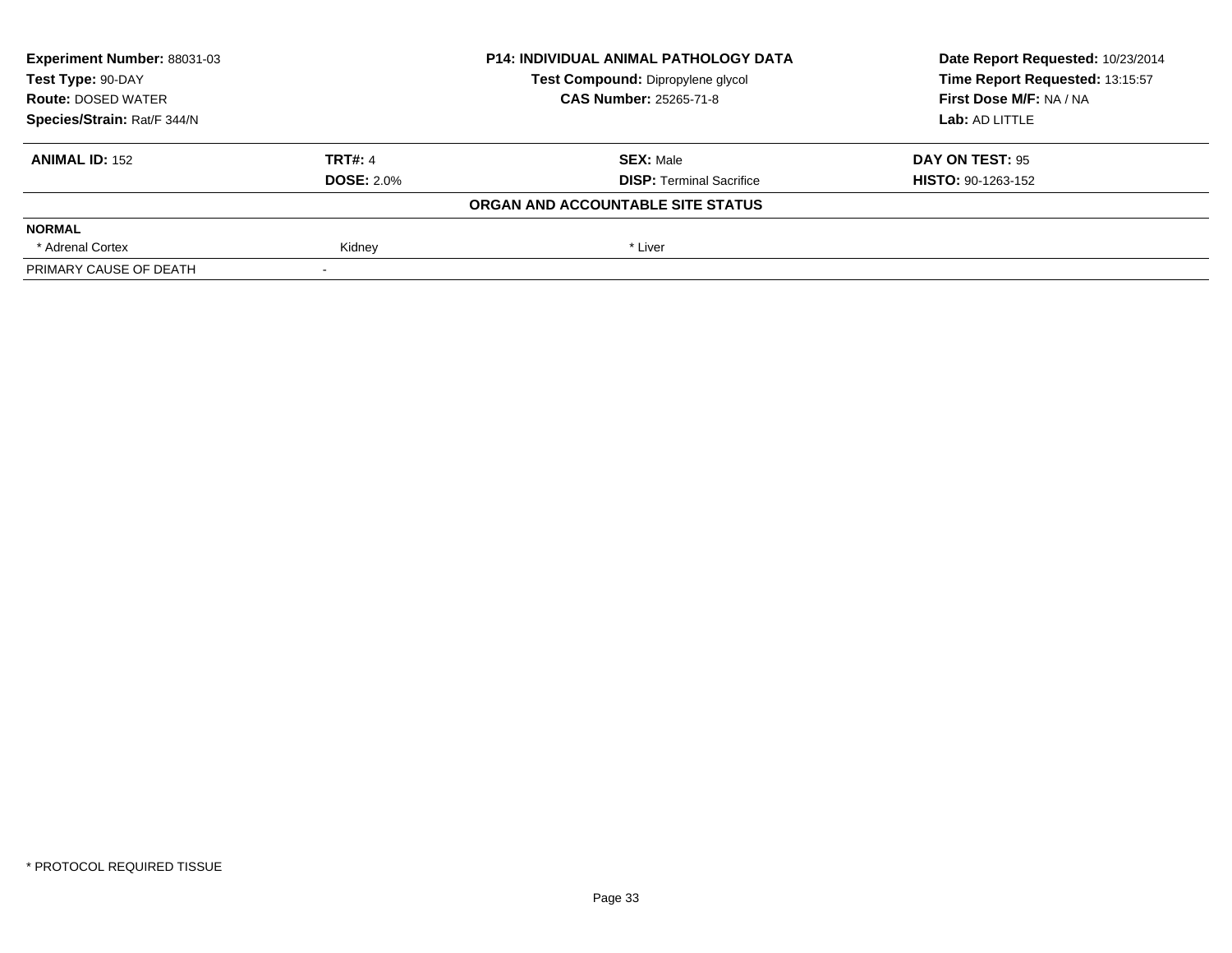| Experiment Number: 88031-03 | <b>P14: INDIVIDUAL ANIMAL PATHOLOGY DATA</b> |                                   | Date Report Requested: 10/23/2014 |
|-----------------------------|----------------------------------------------|-----------------------------------|-----------------------------------|
| Test Type: 90-DAY           |                                              | Test Compound: Dipropylene glycol | Time Report Requested: 13:15:57   |
| <b>Route: DOSED WATER</b>   |                                              | <b>CAS Number: 25265-71-8</b>     | First Dose M/F: NA / NA           |
| Species/Strain: Rat/F 344/N |                                              |                                   | Lab: AD LITTLE                    |
| <b>ANIMAL ID: 152</b>       | <b>TRT#: 4</b>                               | <b>SEX: Male</b>                  | DAY ON TEST: 95                   |
|                             | <b>DOSE: 2.0%</b>                            | <b>DISP:</b> Terminal Sacrifice   | <b>HISTO: 90-1263-152</b>         |
|                             |                                              | ORGAN AND ACCOUNTABLE SITE STATUS |                                   |
| <b>NORMAL</b>               |                                              |                                   |                                   |
| * Adrenal Cortex            | Kidney                                       | * Liver                           |                                   |
| PRIMARY CAUSE OF DEATH      |                                              |                                   |                                   |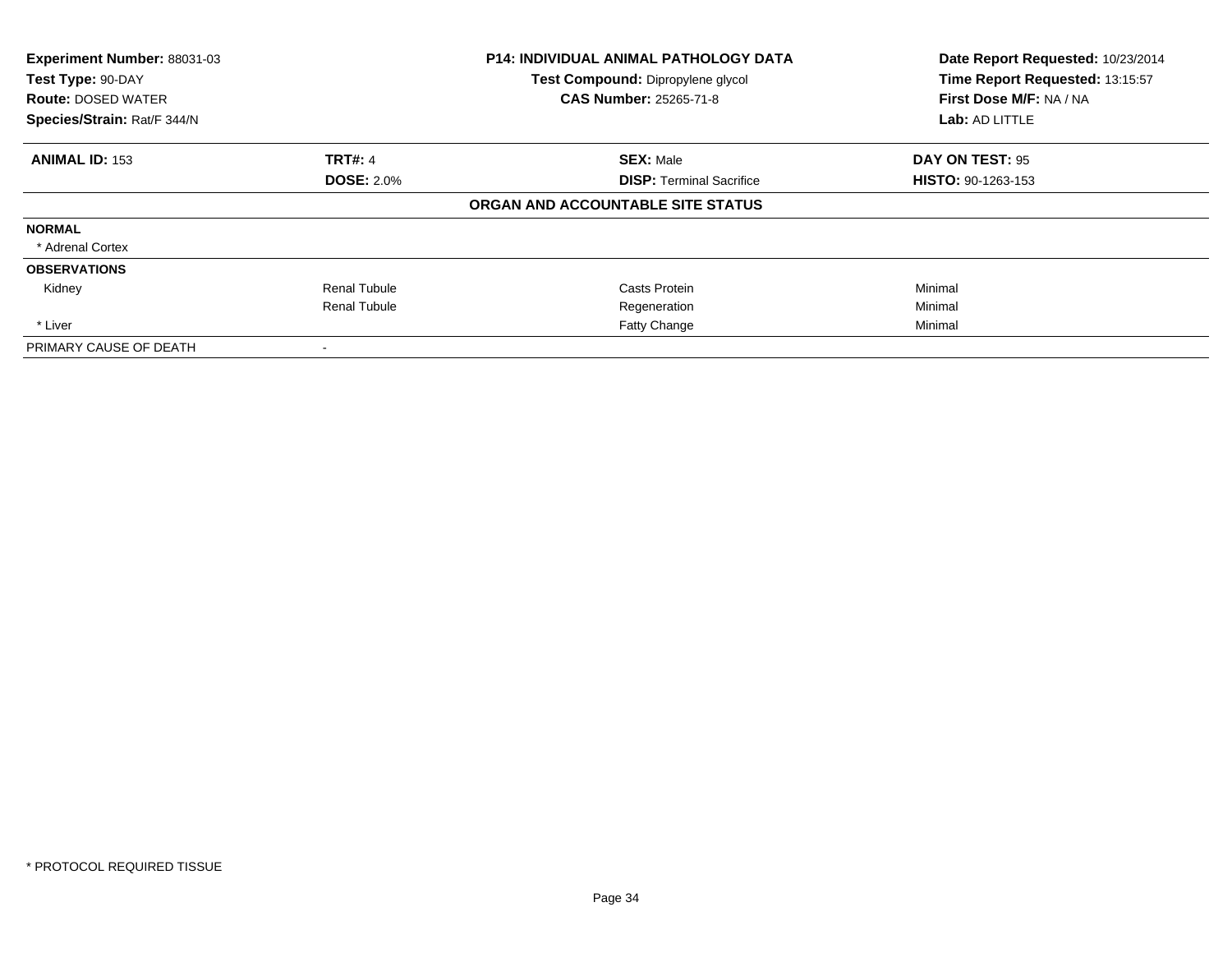| Experiment Number: 88031-03 |                     | <b>P14: INDIVIDUAL ANIMAL PATHOLOGY DATA</b> | Date Report Requested: 10/23/2014 |
|-----------------------------|---------------------|----------------------------------------------|-----------------------------------|
| Test Type: 90-DAY           |                     | Test Compound: Dipropylene glycol            | Time Report Requested: 13:15:57   |
| <b>Route: DOSED WATER</b>   |                     | <b>CAS Number: 25265-71-8</b>                | First Dose M/F: NA / NA           |
| Species/Strain: Rat/F 344/N |                     |                                              | Lab: AD LITTLE                    |
| <b>ANIMAL ID: 153</b>       | <b>TRT#: 4</b>      | <b>SEX: Male</b>                             | DAY ON TEST: 95                   |
|                             | <b>DOSE: 2.0%</b>   | <b>DISP:</b> Terminal Sacrifice              | <b>HISTO: 90-1263-153</b>         |
|                             |                     | ORGAN AND ACCOUNTABLE SITE STATUS            |                                   |
| <b>NORMAL</b>               |                     |                                              |                                   |
| * Adrenal Cortex            |                     |                                              |                                   |
| <b>OBSERVATIONS</b>         |                     |                                              |                                   |
| Kidney                      | <b>Renal Tubule</b> | Casts Protein                                | Minimal                           |
|                             | <b>Renal Tubule</b> | Regeneration                                 | Minimal                           |
| * Liver                     |                     | <b>Fatty Change</b>                          | Minimal                           |
| PRIMARY CAUSE OF DEATH      |                     |                                              |                                   |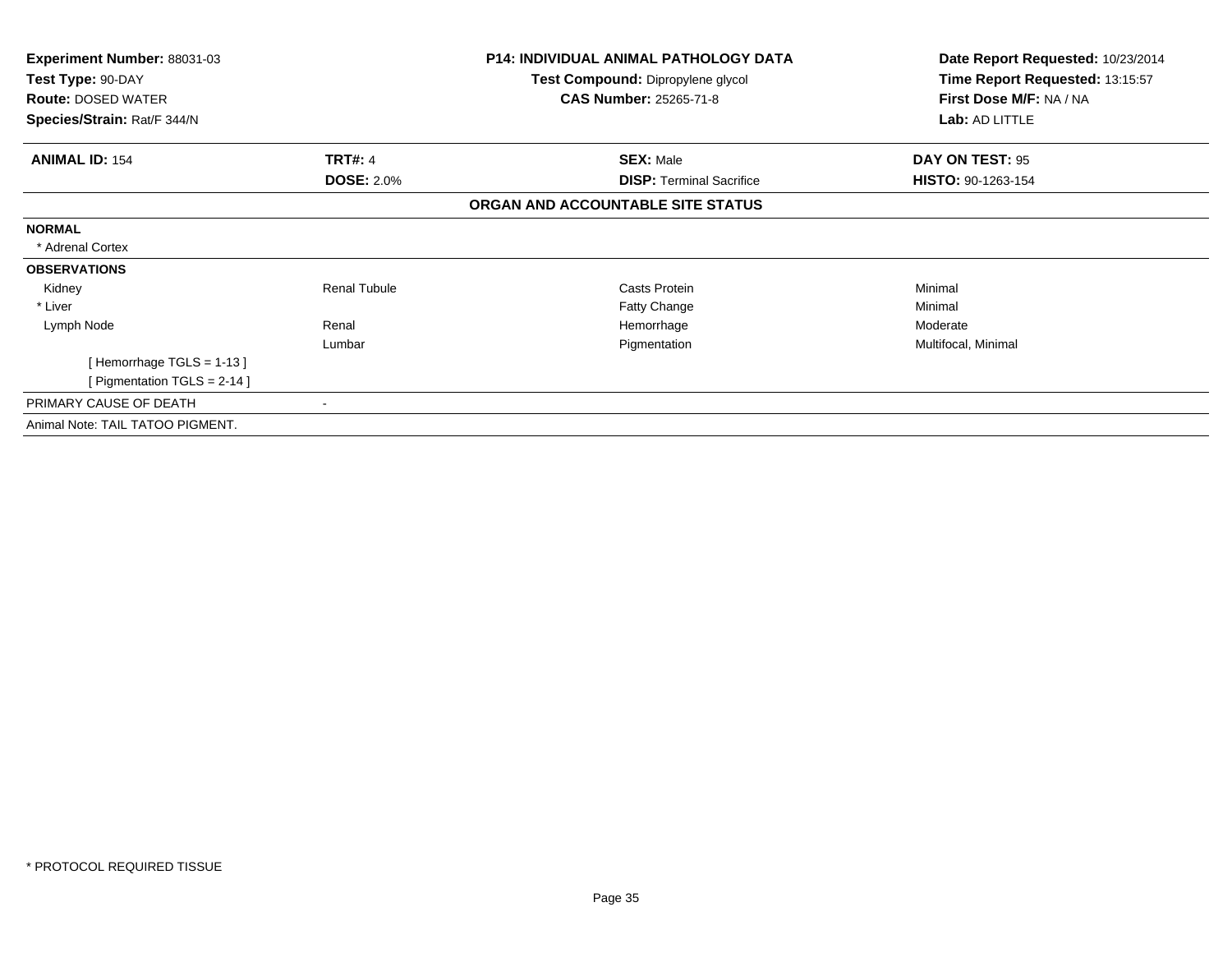| Experiment Number: 88031-03      |                          | <b>P14: INDIVIDUAL ANIMAL PATHOLOGY DATA</b> | Date Report Requested: 10/23/2014 |
|----------------------------------|--------------------------|----------------------------------------------|-----------------------------------|
| Test Type: 90-DAY                |                          | Test Compound: Dipropylene glycol            | Time Report Requested: 13:15:57   |
| <b>Route: DOSED WATER</b>        |                          | <b>CAS Number: 25265-71-8</b>                | First Dose M/F: NA / NA           |
| Species/Strain: Rat/F 344/N      |                          |                                              | Lab: AD LITTLE                    |
| <b>ANIMAL ID: 154</b>            | <b>TRT#: 4</b>           | <b>SEX: Male</b>                             | DAY ON TEST: 95                   |
|                                  | <b>DOSE: 2.0%</b>        | <b>DISP: Terminal Sacrifice</b>              | HISTO: 90-1263-154                |
|                                  |                          | ORGAN AND ACCOUNTABLE SITE STATUS            |                                   |
| <b>NORMAL</b>                    |                          |                                              |                                   |
| * Adrenal Cortex                 |                          |                                              |                                   |
| <b>OBSERVATIONS</b>              |                          |                                              |                                   |
| Kidney                           | <b>Renal Tubule</b>      | Casts Protein                                | Minimal                           |
| * Liver                          |                          | <b>Fatty Change</b>                          | Minimal                           |
| Lymph Node                       | Renal                    | Hemorrhage                                   | Moderate                          |
|                                  | Lumbar                   | Pigmentation                                 | Multifocal, Minimal               |
| [Hemorrhage TGLS = $1-13$ ]      |                          |                                              |                                   |
| [ Pigmentation TGLS = $2-14$ ]   |                          |                                              |                                   |
| PRIMARY CAUSE OF DEATH           | $\overline{\phantom{a}}$ |                                              |                                   |
| Animal Note: TAIL TATOO PIGMENT. |                          |                                              |                                   |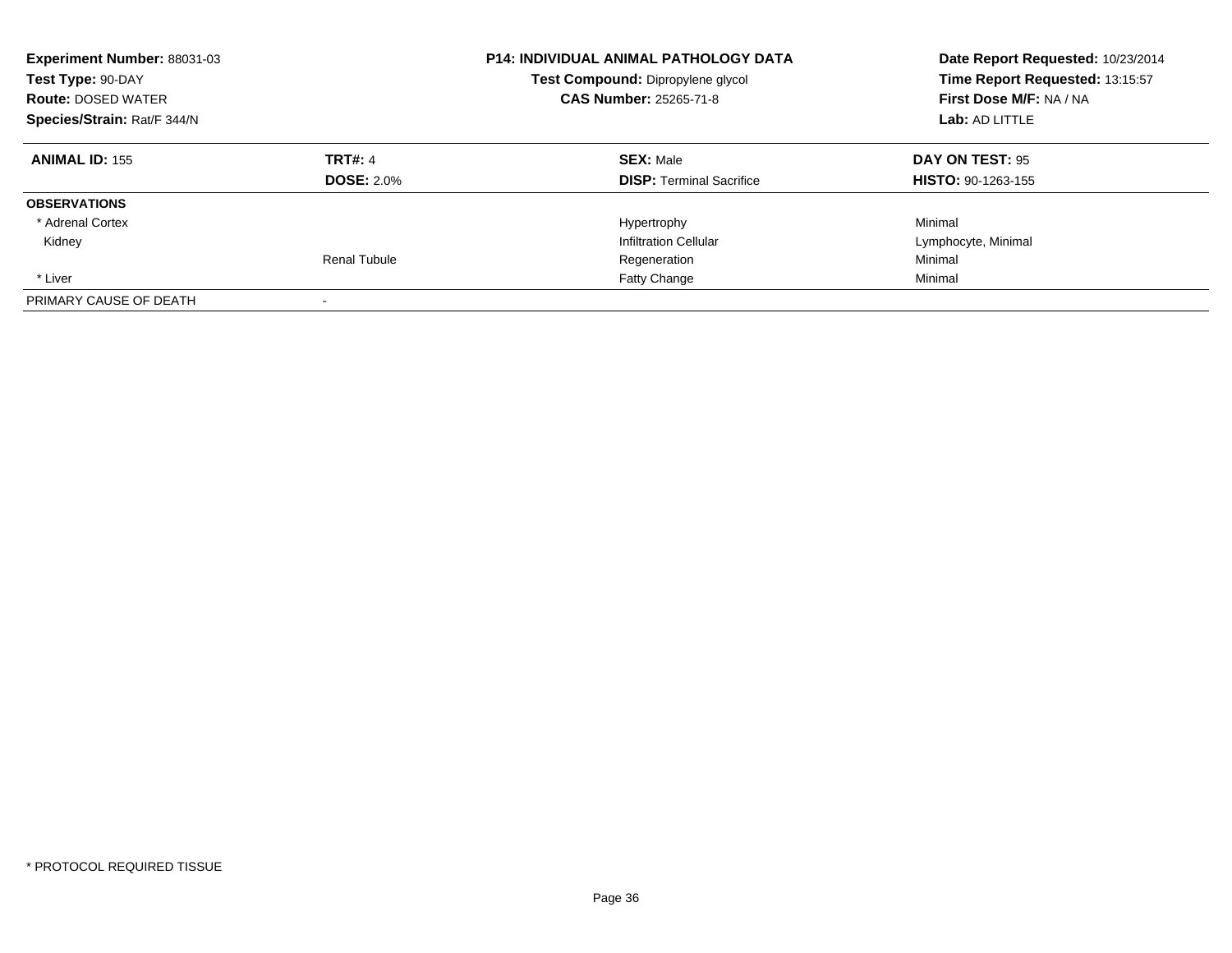| <b>Experiment Number: 88031-03</b><br>Test Type: 90-DAY<br><b>Route: DOSED WATER</b><br>Species/Strain: Rat/F 344/N |                     | <b>P14: INDIVIDUAL ANIMAL PATHOLOGY DATA</b><br>Test Compound: Dipropylene glycol<br><b>CAS Number: 25265-71-8</b> | Date Report Requested: 10/23/2014<br>Time Report Requested: 13:15:57<br>First Dose M/F: NA / NA<br>Lab: AD LITTLE |
|---------------------------------------------------------------------------------------------------------------------|---------------------|--------------------------------------------------------------------------------------------------------------------|-------------------------------------------------------------------------------------------------------------------|
| <b>ANIMAL ID: 155</b>                                                                                               | <b>TRT#: 4</b>      | <b>SEX: Male</b>                                                                                                   | <b>DAY ON TEST: 95</b>                                                                                            |
|                                                                                                                     | <b>DOSE: 2.0%</b>   | <b>DISP:</b> Terminal Sacrifice                                                                                    | <b>HISTO: 90-1263-155</b>                                                                                         |
| <b>OBSERVATIONS</b>                                                                                                 |                     |                                                                                                                    |                                                                                                                   |
| * Adrenal Cortex                                                                                                    |                     | Hypertrophy                                                                                                        | Minimal                                                                                                           |
| Kidney                                                                                                              |                     | <b>Infiltration Cellular</b>                                                                                       | Lymphocyte, Minimal                                                                                               |
|                                                                                                                     | <b>Renal Tubule</b> | Regeneration                                                                                                       | Minimal                                                                                                           |
| * Liver                                                                                                             |                     | Fatty Change                                                                                                       | Minimal                                                                                                           |
| PRIMARY CAUSE OF DEATH                                                                                              |                     |                                                                                                                    |                                                                                                                   |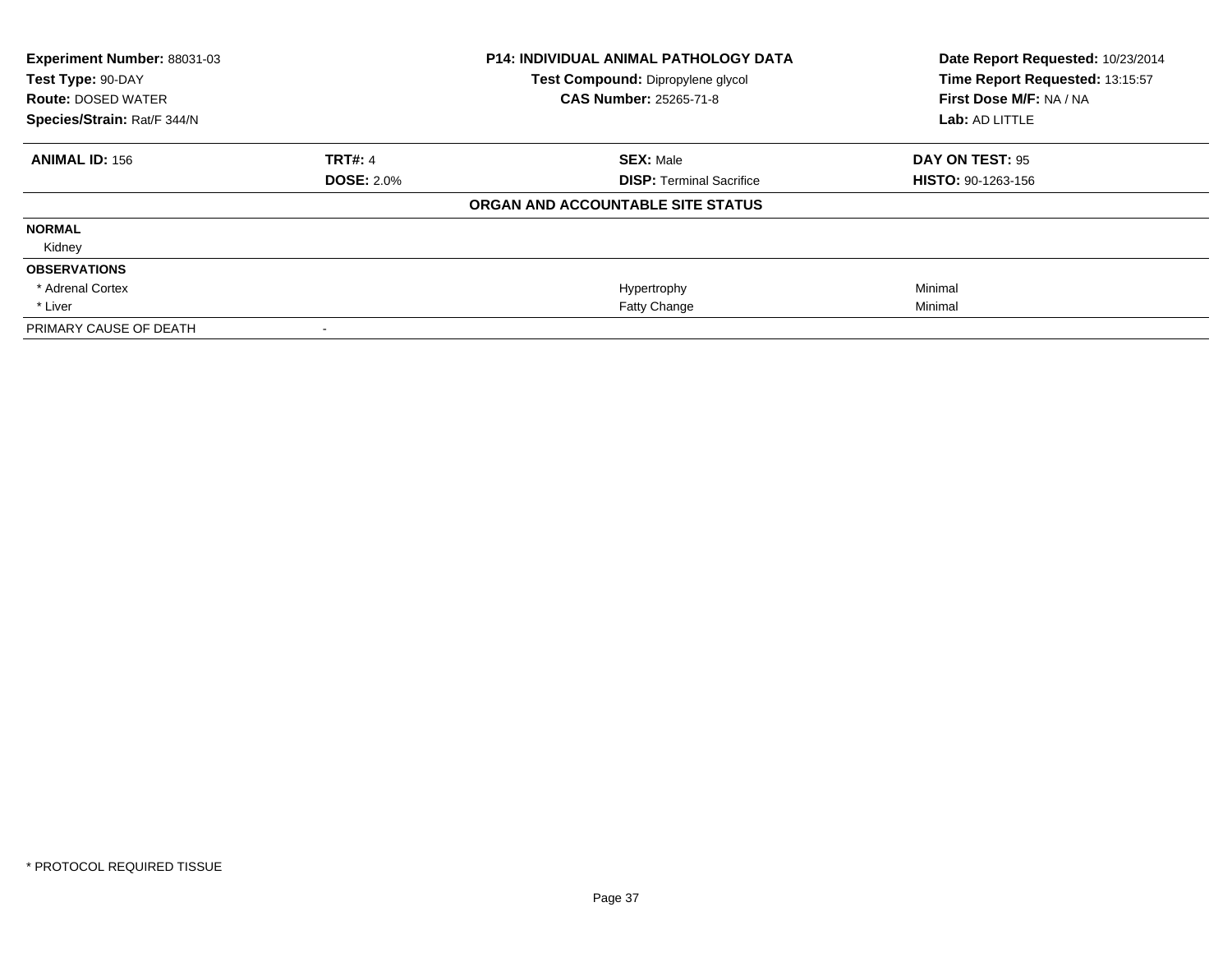| Experiment Number: 88031-03 |                   | <b>P14: INDIVIDUAL ANIMAL PATHOLOGY DATA</b> | Date Report Requested: 10/23/2014 |  |
|-----------------------------|-------------------|----------------------------------------------|-----------------------------------|--|
| Test Type: 90-DAY           |                   | Test Compound: Dipropylene glycol            | Time Report Requested: 13:15:57   |  |
| <b>Route: DOSED WATER</b>   |                   | <b>CAS Number: 25265-71-8</b>                | First Dose M/F: NA / NA           |  |
| Species/Strain: Rat/F 344/N |                   |                                              | Lab: AD LITTLE                    |  |
| <b>ANIMAL ID: 156</b>       | <b>TRT#: 4</b>    | <b>SEX: Male</b>                             | <b>DAY ON TEST: 95</b>            |  |
|                             | <b>DOSE: 2.0%</b> | <b>DISP: Terminal Sacrifice</b>              | <b>HISTO: 90-1263-156</b>         |  |
|                             |                   | ORGAN AND ACCOUNTABLE SITE STATUS            |                                   |  |
| <b>NORMAL</b>               |                   |                                              |                                   |  |
| Kidney                      |                   |                                              |                                   |  |
| <b>OBSERVATIONS</b>         |                   |                                              |                                   |  |
| * Adrenal Cortex            |                   | Hypertrophy                                  | Minimal                           |  |
| * Liver                     |                   | Fatty Change                                 | Minimal                           |  |
| PRIMARY CAUSE OF DEATH      |                   |                                              |                                   |  |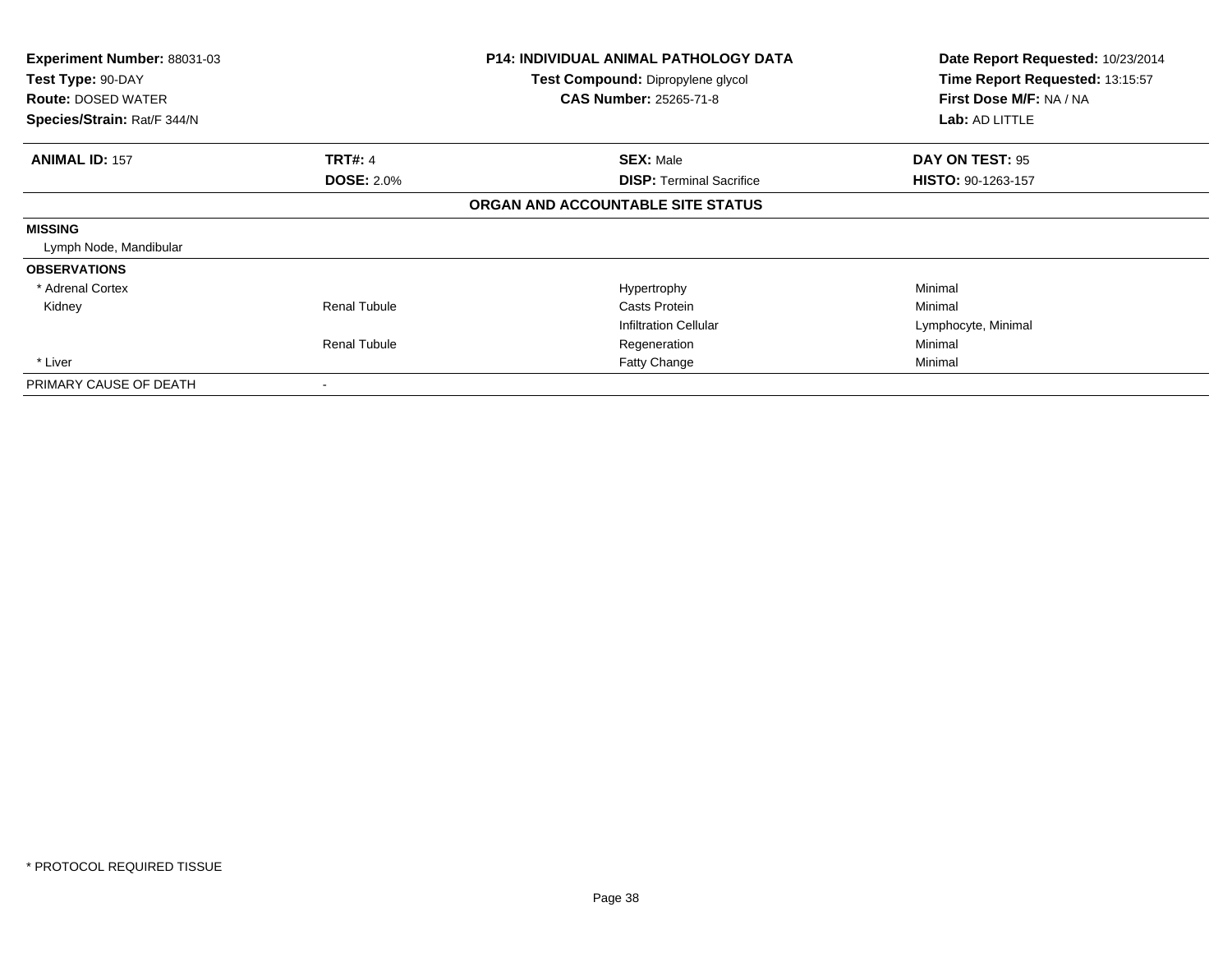| <b>Experiment Number: 88031-03</b><br>Test Type: 90-DAY |                          | <b>P14: INDIVIDUAL ANIMAL PATHOLOGY DATA</b><br>Test Compound: Dipropylene glycol | Date Report Requested: 10/23/2014<br>Time Report Requested: 13:15:57 |
|---------------------------------------------------------|--------------------------|-----------------------------------------------------------------------------------|----------------------------------------------------------------------|
| <b>Route: DOSED WATER</b>                               |                          | <b>CAS Number: 25265-71-8</b>                                                     | First Dose M/F: NA / NA                                              |
| Species/Strain: Rat/F 344/N                             |                          |                                                                                   | Lab: AD LITTLE                                                       |
| <b>ANIMAL ID: 157</b>                                   | <b>TRT#: 4</b>           | <b>SEX: Male</b>                                                                  | DAY ON TEST: 95                                                      |
|                                                         | <b>DOSE: 2.0%</b>        | <b>DISP:</b> Terminal Sacrifice                                                   | HISTO: 90-1263-157                                                   |
|                                                         |                          | ORGAN AND ACCOUNTABLE SITE STATUS                                                 |                                                                      |
| <b>MISSING</b>                                          |                          |                                                                                   |                                                                      |
| Lymph Node, Mandibular                                  |                          |                                                                                   |                                                                      |
| <b>OBSERVATIONS</b>                                     |                          |                                                                                   |                                                                      |
| * Adrenal Cortex                                        |                          | Hypertrophy                                                                       | Minimal                                                              |
| Kidney                                                  | <b>Renal Tubule</b>      | Casts Protein                                                                     | Minimal                                                              |
|                                                         |                          | <b>Infiltration Cellular</b>                                                      | Lymphocyte, Minimal                                                  |
|                                                         | <b>Renal Tubule</b>      | Regeneration                                                                      | Minimal                                                              |
| * Liver                                                 |                          | <b>Fatty Change</b>                                                               | Minimal                                                              |
| PRIMARY CAUSE OF DEATH                                  | $\overline{\phantom{a}}$ |                                                                                   |                                                                      |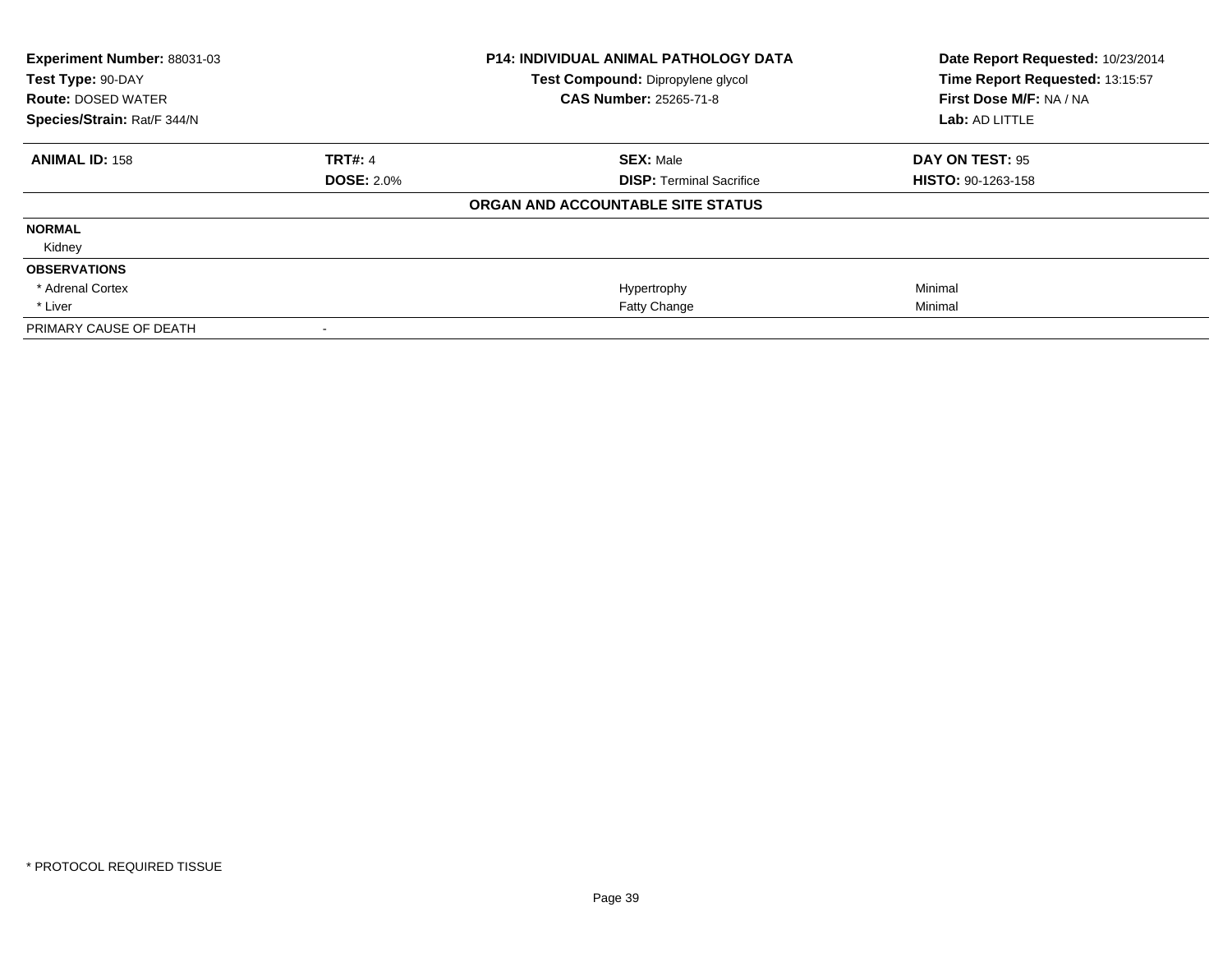| Experiment Number: 88031-03 |                   | <b>P14: INDIVIDUAL ANIMAL PATHOLOGY DATA</b> | Date Report Requested: 10/23/2014 |
|-----------------------------|-------------------|----------------------------------------------|-----------------------------------|
| Test Type: 90-DAY           |                   | Test Compound: Dipropylene glycol            | Time Report Requested: 13:15:57   |
| <b>Route: DOSED WATER</b>   |                   | <b>CAS Number: 25265-71-8</b>                | First Dose M/F: NA / NA           |
| Species/Strain: Rat/F 344/N |                   |                                              | Lab: AD LITTLE                    |
| <b>ANIMAL ID: 158</b>       | <b>TRT#: 4</b>    | <b>SEX: Male</b>                             | <b>DAY ON TEST: 95</b>            |
|                             | <b>DOSE: 2.0%</b> | <b>DISP: Terminal Sacrifice</b>              | <b>HISTO: 90-1263-158</b>         |
|                             |                   | ORGAN AND ACCOUNTABLE SITE STATUS            |                                   |
| <b>NORMAL</b>               |                   |                                              |                                   |
| Kidney                      |                   |                                              |                                   |
| <b>OBSERVATIONS</b>         |                   |                                              |                                   |
| * Adrenal Cortex            |                   | Hypertrophy                                  | Minimal                           |
| * Liver                     |                   | Fatty Change                                 | Minimal                           |
| PRIMARY CAUSE OF DEATH      |                   |                                              |                                   |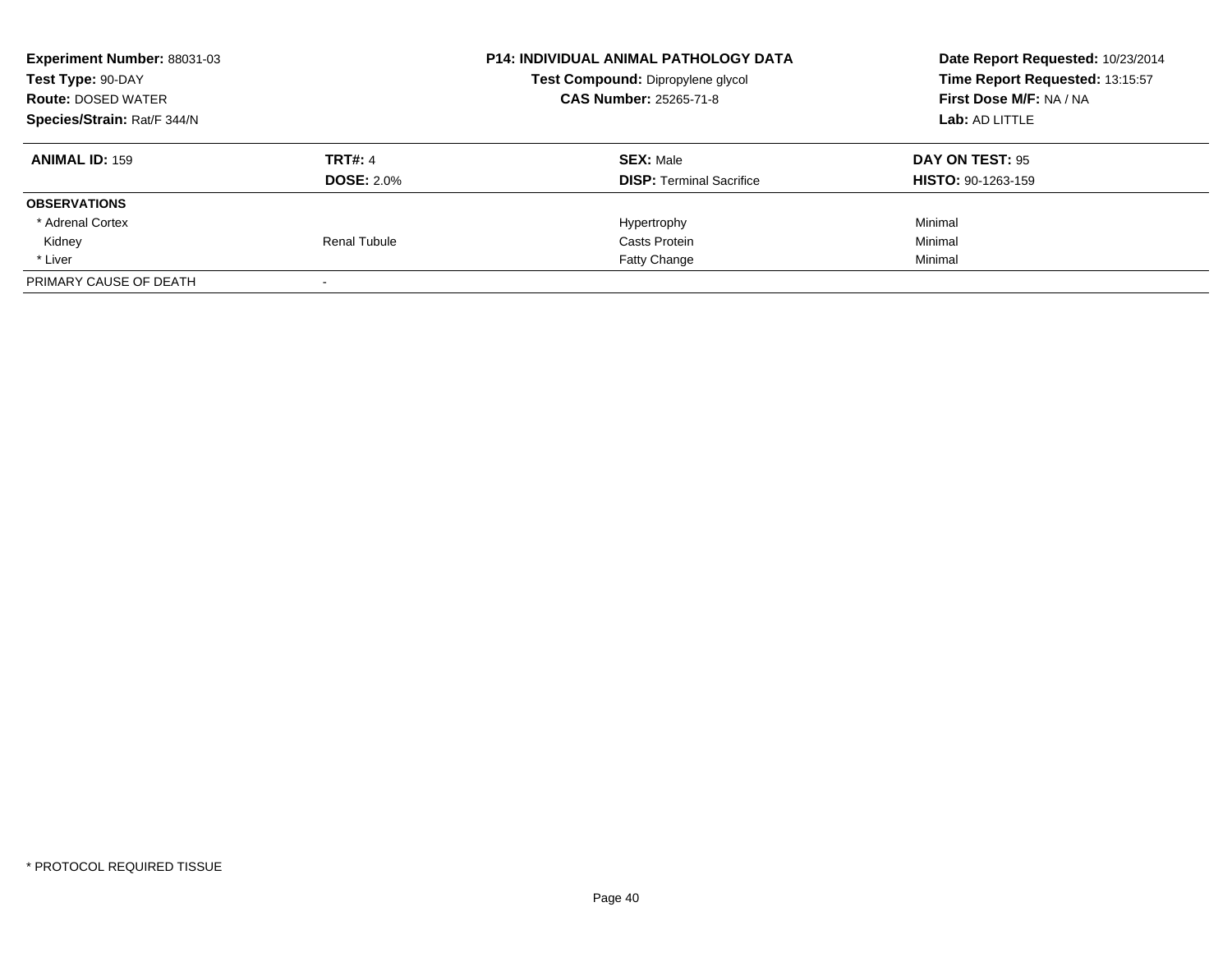| <b>Experiment Number: 88031-03</b><br>Test Type: 90-DAY<br><b>Route: DOSED WATER</b><br>Species/Strain: Rat/F 344/N |                   | <b>P14: INDIVIDUAL ANIMAL PATHOLOGY DATA</b><br>Test Compound: Dipropylene glycol<br><b>CAS Number: 25265-71-8</b> | Date Report Requested: 10/23/2014<br>Time Report Requested: 13:15:57<br>First Dose M/F: NA / NA<br>Lab: AD LITTLE |
|---------------------------------------------------------------------------------------------------------------------|-------------------|--------------------------------------------------------------------------------------------------------------------|-------------------------------------------------------------------------------------------------------------------|
|                                                                                                                     |                   |                                                                                                                    |                                                                                                                   |
| <b>ANIMAL ID: 159</b>                                                                                               | <b>TRT#: 4</b>    | <b>SEX: Male</b>                                                                                                   | DAY ON TEST: 95                                                                                                   |
|                                                                                                                     | <b>DOSE: 2.0%</b> | <b>DISP:</b> Terminal Sacrifice                                                                                    | <b>HISTO: 90-1263-159</b>                                                                                         |
| <b>OBSERVATIONS</b>                                                                                                 |                   |                                                                                                                    |                                                                                                                   |
| * Adrenal Cortex                                                                                                    |                   | Hypertrophy                                                                                                        | Minimal                                                                                                           |
| Kidney                                                                                                              | Renal Tubule      | Casts Protein                                                                                                      | Minimal                                                                                                           |
| * Liver                                                                                                             |                   | <b>Fatty Change</b>                                                                                                | Minimal                                                                                                           |
| PRIMARY CAUSE OF DEATH                                                                                              |                   |                                                                                                                    |                                                                                                                   |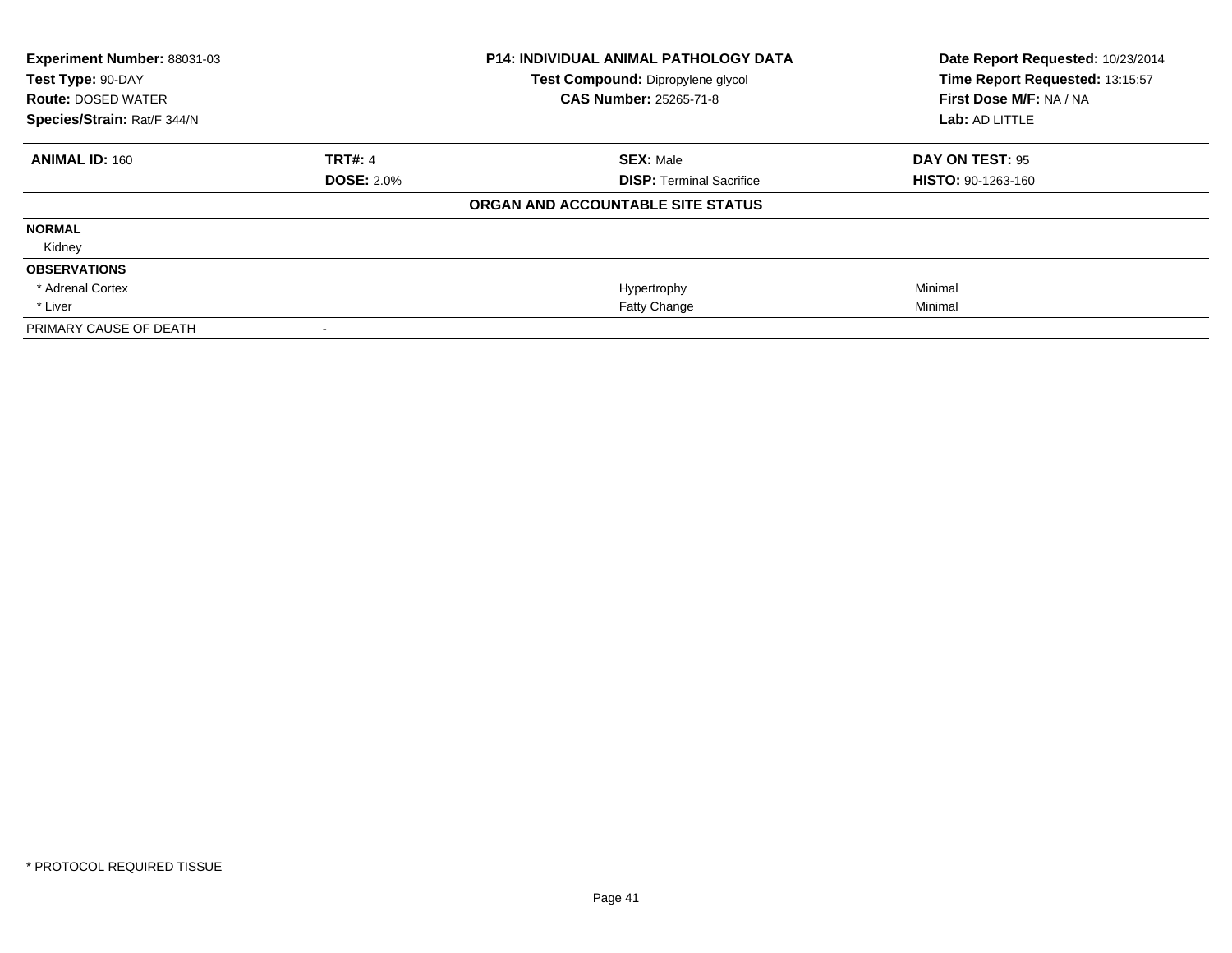| Experiment Number: 88031-03 |                   | <b>P14: INDIVIDUAL ANIMAL PATHOLOGY DATA</b> | Date Report Requested: 10/23/2014 |
|-----------------------------|-------------------|----------------------------------------------|-----------------------------------|
| Test Type: 90-DAY           |                   | Test Compound: Dipropylene glycol            | Time Report Requested: 13:15:57   |
| <b>Route: DOSED WATER</b>   |                   | <b>CAS Number: 25265-71-8</b>                | First Dose M/F: NA / NA           |
| Species/Strain: Rat/F 344/N |                   |                                              | Lab: AD LITTLE                    |
| <b>ANIMAL ID: 160</b>       | <b>TRT#: 4</b>    | <b>SEX: Male</b>                             | <b>DAY ON TEST: 95</b>            |
|                             | <b>DOSE: 2.0%</b> | <b>DISP: Terminal Sacrifice</b>              | <b>HISTO: 90-1263-160</b>         |
|                             |                   | ORGAN AND ACCOUNTABLE SITE STATUS            |                                   |
| <b>NORMAL</b>               |                   |                                              |                                   |
| Kidney                      |                   |                                              |                                   |
| <b>OBSERVATIONS</b>         |                   |                                              |                                   |
| * Adrenal Cortex            |                   | Hypertrophy                                  | Minimal                           |
| * Liver                     |                   | Fatty Change                                 | Minimal                           |
| PRIMARY CAUSE OF DEATH      |                   |                                              |                                   |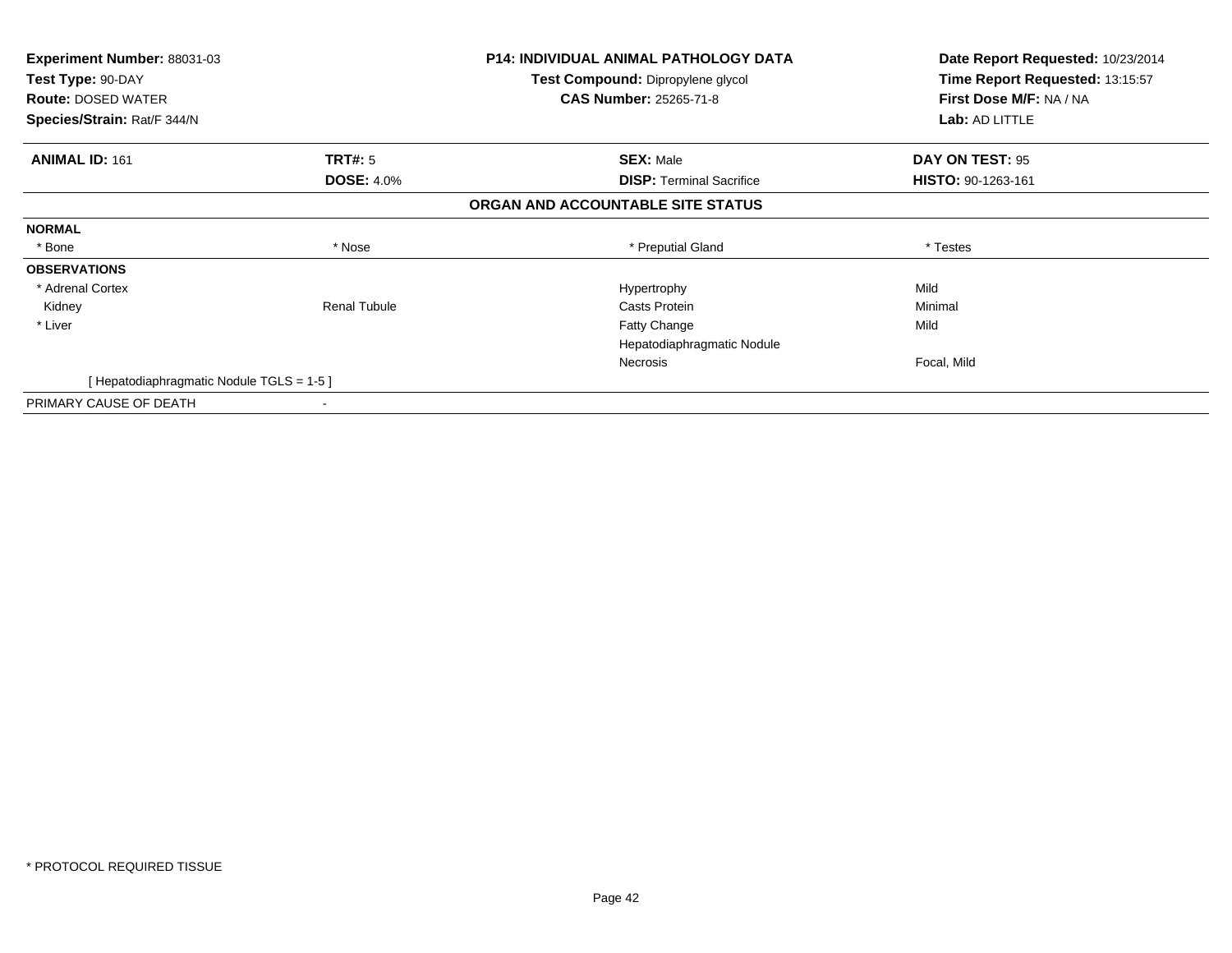| Experiment Number: 88031-03<br>Test Type: 90-DAY<br><b>Route: DOSED WATER</b> |                     | P14: INDIVIDUAL ANIMAL PATHOLOGY DATA<br>Test Compound: Dipropylene glycol<br><b>CAS Number: 25265-71-8</b> | Date Report Requested: 10/23/2014<br>Time Report Requested: 13:15:57<br>First Dose M/F: NA / NA |
|-------------------------------------------------------------------------------|---------------------|-------------------------------------------------------------------------------------------------------------|-------------------------------------------------------------------------------------------------|
| Species/Strain: Rat/F 344/N                                                   |                     |                                                                                                             | Lab: AD LITTLE                                                                                  |
| <b>ANIMAL ID: 161</b>                                                         | <b>TRT#:</b> 5      | <b>SEX: Male</b>                                                                                            | DAY ON TEST: 95                                                                                 |
|                                                                               | <b>DOSE: 4.0%</b>   | <b>DISP:</b> Terminal Sacrifice                                                                             | <b>HISTO: 90-1263-161</b>                                                                       |
|                                                                               |                     | ORGAN AND ACCOUNTABLE SITE STATUS                                                                           |                                                                                                 |
| <b>NORMAL</b>                                                                 |                     |                                                                                                             |                                                                                                 |
| * Bone                                                                        | * Nose              | * Preputial Gland                                                                                           | * Testes                                                                                        |
| <b>OBSERVATIONS</b>                                                           |                     |                                                                                                             |                                                                                                 |
| * Adrenal Cortex                                                              |                     | Hypertrophy                                                                                                 | Mild                                                                                            |
| Kidney                                                                        | <b>Renal Tubule</b> | Casts Protein                                                                                               | Minimal                                                                                         |
| * Liver                                                                       |                     | Fatty Change                                                                                                | Mild                                                                                            |
|                                                                               |                     | Hepatodiaphragmatic Nodule                                                                                  |                                                                                                 |
|                                                                               |                     | Necrosis                                                                                                    | Focal, Mild                                                                                     |
| [Hepatodiaphragmatic Nodule TGLS = 1-5]                                       |                     |                                                                                                             |                                                                                                 |
| PRIMARY CAUSE OF DEATH                                                        |                     |                                                                                                             |                                                                                                 |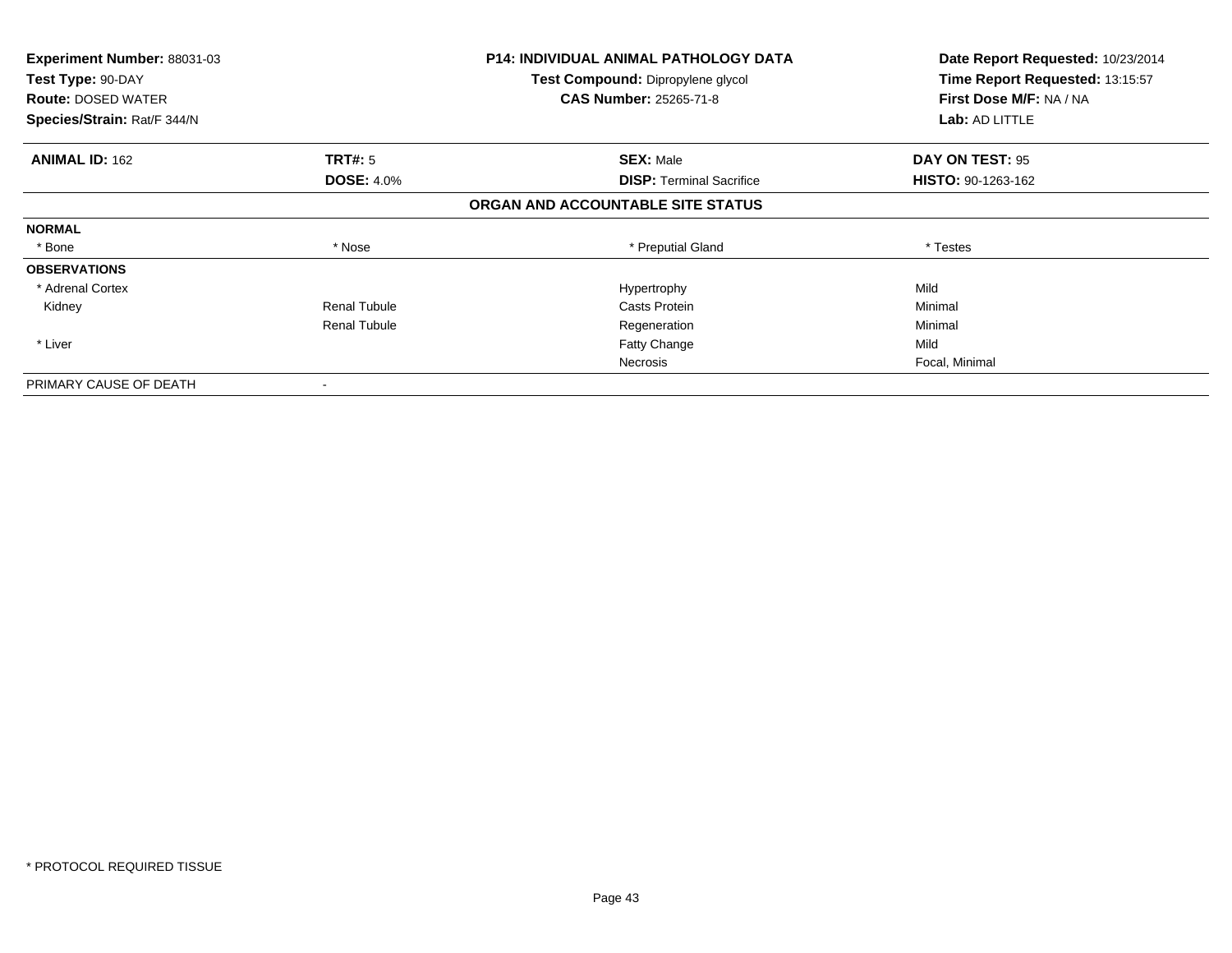| <b>Experiment Number: 88031-03</b> |                     | <b>P14: INDIVIDUAL ANIMAL PATHOLOGY DATA</b> | Date Report Requested: 10/23/2014 |
|------------------------------------|---------------------|----------------------------------------------|-----------------------------------|
| Test Type: 90-DAY                  |                     | Test Compound: Dipropylene glycol            | Time Report Requested: 13:15:57   |
| <b>Route: DOSED WATER</b>          |                     | <b>CAS Number: 25265-71-8</b>                | First Dose M/F: NA / NA           |
| Species/Strain: Rat/F 344/N        |                     |                                              | <b>Lab: AD LITTLE</b>             |
| <b>ANIMAL ID: 162</b>              | TRT#: 5             | <b>SEX: Male</b>                             | DAY ON TEST: 95                   |
|                                    | <b>DOSE: 4.0%</b>   | <b>DISP:</b> Terminal Sacrifice              | HISTO: 90-1263-162                |
|                                    |                     | ORGAN AND ACCOUNTABLE SITE STATUS            |                                   |
| <b>NORMAL</b>                      |                     |                                              |                                   |
| * Bone                             | * Nose              | * Preputial Gland                            | * Testes                          |
| <b>OBSERVATIONS</b>                |                     |                                              |                                   |
| * Adrenal Cortex                   |                     | Hypertrophy                                  | Mild                              |
| Kidney                             | <b>Renal Tubule</b> | Casts Protein                                | Minimal                           |
|                                    | <b>Renal Tubule</b> | Regeneration                                 | Minimal                           |
| * Liver                            |                     | Fatty Change                                 | Mild                              |
|                                    |                     | Necrosis                                     | Focal, Minimal                    |
| PRIMARY CAUSE OF DEATH             |                     |                                              |                                   |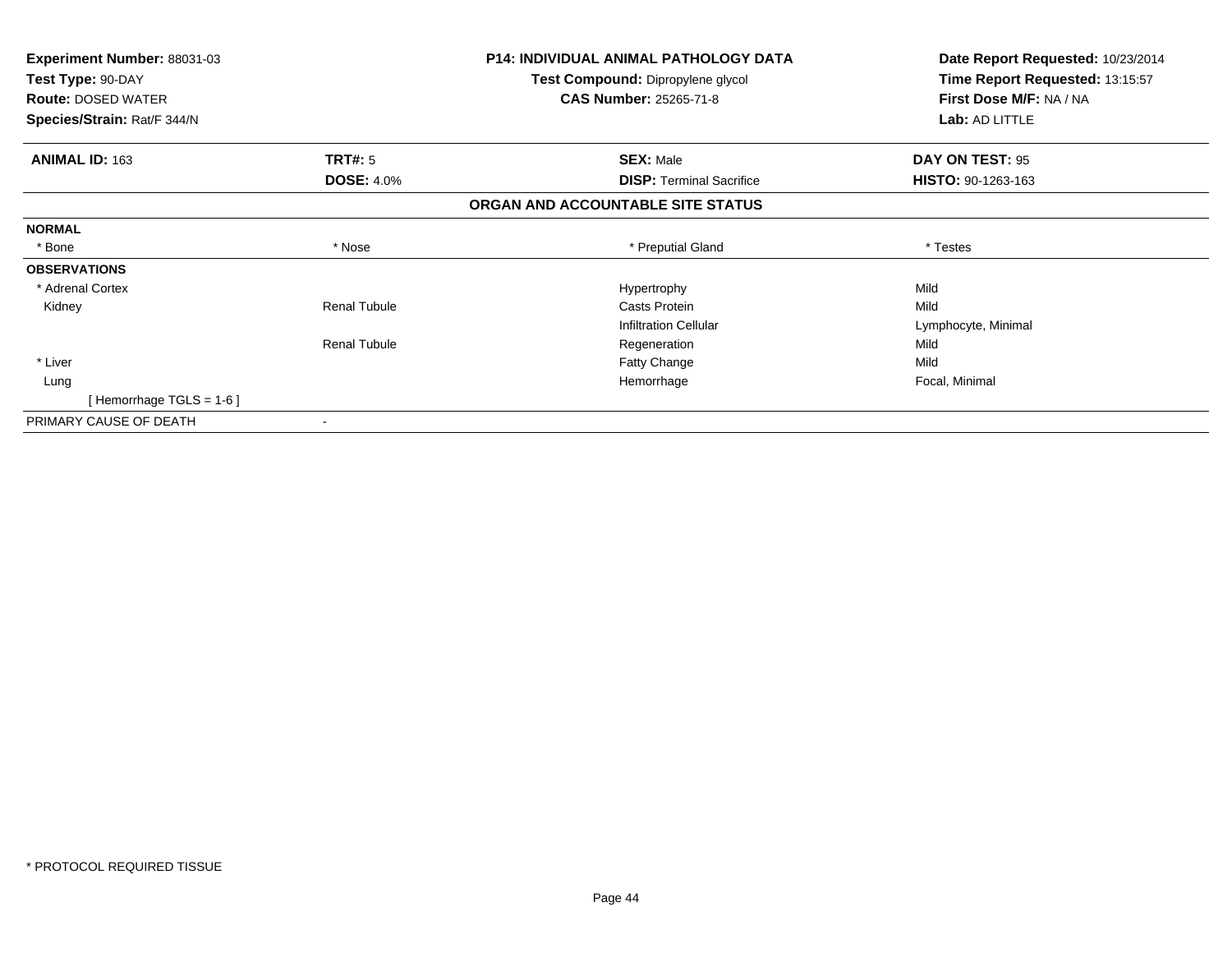| <b>Experiment Number: 88031-03</b> |                     | <b>P14: INDIVIDUAL ANIMAL PATHOLOGY DATA</b> | Date Report Requested: 10/23/2014 |
|------------------------------------|---------------------|----------------------------------------------|-----------------------------------|
| Test Type: 90-DAY                  |                     | Test Compound: Dipropylene glycol            | Time Report Requested: 13:15:57   |
| <b>Route: DOSED WATER</b>          |                     | <b>CAS Number: 25265-71-8</b>                | First Dose M/F: NA / NA           |
| Species/Strain: Rat/F 344/N        |                     |                                              | Lab: AD LITTLE                    |
| <b>ANIMAL ID: 163</b>              | TRT#: 5             | <b>SEX: Male</b>                             | DAY ON TEST: 95                   |
|                                    | <b>DOSE: 4.0%</b>   | <b>DISP:</b> Terminal Sacrifice              | HISTO: 90-1263-163                |
|                                    |                     | ORGAN AND ACCOUNTABLE SITE STATUS            |                                   |
| <b>NORMAL</b>                      |                     |                                              |                                   |
| * Bone                             | * Nose              | * Preputial Gland                            | * Testes                          |
| <b>OBSERVATIONS</b>                |                     |                                              |                                   |
| * Adrenal Cortex                   |                     | Hypertrophy                                  | Mild                              |
| Kidney                             | <b>Renal Tubule</b> | Casts Protein                                | Mild                              |
|                                    |                     | <b>Infiltration Cellular</b>                 | Lymphocyte, Minimal               |
|                                    | <b>Renal Tubule</b> | Regeneration                                 | Mild                              |
| * Liver                            |                     | Fatty Change                                 | Mild                              |
| Lung                               |                     | Hemorrhage                                   | Focal, Minimal                    |
| [Hemorrhage TGLS = $1-6$ ]         |                     |                                              |                                   |
| PRIMARY CAUSE OF DEATH             |                     |                                              |                                   |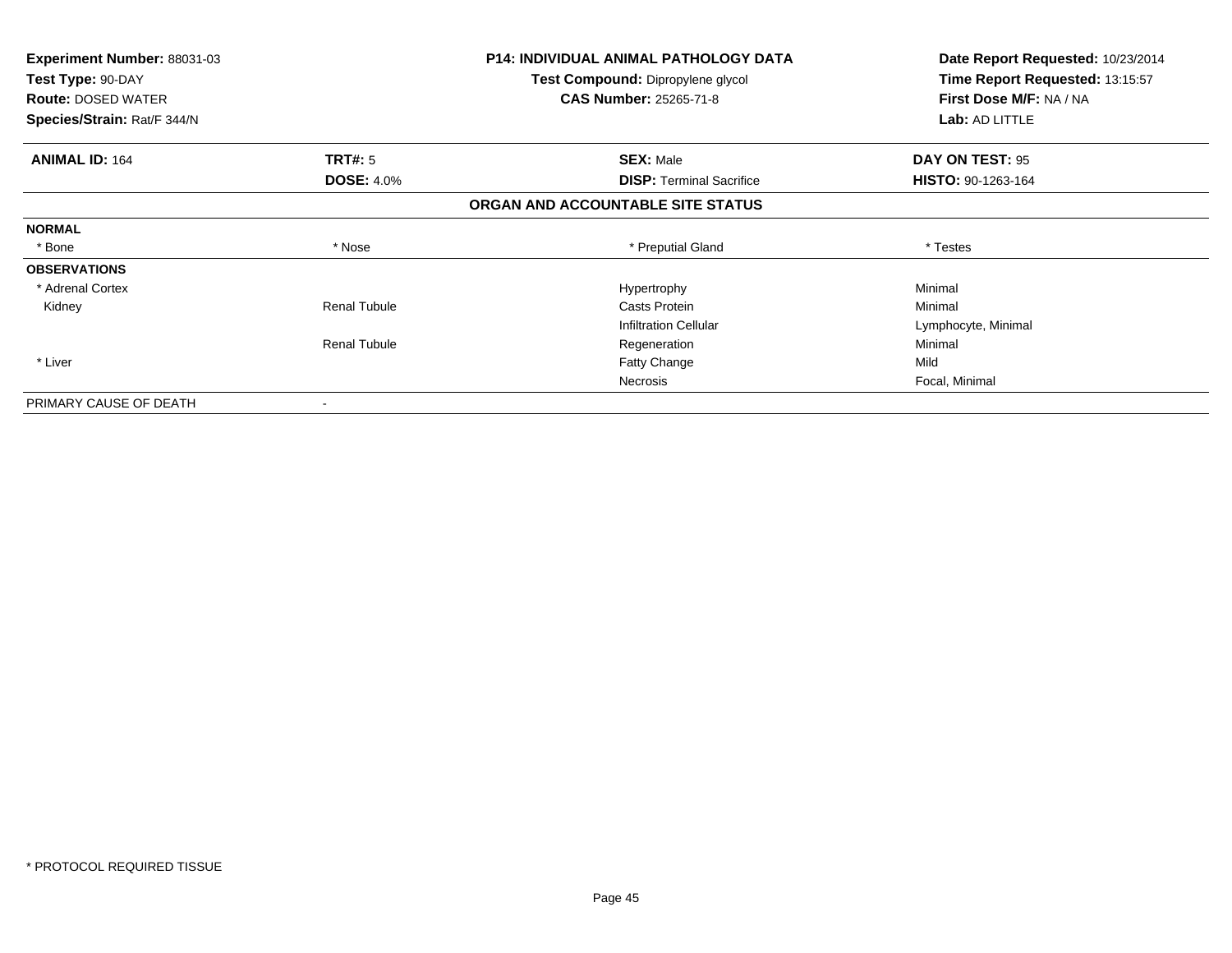| Experiment Number: 88031-03<br>Test Type: 90-DAY<br><b>Route: DOSED WATER</b><br>Species/Strain: Rat/F 344/N |                     | P14: INDIVIDUAL ANIMAL PATHOLOGY DATA<br>Test Compound: Dipropylene glycol<br><b>CAS Number: 25265-71-8</b> | Date Report Requested: 10/23/2014<br>Time Report Requested: 13:15:57<br>First Dose M/F: NA / NA<br>Lab: AD LITTLE |
|--------------------------------------------------------------------------------------------------------------|---------------------|-------------------------------------------------------------------------------------------------------------|-------------------------------------------------------------------------------------------------------------------|
| <b>ANIMAL ID: 164</b>                                                                                        | <b>TRT#: 5</b>      | <b>SEX: Male</b>                                                                                            | DAY ON TEST: 95                                                                                                   |
|                                                                                                              | <b>DOSE: 4.0%</b>   | <b>DISP: Terminal Sacrifice</b>                                                                             | HISTO: 90-1263-164                                                                                                |
|                                                                                                              |                     | ORGAN AND ACCOUNTABLE SITE STATUS                                                                           |                                                                                                                   |
| <b>NORMAL</b>                                                                                                |                     |                                                                                                             |                                                                                                                   |
| * Bone                                                                                                       | * Nose              | * Preputial Gland                                                                                           | * Testes                                                                                                          |
| <b>OBSERVATIONS</b>                                                                                          |                     |                                                                                                             |                                                                                                                   |
| * Adrenal Cortex                                                                                             |                     | Hypertrophy                                                                                                 | Minimal                                                                                                           |
| Kidney                                                                                                       | <b>Renal Tubule</b> | Casts Protein                                                                                               | Minimal                                                                                                           |
|                                                                                                              |                     | <b>Infiltration Cellular</b>                                                                                | Lymphocyte, Minimal                                                                                               |
|                                                                                                              | <b>Renal Tubule</b> | Regeneration                                                                                                | Minimal                                                                                                           |
| * Liver                                                                                                      |                     | <b>Fatty Change</b>                                                                                         | Mild                                                                                                              |
|                                                                                                              |                     | <b>Necrosis</b>                                                                                             | Focal, Minimal                                                                                                    |
| PRIMARY CAUSE OF DEATH                                                                                       |                     |                                                                                                             |                                                                                                                   |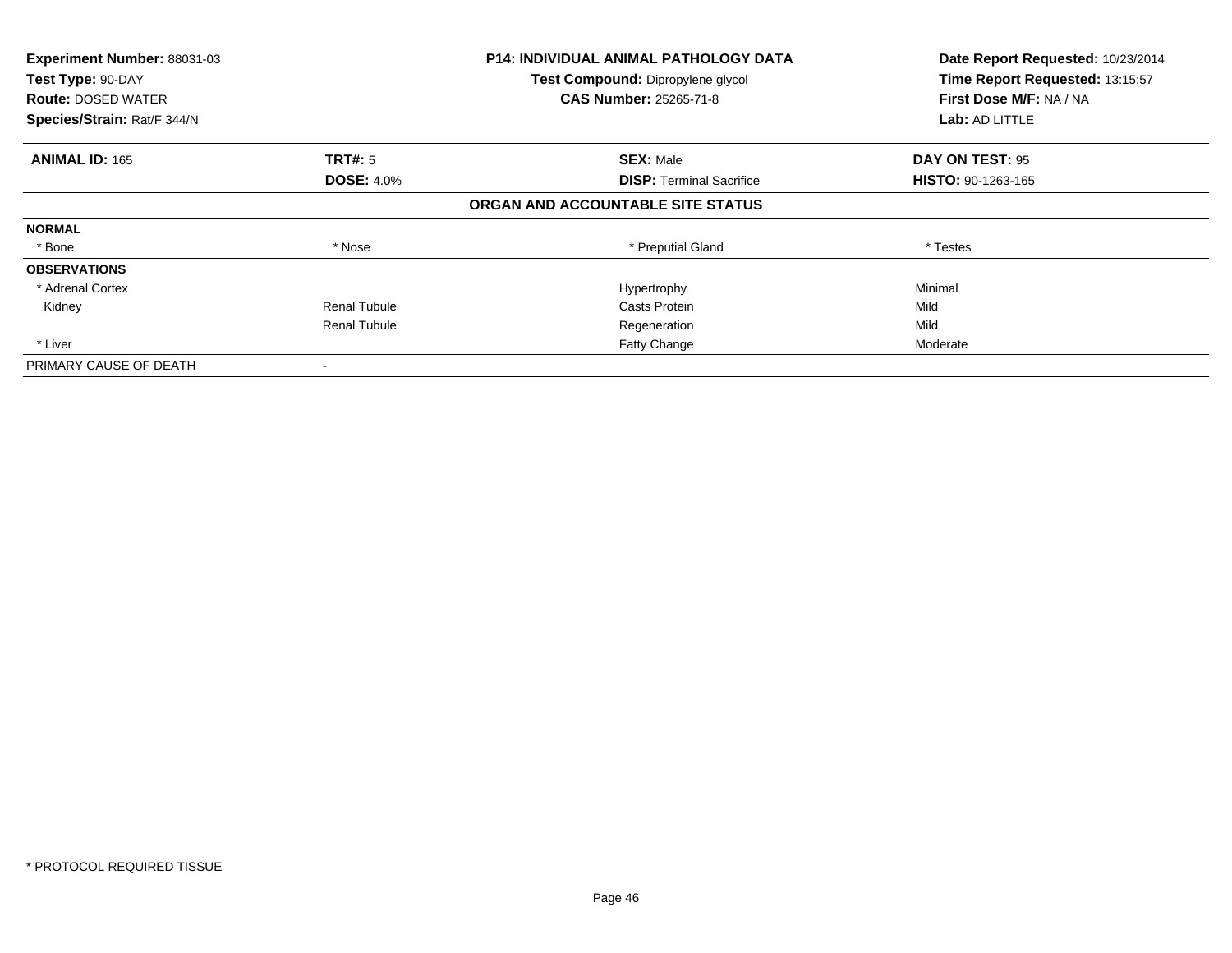| Experiment Number: 88031-03 |                     | <b>P14: INDIVIDUAL ANIMAL PATHOLOGY DATA</b> | Date Report Requested: 10/23/2014 |
|-----------------------------|---------------------|----------------------------------------------|-----------------------------------|
| Test Type: 90-DAY           |                     | Test Compound: Dipropylene glycol            | Time Report Requested: 13:15:57   |
| <b>Route: DOSED WATER</b>   |                     | <b>CAS Number: 25265-71-8</b>                | First Dose M/F: NA / NA           |
| Species/Strain: Rat/F 344/N |                     |                                              | Lab: AD LITTLE                    |
| <b>ANIMAL ID: 165</b>       | <b>TRT#: 5</b>      | <b>SEX: Male</b>                             | DAY ON TEST: 95                   |
|                             | <b>DOSE: 4.0%</b>   | <b>DISP:</b> Terminal Sacrifice              | <b>HISTO: 90-1263-165</b>         |
|                             |                     | ORGAN AND ACCOUNTABLE SITE STATUS            |                                   |
| <b>NORMAL</b>               |                     |                                              |                                   |
| * Bone                      | * Nose              | * Preputial Gland                            | * Testes                          |
| <b>OBSERVATIONS</b>         |                     |                                              |                                   |
| * Adrenal Cortex            |                     | Hypertrophy                                  | Minimal                           |
| Kidney                      | <b>Renal Tubule</b> | Casts Protein                                | Mild                              |
|                             | <b>Renal Tubule</b> | Regeneration                                 | Mild                              |
| * Liver                     |                     | Fatty Change                                 | Moderate                          |
| PRIMARY CAUSE OF DEATH      |                     |                                              |                                   |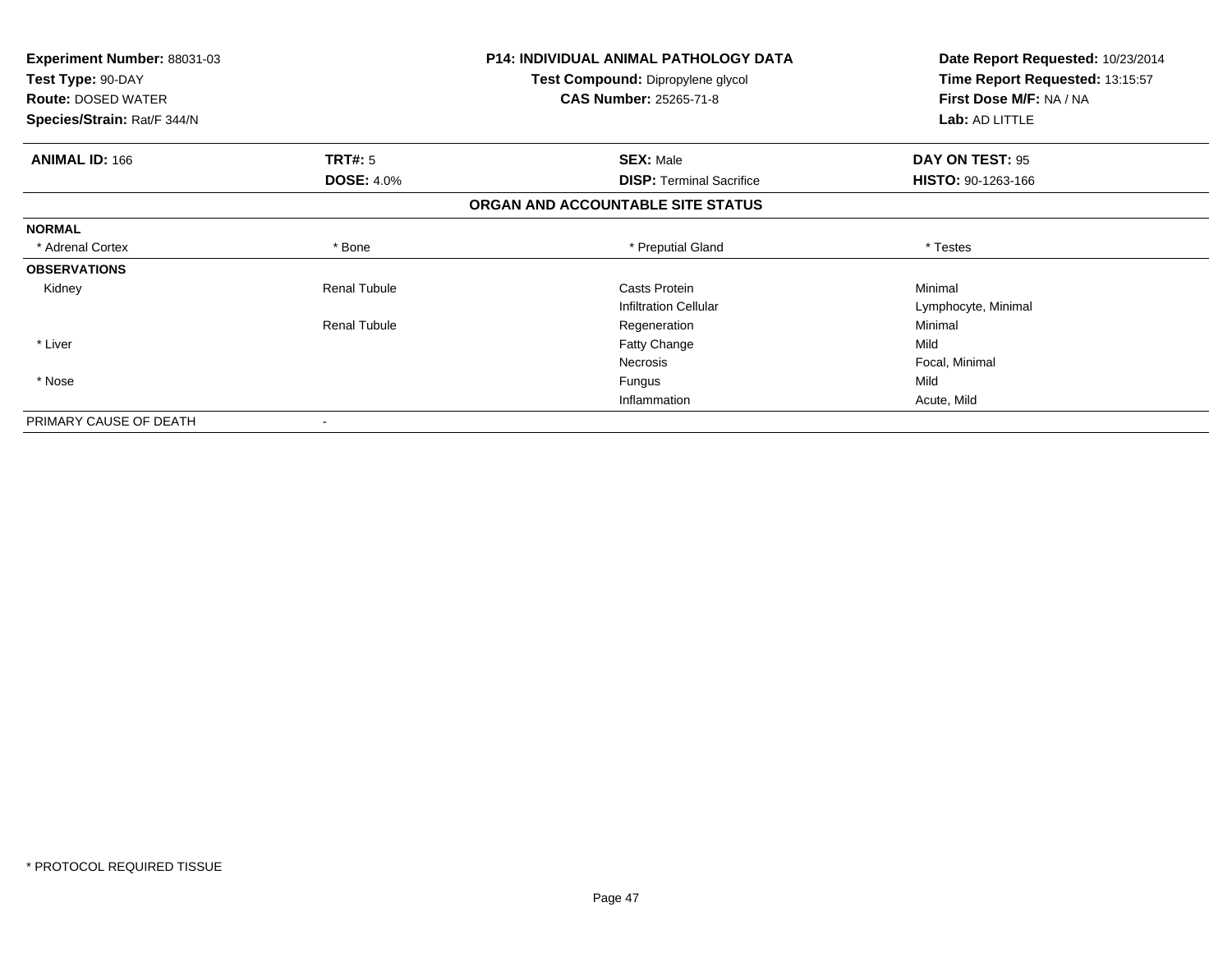| <b>Experiment Number: 88031-03</b> |                     | <b>P14: INDIVIDUAL ANIMAL PATHOLOGY DATA</b> | Date Report Requested: 10/23/2014 |
|------------------------------------|---------------------|----------------------------------------------|-----------------------------------|
| Test Type: 90-DAY                  |                     | Test Compound: Dipropylene glycol            | Time Report Requested: 13:15:57   |
| <b>Route: DOSED WATER</b>          |                     | <b>CAS Number: 25265-71-8</b>                | First Dose M/F: NA / NA           |
| Species/Strain: Rat/F 344/N        |                     |                                              | Lab: AD LITTLE                    |
| <b>ANIMAL ID: 166</b>              | TRT#: 5             | <b>SEX: Male</b>                             | DAY ON TEST: 95                   |
|                                    | <b>DOSE: 4.0%</b>   | <b>DISP: Terminal Sacrifice</b>              | HISTO: 90-1263-166                |
|                                    |                     | ORGAN AND ACCOUNTABLE SITE STATUS            |                                   |
| <b>NORMAL</b>                      |                     |                                              |                                   |
| * Adrenal Cortex                   | * Bone              | * Preputial Gland                            | * Testes                          |
| <b>OBSERVATIONS</b>                |                     |                                              |                                   |
| Kidney                             | <b>Renal Tubule</b> | Casts Protein                                | Minimal                           |
|                                    |                     | <b>Infiltration Cellular</b>                 | Lymphocyte, Minimal               |
|                                    | <b>Renal Tubule</b> | Regeneration                                 | Minimal                           |
| * Liver                            |                     | <b>Fatty Change</b>                          | Mild                              |
|                                    |                     | <b>Necrosis</b>                              | Focal, Minimal                    |
| * Nose                             |                     | Fungus                                       | Mild                              |
|                                    |                     | Inflammation                                 | Acute, Mild                       |
| PRIMARY CAUSE OF DEATH             |                     |                                              |                                   |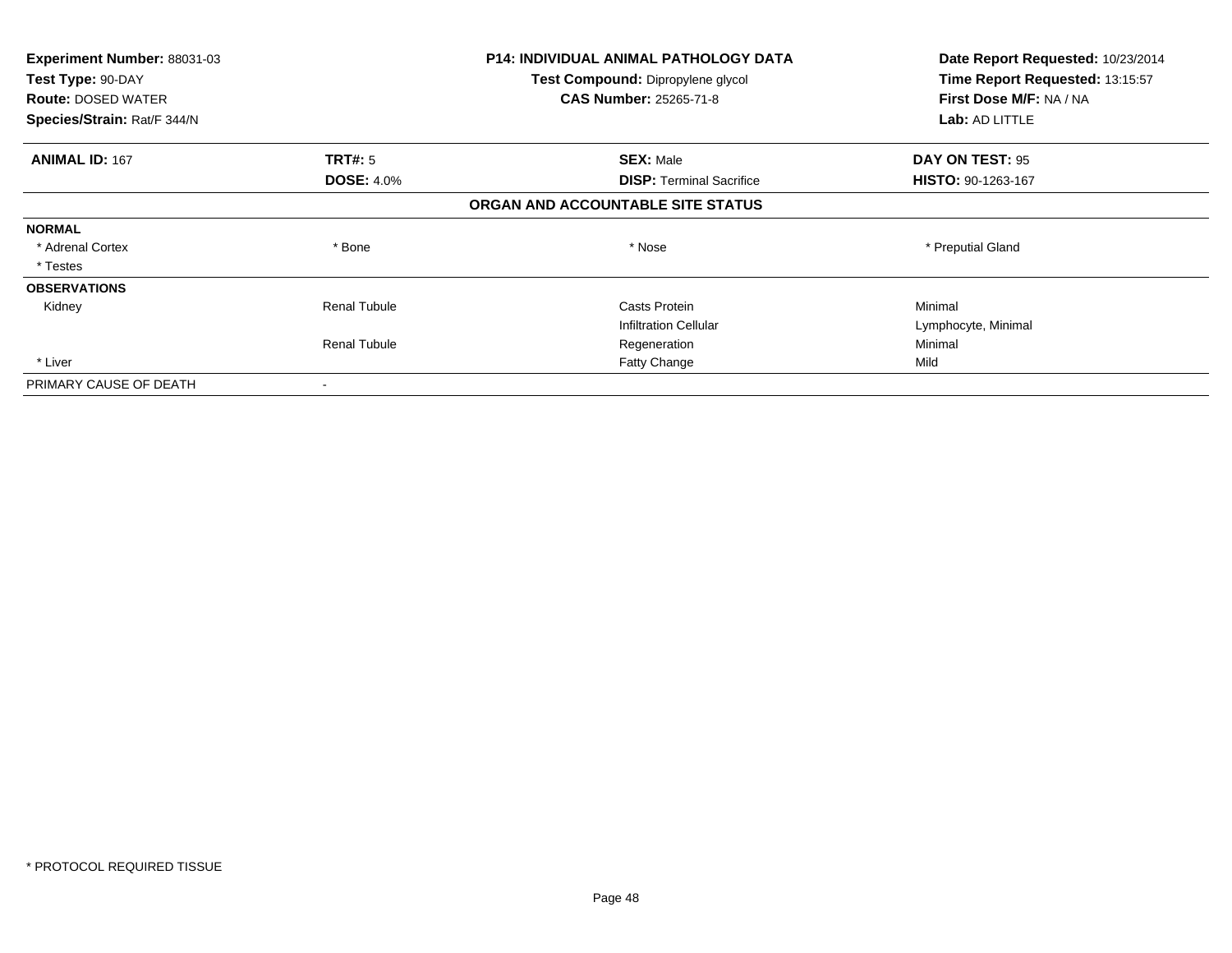| <b>Experiment Number: 88031-03</b> | <b>P14: INDIVIDUAL ANIMAL PATHOLOGY DATA</b> |                                   | Date Report Requested: 10/23/2014 |
|------------------------------------|----------------------------------------------|-----------------------------------|-----------------------------------|
| Test Type: 90-DAY                  | Test Compound: Dipropylene glycol            | Time Report Requested: 13:15:57   |                                   |
| <b>Route: DOSED WATER</b>          |                                              | <b>CAS Number: 25265-71-8</b>     | First Dose M/F: NA / NA           |
| Species/Strain: Rat/F 344/N        |                                              |                                   | Lab: AD LITTLE                    |
| <b>ANIMAL ID: 167</b>              | <b>TRT#:</b> 5                               | <b>SEX: Male</b>                  | DAY ON TEST: 95                   |
|                                    | <b>DOSE: 4.0%</b>                            | <b>DISP:</b> Terminal Sacrifice   | <b>HISTO: 90-1263-167</b>         |
|                                    |                                              | ORGAN AND ACCOUNTABLE SITE STATUS |                                   |
| <b>NORMAL</b>                      |                                              |                                   |                                   |
| * Adrenal Cortex                   | * Bone                                       | * Nose                            | * Preputial Gland                 |
| * Testes                           |                                              |                                   |                                   |
| <b>OBSERVATIONS</b>                |                                              |                                   |                                   |
| Kidney                             | <b>Renal Tubule</b>                          | Casts Protein                     | Minimal                           |
|                                    |                                              | <b>Infiltration Cellular</b>      | Lymphocyte, Minimal               |
|                                    | <b>Renal Tubule</b>                          | Regeneration                      | Minimal                           |
| * Liver                            |                                              | Fatty Change                      | Mild                              |
| PRIMARY CAUSE OF DEATH             | $\overline{\phantom{a}}$                     |                                   |                                   |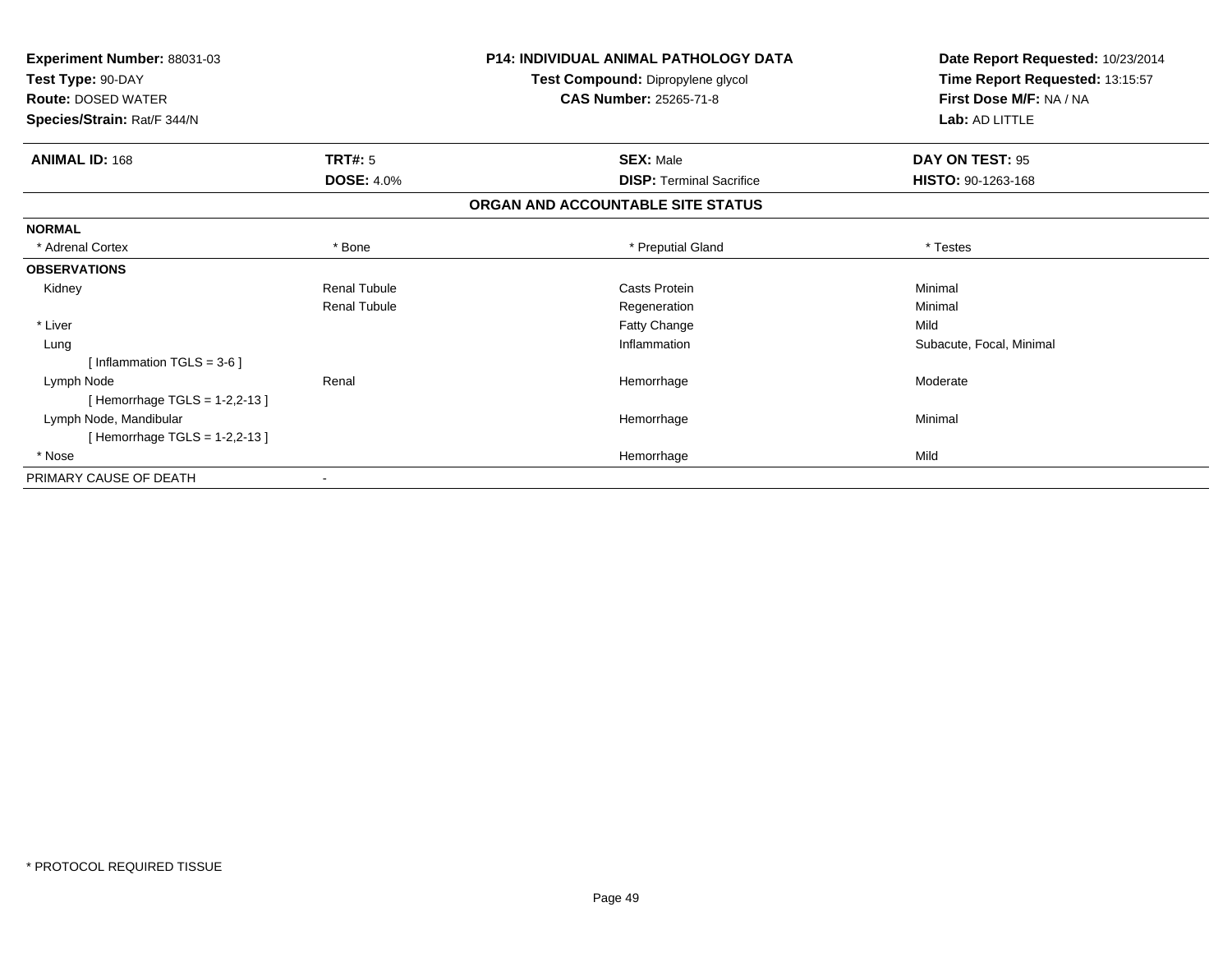| Experiment Number: 88031-03   |                     | <b>P14: INDIVIDUAL ANIMAL PATHOLOGY DATA</b> | Date Report Requested: 10/23/2014 |
|-------------------------------|---------------------|----------------------------------------------|-----------------------------------|
| Test Type: 90-DAY             |                     | Test Compound: Dipropylene glycol            | Time Report Requested: 13:15:57   |
| <b>Route: DOSED WATER</b>     |                     | <b>CAS Number: 25265-71-8</b>                | First Dose M/F: NA / NA           |
| Species/Strain: Rat/F 344/N   |                     |                                              | Lab: AD LITTLE                    |
| <b>ANIMAL ID: 168</b>         | <b>TRT#: 5</b>      | <b>SEX: Male</b>                             | DAY ON TEST: 95                   |
|                               | <b>DOSE: 4.0%</b>   | <b>DISP: Terminal Sacrifice</b>              | HISTO: 90-1263-168                |
|                               |                     | ORGAN AND ACCOUNTABLE SITE STATUS            |                                   |
| <b>NORMAL</b>                 |                     |                                              |                                   |
| * Adrenal Cortex              | * Bone              | * Preputial Gland                            | * Testes                          |
| <b>OBSERVATIONS</b>           |                     |                                              |                                   |
| Kidney                        | <b>Renal Tubule</b> | Casts Protein                                | Minimal                           |
|                               | <b>Renal Tubule</b> | Regeneration                                 | Minimal                           |
| * Liver                       |                     | Fatty Change                                 | Mild                              |
| Lung                          |                     | Inflammation                                 | Subacute, Focal, Minimal          |
| [ Inflammation TGLS = $3-6$ ] |                     |                                              |                                   |
| Lymph Node                    | Renal               | Hemorrhage                                   | Moderate                          |
| [Hemorrhage TGLS = 1-2,2-13]  |                     |                                              |                                   |
| Lymph Node, Mandibular        |                     | Hemorrhage                                   | Minimal                           |
| [Hemorrhage TGLS = 1-2,2-13]  |                     |                                              |                                   |
| * Nose                        |                     | Hemorrhage                                   | Mild                              |
| PRIMARY CAUSE OF DEATH        |                     |                                              |                                   |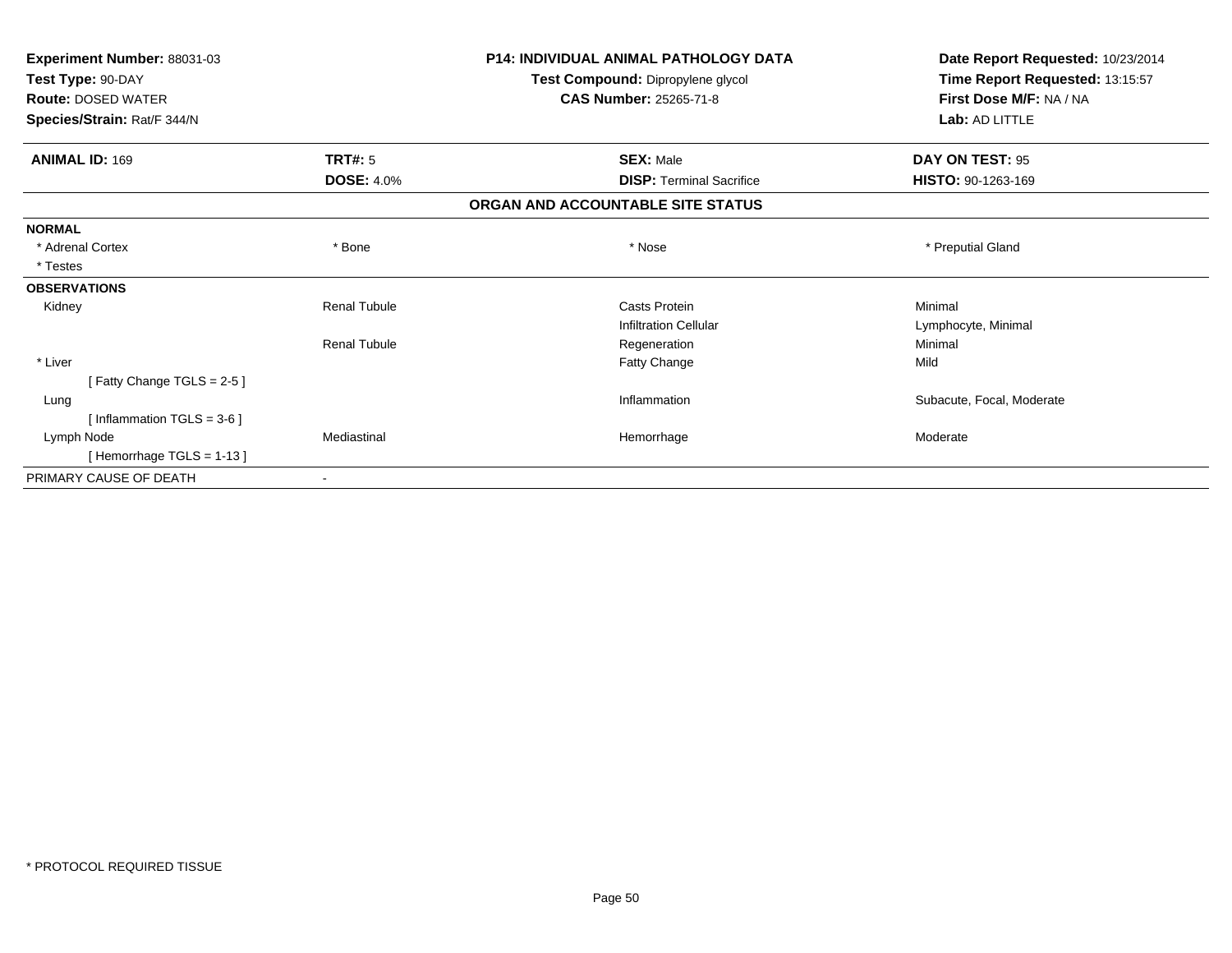| Experiment Number: 88031-03  |                     | <b>P14: INDIVIDUAL ANIMAL PATHOLOGY DATA</b> | Date Report Requested: 10/23/2014 |
|------------------------------|---------------------|----------------------------------------------|-----------------------------------|
| Test Type: 90-DAY            |                     | Test Compound: Dipropylene glycol            | Time Report Requested: 13:15:57   |
| <b>Route: DOSED WATER</b>    |                     | <b>CAS Number: 25265-71-8</b>                | First Dose M/F: NA / NA           |
| Species/Strain: Rat/F 344/N  |                     |                                              | Lab: AD LITTLE                    |
| <b>ANIMAL ID: 169</b>        | <b>TRT#: 5</b>      | <b>SEX: Male</b>                             | DAY ON TEST: 95                   |
|                              | <b>DOSE: 4.0%</b>   | <b>DISP: Terminal Sacrifice</b>              | HISTO: 90-1263-169                |
|                              |                     | ORGAN AND ACCOUNTABLE SITE STATUS            |                                   |
| <b>NORMAL</b>                |                     |                                              |                                   |
| * Adrenal Cortex             | * Bone              | * Nose                                       | * Preputial Gland                 |
| * Testes                     |                     |                                              |                                   |
| <b>OBSERVATIONS</b>          |                     |                                              |                                   |
| Kidney                       | <b>Renal Tubule</b> | <b>Casts Protein</b>                         | Minimal                           |
|                              |                     | <b>Infiltration Cellular</b>                 | Lymphocyte, Minimal               |
|                              | <b>Renal Tubule</b> | Regeneration                                 | Minimal                           |
| * Liver                      |                     | Fatty Change                                 | Mild                              |
| [Fatty Change TGLS = 2-5]    |                     |                                              |                                   |
| Lung                         |                     | Inflammation                                 | Subacute, Focal, Moderate         |
| [Inflammation TGLS = $3-6$ ] |                     |                                              |                                   |
| Lymph Node                   | Mediastinal         | Hemorrhage                                   | Moderate                          |
| [Hemorrhage TGLS = $1-13$ ]  |                     |                                              |                                   |
| PRIMARY CAUSE OF DEATH       |                     |                                              |                                   |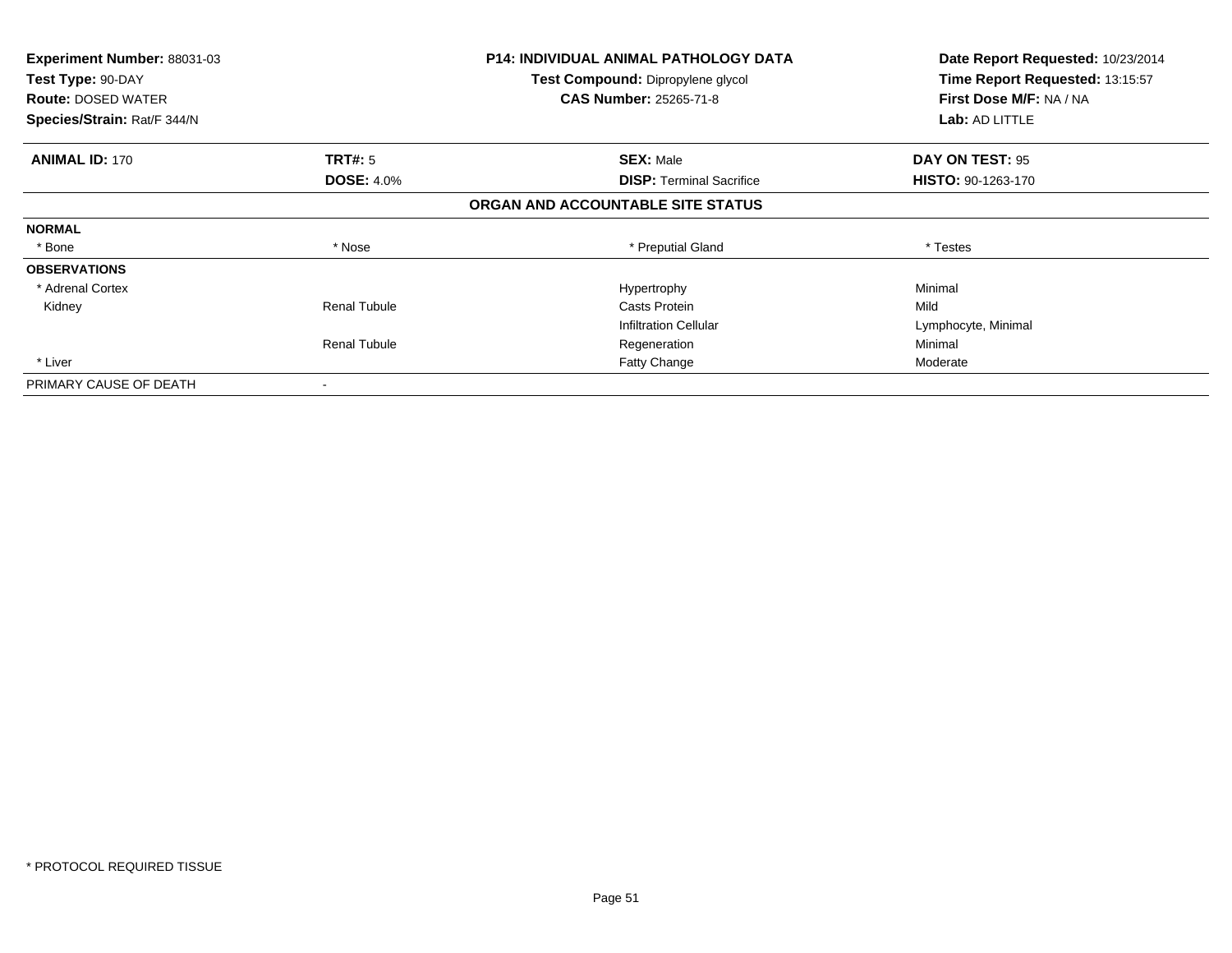| <b>Experiment Number: 88031-03</b><br>Test Type: 90-DAY |                     | <b>P14: INDIVIDUAL ANIMAL PATHOLOGY DATA</b> | Date Report Requested: 10/23/2014 |
|---------------------------------------------------------|---------------------|----------------------------------------------|-----------------------------------|
|                                                         |                     | <b>Test Compound: Dipropylene glycol</b>     | Time Report Requested: 13:15:57   |
| <b>Route: DOSED WATER</b>                               |                     | <b>CAS Number: 25265-71-8</b>                | First Dose M/F: NA / NA           |
| Species/Strain: Rat/F 344/N                             |                     |                                              | <b>Lab: AD LITTLE</b>             |
| <b>ANIMAL ID: 170</b>                                   | <b>TRT#: 5</b>      | <b>SEX: Male</b>                             | DAY ON TEST: 95                   |
|                                                         | <b>DOSE: 4.0%</b>   | <b>DISP: Terminal Sacrifice</b>              | <b>HISTO: 90-1263-170</b>         |
|                                                         |                     | ORGAN AND ACCOUNTABLE SITE STATUS            |                                   |
| <b>NORMAL</b>                                           |                     |                                              |                                   |
| * Bone                                                  | * Nose              | * Preputial Gland                            | * Testes                          |
| <b>OBSERVATIONS</b>                                     |                     |                                              |                                   |
| * Adrenal Cortex                                        |                     | Hypertrophy                                  | Minimal                           |
| Kidney                                                  | <b>Renal Tubule</b> | Casts Protein                                | Mild                              |
|                                                         |                     | <b>Infiltration Cellular</b>                 | Lymphocyte, Minimal               |
|                                                         | <b>Renal Tubule</b> | Regeneration                                 | Minimal                           |
| * Liver                                                 |                     | Fatty Change                                 | Moderate                          |
| PRIMARY CAUSE OF DEATH                                  |                     |                                              |                                   |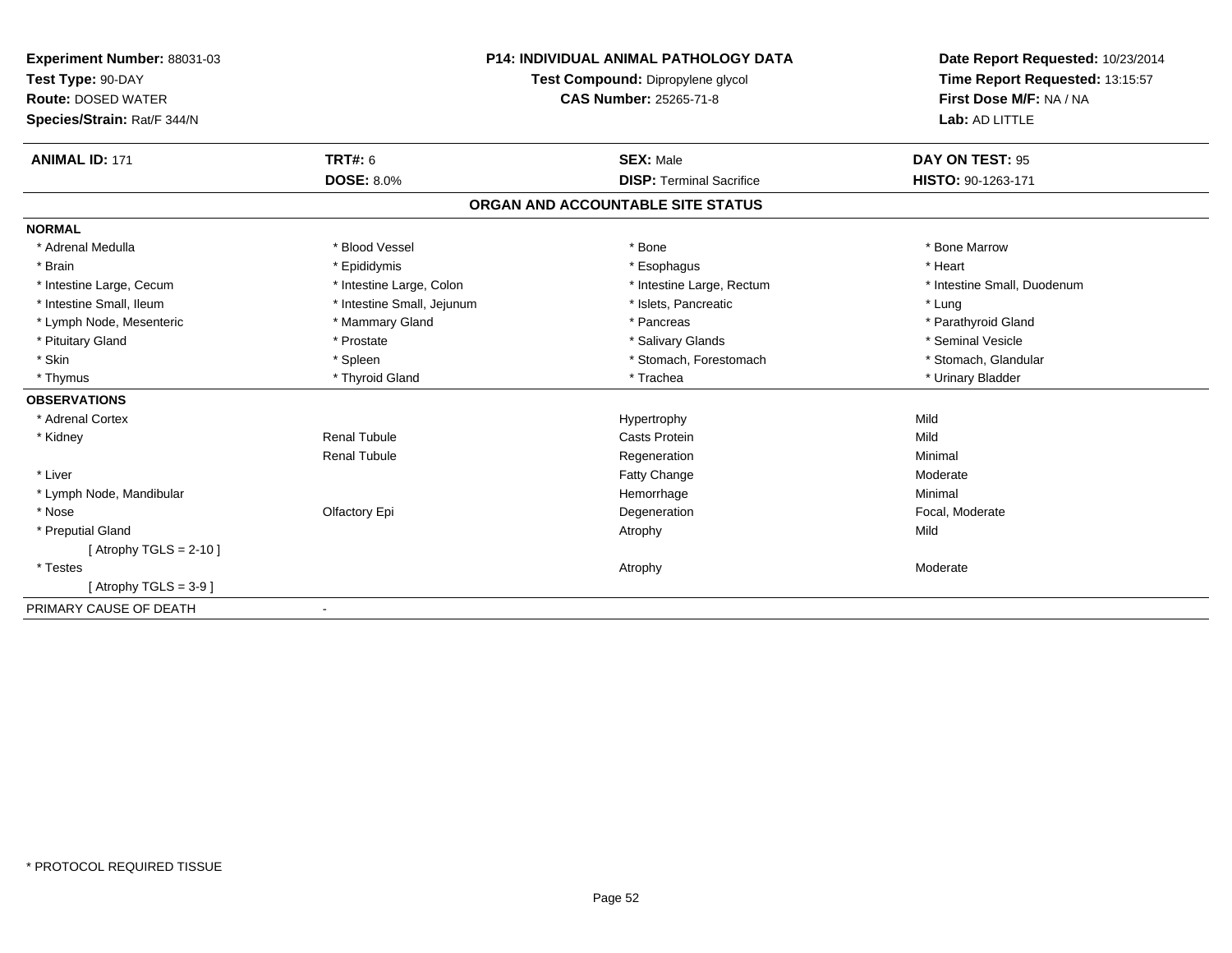| Experiment Number: 88031-03 |                            | <b>P14: INDIVIDUAL ANIMAL PATHOLOGY DATA</b> | Date Report Requested: 10/23/2014 |  |
|-----------------------------|----------------------------|----------------------------------------------|-----------------------------------|--|
| Test Type: 90-DAY           |                            | Test Compound: Dipropylene glycol            | Time Report Requested: 13:15:57   |  |
| <b>Route: DOSED WATER</b>   |                            | <b>CAS Number: 25265-71-8</b>                | First Dose M/F: NA / NA           |  |
| Species/Strain: Rat/F 344/N |                            |                                              | Lab: AD LITTLE                    |  |
|                             |                            |                                              |                                   |  |
| <b>ANIMAL ID: 171</b>       | TRT#: 6                    | <b>SEX: Male</b>                             | DAY ON TEST: 95                   |  |
|                             | <b>DOSE: 8.0%</b>          | <b>DISP: Terminal Sacrifice</b>              | HISTO: 90-1263-171                |  |
|                             |                            | ORGAN AND ACCOUNTABLE SITE STATUS            |                                   |  |
| <b>NORMAL</b>               |                            |                                              |                                   |  |
| * Adrenal Medulla           | * Blood Vessel             | * Bone                                       | * Bone Marrow                     |  |
| * Brain                     | * Epididymis               | * Esophagus                                  | * Heart                           |  |
| * Intestine Large, Cecum    | * Intestine Large, Colon   | * Intestine Large, Rectum                    | * Intestine Small, Duodenum       |  |
| * Intestine Small, Ileum    | * Intestine Small, Jejunum | * Islets, Pancreatic                         | * Lung                            |  |
| * Lymph Node, Mesenteric    | * Mammary Gland            | * Pancreas                                   | * Parathyroid Gland               |  |
| * Pituitary Gland           | * Prostate                 | * Salivary Glands                            | * Seminal Vesicle                 |  |
| * Skin                      | * Spleen                   | * Stomach, Forestomach                       | * Stomach, Glandular              |  |
| * Thymus                    | * Thyroid Gland            | * Trachea                                    | * Urinary Bladder                 |  |
| <b>OBSERVATIONS</b>         |                            |                                              |                                   |  |
| * Adrenal Cortex            |                            | Hypertrophy                                  | Mild                              |  |
| * Kidney                    | <b>Renal Tubule</b>        | <b>Casts Protein</b>                         | Mild                              |  |
|                             | <b>Renal Tubule</b>        | Regeneration                                 | Minimal                           |  |
| * Liver                     |                            | <b>Fatty Change</b>                          | Moderate                          |  |
| * Lymph Node, Mandibular    |                            | Hemorrhage                                   | Minimal                           |  |
| * Nose                      | Olfactory Epi              | Degeneration                                 | Focal, Moderate                   |  |
| * Preputial Gland           |                            | Atrophy                                      | Mild                              |  |
| [Atrophy TGLS = $2-10$ ]    |                            |                                              |                                   |  |
| * Testes                    |                            | Atrophy                                      | Moderate                          |  |
| [Atrophy TGLS = $3-9$ ]     |                            |                                              |                                   |  |
| PRIMARY CAUSE OF DEATH      |                            |                                              |                                   |  |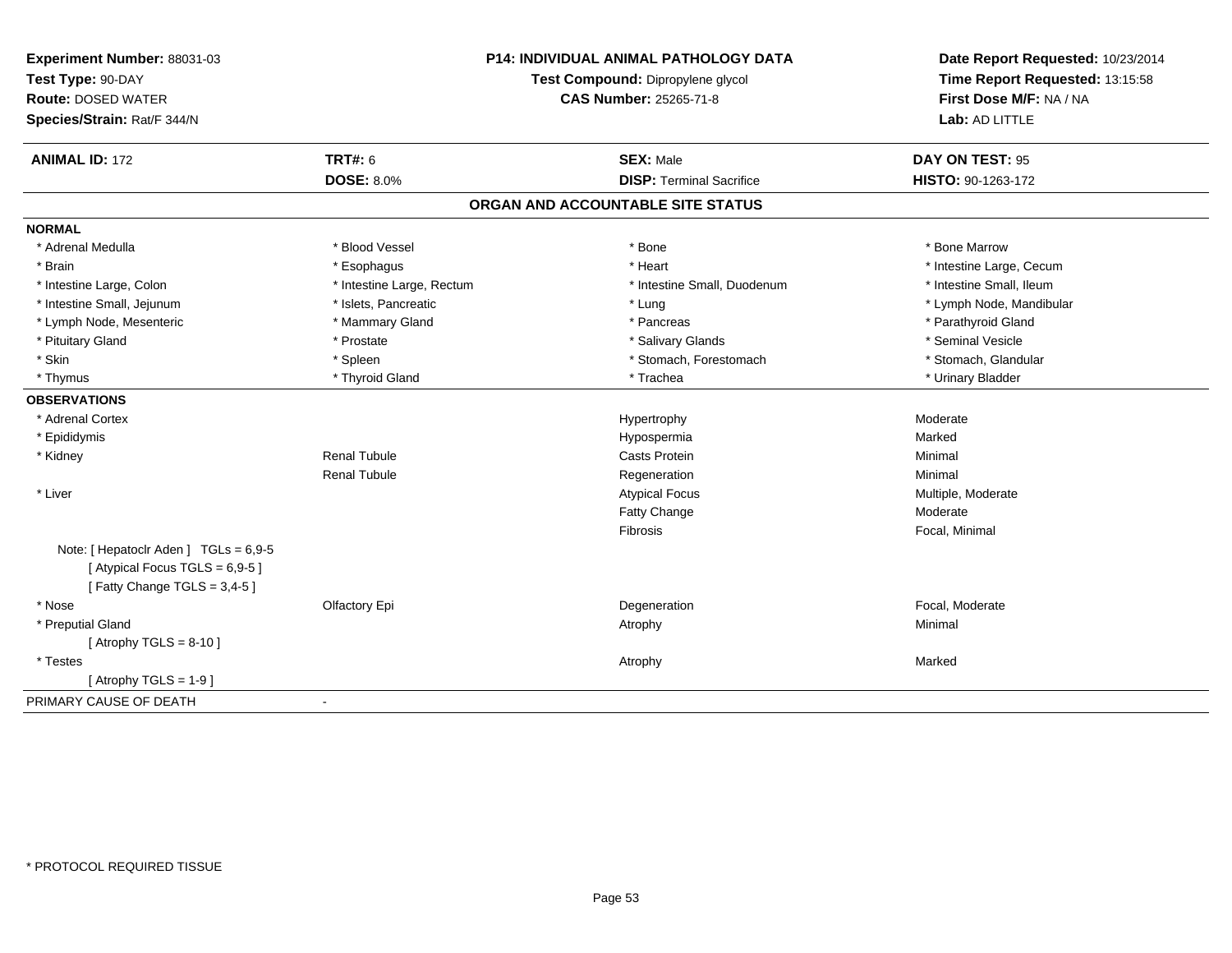| Test Type: 90-DAY<br><b>Route: DOSED WATER</b> |                           | Test Compound: Dipropylene glycol<br>CAS Number: 25265-71-8 | Time Report Requested: 13:15:58 |
|------------------------------------------------|---------------------------|-------------------------------------------------------------|---------------------------------|
|                                                |                           |                                                             |                                 |
|                                                |                           |                                                             | First Dose M/F: NA / NA         |
| Species/Strain: Rat/F 344/N                    |                           |                                                             | Lab: AD LITTLE                  |
| <b>ANIMAL ID: 172</b>                          | <b>TRT#: 6</b>            | <b>SEX: Male</b>                                            | DAY ON TEST: 95                 |
|                                                | <b>DOSE: 8.0%</b>         | <b>DISP: Terminal Sacrifice</b>                             | HISTO: 90-1263-172              |
|                                                |                           | ORGAN AND ACCOUNTABLE SITE STATUS                           |                                 |
| <b>NORMAL</b>                                  |                           |                                                             |                                 |
| * Adrenal Medulla                              | * Blood Vessel            | * Bone                                                      | * Bone Marrow                   |
| * Brain                                        | * Esophagus               | * Heart                                                     | * Intestine Large, Cecum        |
| * Intestine Large, Colon                       | * Intestine Large, Rectum | * Intestine Small, Duodenum                                 | * Intestine Small, Ileum        |
| * Intestine Small, Jejunum                     | * Islets, Pancreatic      | * Lung                                                      | * Lymph Node, Mandibular        |
| * Lymph Node, Mesenteric                       | * Mammary Gland           | * Pancreas                                                  | * Parathyroid Gland             |
| * Pituitary Gland                              | * Prostate                | * Salivary Glands                                           | * Seminal Vesicle               |
| * Skin                                         | * Spleen                  | * Stomach, Forestomach                                      | * Stomach, Glandular            |
| * Thymus                                       | * Thyroid Gland           | * Trachea                                                   | * Urinary Bladder               |
| <b>OBSERVATIONS</b>                            |                           |                                                             |                                 |
| * Adrenal Cortex                               |                           | Hypertrophy                                                 | Moderate                        |
| * Epididymis                                   |                           | Hypospermia                                                 | Marked                          |
| * Kidney                                       | <b>Renal Tubule</b>       | Casts Protein                                               | Minimal                         |
|                                                | <b>Renal Tubule</b>       | Regeneration                                                | Minimal                         |
| * Liver                                        |                           | <b>Atypical Focus</b>                                       | Multiple, Moderate              |
|                                                |                           | Fatty Change                                                | Moderate                        |
|                                                |                           | Fibrosis                                                    | Focal, Minimal                  |
| Note: [ Hepatoclr Aden ] TGLs = 6,9-5          |                           |                                                             |                                 |
| [Atypical Focus TGLS = 6,9-5]                  |                           |                                                             |                                 |
| [Fatty Change TGLS = 3,4-5]                    |                           |                                                             |                                 |
| * Nose                                         | Olfactory Epi             | Degeneration                                                | Focal, Moderate                 |
| * Preputial Gland                              |                           | Atrophy                                                     | Minimal                         |
| [Atrophy TGLS = $8-10$ ]                       |                           |                                                             |                                 |
| * Testes                                       |                           | Atrophy                                                     | Marked                          |
| [Atrophy TGLS = $1-9$ ]                        |                           |                                                             |                                 |
| PRIMARY CAUSE OF DEATH                         | $\blacksquare$            |                                                             |                                 |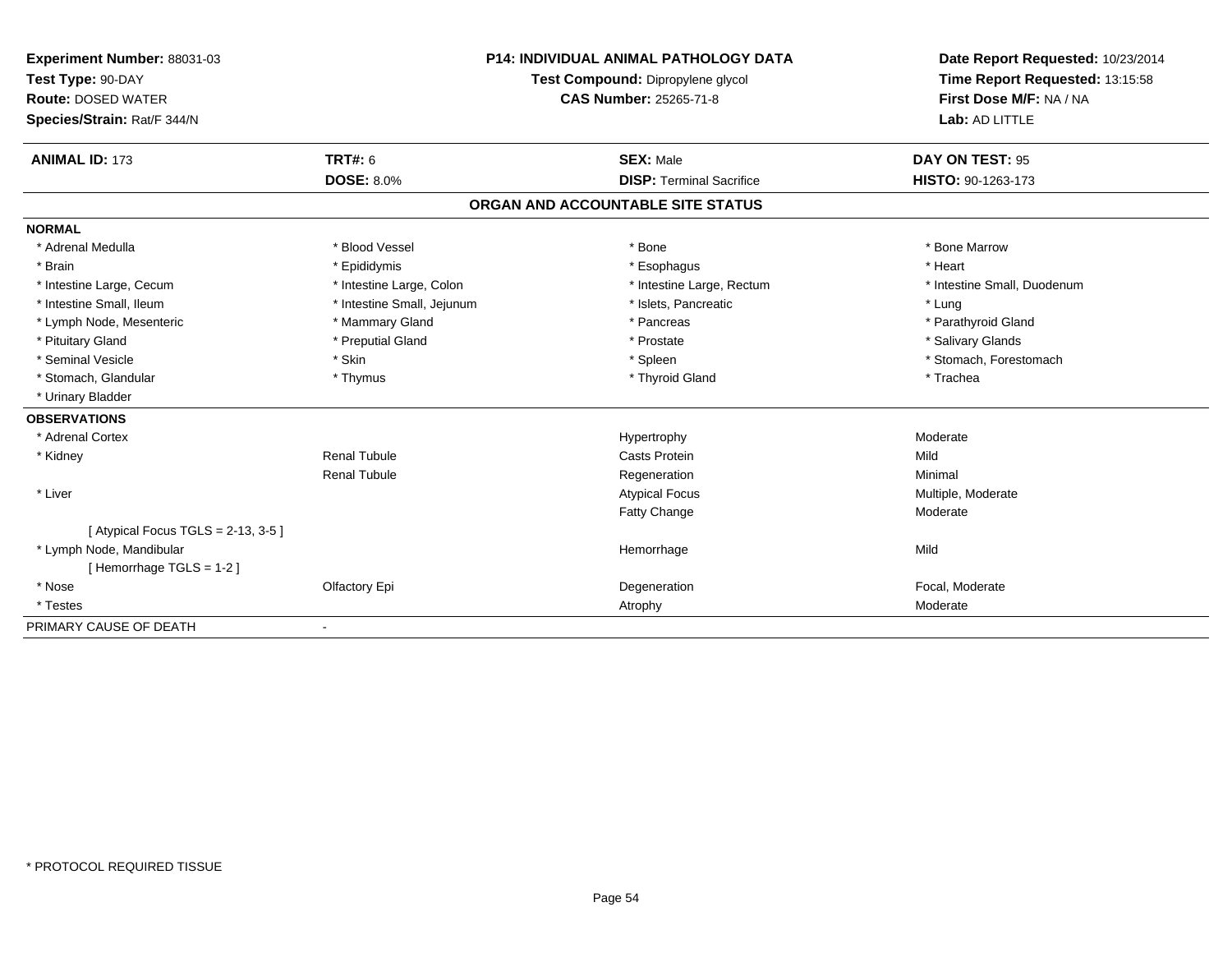| Experiment Number: 88031-03             |                            | <b>P14: INDIVIDUAL ANIMAL PATHOLOGY DATA</b> | Date Report Requested: 10/23/2014 |
|-----------------------------------------|----------------------------|----------------------------------------------|-----------------------------------|
| Test Type: 90-DAY                       |                            | Test Compound: Dipropylene glycol            | Time Report Requested: 13:15:58   |
| <b>Route: DOSED WATER</b>               | CAS Number: 25265-71-8     |                                              | First Dose M/F: NA / NA           |
| Species/Strain: Rat/F 344/N             |                            |                                              | Lab: AD LITTLE                    |
|                                         |                            |                                              |                                   |
| <b>ANIMAL ID: 173</b>                   | <b>TRT#: 6</b>             | <b>SEX: Male</b>                             | DAY ON TEST: 95                   |
|                                         | <b>DOSE: 8.0%</b>          | <b>DISP: Terminal Sacrifice</b>              | HISTO: 90-1263-173                |
|                                         |                            | ORGAN AND ACCOUNTABLE SITE STATUS            |                                   |
| <b>NORMAL</b>                           |                            |                                              |                                   |
| * Adrenal Medulla                       | * Blood Vessel             | * Bone                                       | * Bone Marrow                     |
| * Brain                                 | * Epididymis               | * Esophagus                                  | * Heart                           |
| * Intestine Large, Cecum                | * Intestine Large, Colon   | * Intestine Large, Rectum                    | * Intestine Small, Duodenum       |
| * Intestine Small, Ileum                | * Intestine Small, Jejunum | * Islets, Pancreatic                         | * Lung                            |
| * Lymph Node, Mesenteric                | * Mammary Gland            | * Pancreas                                   | * Parathyroid Gland               |
| * Pituitary Gland                       | * Preputial Gland          | * Prostate                                   | * Salivary Glands                 |
| * Seminal Vesicle                       | * Skin                     | * Spleen                                     | * Stomach, Forestomach            |
| * Stomach, Glandular                    | * Thymus                   | * Thyroid Gland                              | * Trachea                         |
| * Urinary Bladder                       |                            |                                              |                                   |
| <b>OBSERVATIONS</b>                     |                            |                                              |                                   |
| * Adrenal Cortex                        |                            | Hypertrophy                                  | Moderate                          |
| * Kidney                                | <b>Renal Tubule</b>        | <b>Casts Protein</b>                         | Mild                              |
|                                         | <b>Renal Tubule</b>        | Regeneration                                 | Minimal                           |
| * Liver                                 |                            | <b>Atypical Focus</b>                        | Multiple, Moderate                |
|                                         |                            | <b>Fatty Change</b>                          | Moderate                          |
| [Atypical Focus TGLS = $2-13$ , $3-5$ ] |                            |                                              |                                   |
| * Lymph Node, Mandibular                |                            | Hemorrhage                                   | Mild                              |
| [Hemorrhage TGLS = 1-2]                 |                            |                                              |                                   |
| * Nose                                  | Olfactory Epi              | Degeneration                                 | Focal, Moderate                   |
| * Testes                                |                            | Atrophy                                      | Moderate                          |
| PRIMARY CAUSE OF DEATH                  | $\blacksquare$             |                                              |                                   |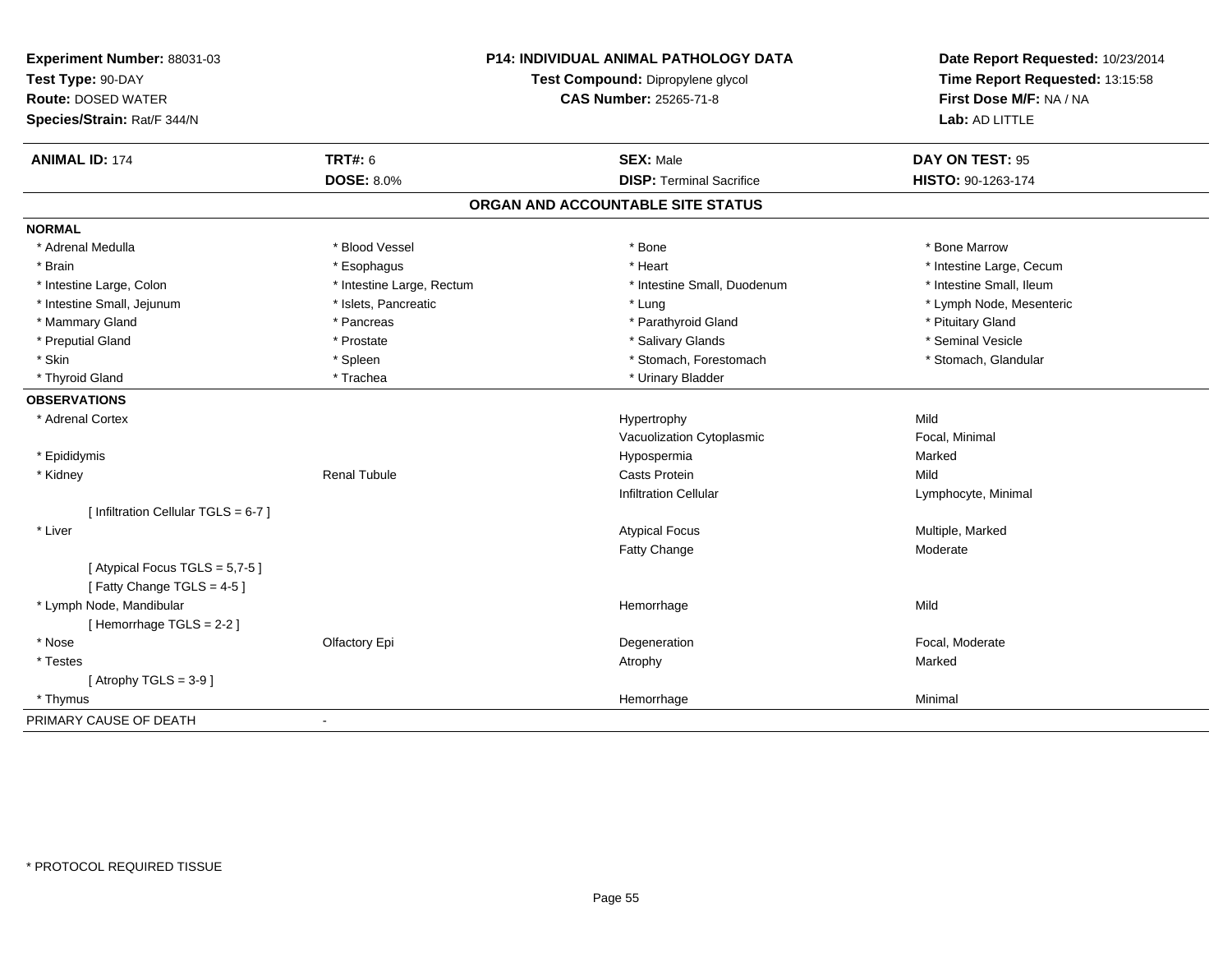| Experiment Number: 88031-03<br>Test Type: 90-DAY<br><b>Route: DOSED WATER</b><br>Species/Strain: Rat/F 344/N | P14: INDIVIDUAL ANIMAL PATHOLOGY DATA<br>Test Compound: Dipropylene glycol<br><b>CAS Number: 25265-71-8</b> |                                   | Date Report Requested: 10/23/2014<br>Time Report Requested: 13:15:58<br>First Dose M/F: NA / NA<br>Lab: AD LITTLE |
|--------------------------------------------------------------------------------------------------------------|-------------------------------------------------------------------------------------------------------------|-----------------------------------|-------------------------------------------------------------------------------------------------------------------|
| <b>ANIMAL ID: 174</b>                                                                                        | <b>TRT#: 6</b>                                                                                              | <b>SEX: Male</b>                  | DAY ON TEST: 95                                                                                                   |
|                                                                                                              | <b>DOSE: 8.0%</b>                                                                                           | <b>DISP: Terminal Sacrifice</b>   | HISTO: 90-1263-174                                                                                                |
|                                                                                                              |                                                                                                             | ORGAN AND ACCOUNTABLE SITE STATUS |                                                                                                                   |
| <b>NORMAL</b>                                                                                                |                                                                                                             |                                   |                                                                                                                   |
| * Adrenal Medulla                                                                                            | * Blood Vessel                                                                                              | * Bone                            | * Bone Marrow                                                                                                     |
| * Brain                                                                                                      | * Esophagus                                                                                                 | * Heart                           | * Intestine Large, Cecum                                                                                          |
| * Intestine Large, Colon                                                                                     | * Intestine Large, Rectum                                                                                   | * Intestine Small, Duodenum       | * Intestine Small, Ileum                                                                                          |
| * Intestine Small, Jejunum                                                                                   | * Islets, Pancreatic                                                                                        | * Lung                            | * Lymph Node, Mesenteric                                                                                          |
| * Mammary Gland                                                                                              | * Pancreas                                                                                                  | * Parathyroid Gland               | * Pituitary Gland                                                                                                 |
| * Preputial Gland                                                                                            | * Prostate                                                                                                  | * Salivary Glands                 | * Seminal Vesicle                                                                                                 |
| * Skin                                                                                                       | * Spleen                                                                                                    | * Stomach, Forestomach            | * Stomach, Glandular                                                                                              |
| * Thyroid Gland                                                                                              | * Trachea                                                                                                   | * Urinary Bladder                 |                                                                                                                   |
| <b>OBSERVATIONS</b>                                                                                          |                                                                                                             |                                   |                                                                                                                   |
| * Adrenal Cortex                                                                                             |                                                                                                             | Hypertrophy                       | Mild                                                                                                              |
|                                                                                                              |                                                                                                             | Vacuolization Cytoplasmic         | Focal, Minimal                                                                                                    |
| * Epididymis                                                                                                 |                                                                                                             | Hypospermia                       | Marked                                                                                                            |
| * Kidney                                                                                                     | <b>Renal Tubule</b>                                                                                         | Casts Protein                     | Mild                                                                                                              |
|                                                                                                              |                                                                                                             | <b>Infiltration Cellular</b>      | Lymphocyte, Minimal                                                                                               |
| [ Infiltration Cellular TGLS = 6-7 ]                                                                         |                                                                                                             |                                   |                                                                                                                   |
| * Liver                                                                                                      |                                                                                                             | <b>Atypical Focus</b>             | Multiple, Marked                                                                                                  |
|                                                                                                              |                                                                                                             | <b>Fatty Change</b>               | Moderate                                                                                                          |
| [Atypical Focus TGLS = 5,7-5]                                                                                |                                                                                                             |                                   |                                                                                                                   |
| [Fatty Change TGLS = 4-5]                                                                                    |                                                                                                             |                                   |                                                                                                                   |
| * Lymph Node, Mandibular                                                                                     |                                                                                                             | Hemorrhage                        | Mild                                                                                                              |
| [Hemorrhage TGLS = 2-2]                                                                                      |                                                                                                             |                                   |                                                                                                                   |
| * Nose                                                                                                       | Olfactory Epi                                                                                               | Degeneration                      | Focal, Moderate                                                                                                   |
| * Testes                                                                                                     |                                                                                                             | Atrophy                           | Marked                                                                                                            |
| [Atrophy TGLS = $3-9$ ]                                                                                      |                                                                                                             |                                   |                                                                                                                   |
| * Thymus                                                                                                     |                                                                                                             | Hemorrhage                        | Minimal                                                                                                           |
| PRIMARY CAUSE OF DEATH                                                                                       | $\blacksquare$                                                                                              |                                   |                                                                                                                   |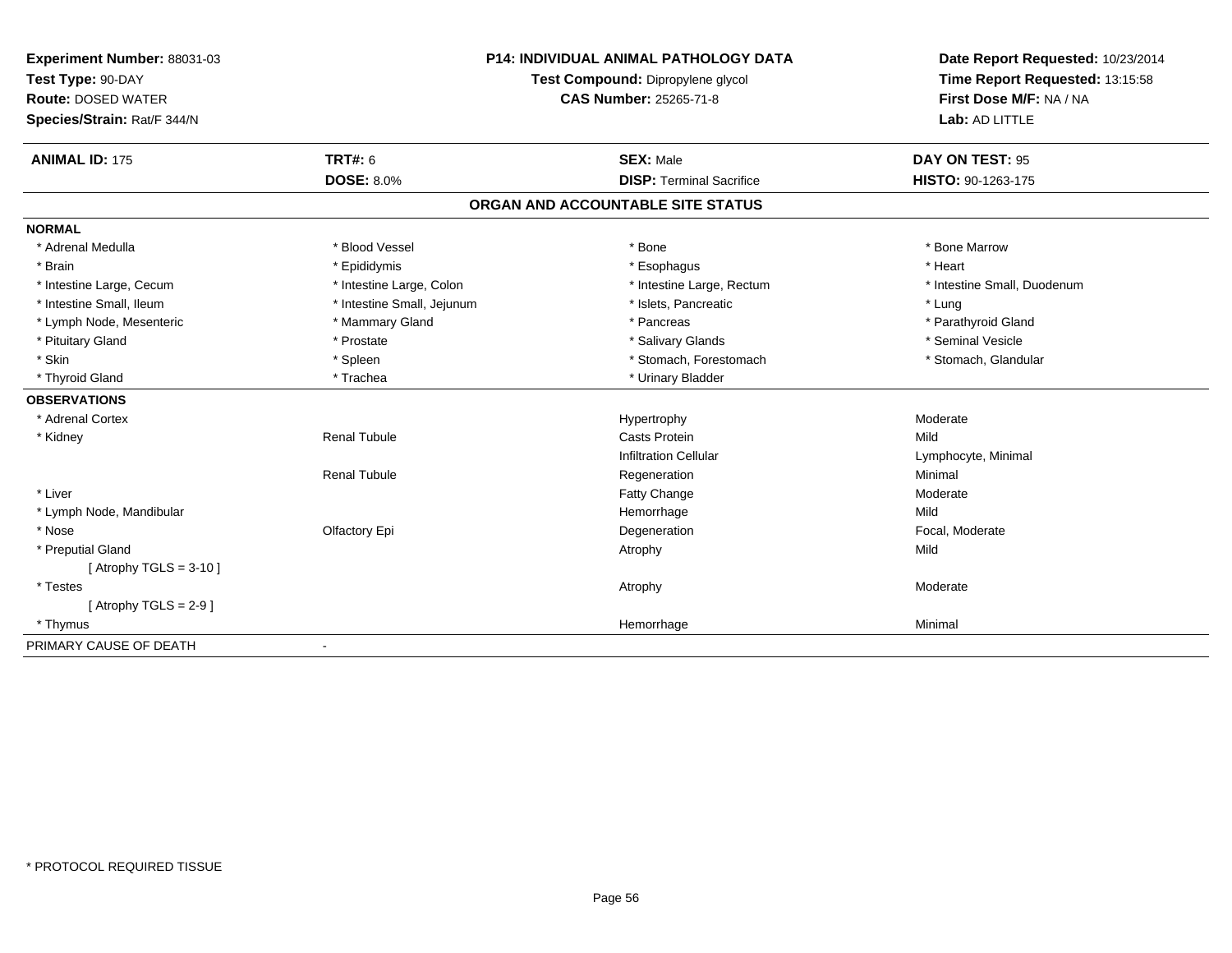| Experiment Number: 88031-03 | <b>P14: INDIVIDUAL ANIMAL PATHOLOGY DATA</b> |                                   | Date Report Requested: 10/23/2014 |
|-----------------------------|----------------------------------------------|-----------------------------------|-----------------------------------|
| Test Type: 90-DAY           |                                              | Test Compound: Dipropylene glycol | Time Report Requested: 13:15:58   |
| <b>Route: DOSED WATER</b>   | <b>CAS Number: 25265-71-8</b>                |                                   | First Dose M/F: NA / NA           |
| Species/Strain: Rat/F 344/N |                                              |                                   | Lab: AD LITTLE                    |
| <b>ANIMAL ID: 175</b>       | TRT#: 6                                      | <b>SEX: Male</b>                  | DAY ON TEST: 95                   |
|                             | <b>DOSE: 8.0%</b>                            | <b>DISP: Terminal Sacrifice</b>   | HISTO: 90-1263-175                |
|                             |                                              | ORGAN AND ACCOUNTABLE SITE STATUS |                                   |
| <b>NORMAL</b>               |                                              |                                   |                                   |
| * Adrenal Medulla           | * Blood Vessel                               | * Bone                            | * Bone Marrow                     |
| * Brain                     | * Epididymis                                 | * Esophagus                       | * Heart                           |
| * Intestine Large, Cecum    | * Intestine Large, Colon                     | * Intestine Large, Rectum         | * Intestine Small, Duodenum       |
| * Intestine Small, Ileum    | * Intestine Small, Jejunum                   | * Islets, Pancreatic              | * Lung                            |
| * Lymph Node, Mesenteric    | * Mammary Gland                              | * Pancreas                        | * Parathyroid Gland               |
| * Pituitary Gland           | * Prostate                                   | * Salivary Glands                 | * Seminal Vesicle                 |
| * Skin                      | * Spleen                                     | * Stomach, Forestomach            | * Stomach, Glandular              |
| * Thyroid Gland             | * Trachea                                    | * Urinary Bladder                 |                                   |
| <b>OBSERVATIONS</b>         |                                              |                                   |                                   |
| * Adrenal Cortex            |                                              | Hypertrophy                       | Moderate                          |
| * Kidney                    | <b>Renal Tubule</b>                          | <b>Casts Protein</b>              | Mild                              |
|                             |                                              | <b>Infiltration Cellular</b>      | Lymphocyte, Minimal               |
|                             | <b>Renal Tubule</b>                          | Regeneration                      | Minimal                           |
| * Liver                     |                                              | Fatty Change                      | Moderate                          |
| * Lymph Node, Mandibular    |                                              | Hemorrhage                        | Mild                              |
| * Nose                      | Olfactory Epi                                | Degeneration                      | Focal, Moderate                   |
| * Preputial Gland           |                                              | Atrophy                           | Mild                              |
| [Atrophy TGLS = $3-10$ ]    |                                              |                                   |                                   |
| * Testes                    |                                              | Atrophy                           | Moderate                          |
| [Atrophy TGLS = $2-9$ ]     |                                              |                                   |                                   |
| * Thymus                    |                                              | Hemorrhage                        | Minimal                           |
| PRIMARY CAUSE OF DEATH      |                                              |                                   |                                   |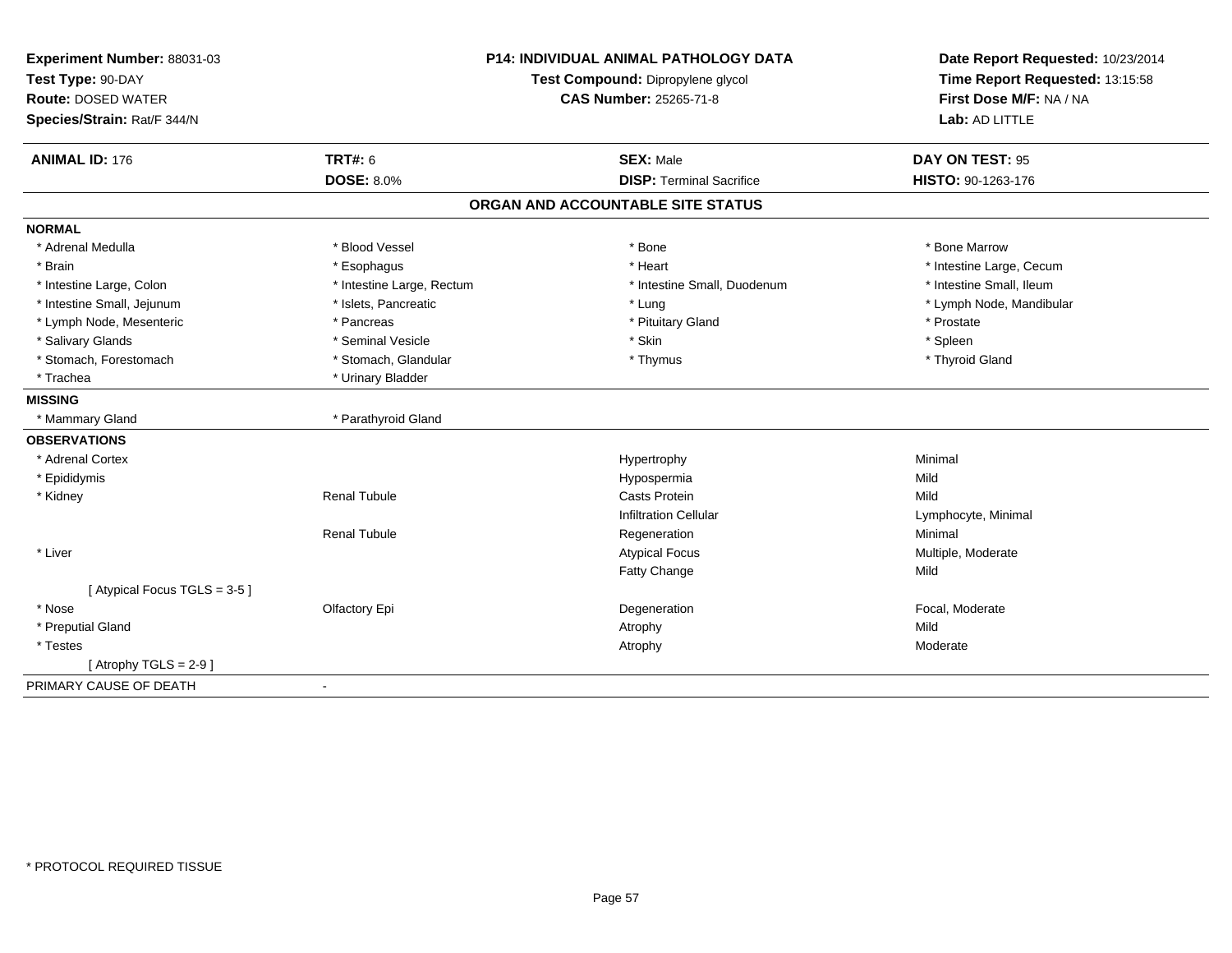| Experiment Number: 88031-03 | <b>P14: INDIVIDUAL ANIMAL PATHOLOGY DATA</b> |                                   | Date Report Requested: 10/23/2014 |
|-----------------------------|----------------------------------------------|-----------------------------------|-----------------------------------|
| Test Type: 90-DAY           |                                              | Test Compound: Dipropylene glycol | Time Report Requested: 13:15:58   |
| <b>Route: DOSED WATER</b>   | <b>CAS Number: 25265-71-8</b>                |                                   | First Dose M/F: NA / NA           |
| Species/Strain: Rat/F 344/N |                                              |                                   | Lab: AD LITTLE                    |
| <b>ANIMAL ID: 176</b>       | TRT#: 6                                      | <b>SEX: Male</b>                  | DAY ON TEST: 95                   |
|                             | <b>DOSE: 8.0%</b>                            | <b>DISP: Terminal Sacrifice</b>   | HISTO: 90-1263-176                |
|                             |                                              | ORGAN AND ACCOUNTABLE SITE STATUS |                                   |
| <b>NORMAL</b>               |                                              |                                   |                                   |
| * Adrenal Medulla           | * Blood Vessel                               | * Bone                            | * Bone Marrow                     |
| * Brain                     | * Esophagus                                  | * Heart                           | * Intestine Large, Cecum          |
| * Intestine Large, Colon    | * Intestine Large, Rectum                    | * Intestine Small, Duodenum       | * Intestine Small, Ileum          |
| * Intestine Small, Jejunum  | * Islets, Pancreatic                         | * Lung                            | * Lymph Node, Mandibular          |
| * Lymph Node, Mesenteric    | * Pancreas                                   | * Pituitary Gland                 | * Prostate                        |
| * Salivary Glands           | * Seminal Vesicle                            | * Skin                            | * Spleen                          |
| * Stomach, Forestomach      | * Stomach, Glandular                         | * Thymus                          | * Thyroid Gland                   |
| * Trachea                   | * Urinary Bladder                            |                                   |                                   |
| <b>MISSING</b>              |                                              |                                   |                                   |
| * Mammary Gland             | * Parathyroid Gland                          |                                   |                                   |
| <b>OBSERVATIONS</b>         |                                              |                                   |                                   |
| * Adrenal Cortex            |                                              | Hypertrophy                       | Minimal                           |
| * Epididymis                |                                              | Hypospermia                       | Mild                              |
| * Kidney                    | <b>Renal Tubule</b>                          | <b>Casts Protein</b>              | Mild                              |
|                             |                                              | <b>Infiltration Cellular</b>      | Lymphocyte, Minimal               |
|                             | Renal Tubule                                 | Regeneration                      | Minimal                           |
| * Liver                     |                                              | <b>Atypical Focus</b>             | Multiple, Moderate                |
|                             |                                              | <b>Fatty Change</b>               | Mild                              |
| [Atypical Focus TGLS = 3-5] |                                              |                                   |                                   |
| * Nose                      | Olfactory Epi                                | Degeneration                      | Focal, Moderate                   |
| * Preputial Gland           |                                              | Atrophy                           | Mild                              |
| * Testes                    |                                              | Atrophy                           | Moderate                          |
| [Atrophy TGLS = $2-9$ ]     |                                              |                                   |                                   |
| PRIMARY CAUSE OF DEATH      | $\overline{a}$                               |                                   |                                   |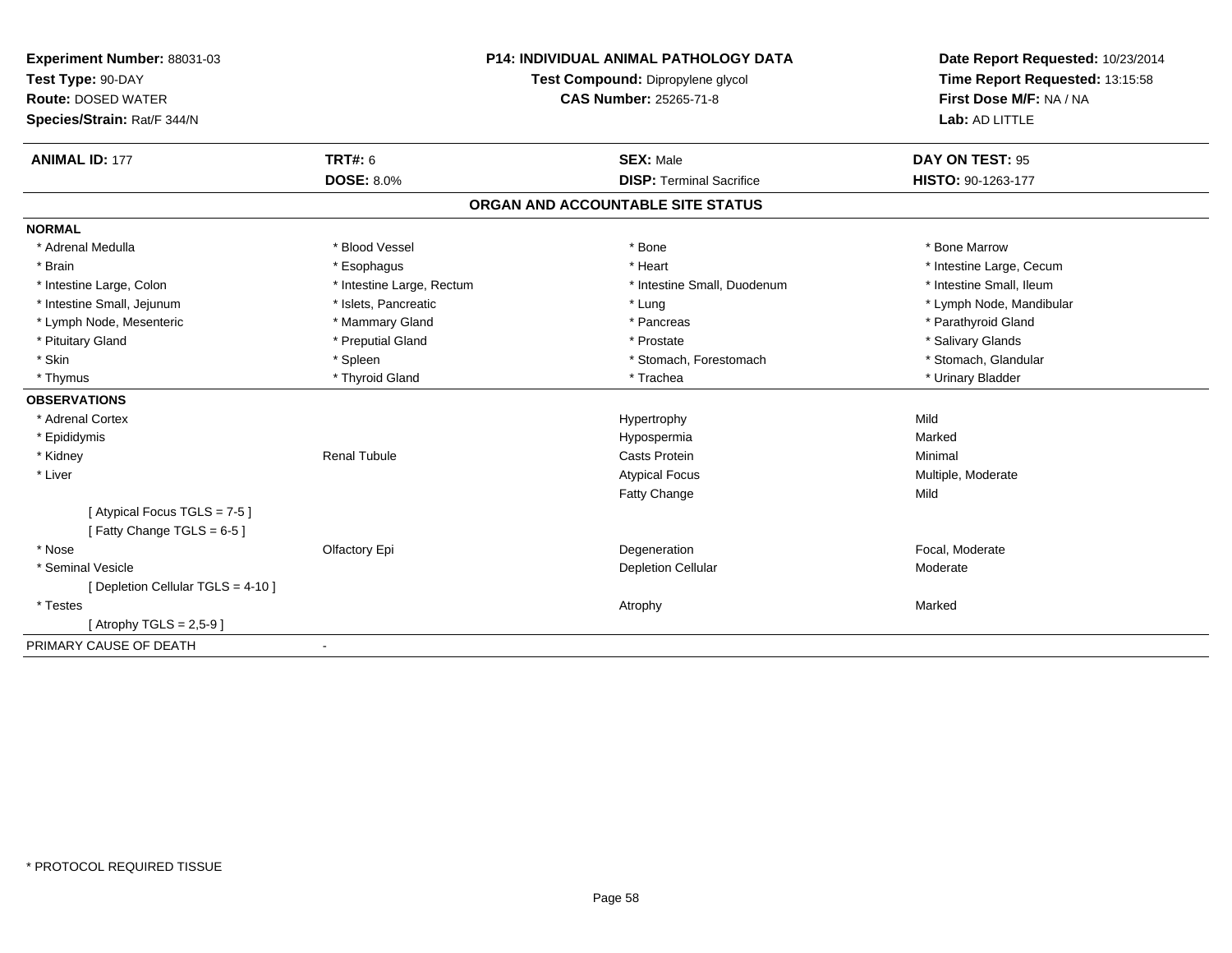| Experiment Number: 88031-03                              | <b>P14: INDIVIDUAL ANIMAL PATHOLOGY DATA</b> |                                   | Date Report Requested: 10/23/2014 |  |
|----------------------------------------------------------|----------------------------------------------|-----------------------------------|-----------------------------------|--|
| Test Type: 90-DAY                                        |                                              | Test Compound: Dipropylene glycol | Time Report Requested: 13:15:58   |  |
| <b>Route: DOSED WATER</b>                                | <b>CAS Number: 25265-71-8</b>                |                                   | First Dose M/F: NA / NA           |  |
| Species/Strain: Rat/F 344/N                              |                                              |                                   | Lab: AD LITTLE                    |  |
| <b>ANIMAL ID: 177</b>                                    | <b>TRT#: 6</b>                               | <b>SEX: Male</b>                  | DAY ON TEST: 95                   |  |
|                                                          | <b>DOSE: 8.0%</b>                            | <b>DISP: Terminal Sacrifice</b>   | HISTO: 90-1263-177                |  |
|                                                          |                                              | ORGAN AND ACCOUNTABLE SITE STATUS |                                   |  |
| <b>NORMAL</b>                                            |                                              |                                   |                                   |  |
| * Adrenal Medulla                                        | * Blood Vessel                               | * Bone                            | * Bone Marrow                     |  |
| * Brain                                                  | * Esophagus                                  | * Heart                           | * Intestine Large, Cecum          |  |
| * Intestine Large, Colon                                 | * Intestine Large, Rectum                    | * Intestine Small, Duodenum       | * Intestine Small, Ileum          |  |
| * Intestine Small, Jejunum                               | * Islets, Pancreatic                         | * Lung                            | * Lymph Node, Mandibular          |  |
| * Lymph Node, Mesenteric                                 | * Mammary Gland                              | * Pancreas                        | * Parathyroid Gland               |  |
| * Pituitary Gland                                        | * Preputial Gland                            | * Prostate                        | * Salivary Glands                 |  |
| * Skin                                                   | * Spleen                                     | * Stomach, Forestomach            | * Stomach, Glandular              |  |
| * Thymus                                                 | * Thyroid Gland                              | * Trachea                         | * Urinary Bladder                 |  |
| <b>OBSERVATIONS</b>                                      |                                              |                                   |                                   |  |
| * Adrenal Cortex                                         |                                              | Hypertrophy                       | Mild                              |  |
| * Epididymis                                             |                                              | Hypospermia                       | Marked                            |  |
| * Kidney                                                 | <b>Renal Tubule</b>                          | <b>Casts Protein</b>              | Minimal                           |  |
| * Liver                                                  |                                              | <b>Atypical Focus</b>             | Multiple, Moderate                |  |
|                                                          |                                              | Fatty Change                      | Mild                              |  |
| [Atypical Focus TGLS = 7-5]<br>[Fatty Change TGLS = 6-5] |                                              |                                   |                                   |  |
| * Nose                                                   | Olfactory Epi                                | Degeneration                      | Focal, Moderate                   |  |
| * Seminal Vesicle                                        |                                              | Depletion Cellular                | Moderate                          |  |
| [Depletion Cellular TGLS = 4-10]                         |                                              |                                   |                                   |  |
| * Testes                                                 |                                              | Atrophy                           | Marked                            |  |
| [Atrophy TGLS = $2.5 - 9$ ]                              |                                              |                                   |                                   |  |
| PRIMARY CAUSE OF DEATH                                   | $\blacksquare$                               |                                   |                                   |  |
|                                                          |                                              |                                   |                                   |  |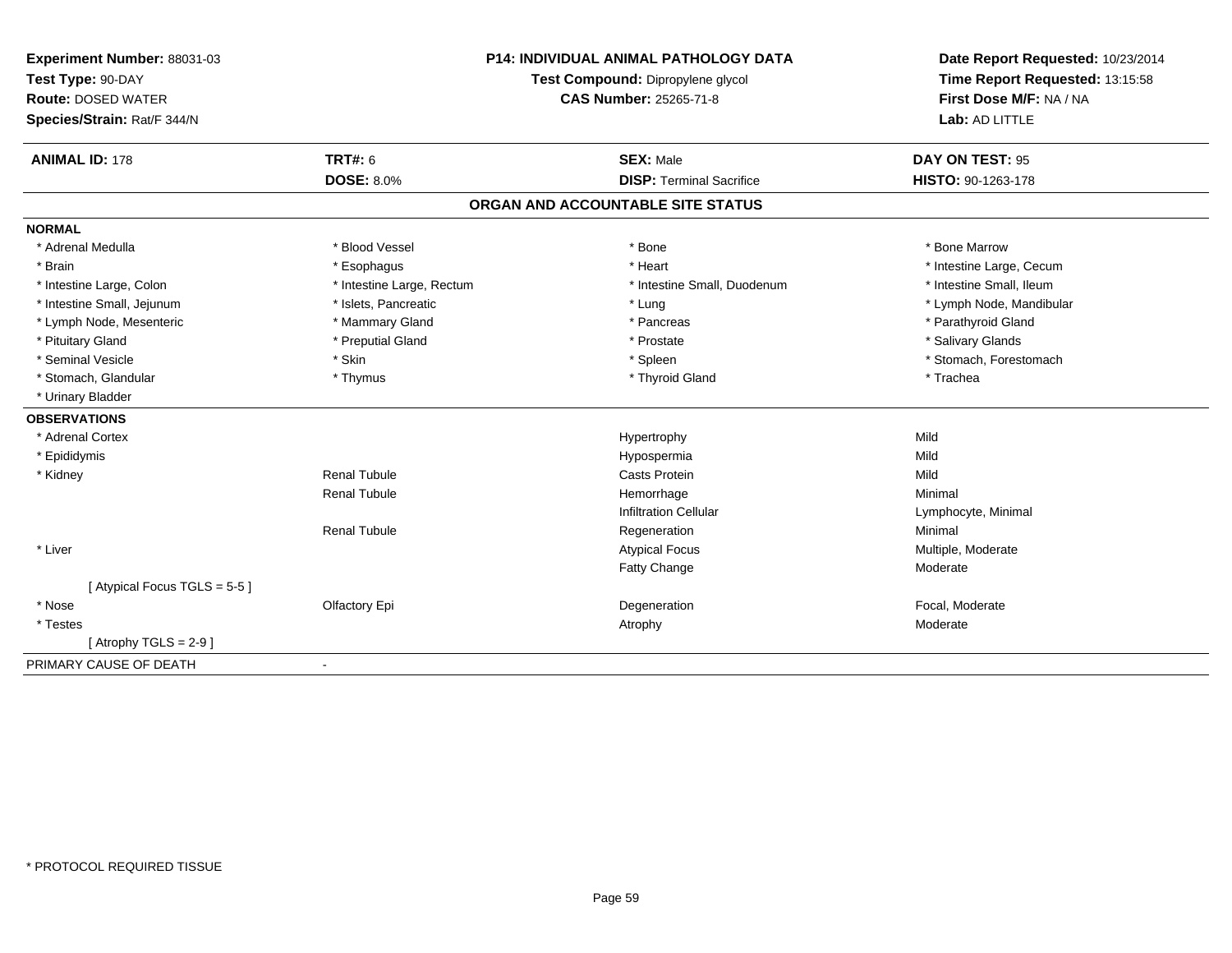| Experiment Number: 88031-03 |                               | <b>P14: INDIVIDUAL ANIMAL PATHOLOGY DATA</b> | Date Report Requested: 10/23/2014 |
|-----------------------------|-------------------------------|----------------------------------------------|-----------------------------------|
| Test Type: 90-DAY           |                               | Test Compound: Dipropylene glycol            | Time Report Requested: 13:15:58   |
| <b>Route: DOSED WATER</b>   | <b>CAS Number: 25265-71-8</b> |                                              | First Dose M/F: NA / NA           |
| Species/Strain: Rat/F 344/N |                               |                                              | Lab: AD LITTLE                    |
| <b>ANIMAL ID: 178</b>       | <b>TRT#: 6</b>                | <b>SEX: Male</b>                             | DAY ON TEST: 95                   |
|                             | <b>DOSE: 8.0%</b>             | <b>DISP: Terminal Sacrifice</b>              | HISTO: 90-1263-178                |
|                             |                               | ORGAN AND ACCOUNTABLE SITE STATUS            |                                   |
| <b>NORMAL</b>               |                               |                                              |                                   |
| * Adrenal Medulla           | * Blood Vessel                | * Bone                                       | * Bone Marrow                     |
| * Brain                     | * Esophagus                   | * Heart                                      | * Intestine Large, Cecum          |
| * Intestine Large, Colon    | * Intestine Large, Rectum     | * Intestine Small. Duodenum                  | * Intestine Small, Ileum          |
| * Intestine Small, Jejunum  | * Islets, Pancreatic          | * Lung                                       | * Lymph Node, Mandibular          |
| * Lymph Node, Mesenteric    | * Mammary Gland               | * Pancreas                                   | * Parathyroid Gland               |
| * Pituitary Gland           | * Preputial Gland             | * Prostate                                   | * Salivary Glands                 |
| * Seminal Vesicle           | * Skin                        | * Spleen                                     | * Stomach, Forestomach            |
| * Stomach, Glandular        | * Thymus                      | * Thyroid Gland                              | * Trachea                         |
| * Urinary Bladder           |                               |                                              |                                   |
| <b>OBSERVATIONS</b>         |                               |                                              |                                   |
| * Adrenal Cortex            |                               | Hypertrophy                                  | Mild                              |
| * Epididymis                |                               | Hypospermia                                  | Mild                              |
| * Kidney                    | <b>Renal Tubule</b>           | <b>Casts Protein</b>                         | Mild                              |
|                             | <b>Renal Tubule</b>           | Hemorrhage                                   | Minimal                           |
|                             |                               | <b>Infiltration Cellular</b>                 | Lymphocyte, Minimal               |
|                             | <b>Renal Tubule</b>           | Regeneration                                 | Minimal                           |
| * Liver                     |                               | <b>Atypical Focus</b>                        | Multiple, Moderate                |
|                             |                               | Fatty Change                                 | Moderate                          |
| [Atypical Focus TGLS = 5-5] |                               |                                              |                                   |
| * Nose                      | Olfactory Epi                 | Degeneration                                 | Focal, Moderate                   |
| * Testes                    |                               | Atrophy                                      | Moderate                          |
| [Atrophy TGLS = $2-9$ ]     |                               |                                              |                                   |
| PRIMARY CAUSE OF DEATH      |                               |                                              |                                   |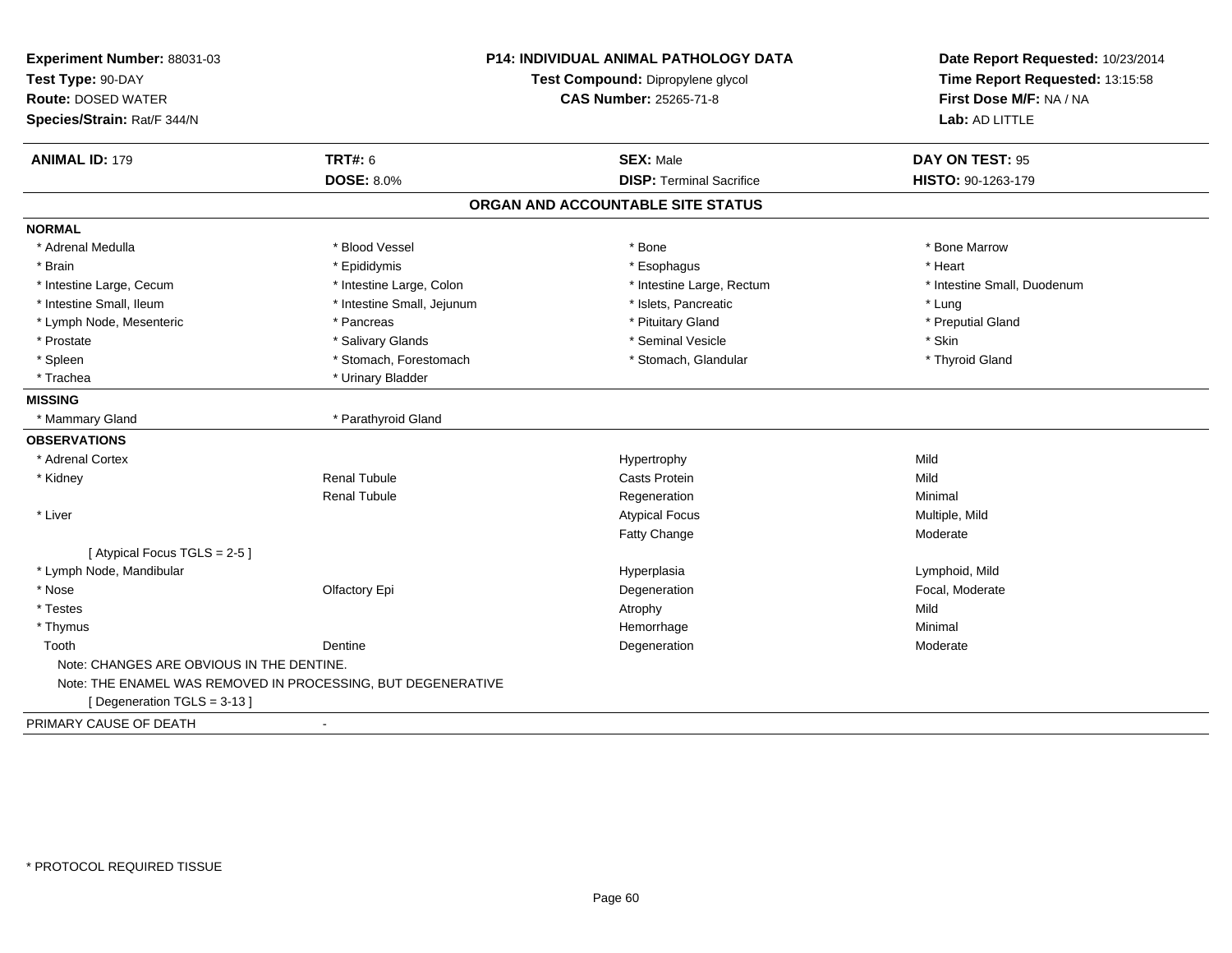| Experiment Number: 88031-03<br>Test Type: 90-DAY<br><b>Route: DOSED WATER</b><br>Species/Strain: Rat/F 344/N | P14: INDIVIDUAL ANIMAL PATHOLOGY DATA<br>Test Compound: Dipropylene glycol<br><b>CAS Number: 25265-71-8</b> |                                   | Date Report Requested: 10/23/2014<br>Time Report Requested: 13:15:58<br>First Dose M/F: NA / NA<br>Lab: AD LITTLE |
|--------------------------------------------------------------------------------------------------------------|-------------------------------------------------------------------------------------------------------------|-----------------------------------|-------------------------------------------------------------------------------------------------------------------|
| <b>ANIMAL ID: 179</b>                                                                                        | <b>TRT#: 6</b>                                                                                              | <b>SEX: Male</b>                  | DAY ON TEST: 95                                                                                                   |
|                                                                                                              | <b>DOSE: 8.0%</b>                                                                                           | <b>DISP: Terminal Sacrifice</b>   | HISTO: 90-1263-179                                                                                                |
|                                                                                                              |                                                                                                             | ORGAN AND ACCOUNTABLE SITE STATUS |                                                                                                                   |
| <b>NORMAL</b>                                                                                                |                                                                                                             |                                   |                                                                                                                   |
| * Adrenal Medulla                                                                                            | * Blood Vessel                                                                                              | * Bone                            | * Bone Marrow                                                                                                     |
| * Brain                                                                                                      | * Epididymis                                                                                                | * Esophagus                       | * Heart                                                                                                           |
| * Intestine Large, Cecum                                                                                     | * Intestine Large, Colon                                                                                    | * Intestine Large, Rectum         | * Intestine Small, Duodenum                                                                                       |
| * Intestine Small, Ileum                                                                                     | * Intestine Small, Jejunum                                                                                  | * Islets, Pancreatic              | * Lung                                                                                                            |
| * Lymph Node, Mesenteric                                                                                     | * Pancreas                                                                                                  | * Pituitary Gland                 | * Preputial Gland                                                                                                 |
| * Prostate                                                                                                   | * Salivary Glands                                                                                           | * Seminal Vesicle                 | * Skin                                                                                                            |
| * Spleen                                                                                                     | * Stomach, Forestomach                                                                                      | * Stomach, Glandular              | * Thyroid Gland                                                                                                   |
| * Trachea                                                                                                    | * Urinary Bladder                                                                                           |                                   |                                                                                                                   |
| <b>MISSING</b>                                                                                               |                                                                                                             |                                   |                                                                                                                   |
| * Mammary Gland                                                                                              | * Parathyroid Gland                                                                                         |                                   |                                                                                                                   |
| <b>OBSERVATIONS</b>                                                                                          |                                                                                                             |                                   |                                                                                                                   |
| * Adrenal Cortex                                                                                             |                                                                                                             | Hypertrophy                       | Mild                                                                                                              |
| * Kidney                                                                                                     | Renal Tubule                                                                                                | <b>Casts Protein</b>              | Mild                                                                                                              |
|                                                                                                              | <b>Renal Tubule</b>                                                                                         | Regeneration                      | Minimal                                                                                                           |
| * Liver                                                                                                      |                                                                                                             | <b>Atypical Focus</b>             | Multiple, Mild                                                                                                    |
|                                                                                                              |                                                                                                             | <b>Fatty Change</b>               | Moderate                                                                                                          |
| [Atypical Focus TGLS = 2-5]                                                                                  |                                                                                                             |                                   |                                                                                                                   |
| * Lymph Node, Mandibular                                                                                     |                                                                                                             | Hyperplasia                       | Lymphoid, Mild                                                                                                    |
| * Nose                                                                                                       | Olfactory Epi                                                                                               | Degeneration                      | Focal, Moderate                                                                                                   |
| * Testes                                                                                                     |                                                                                                             | Atrophy                           | Mild                                                                                                              |
| * Thymus                                                                                                     |                                                                                                             | Hemorrhage                        | Minimal                                                                                                           |
| Tooth                                                                                                        | Dentine                                                                                                     | Degeneration                      | Moderate                                                                                                          |
| Note: CHANGES ARE OBVIOUS IN THE DENTINE.                                                                    |                                                                                                             |                                   |                                                                                                                   |
|                                                                                                              | Note: THE ENAMEL WAS REMOVED IN PROCESSING, BUT DEGENERATIVE                                                |                                   |                                                                                                                   |
| [Degeneration TGLS = 3-13]                                                                                   |                                                                                                             |                                   |                                                                                                                   |
| PRIMARY CAUSE OF DEATH                                                                                       | $\blacksquare$                                                                                              |                                   |                                                                                                                   |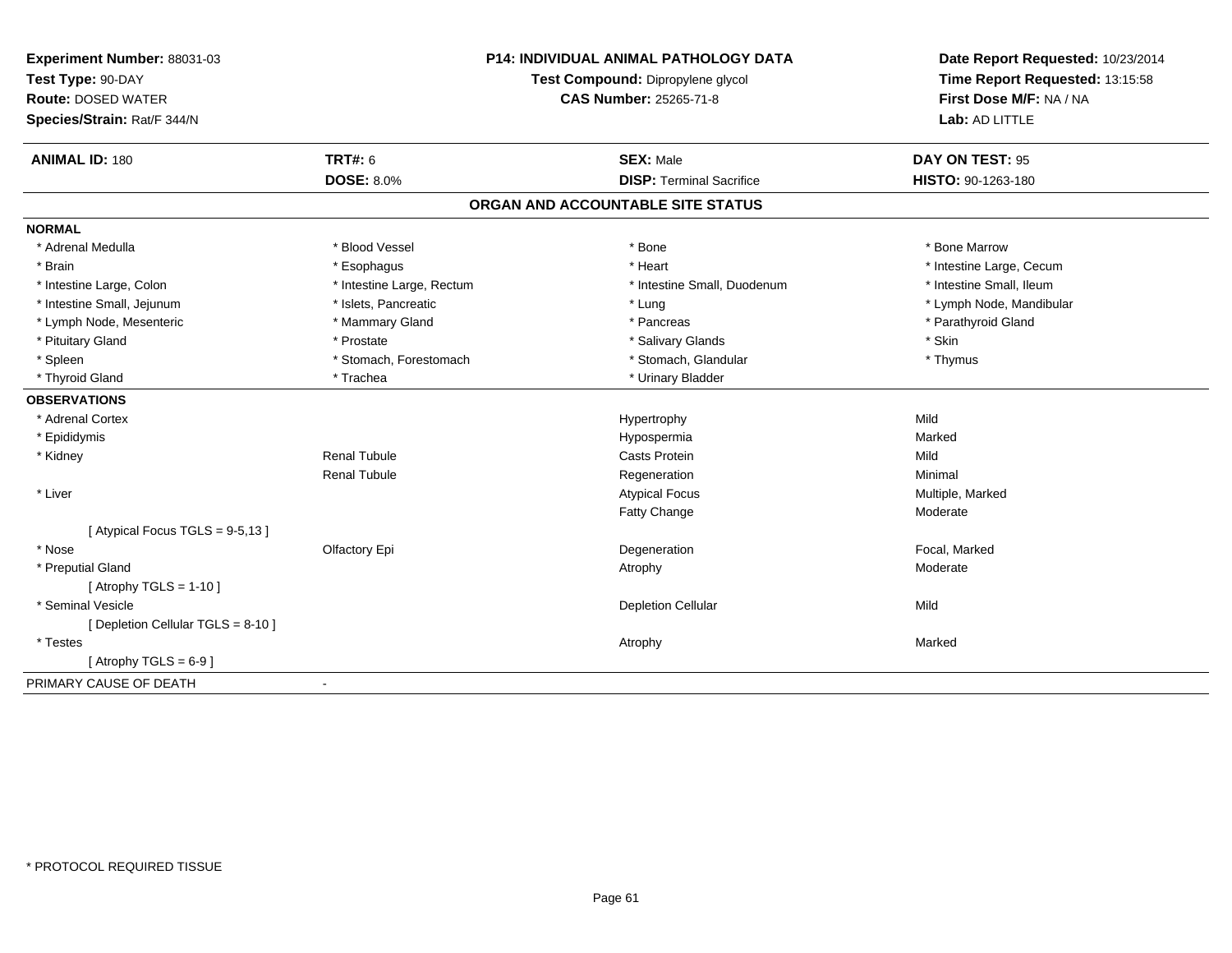| Experiment Number: 88031-03        |                                   | <b>P14: INDIVIDUAL ANIMAL PATHOLOGY DATA</b> | Date Report Requested: 10/23/2014 |
|------------------------------------|-----------------------------------|----------------------------------------------|-----------------------------------|
| Test Type: 90-DAY                  | Test Compound: Dipropylene glycol |                                              | Time Report Requested: 13:15:58   |
| <b>Route: DOSED WATER</b>          |                                   | <b>CAS Number: 25265-71-8</b>                | First Dose M/F: NA / NA           |
| Species/Strain: Rat/F 344/N        |                                   |                                              | Lab: AD LITTLE                    |
| <b>ANIMAL ID: 180</b>              | <b>TRT#: 6</b>                    | <b>SEX: Male</b>                             | DAY ON TEST: 95                   |
|                                    | <b>DOSE: 8.0%</b>                 | <b>DISP: Terminal Sacrifice</b>              | HISTO: 90-1263-180                |
|                                    |                                   | ORGAN AND ACCOUNTABLE SITE STATUS            |                                   |
| <b>NORMAL</b>                      |                                   |                                              |                                   |
| * Adrenal Medulla                  | * Blood Vessel                    | * Bone                                       | * Bone Marrow                     |
| * Brain                            | * Esophagus                       | * Heart                                      | * Intestine Large, Cecum          |
| * Intestine Large, Colon           | * Intestine Large, Rectum         | * Intestine Small, Duodenum                  | * Intestine Small, Ileum          |
| * Intestine Small, Jejunum         | * Islets, Pancreatic              | * Lung                                       | * Lymph Node, Mandibular          |
| * Lymph Node, Mesenteric           | * Mammary Gland                   | * Pancreas                                   | * Parathyroid Gland               |
| * Pituitary Gland                  | * Prostate                        | * Salivary Glands                            | * Skin                            |
| * Spleen                           | * Stomach, Forestomach            | * Stomach, Glandular                         | * Thymus                          |
| * Thyroid Gland                    | * Trachea                         | * Urinary Bladder                            |                                   |
| <b>OBSERVATIONS</b>                |                                   |                                              |                                   |
| * Adrenal Cortex                   |                                   | Hypertrophy                                  | Mild                              |
| * Epididymis                       |                                   | Hypospermia                                  | Marked                            |
| * Kidney                           | <b>Renal Tubule</b>               | <b>Casts Protein</b>                         | Mild                              |
|                                    | <b>Renal Tubule</b>               | Regeneration                                 | Minimal                           |
| * Liver                            |                                   | <b>Atypical Focus</b>                        | Multiple, Marked                  |
|                                    |                                   | Fatty Change                                 | Moderate                          |
| [Atypical Focus TGLS = 9-5,13]     |                                   |                                              |                                   |
| * Nose                             | Olfactory Epi                     | Degeneration                                 | Focal, Marked                     |
| * Preputial Gland                  |                                   | Atrophy                                      | Moderate                          |
| [Atrophy TGLS = $1-10$ ]           |                                   |                                              |                                   |
| * Seminal Vesicle                  |                                   | <b>Depletion Cellular</b>                    | Mild                              |
| [ Depletion Cellular TGLS = 8-10 ] |                                   |                                              |                                   |
| * Testes                           |                                   | Atrophy                                      | Marked                            |
| [Atrophy TGLS = $6-9$ ]            |                                   |                                              |                                   |
| PRIMARY CAUSE OF DEATH             | $\blacksquare$                    |                                              |                                   |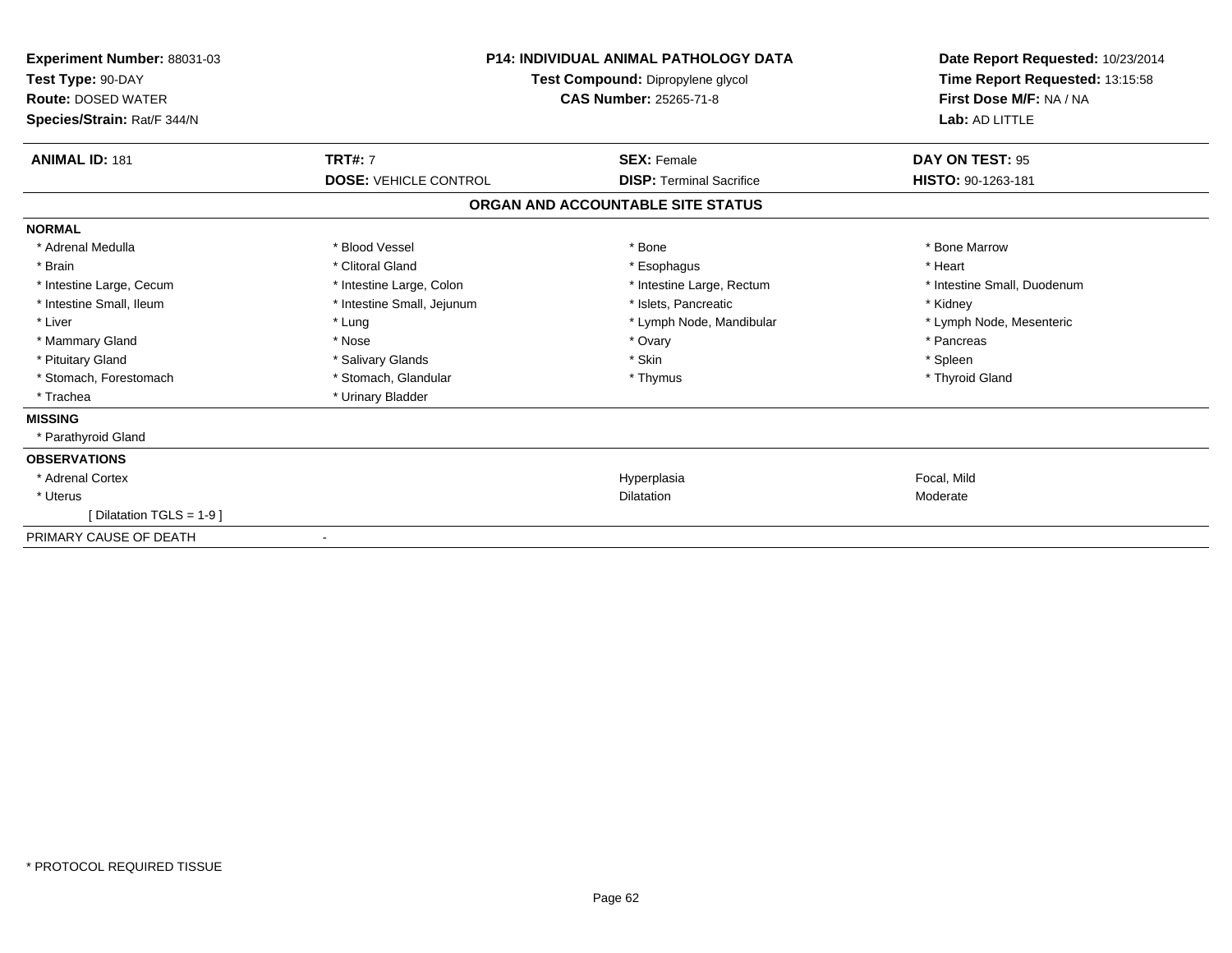| Experiment Number: 88031-03<br>Test Type: 90-DAY<br><b>Route: DOSED WATER</b><br>Species/Strain: Rat/F 344/N | <b>P14: INDIVIDUAL ANIMAL PATHOLOGY DATA</b><br>Test Compound: Dipropylene glycol<br><b>CAS Number: 25265-71-8</b> |                                   | Date Report Requested: 10/23/2014<br>Time Report Requested: 13:15:58<br>First Dose M/F: NA / NA<br>Lab: AD LITTLE |
|--------------------------------------------------------------------------------------------------------------|--------------------------------------------------------------------------------------------------------------------|-----------------------------------|-------------------------------------------------------------------------------------------------------------------|
| <b>ANIMAL ID: 181</b>                                                                                        | <b>TRT#: 7</b>                                                                                                     | <b>SEX: Female</b>                | DAY ON TEST: 95                                                                                                   |
|                                                                                                              | <b>DOSE: VEHICLE CONTROL</b>                                                                                       | <b>DISP: Terminal Sacrifice</b>   | HISTO: 90-1263-181                                                                                                |
|                                                                                                              |                                                                                                                    | ORGAN AND ACCOUNTABLE SITE STATUS |                                                                                                                   |
| <b>NORMAL</b>                                                                                                |                                                                                                                    |                                   |                                                                                                                   |
| * Adrenal Medulla                                                                                            | * Blood Vessel                                                                                                     | * Bone                            | * Bone Marrow                                                                                                     |
| * Brain                                                                                                      | * Clitoral Gland                                                                                                   | * Esophagus                       | * Heart                                                                                                           |
| * Intestine Large, Cecum                                                                                     | * Intestine Large, Colon                                                                                           | * Intestine Large, Rectum         | * Intestine Small, Duodenum                                                                                       |
| * Intestine Small, Ileum                                                                                     | * Intestine Small, Jejunum                                                                                         | * Islets, Pancreatic              | * Kidney                                                                                                          |
| * Liver                                                                                                      | * Lung                                                                                                             | * Lymph Node, Mandibular          | * Lymph Node, Mesenteric                                                                                          |
| * Mammary Gland                                                                                              | * Nose                                                                                                             | * Ovary                           | * Pancreas                                                                                                        |
| * Pituitary Gland                                                                                            | * Salivary Glands                                                                                                  | * Skin                            | * Spleen                                                                                                          |
| * Stomach, Forestomach                                                                                       | * Stomach, Glandular                                                                                               | * Thymus                          | * Thyroid Gland                                                                                                   |
| * Trachea                                                                                                    | * Urinary Bladder                                                                                                  |                                   |                                                                                                                   |
| <b>MISSING</b>                                                                                               |                                                                                                                    |                                   |                                                                                                                   |
| * Parathyroid Gland                                                                                          |                                                                                                                    |                                   |                                                                                                                   |
| <b>OBSERVATIONS</b>                                                                                          |                                                                                                                    |                                   |                                                                                                                   |
| * Adrenal Cortex                                                                                             |                                                                                                                    | Hyperplasia                       | Focal, Mild                                                                                                       |
| * Uterus                                                                                                     |                                                                                                                    | Dilatation                        | Moderate                                                                                                          |
| Dilatation TGLS = 1-9 1                                                                                      |                                                                                                                    |                                   |                                                                                                                   |
| PRIMARY CAUSE OF DEATH                                                                                       |                                                                                                                    |                                   |                                                                                                                   |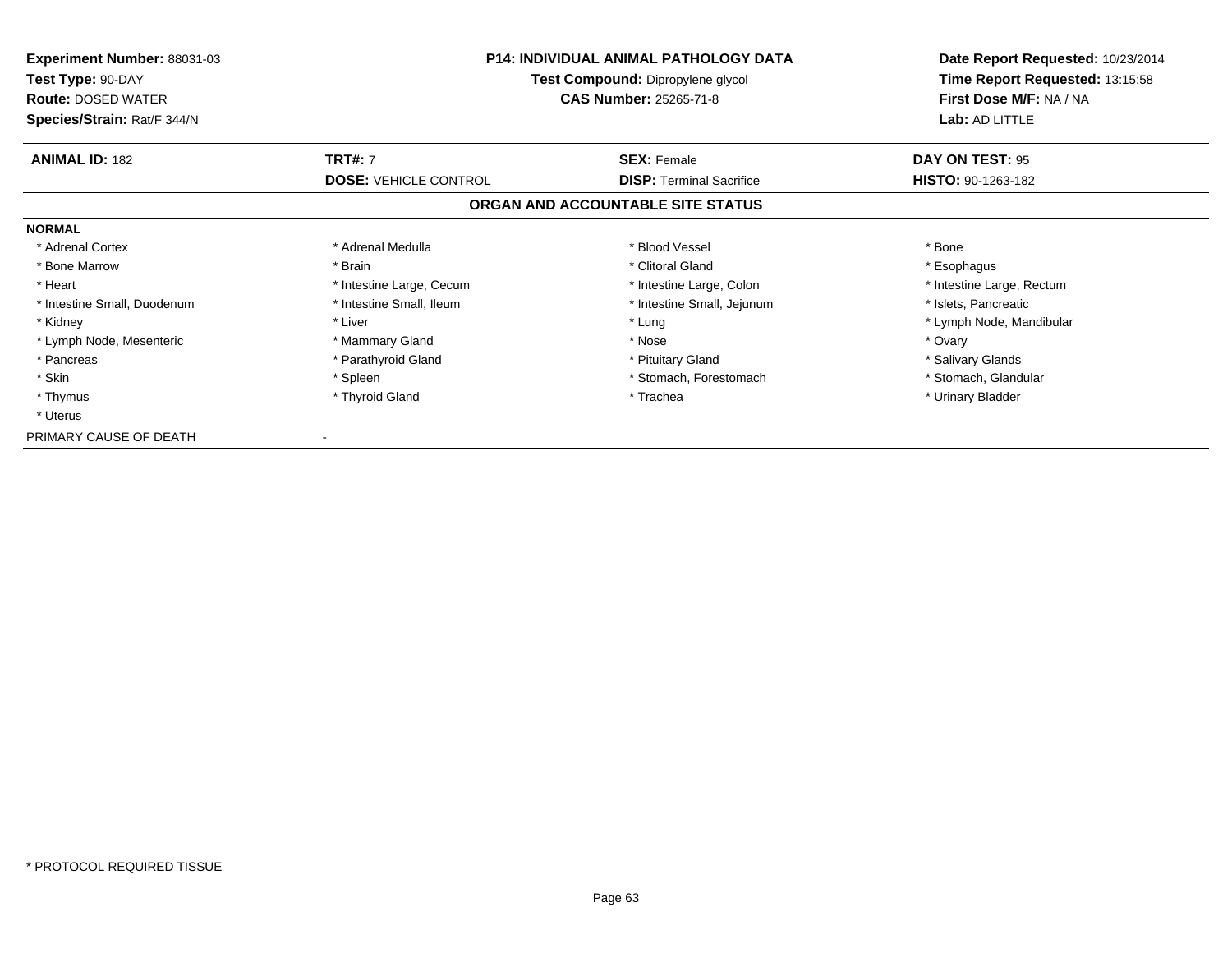| <b>Experiment Number: 88031-03</b><br>Test Type: 90-DAY<br><b>Route: DOSED WATER</b><br>Species/Strain: Rat/F 344/N | <b>P14: INDIVIDUAL ANIMAL PATHOLOGY DATA</b><br>Test Compound: Dipropylene glycol<br><b>CAS Number: 25265-71-8</b> |                                   | Date Report Requested: 10/23/2014<br>Time Report Requested: 13:15:58<br>First Dose M/F: NA / NA<br>Lab: AD LITTLE |
|---------------------------------------------------------------------------------------------------------------------|--------------------------------------------------------------------------------------------------------------------|-----------------------------------|-------------------------------------------------------------------------------------------------------------------|
| <b>ANIMAL ID: 182</b>                                                                                               | <b>TRT#: 7</b>                                                                                                     | <b>SEX: Female</b>                | DAY ON TEST: 95                                                                                                   |
|                                                                                                                     | <b>DOSE: VEHICLE CONTROL</b>                                                                                       | <b>DISP:</b> Terminal Sacrifice   | HISTO: 90-1263-182                                                                                                |
|                                                                                                                     |                                                                                                                    | ORGAN AND ACCOUNTABLE SITE STATUS |                                                                                                                   |
| <b>NORMAL</b>                                                                                                       |                                                                                                                    |                                   |                                                                                                                   |
| * Adrenal Cortex                                                                                                    | * Adrenal Medulla                                                                                                  | * Blood Vessel                    | * Bone                                                                                                            |
| * Bone Marrow                                                                                                       | * Brain                                                                                                            | * Clitoral Gland                  | * Esophagus                                                                                                       |
| * Heart                                                                                                             | * Intestine Large, Cecum                                                                                           | * Intestine Large, Colon          | * Intestine Large, Rectum                                                                                         |
| * Intestine Small, Duodenum                                                                                         | * Intestine Small, Ileum                                                                                           | * Intestine Small, Jejunum        | * Islets, Pancreatic                                                                                              |
| * Kidney                                                                                                            | * Liver                                                                                                            | * Lung                            | * Lymph Node, Mandibular                                                                                          |
| * Lymph Node, Mesenteric                                                                                            | * Mammary Gland                                                                                                    | * Nose                            | * Ovary                                                                                                           |
| * Pancreas                                                                                                          | * Parathyroid Gland                                                                                                | * Pituitary Gland                 | * Salivary Glands                                                                                                 |
| * Skin                                                                                                              | * Spleen                                                                                                           | * Stomach, Forestomach            | * Stomach, Glandular                                                                                              |
| * Thymus                                                                                                            | * Thyroid Gland                                                                                                    | * Trachea                         | * Urinary Bladder                                                                                                 |
| * Uterus                                                                                                            |                                                                                                                    |                                   |                                                                                                                   |
| PRIMARY CAUSE OF DEATH                                                                                              |                                                                                                                    |                                   |                                                                                                                   |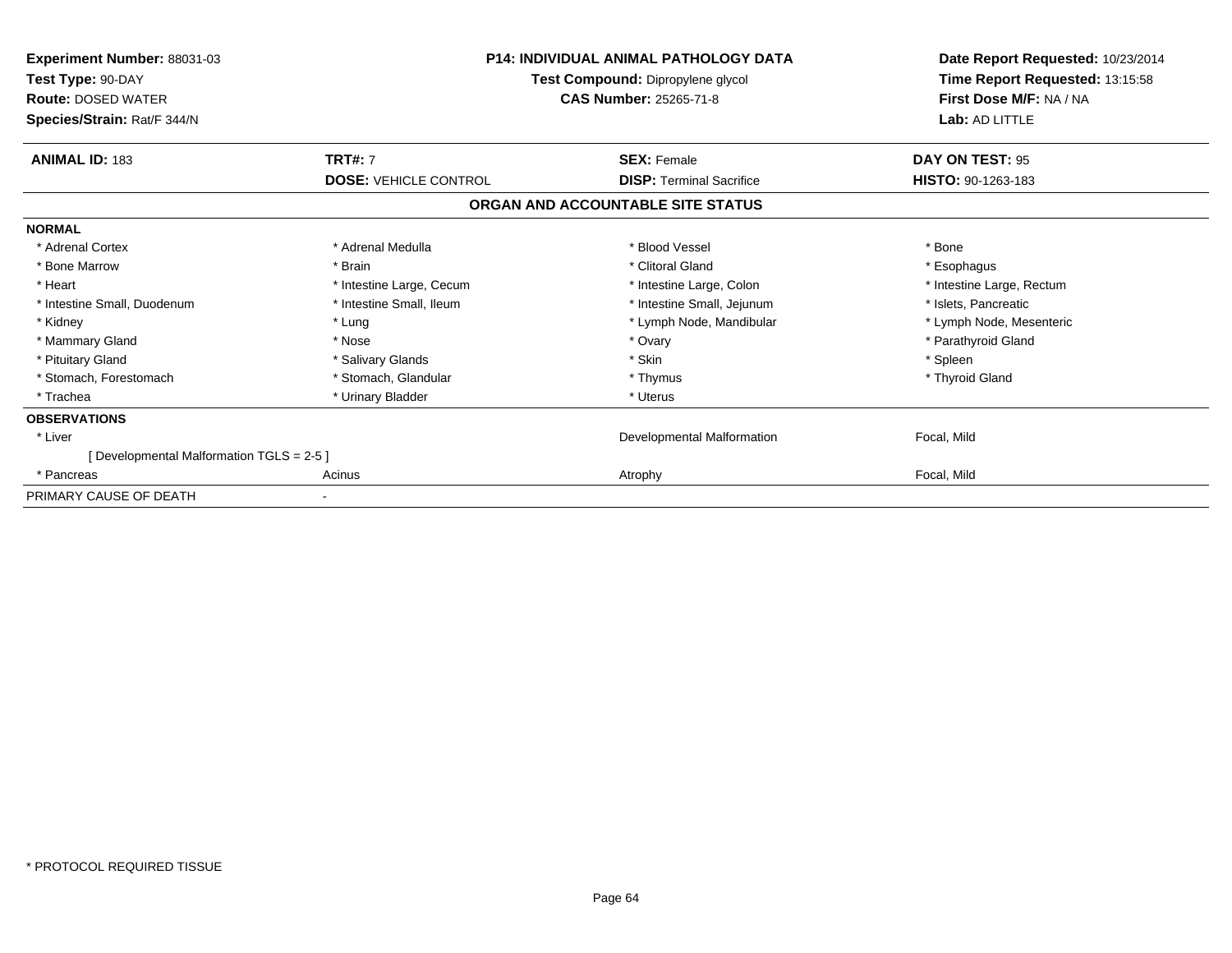| Experiment Number: 88031-03<br>Test Type: 90-DAY<br><b>Route: DOSED WATER</b> |                              | <b>P14: INDIVIDUAL ANIMAL PATHOLOGY DATA</b><br>Test Compound: Dipropylene glycol<br><b>CAS Number: 25265-71-8</b> | Date Report Requested: 10/23/2014<br>Time Report Requested: 13:15:58<br>First Dose M/F: NA / NA |  |
|-------------------------------------------------------------------------------|------------------------------|--------------------------------------------------------------------------------------------------------------------|-------------------------------------------------------------------------------------------------|--|
| Species/Strain: Rat/F 344/N                                                   |                              |                                                                                                                    | Lab: AD LITTLE                                                                                  |  |
| <b>ANIMAL ID: 183</b>                                                         | <b>TRT#: 7</b>               | <b>SEX: Female</b>                                                                                                 | DAY ON TEST: 95                                                                                 |  |
|                                                                               | <b>DOSE: VEHICLE CONTROL</b> | <b>DISP:</b> Terminal Sacrifice                                                                                    | HISTO: 90-1263-183                                                                              |  |
|                                                                               |                              | ORGAN AND ACCOUNTABLE SITE STATUS                                                                                  |                                                                                                 |  |
| <b>NORMAL</b>                                                                 |                              |                                                                                                                    |                                                                                                 |  |
| * Adrenal Cortex                                                              | * Adrenal Medulla            | * Blood Vessel                                                                                                     | * Bone                                                                                          |  |
| * Bone Marrow                                                                 | * Brain                      | * Clitoral Gland                                                                                                   | * Esophagus                                                                                     |  |
| * Heart                                                                       | * Intestine Large, Cecum     | * Intestine Large, Colon                                                                                           | * Intestine Large, Rectum                                                                       |  |
| * Intestine Small, Duodenum                                                   | * Intestine Small, Ileum     | * Intestine Small, Jejunum                                                                                         | * Islets, Pancreatic                                                                            |  |
| * Kidney                                                                      | * Lung                       | * Lymph Node, Mandibular                                                                                           | * Lymph Node, Mesenteric                                                                        |  |
| * Mammary Gland                                                               | * Nose                       | * Ovary                                                                                                            | * Parathyroid Gland                                                                             |  |
| * Pituitary Gland                                                             | * Salivary Glands            | * Skin                                                                                                             | * Spleen                                                                                        |  |
| * Stomach, Forestomach                                                        | * Stomach, Glandular         | * Thymus                                                                                                           | * Thyroid Gland                                                                                 |  |
| * Trachea                                                                     | * Urinary Bladder            | * Uterus                                                                                                           |                                                                                                 |  |
| <b>OBSERVATIONS</b>                                                           |                              |                                                                                                                    |                                                                                                 |  |
| * Liver                                                                       |                              | Developmental Malformation                                                                                         | Focal, Mild                                                                                     |  |
| [Developmental Malformation TGLS = 2-5]                                       |                              |                                                                                                                    |                                                                                                 |  |
| * Pancreas                                                                    | Acinus                       | Atrophy                                                                                                            | Focal, Mild                                                                                     |  |
| PRIMARY CAUSE OF DEATH                                                        |                              |                                                                                                                    |                                                                                                 |  |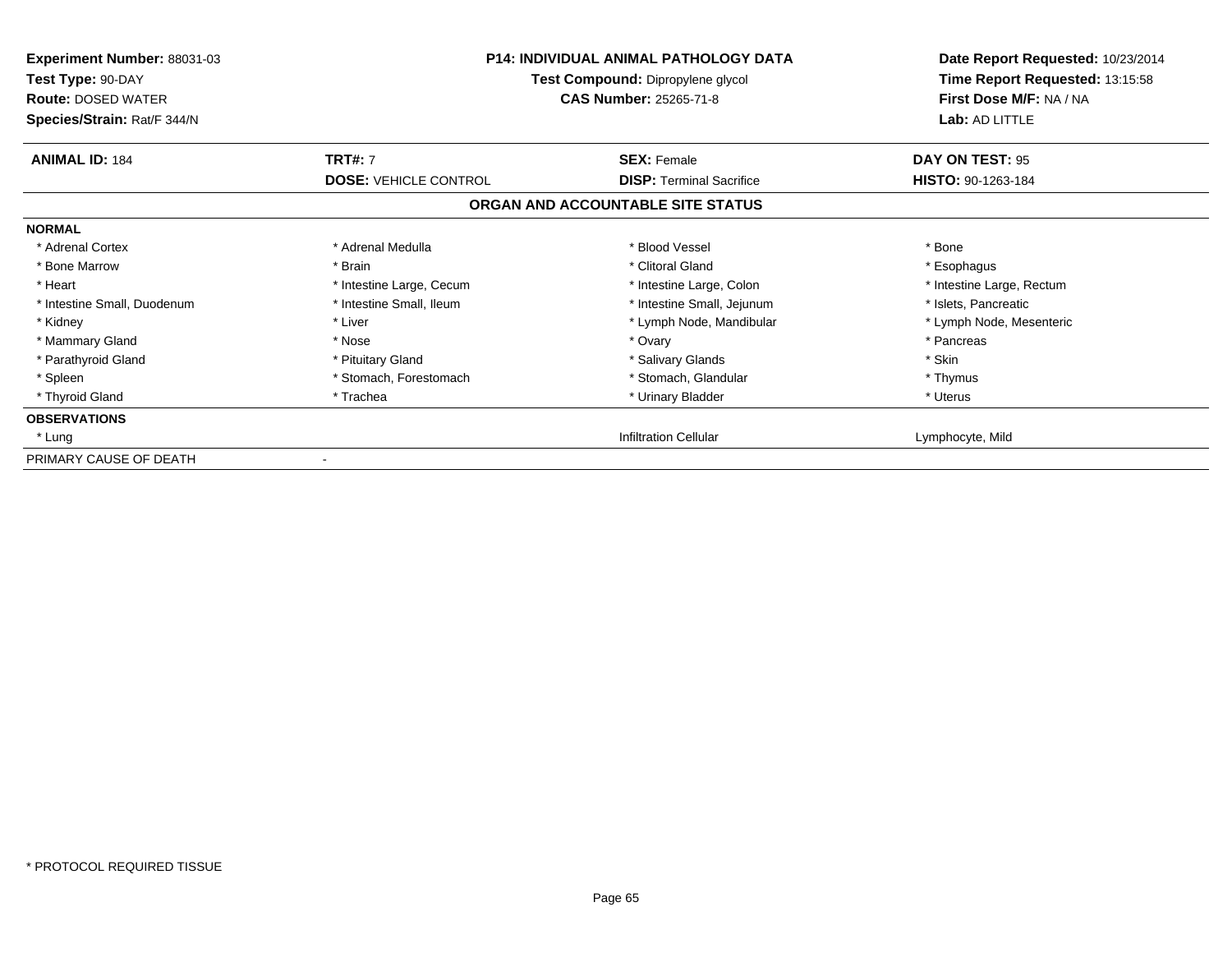| <b>Experiment Number: 88031-03</b><br>Test Type: 90-DAY<br><b>Route: DOSED WATER</b><br>Species/Strain: Rat/F 344/N | <b>P14: INDIVIDUAL ANIMAL PATHOLOGY DATA</b><br>Test Compound: Dipropylene glycol<br><b>CAS Number: 25265-71-8</b> |                                   | Date Report Requested: 10/23/2014<br>Time Report Requested: 13:15:58<br>First Dose M/F: NA / NA<br>Lab: AD LITTLE |
|---------------------------------------------------------------------------------------------------------------------|--------------------------------------------------------------------------------------------------------------------|-----------------------------------|-------------------------------------------------------------------------------------------------------------------|
| <b>ANIMAL ID: 184</b>                                                                                               | <b>TRT#: 7</b>                                                                                                     | <b>SEX: Female</b>                | DAY ON TEST: 95                                                                                                   |
|                                                                                                                     | <b>DOSE: VEHICLE CONTROL</b>                                                                                       | <b>DISP:</b> Terminal Sacrifice   | HISTO: 90-1263-184                                                                                                |
|                                                                                                                     |                                                                                                                    | ORGAN AND ACCOUNTABLE SITE STATUS |                                                                                                                   |
| <b>NORMAL</b>                                                                                                       |                                                                                                                    |                                   |                                                                                                                   |
| * Adrenal Cortex                                                                                                    | * Adrenal Medulla                                                                                                  | * Blood Vessel                    | * Bone                                                                                                            |
| * Bone Marrow                                                                                                       | * Brain                                                                                                            | * Clitoral Gland                  | * Esophagus                                                                                                       |
| * Heart                                                                                                             | * Intestine Large, Cecum                                                                                           | * Intestine Large, Colon          | * Intestine Large, Rectum                                                                                         |
| * Intestine Small, Duodenum                                                                                         | * Intestine Small, Ileum                                                                                           | * Intestine Small, Jejunum        | * Islets, Pancreatic                                                                                              |
| * Kidney                                                                                                            | * Liver                                                                                                            | * Lymph Node, Mandibular          | * Lymph Node, Mesenteric                                                                                          |
| * Mammary Gland                                                                                                     | * Nose                                                                                                             | * Ovary                           | * Pancreas                                                                                                        |
| * Parathyroid Gland                                                                                                 | * Pituitary Gland                                                                                                  | * Salivary Glands                 | * Skin                                                                                                            |
| * Spleen                                                                                                            | * Stomach, Forestomach                                                                                             | * Stomach, Glandular              | * Thymus                                                                                                          |
| * Thyroid Gland                                                                                                     | * Trachea                                                                                                          | * Urinary Bladder                 | * Uterus                                                                                                          |
| <b>OBSERVATIONS</b>                                                                                                 |                                                                                                                    |                                   |                                                                                                                   |
| * Lung                                                                                                              |                                                                                                                    | <b>Infiltration Cellular</b>      | Lymphocyte, Mild                                                                                                  |
| PRIMARY CAUSE OF DEATH                                                                                              |                                                                                                                    |                                   |                                                                                                                   |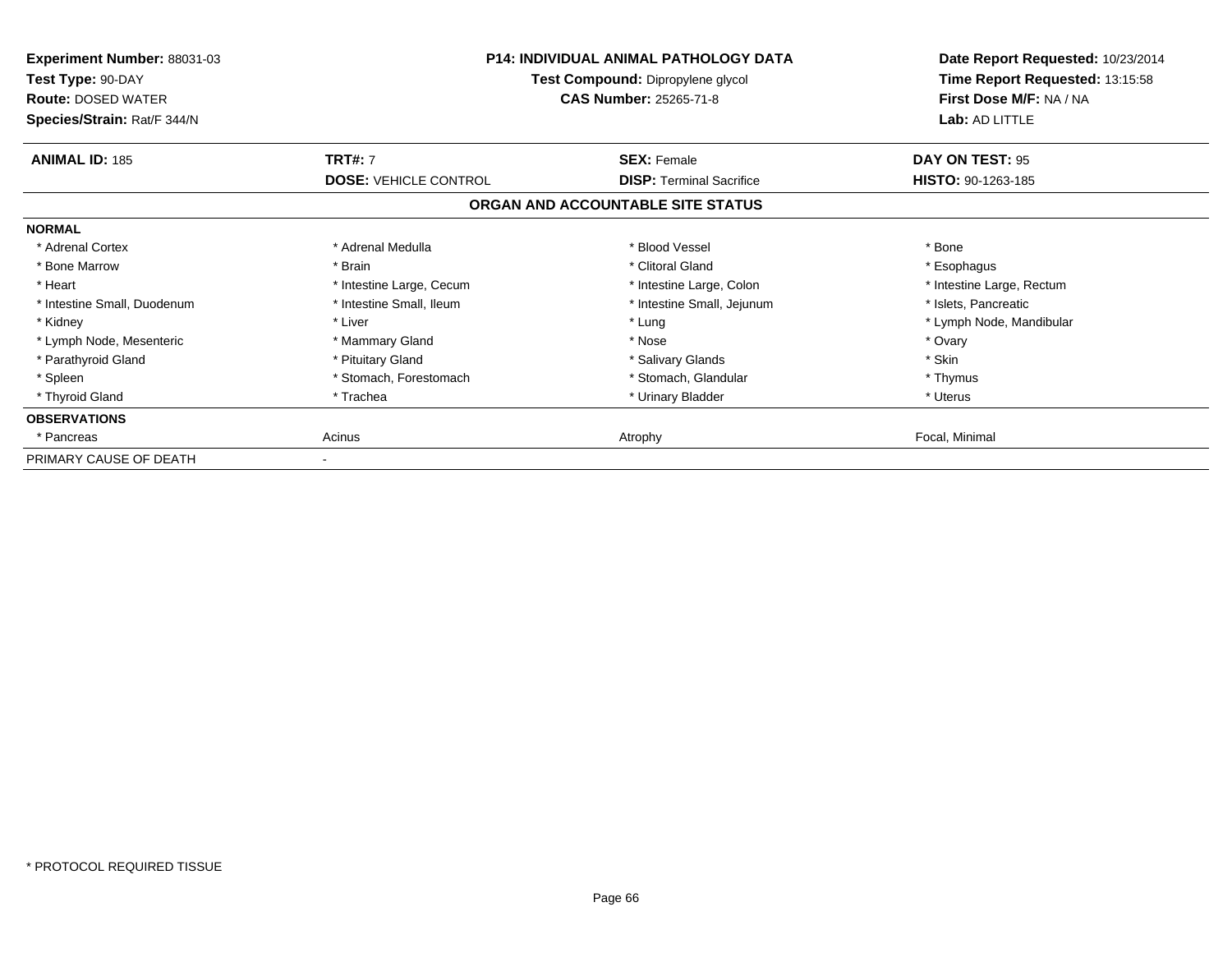| <b>Experiment Number: 88031-03</b><br>Test Type: 90-DAY<br><b>Route: DOSED WATER</b><br>Species/Strain: Rat/F 344/N |                              | <b>P14: INDIVIDUAL ANIMAL PATHOLOGY DATA</b><br>Test Compound: Dipropylene glycol<br><b>CAS Number: 25265-71-8</b> |                           |
|---------------------------------------------------------------------------------------------------------------------|------------------------------|--------------------------------------------------------------------------------------------------------------------|---------------------------|
| <b>ANIMAL ID: 185</b>                                                                                               | <b>TRT#: 7</b>               | <b>SEX: Female</b>                                                                                                 | DAY ON TEST: 95           |
|                                                                                                                     | <b>DOSE: VEHICLE CONTROL</b> | <b>DISP:</b> Terminal Sacrifice                                                                                    | HISTO: 90-1263-185        |
|                                                                                                                     |                              | ORGAN AND ACCOUNTABLE SITE STATUS                                                                                  |                           |
| <b>NORMAL</b>                                                                                                       |                              |                                                                                                                    |                           |
| * Adrenal Cortex                                                                                                    | * Adrenal Medulla            | * Blood Vessel                                                                                                     | * Bone                    |
| * Bone Marrow                                                                                                       | * Brain                      | * Clitoral Gland                                                                                                   | * Esophagus               |
| * Heart                                                                                                             | * Intestine Large, Cecum     | * Intestine Large, Colon                                                                                           | * Intestine Large, Rectum |
| * Intestine Small, Duodenum                                                                                         | * Intestine Small, Ileum     | * Intestine Small, Jejunum                                                                                         | * Islets, Pancreatic      |
| * Kidney                                                                                                            | * Liver                      | * Lung                                                                                                             | * Lymph Node, Mandibular  |
| * Lymph Node, Mesenteric                                                                                            | * Mammary Gland              | * Nose                                                                                                             | * Ovary                   |
| * Parathyroid Gland                                                                                                 | * Pituitary Gland            | * Salivary Glands                                                                                                  | * Skin                    |
| * Spleen                                                                                                            | * Stomach, Forestomach       | * Stomach, Glandular                                                                                               | * Thymus                  |
| * Thyroid Gland                                                                                                     | * Trachea                    | * Urinary Bladder                                                                                                  | * Uterus                  |
| <b>OBSERVATIONS</b>                                                                                                 |                              |                                                                                                                    |                           |
| * Pancreas                                                                                                          | Acinus                       | Atrophy                                                                                                            | Focal, Minimal            |
| PRIMARY CAUSE OF DEATH                                                                                              |                              |                                                                                                                    |                           |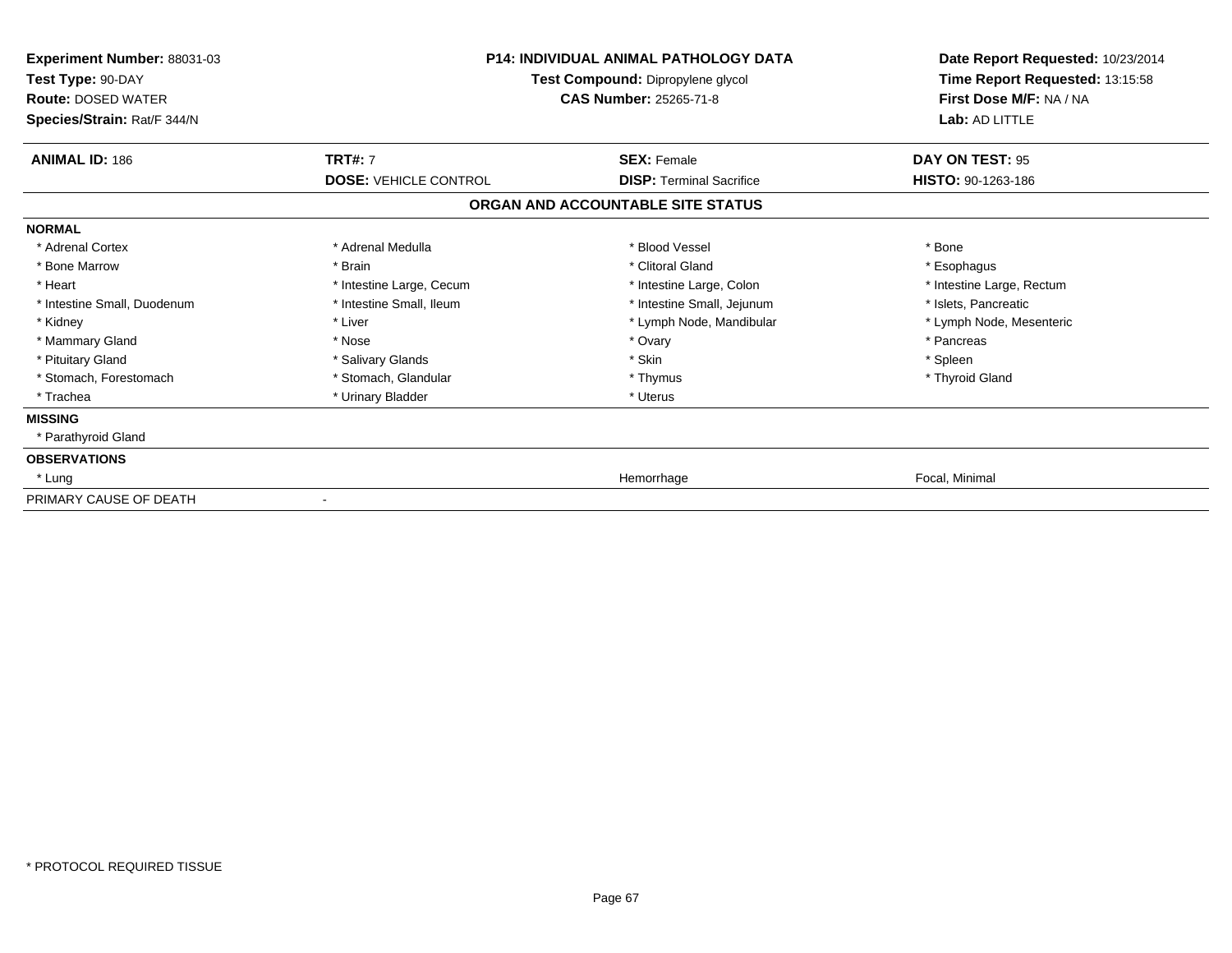| Experiment Number: 88031-03<br>Test Type: 90-DAY<br><b>Route: DOSED WATER</b><br>Species/Strain: Rat/F 344/N |                                                | <b>P14: INDIVIDUAL ANIMAL PATHOLOGY DATA</b><br>Test Compound: Dipropylene glycol<br><b>CAS Number: 25265-71-8</b> | Date Report Requested: 10/23/2014<br>Time Report Requested: 13:15:58<br>First Dose M/F: NA / NA<br>Lab: AD LITTLE |
|--------------------------------------------------------------------------------------------------------------|------------------------------------------------|--------------------------------------------------------------------------------------------------------------------|-------------------------------------------------------------------------------------------------------------------|
| <b>ANIMAL ID: 186</b>                                                                                        | <b>TRT#: 7</b><br><b>DOSE: VEHICLE CONTROL</b> | <b>SEX: Female</b><br><b>DISP: Terminal Sacrifice</b>                                                              | DAY ON TEST: 95                                                                                                   |
|                                                                                                              |                                                | ORGAN AND ACCOUNTABLE SITE STATUS                                                                                  | HISTO: 90-1263-186                                                                                                |
| <b>NORMAL</b>                                                                                                |                                                |                                                                                                                    |                                                                                                                   |
| * Adrenal Cortex                                                                                             | * Adrenal Medulla                              | * Blood Vessel                                                                                                     | * Bone                                                                                                            |
| * Bone Marrow                                                                                                | * Brain                                        | * Clitoral Gland                                                                                                   | * Esophagus                                                                                                       |
| * Heart                                                                                                      | * Intestine Large, Cecum                       | * Intestine Large, Colon                                                                                           | * Intestine Large, Rectum                                                                                         |
| * Intestine Small, Duodenum                                                                                  | * Intestine Small, Ileum                       | * Intestine Small, Jejunum                                                                                         | * Islets, Pancreatic                                                                                              |
| * Kidney                                                                                                     | * Liver                                        | * Lymph Node, Mandibular                                                                                           | * Lymph Node, Mesenteric                                                                                          |
| * Mammary Gland                                                                                              | * Nose                                         | * Ovary                                                                                                            | * Pancreas                                                                                                        |
| * Pituitary Gland                                                                                            | * Salivary Glands                              | * Skin                                                                                                             | * Spleen                                                                                                          |
| * Stomach, Forestomach                                                                                       | * Stomach, Glandular                           | * Thymus                                                                                                           | * Thyroid Gland                                                                                                   |
| * Trachea                                                                                                    | * Urinary Bladder                              | * Uterus                                                                                                           |                                                                                                                   |
| <b>MISSING</b>                                                                                               |                                                |                                                                                                                    |                                                                                                                   |
| * Parathyroid Gland                                                                                          |                                                |                                                                                                                    |                                                                                                                   |
| <b>OBSERVATIONS</b>                                                                                          |                                                |                                                                                                                    |                                                                                                                   |
| * Lung                                                                                                       |                                                | Hemorrhage                                                                                                         | Focal, Minimal                                                                                                    |
| PRIMARY CAUSE OF DEATH                                                                                       |                                                |                                                                                                                    |                                                                                                                   |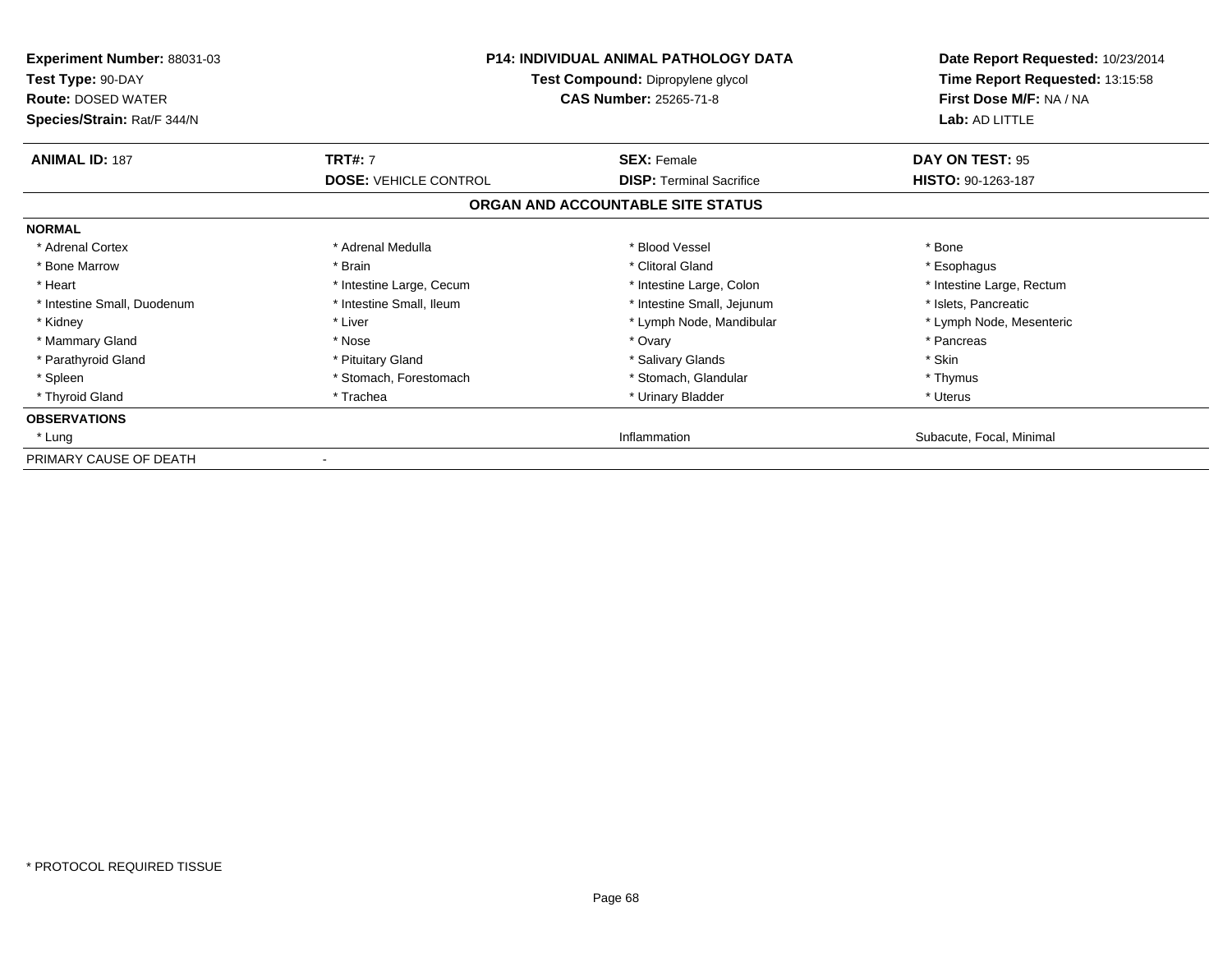| <b>Experiment Number: 88031-03</b><br>Test Type: 90-DAY<br><b>Route: DOSED WATER</b><br>Species/Strain: Rat/F 344/N | <b>P14: INDIVIDUAL ANIMAL PATHOLOGY DATA</b><br>Test Compound: Dipropylene glycol<br><b>CAS Number: 25265-71-8</b> |                                   | Date Report Requested: 10/23/2014<br>Time Report Requested: 13:15:58<br>First Dose M/F: NA / NA<br>Lab: AD LITTLE |
|---------------------------------------------------------------------------------------------------------------------|--------------------------------------------------------------------------------------------------------------------|-----------------------------------|-------------------------------------------------------------------------------------------------------------------|
| <b>ANIMAL ID: 187</b>                                                                                               | <b>TRT#: 7</b>                                                                                                     | <b>SEX: Female</b>                | DAY ON TEST: 95                                                                                                   |
|                                                                                                                     | <b>DOSE: VEHICLE CONTROL</b>                                                                                       | <b>DISP:</b> Terminal Sacrifice   | HISTO: 90-1263-187                                                                                                |
|                                                                                                                     |                                                                                                                    | ORGAN AND ACCOUNTABLE SITE STATUS |                                                                                                                   |
| <b>NORMAL</b>                                                                                                       |                                                                                                                    |                                   |                                                                                                                   |
| * Adrenal Cortex                                                                                                    | * Adrenal Medulla                                                                                                  | * Blood Vessel                    | * Bone                                                                                                            |
| * Bone Marrow                                                                                                       | * Brain                                                                                                            | * Clitoral Gland                  | * Esophagus                                                                                                       |
| * Heart                                                                                                             | * Intestine Large, Cecum                                                                                           | * Intestine Large, Colon          | * Intestine Large, Rectum                                                                                         |
| * Intestine Small, Duodenum                                                                                         | * Intestine Small, Ileum                                                                                           | * Intestine Small, Jejunum        | * Islets, Pancreatic                                                                                              |
| * Kidney                                                                                                            | * Liver                                                                                                            | * Lymph Node, Mandibular          | * Lymph Node, Mesenteric                                                                                          |
| * Mammary Gland                                                                                                     | * Nose                                                                                                             | * Ovary                           | * Pancreas                                                                                                        |
| * Parathyroid Gland                                                                                                 | * Pituitary Gland                                                                                                  | * Salivary Glands                 | * Skin                                                                                                            |
| * Spleen                                                                                                            | * Stomach, Forestomach                                                                                             | * Stomach, Glandular              | * Thymus                                                                                                          |
| * Thyroid Gland                                                                                                     | * Trachea                                                                                                          | * Urinary Bladder                 | * Uterus                                                                                                          |
| <b>OBSERVATIONS</b>                                                                                                 |                                                                                                                    |                                   |                                                                                                                   |
| * Lung                                                                                                              |                                                                                                                    | Inflammation                      | Subacute, Focal, Minimal                                                                                          |
| PRIMARY CAUSE OF DEATH                                                                                              |                                                                                                                    |                                   |                                                                                                                   |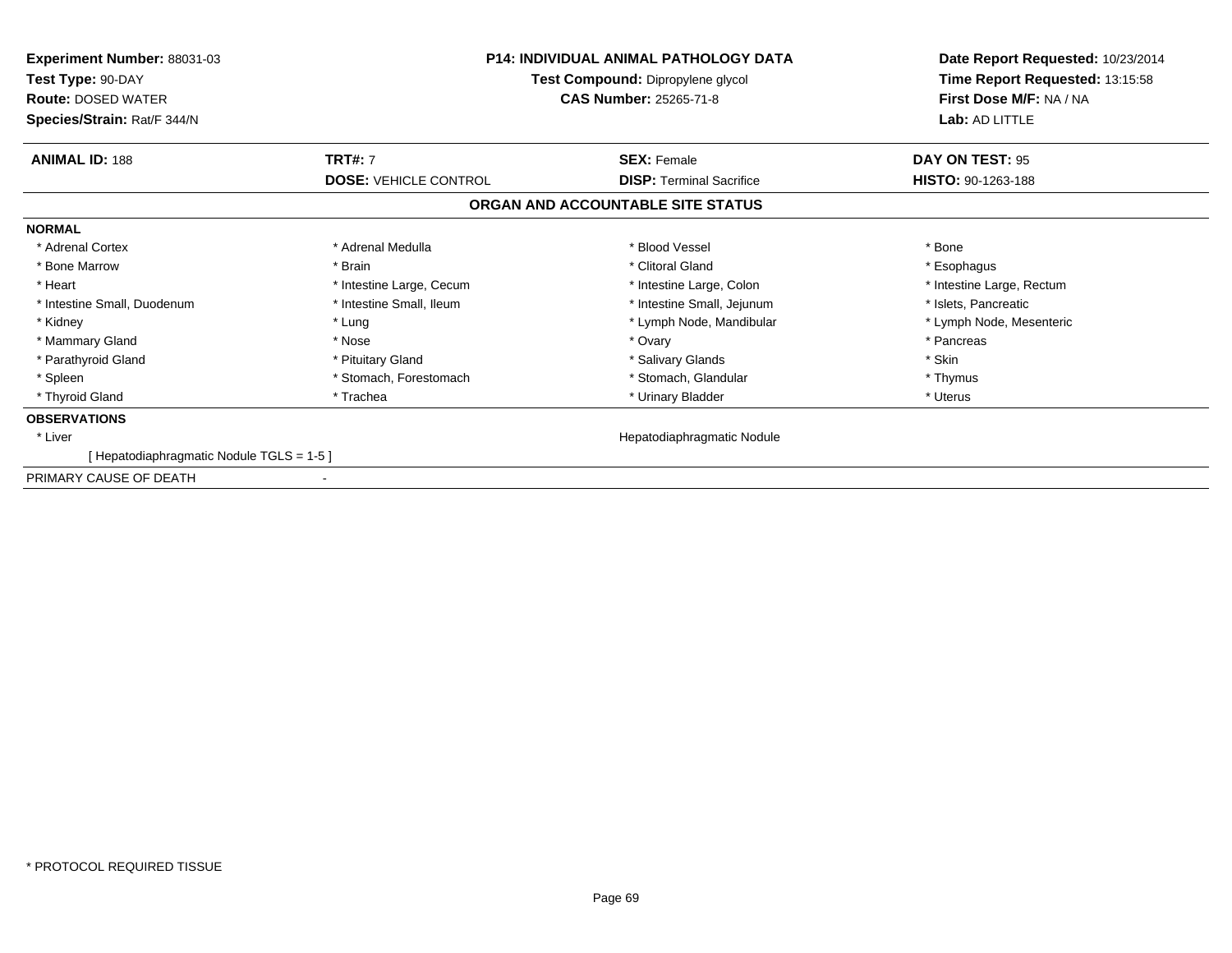| <b>Experiment Number: 88031-03</b><br>Test Type: 90-DAY<br><b>Route: DOSED WATER</b><br>Species/Strain: Rat/F 344/N | P14: INDIVIDUAL ANIMAL PATHOLOGY DATA<br>Test Compound: Dipropylene glycol<br><b>CAS Number: 25265-71-8</b> |                                   | Date Report Requested: 10/23/2014<br>Time Report Requested: 13:15:58<br>First Dose M/F: NA / NA<br>Lab: AD LITTLE |
|---------------------------------------------------------------------------------------------------------------------|-------------------------------------------------------------------------------------------------------------|-----------------------------------|-------------------------------------------------------------------------------------------------------------------|
| <b>ANIMAL ID: 188</b>                                                                                               | <b>TRT#: 7</b>                                                                                              | <b>SEX: Female</b>                | DAY ON TEST: 95                                                                                                   |
|                                                                                                                     | <b>DOSE: VEHICLE CONTROL</b>                                                                                | <b>DISP: Terminal Sacrifice</b>   | HISTO: 90-1263-188                                                                                                |
|                                                                                                                     |                                                                                                             | ORGAN AND ACCOUNTABLE SITE STATUS |                                                                                                                   |
| <b>NORMAL</b>                                                                                                       |                                                                                                             |                                   |                                                                                                                   |
| * Adrenal Cortex                                                                                                    | * Adrenal Medulla                                                                                           | * Blood Vessel                    | * Bone                                                                                                            |
| * Bone Marrow                                                                                                       | * Brain                                                                                                     | * Clitoral Gland                  | * Esophagus                                                                                                       |
| * Heart                                                                                                             | * Intestine Large, Cecum                                                                                    | * Intestine Large, Colon          | * Intestine Large, Rectum                                                                                         |
| * Intestine Small, Duodenum                                                                                         | * Intestine Small, Ileum                                                                                    | * Intestine Small, Jejunum        | * Islets, Pancreatic                                                                                              |
| * Kidney                                                                                                            | * Lung                                                                                                      | * Lymph Node, Mandibular          | * Lymph Node, Mesenteric                                                                                          |
| * Mammary Gland                                                                                                     | * Nose                                                                                                      | * Ovary                           | * Pancreas                                                                                                        |
| * Parathyroid Gland                                                                                                 | * Pituitary Gland                                                                                           | * Salivary Glands                 | * Skin                                                                                                            |
| * Spleen                                                                                                            | * Stomach, Forestomach                                                                                      | * Stomach, Glandular              | * Thymus                                                                                                          |
| * Thyroid Gland                                                                                                     | * Trachea                                                                                                   | * Urinary Bladder                 | * Uterus                                                                                                          |
| <b>OBSERVATIONS</b>                                                                                                 |                                                                                                             |                                   |                                                                                                                   |
| * Liver                                                                                                             |                                                                                                             | Hepatodiaphragmatic Nodule        |                                                                                                                   |
| [Hepatodiaphragmatic Nodule TGLS = 1-5]                                                                             |                                                                                                             |                                   |                                                                                                                   |
| PRIMARY CAUSE OF DEATH                                                                                              |                                                                                                             |                                   |                                                                                                                   |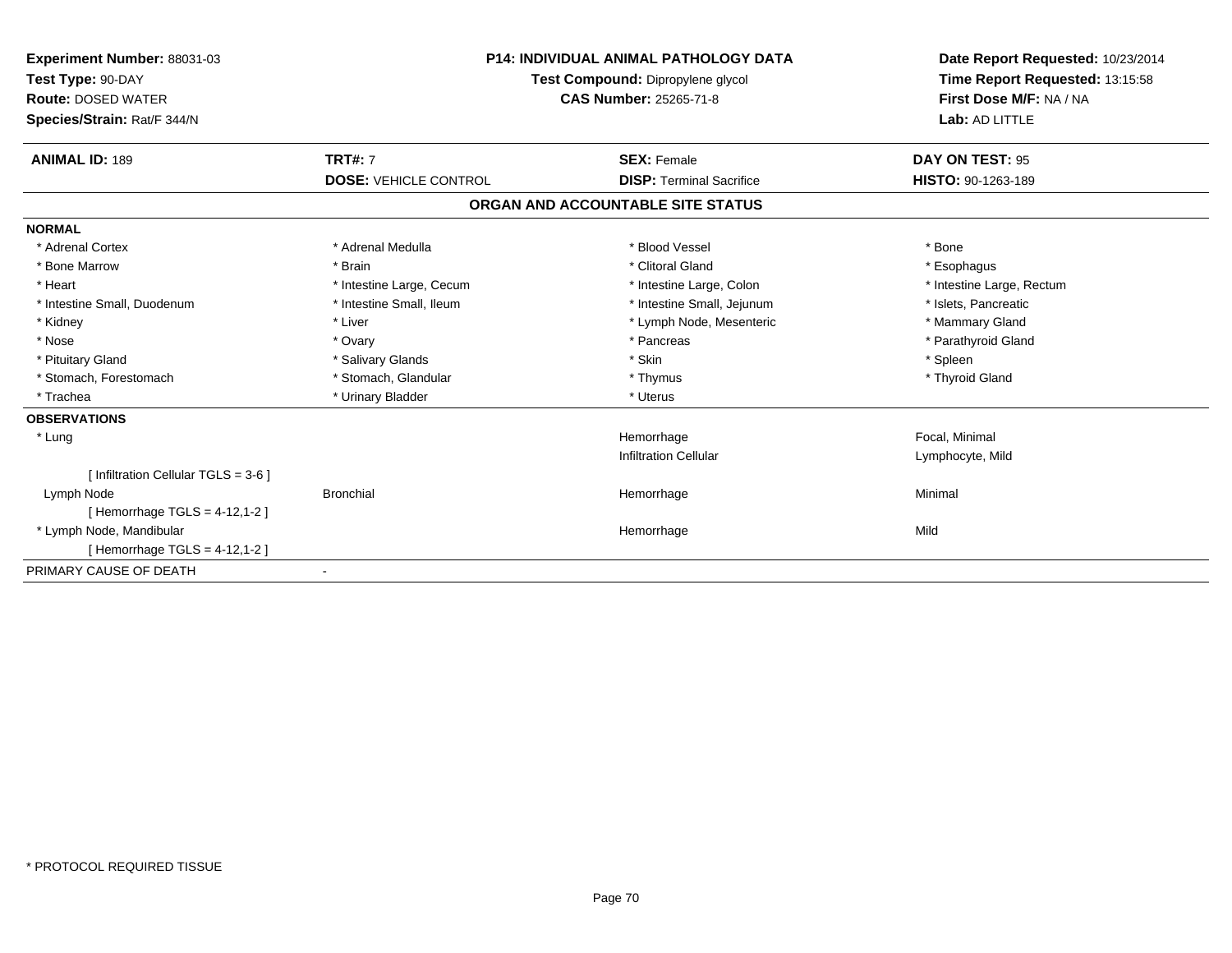| Experiment Number: 88031-03<br>Test Type: 90-DAY<br><b>Route: DOSED WATER</b><br>Species/Strain: Rat/F 344/N | <b>P14: INDIVIDUAL ANIMAL PATHOLOGY DATA</b><br>Test Compound: Dipropylene glycol<br><b>CAS Number: 25265-71-8</b> |                                   | Date Report Requested: 10/23/2014<br>Time Report Requested: 13:15:58<br>First Dose M/F: NA / NA<br>Lab: AD LITTLE |  |
|--------------------------------------------------------------------------------------------------------------|--------------------------------------------------------------------------------------------------------------------|-----------------------------------|-------------------------------------------------------------------------------------------------------------------|--|
| <b>ANIMAL ID: 189</b>                                                                                        | <b>TRT#: 7</b>                                                                                                     | <b>SEX: Female</b>                | DAY ON TEST: 95                                                                                                   |  |
|                                                                                                              | <b>DOSE: VEHICLE CONTROL</b>                                                                                       | <b>DISP: Terminal Sacrifice</b>   | <b>HISTO: 90-1263-189</b>                                                                                         |  |
|                                                                                                              |                                                                                                                    | ORGAN AND ACCOUNTABLE SITE STATUS |                                                                                                                   |  |
| <b>NORMAL</b>                                                                                                |                                                                                                                    |                                   |                                                                                                                   |  |
| * Adrenal Cortex                                                                                             | * Adrenal Medulla                                                                                                  | * Blood Vessel                    | * Bone                                                                                                            |  |
| * Bone Marrow                                                                                                | * Brain                                                                                                            | * Clitoral Gland                  | * Esophagus                                                                                                       |  |
| * Heart                                                                                                      | * Intestine Large, Cecum                                                                                           | * Intestine Large, Colon          | * Intestine Large, Rectum                                                                                         |  |
| * Intestine Small, Duodenum                                                                                  | * Intestine Small, Ileum                                                                                           | * Intestine Small, Jejunum        | * Islets, Pancreatic                                                                                              |  |
| * Kidney                                                                                                     | * Liver                                                                                                            | * Lymph Node, Mesenteric          | * Mammary Gland                                                                                                   |  |
| * Nose                                                                                                       | * Ovary                                                                                                            | * Pancreas                        | * Parathyroid Gland                                                                                               |  |
| * Pituitary Gland                                                                                            | * Salivary Glands                                                                                                  | * Skin                            | * Spleen                                                                                                          |  |
| * Stomach, Forestomach                                                                                       | * Stomach, Glandular                                                                                               | * Thymus                          | * Thyroid Gland                                                                                                   |  |
| * Trachea                                                                                                    | * Urinary Bladder                                                                                                  | * Uterus                          |                                                                                                                   |  |
| <b>OBSERVATIONS</b>                                                                                          |                                                                                                                    |                                   |                                                                                                                   |  |
| * Lung                                                                                                       |                                                                                                                    | Hemorrhage                        | Focal, Minimal                                                                                                    |  |
|                                                                                                              |                                                                                                                    | <b>Infiltration Cellular</b>      | Lymphocyte, Mild                                                                                                  |  |
| [ Infiltration Cellular TGLS = 3-6 ]                                                                         |                                                                                                                    |                                   |                                                                                                                   |  |
| Lymph Node                                                                                                   | <b>Bronchial</b>                                                                                                   | Hemorrhage                        | Minimal                                                                                                           |  |
| [Hemorrhage TGLS = $4-12,1-2$ ]                                                                              |                                                                                                                    |                                   |                                                                                                                   |  |
| * Lymph Node, Mandibular                                                                                     |                                                                                                                    | Hemorrhage                        | Mild                                                                                                              |  |
| [Hemorrhage TGLS = 4-12,1-2]                                                                                 |                                                                                                                    |                                   |                                                                                                                   |  |
| PRIMARY CAUSE OF DEATH                                                                                       |                                                                                                                    |                                   |                                                                                                                   |  |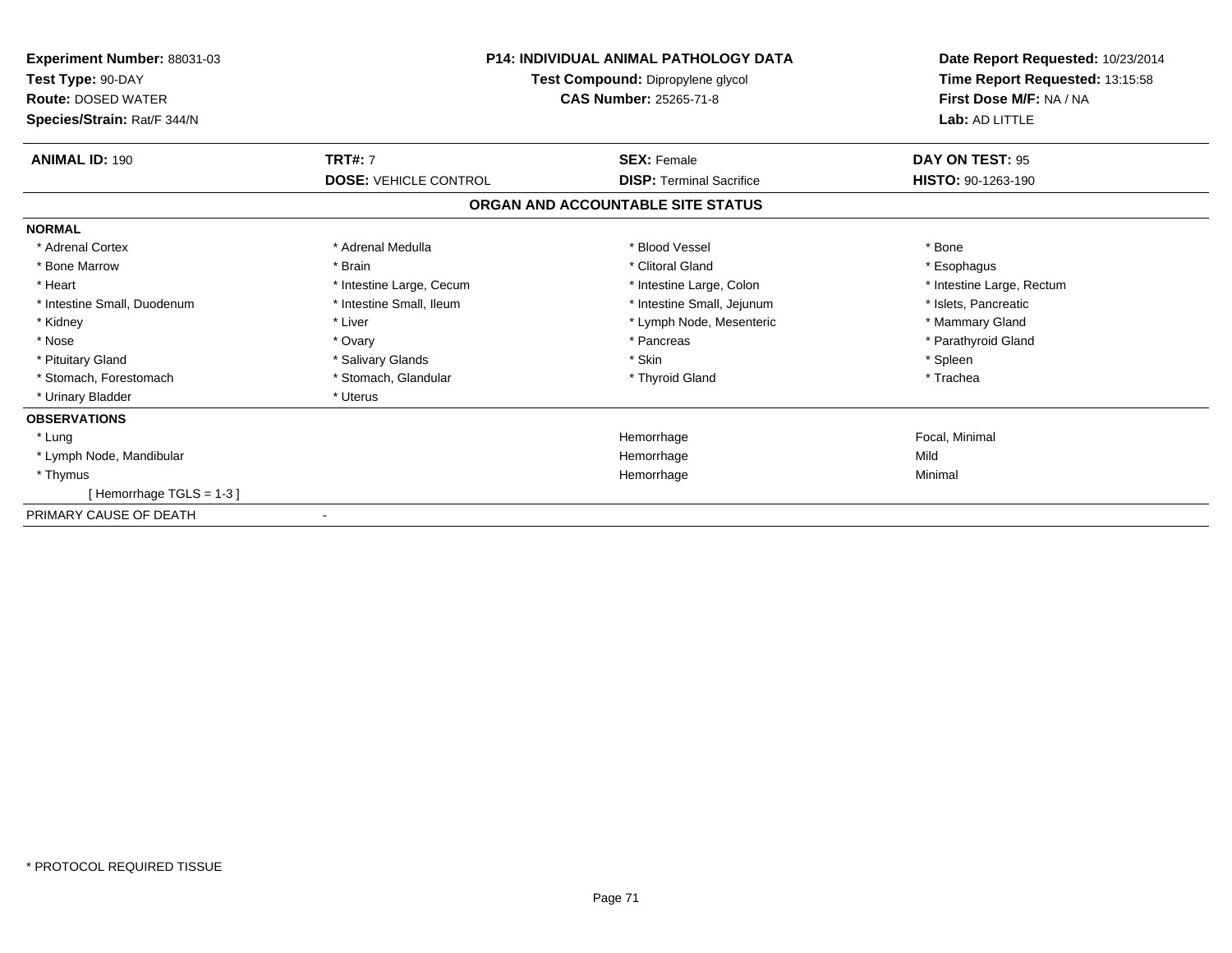| <b>Experiment Number: 88031-03</b><br>Test Type: 90-DAY<br><b>Route: DOSED WATER</b><br>Species/Strain: Rat/F 344/N | <b>P14: INDIVIDUAL ANIMAL PATHOLOGY DATA</b><br>Test Compound: Dipropylene glycol<br><b>CAS Number: 25265-71-8</b> |                                   | Date Report Requested: 10/23/2014<br>Time Report Requested: 13:15:58<br>First Dose M/F: NA / NA<br>Lab: AD LITTLE |
|---------------------------------------------------------------------------------------------------------------------|--------------------------------------------------------------------------------------------------------------------|-----------------------------------|-------------------------------------------------------------------------------------------------------------------|
| <b>ANIMAL ID: 190</b>                                                                                               | <b>TRT#: 7</b>                                                                                                     | <b>SEX: Female</b>                | DAY ON TEST: 95                                                                                                   |
|                                                                                                                     | <b>DOSE: VEHICLE CONTROL</b>                                                                                       | <b>DISP: Terminal Sacrifice</b>   | HISTO: 90-1263-190                                                                                                |
|                                                                                                                     |                                                                                                                    | ORGAN AND ACCOUNTABLE SITE STATUS |                                                                                                                   |
| <b>NORMAL</b>                                                                                                       |                                                                                                                    |                                   |                                                                                                                   |
| * Adrenal Cortex                                                                                                    | * Adrenal Medulla                                                                                                  | * Blood Vessel                    | * Bone                                                                                                            |
| * Bone Marrow                                                                                                       | * Brain                                                                                                            | * Clitoral Gland                  | * Esophagus                                                                                                       |
| * Heart                                                                                                             | * Intestine Large, Cecum                                                                                           | * Intestine Large, Colon          | * Intestine Large, Rectum                                                                                         |
| * Intestine Small, Duodenum                                                                                         | * Intestine Small, Ileum                                                                                           | * Intestine Small, Jejunum        | * Islets. Pancreatic                                                                                              |
| * Kidney                                                                                                            | * Liver                                                                                                            | * Lymph Node, Mesenteric          | * Mammary Gland                                                                                                   |
| * Nose                                                                                                              | * Ovary                                                                                                            | * Pancreas                        | * Parathyroid Gland                                                                                               |
| * Pituitary Gland                                                                                                   | * Salivary Glands                                                                                                  | * Skin                            | * Spleen                                                                                                          |
| * Stomach, Forestomach                                                                                              | * Stomach, Glandular                                                                                               | * Thyroid Gland                   | * Trachea                                                                                                         |
| * Urinary Bladder                                                                                                   | * Uterus                                                                                                           |                                   |                                                                                                                   |
| <b>OBSERVATIONS</b>                                                                                                 |                                                                                                                    |                                   |                                                                                                                   |
| * Lung                                                                                                              |                                                                                                                    | Hemorrhage                        | Focal, Minimal                                                                                                    |
| * Lymph Node, Mandibular                                                                                            |                                                                                                                    | Hemorrhage                        | Mild                                                                                                              |
| * Thymus                                                                                                            |                                                                                                                    | Hemorrhage                        | Minimal                                                                                                           |
| [Hemorrhage TGLS = 1-3]                                                                                             |                                                                                                                    |                                   |                                                                                                                   |
| PRIMARY CAUSE OF DEATH                                                                                              |                                                                                                                    |                                   |                                                                                                                   |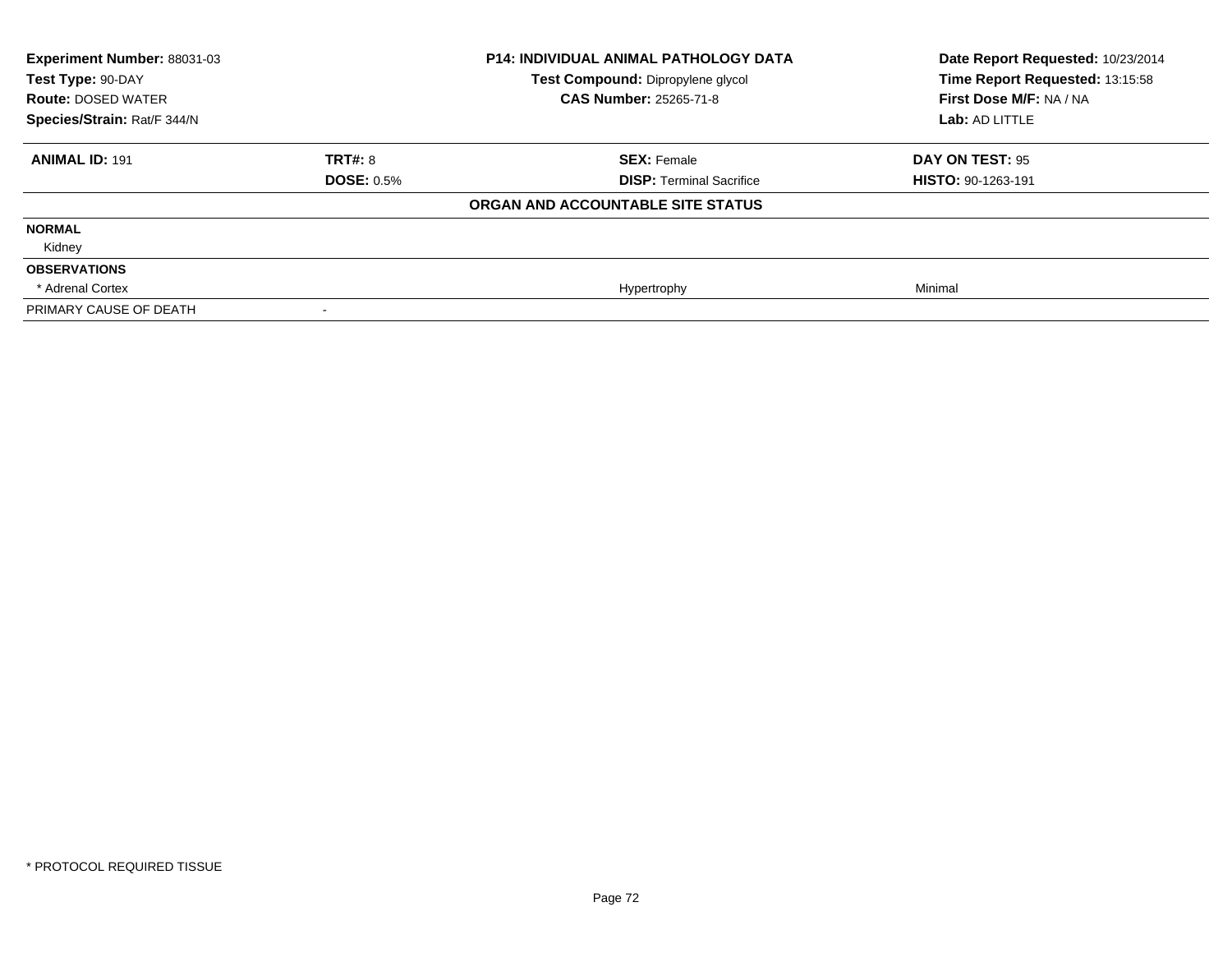| <b>Experiment Number: 88031-03</b><br>Test Type: 90-DAY<br><b>CAS Number: 25265-71-8</b><br><b>Route: DOSED WATER</b><br>Species/Strain: Rat/F 344/N |                   | <b>P14: INDIVIDUAL ANIMAL PATHOLOGY DATA</b><br>Test Compound: Dipropylene glycol | Date Report Requested: 10/23/2014<br>Time Report Requested: 13:15:58<br>First Dose M/F: NA / NA<br>Lab: AD LITTLE |
|------------------------------------------------------------------------------------------------------------------------------------------------------|-------------------|-----------------------------------------------------------------------------------|-------------------------------------------------------------------------------------------------------------------|
| <b>ANIMAL ID: 191</b>                                                                                                                                | TRT#: 8           | <b>SEX: Female</b>                                                                | DAY ON TEST: 95                                                                                                   |
|                                                                                                                                                      | <b>DOSE: 0.5%</b> | <b>DISP: Terminal Sacrifice</b>                                                   | HISTO: 90-1263-191                                                                                                |
|                                                                                                                                                      |                   | ORGAN AND ACCOUNTABLE SITE STATUS                                                 |                                                                                                                   |
| <b>NORMAL</b>                                                                                                                                        |                   |                                                                                   |                                                                                                                   |
| Kidney                                                                                                                                               |                   |                                                                                   |                                                                                                                   |
| <b>OBSERVATIONS</b>                                                                                                                                  |                   |                                                                                   |                                                                                                                   |
| * Adrenal Cortex                                                                                                                                     |                   | Hypertrophy                                                                       | Minimal                                                                                                           |
| PRIMARY CAUSE OF DEATH                                                                                                                               |                   |                                                                                   |                                                                                                                   |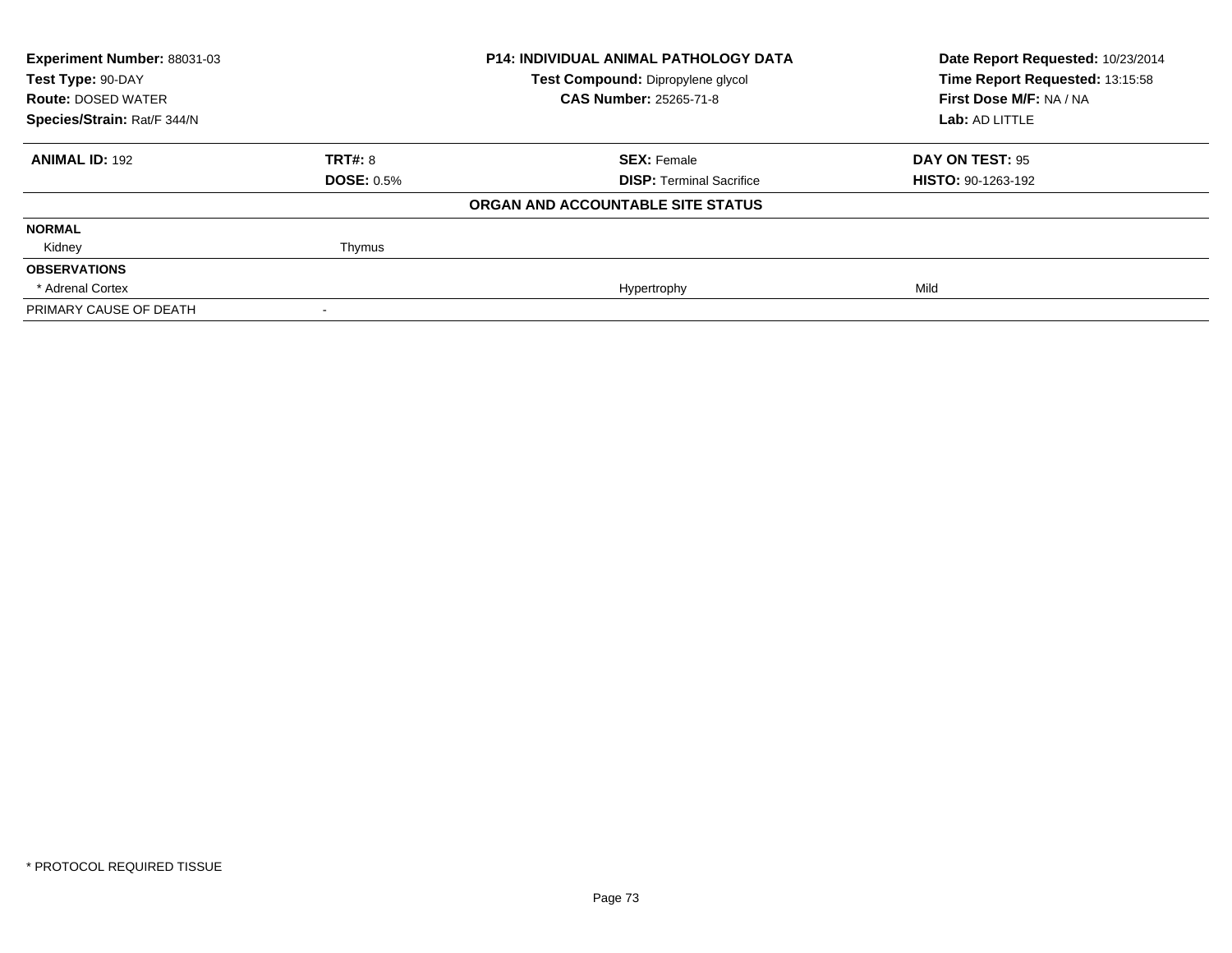| Experiment Number: 88031-03<br>Test Type: 90-DAY |                   | <b>P14: INDIVIDUAL ANIMAL PATHOLOGY DATA</b> | Date Report Requested: 10/23/2014 |
|--------------------------------------------------|-------------------|----------------------------------------------|-----------------------------------|
|                                                  |                   | Test Compound: Dipropylene glycol            | Time Report Requested: 13:15:58   |
| <b>Route: DOSED WATER</b>                        |                   | <b>CAS Number: 25265-71-8</b>                | First Dose M/F: NA / NA           |
| Species/Strain: Rat/F 344/N                      |                   |                                              | Lab: AD LITTLE                    |
| <b>ANIMAL ID: 192</b>                            | <b>TRT#: 8</b>    | <b>SEX: Female</b>                           | DAY ON TEST: 95                   |
|                                                  | <b>DOSE: 0.5%</b> | <b>DISP: Terminal Sacrifice</b>              | <b>HISTO: 90-1263-192</b>         |
|                                                  |                   | ORGAN AND ACCOUNTABLE SITE STATUS            |                                   |
| <b>NORMAL</b>                                    |                   |                                              |                                   |
| Kidney                                           | Thymus            |                                              |                                   |
| <b>OBSERVATIONS</b>                              |                   |                                              |                                   |
| * Adrenal Cortex                                 |                   | Hypertrophy                                  | Mild                              |
| PRIMARY CAUSE OF DEATH                           |                   |                                              |                                   |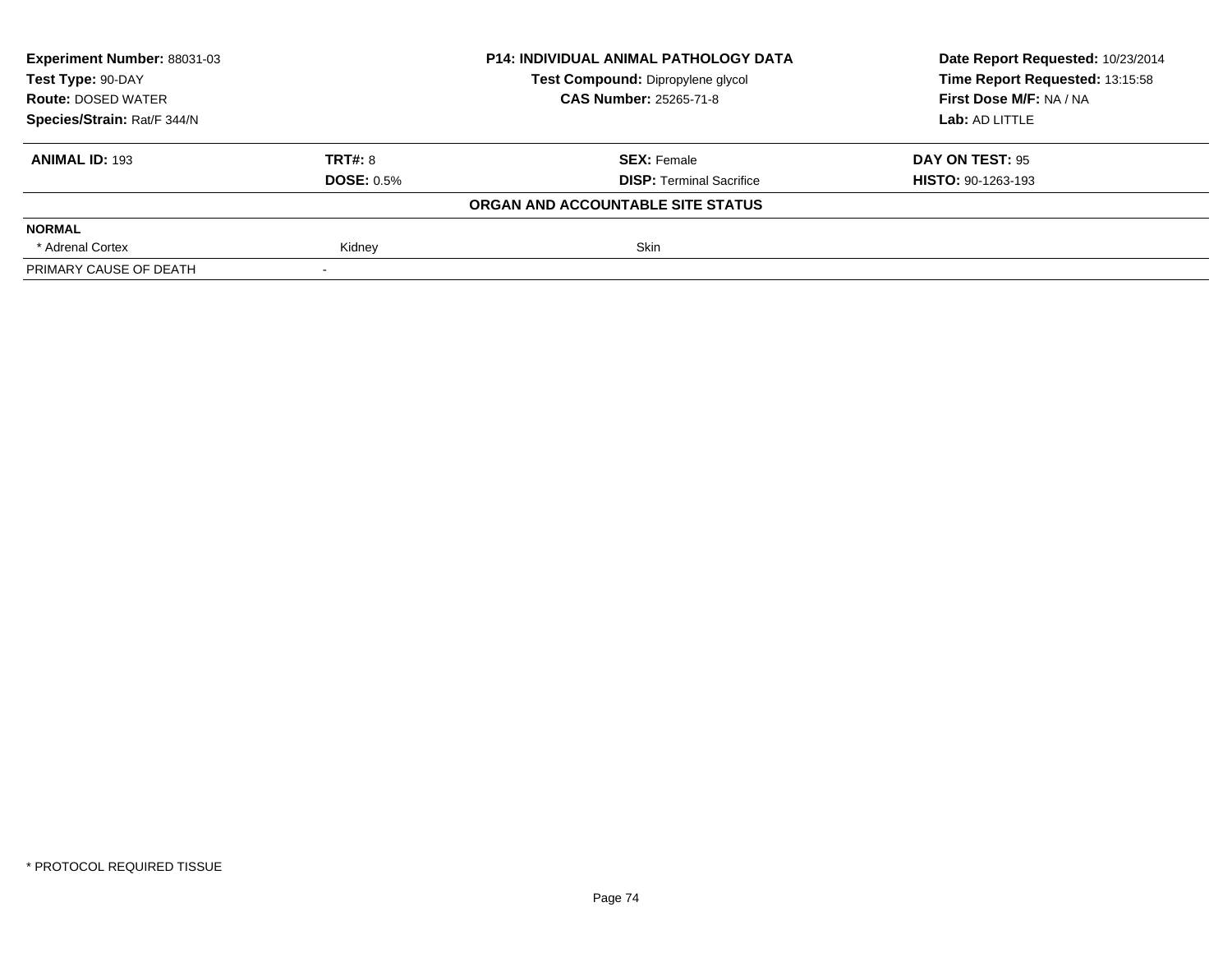| Experiment Number: 88031-03<br>Test Type: 90-DAY<br><b>Route: DOSED WATER</b><br>Species/Strain: Rat/F 344/N |                   | <b>P14: INDIVIDUAL ANIMAL PATHOLOGY DATA</b> | Date Report Requested: 10/23/2014 |
|--------------------------------------------------------------------------------------------------------------|-------------------|----------------------------------------------|-----------------------------------|
|                                                                                                              |                   | Test Compound: Dipropylene glycol            | Time Report Requested: 13:15:58   |
|                                                                                                              |                   | <b>CAS Number: 25265-71-8</b>                | First Dose M/F: NA / NA           |
|                                                                                                              |                   |                                              | Lab: AD LITTLE                    |
| <b>ANIMAL ID: 193</b>                                                                                        | TRT#: 8           | <b>SEX: Female</b>                           | DAY ON TEST: 95                   |
|                                                                                                              | <b>DOSE: 0.5%</b> | <b>DISP:</b> Terminal Sacrifice              | <b>HISTO: 90-1263-193</b>         |
|                                                                                                              |                   | ORGAN AND ACCOUNTABLE SITE STATUS            |                                   |
| <b>NORMAL</b>                                                                                                |                   |                                              |                                   |
| * Adrenal Cortex                                                                                             | Kidney            | <b>Skin</b>                                  |                                   |
| PRIMARY CAUSE OF DEATH                                                                                       |                   |                                              |                                   |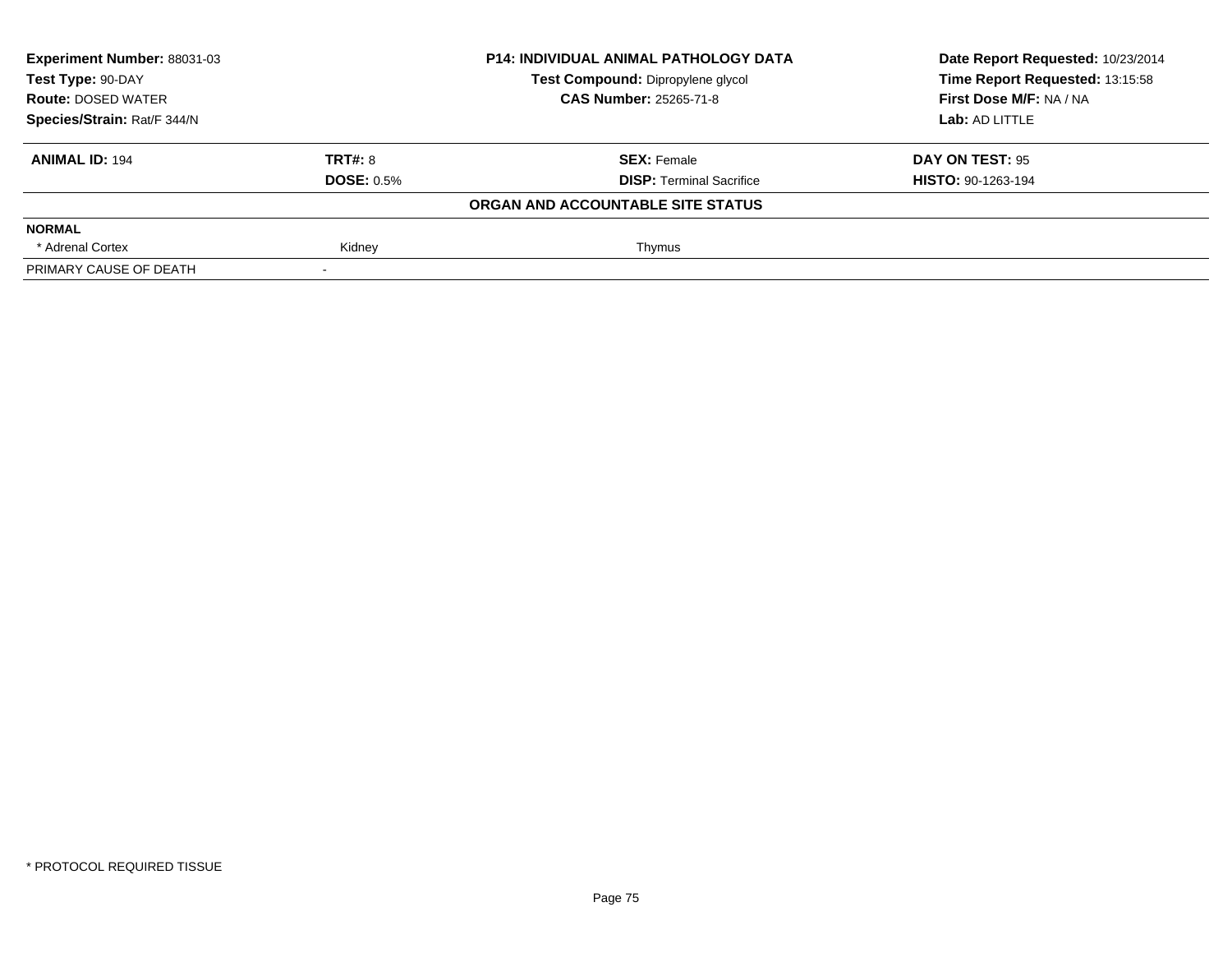| Experiment Number: 88031-03<br>Test Type: 90-DAY<br><b>Route: DOSED WATER</b><br>Species/Strain: Rat/F 344/N |                   | <b>P14: INDIVIDUAL ANIMAL PATHOLOGY DATA</b> | Date Report Requested: 10/23/2014 |
|--------------------------------------------------------------------------------------------------------------|-------------------|----------------------------------------------|-----------------------------------|
|                                                                                                              |                   | Test Compound: Dipropylene glycol            | Time Report Requested: 13:15:58   |
|                                                                                                              |                   | <b>CAS Number: 25265-71-8</b>                | First Dose M/F: NA / NA           |
|                                                                                                              |                   |                                              | Lab: AD LITTLE                    |
| <b>ANIMAL ID: 194</b>                                                                                        | TRT#: 8           | <b>SEX: Female</b>                           | DAY ON TEST: 95                   |
|                                                                                                              | <b>DOSE: 0.5%</b> | <b>DISP:</b> Terminal Sacrifice              | <b>HISTO: 90-1263-194</b>         |
|                                                                                                              |                   | ORGAN AND ACCOUNTABLE SITE STATUS            |                                   |
| <b>NORMAL</b>                                                                                                |                   |                                              |                                   |
| * Adrenal Cortex                                                                                             | Kidney            | Thymus                                       |                                   |
| PRIMARY CAUSE OF DEATH                                                                                       |                   |                                              |                                   |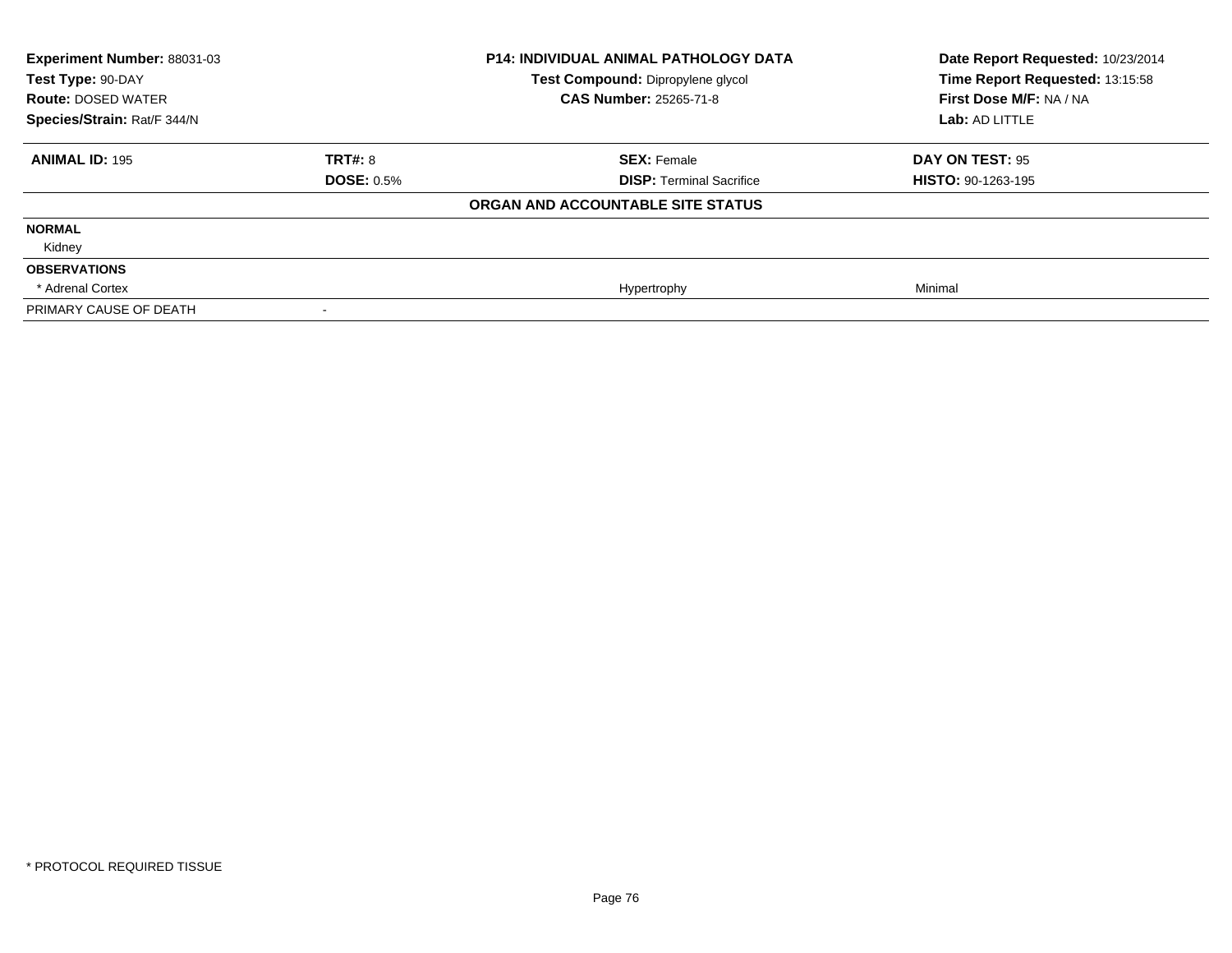| <b>Experiment Number: 88031-03</b><br>Test Type: 90-DAY<br><b>Route: DOSED WATER</b><br>Species/Strain: Rat/F 344/N |                   | <b>P14: INDIVIDUAL ANIMAL PATHOLOGY DATA</b><br>Test Compound: Dipropylene glycol<br><b>CAS Number: 25265-71-8</b> | Date Report Requested: 10/23/2014<br>Time Report Requested: 13:15:58<br>First Dose M/F: NA / NA<br>Lab: AD LITTLE |
|---------------------------------------------------------------------------------------------------------------------|-------------------|--------------------------------------------------------------------------------------------------------------------|-------------------------------------------------------------------------------------------------------------------|
| <b>ANIMAL ID: 195</b>                                                                                               | TRT#: 8           | <b>SEX: Female</b>                                                                                                 | DAY ON TEST: 95                                                                                                   |
|                                                                                                                     | <b>DOSE: 0.5%</b> | <b>DISP: Terminal Sacrifice</b>                                                                                    | <b>HISTO: 90-1263-195</b>                                                                                         |
|                                                                                                                     |                   | ORGAN AND ACCOUNTABLE SITE STATUS                                                                                  |                                                                                                                   |
| <b>NORMAL</b>                                                                                                       |                   |                                                                                                                    |                                                                                                                   |
| Kidney                                                                                                              |                   |                                                                                                                    |                                                                                                                   |
| <b>OBSERVATIONS</b>                                                                                                 |                   |                                                                                                                    |                                                                                                                   |
| * Adrenal Cortex                                                                                                    |                   | Hypertrophy                                                                                                        | Minimal                                                                                                           |
| PRIMARY CAUSE OF DEATH                                                                                              |                   |                                                                                                                    |                                                                                                                   |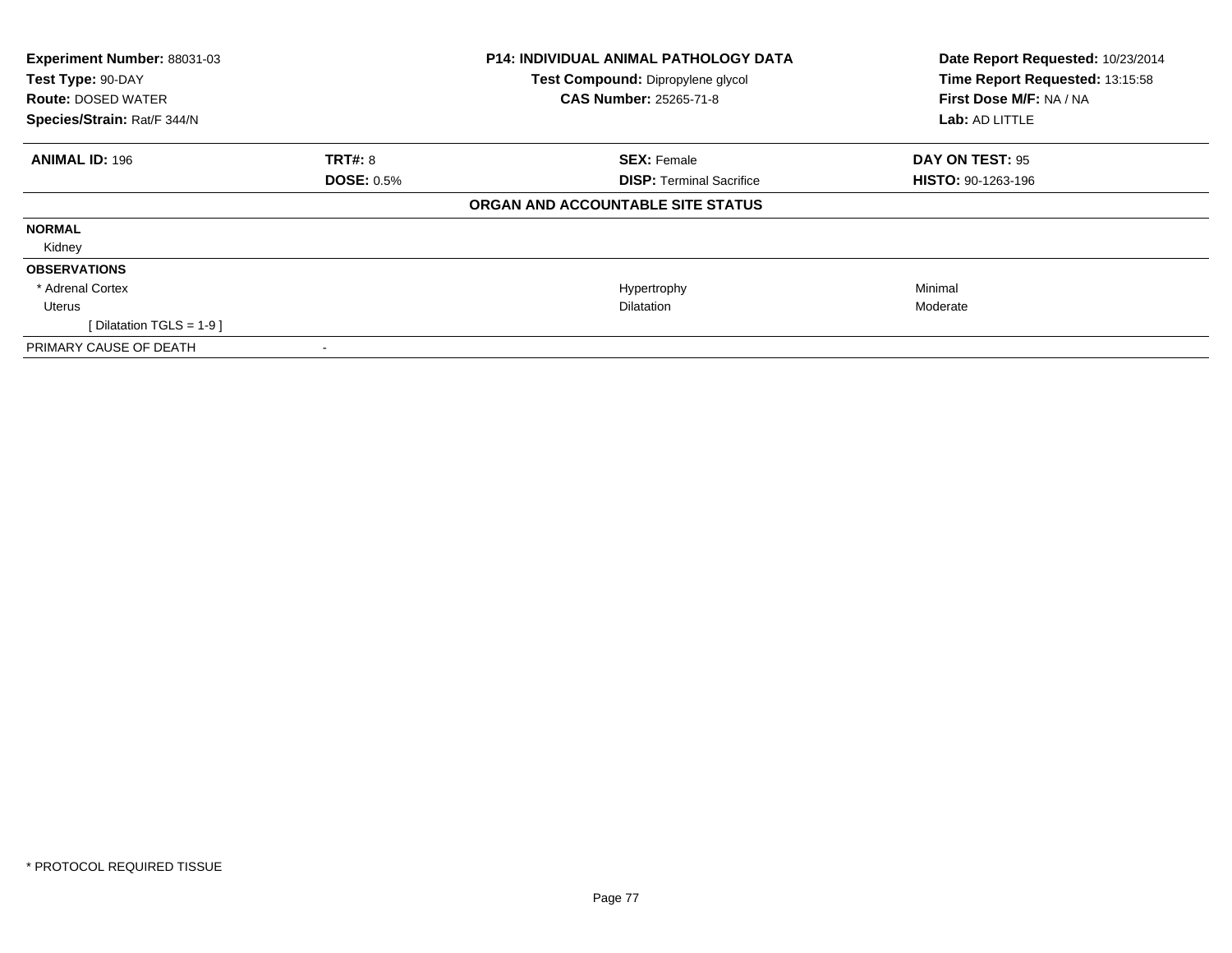| Experiment Number: 88031-03<br>Test Type: 90-DAY<br><b>Route: DOSED WATER</b><br>Species/Strain: Rat/F 344/N |                   | P14: INDIVIDUAL ANIMAL PATHOLOGY DATA<br>Test Compound: Dipropylene glycol<br><b>CAS Number: 25265-71-8</b> | Date Report Requested: 10/23/2014<br>Time Report Requested: 13:15:58<br>First Dose M/F: NA / NA<br>Lab: AD LITTLE |
|--------------------------------------------------------------------------------------------------------------|-------------------|-------------------------------------------------------------------------------------------------------------|-------------------------------------------------------------------------------------------------------------------|
| <b>ANIMAL ID: 196</b>                                                                                        | <b>TRT#: 8</b>    | <b>SEX: Female</b>                                                                                          | <b>DAY ON TEST: 95</b>                                                                                            |
|                                                                                                              | <b>DOSE: 0.5%</b> | <b>DISP:</b> Terminal Sacrifice                                                                             | <b>HISTO: 90-1263-196</b>                                                                                         |
|                                                                                                              |                   | ORGAN AND ACCOUNTABLE SITE STATUS                                                                           |                                                                                                                   |
| <b>NORMAL</b>                                                                                                |                   |                                                                                                             |                                                                                                                   |
| Kidney                                                                                                       |                   |                                                                                                             |                                                                                                                   |
| <b>OBSERVATIONS</b>                                                                                          |                   |                                                                                                             |                                                                                                                   |
| * Adrenal Cortex                                                                                             |                   | Hypertrophy                                                                                                 | Minimal                                                                                                           |
| Uterus                                                                                                       |                   | <b>Dilatation</b>                                                                                           | Moderate                                                                                                          |
| [Dilatation TGLS = $1-9$ ]                                                                                   |                   |                                                                                                             |                                                                                                                   |
| PRIMARY CAUSE OF DEATH                                                                                       |                   |                                                                                                             |                                                                                                                   |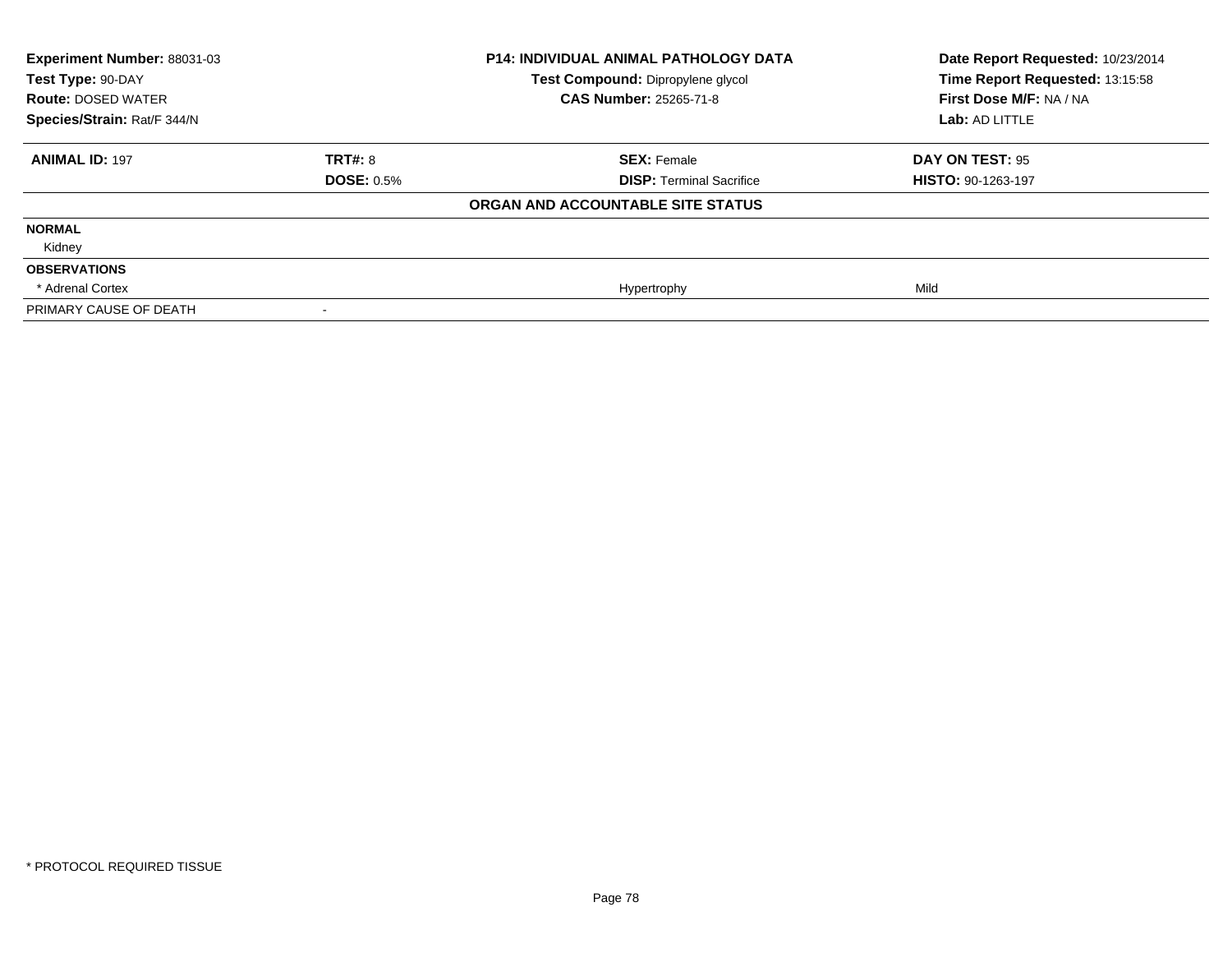| Experiment Number: 88031-03<br>Test Type: 90-DAY<br><b>Route: DOSED WATER</b><br>Species/Strain: Rat/F 344/N |                   | <b>P14: INDIVIDUAL ANIMAL PATHOLOGY DATA</b><br>Test Compound: Dipropylene glycol<br><b>CAS Number: 25265-71-8</b> | Date Report Requested: 10/23/2014<br>Time Report Requested: 13:15:58<br>First Dose M/F: NA / NA<br>Lab: AD LITTLE |
|--------------------------------------------------------------------------------------------------------------|-------------------|--------------------------------------------------------------------------------------------------------------------|-------------------------------------------------------------------------------------------------------------------|
|                                                                                                              |                   |                                                                                                                    |                                                                                                                   |
| <b>ANIMAL ID: 197</b>                                                                                        | <b>TRT#: 8</b>    | <b>SEX: Female</b>                                                                                                 | DAY ON TEST: 95                                                                                                   |
|                                                                                                              | <b>DOSE: 0.5%</b> | <b>DISP: Terminal Sacrifice</b>                                                                                    | HISTO: 90-1263-197                                                                                                |
|                                                                                                              |                   | ORGAN AND ACCOUNTABLE SITE STATUS                                                                                  |                                                                                                                   |
| <b>NORMAL</b>                                                                                                |                   |                                                                                                                    |                                                                                                                   |
| Kidney                                                                                                       |                   |                                                                                                                    |                                                                                                                   |
| <b>OBSERVATIONS</b>                                                                                          |                   |                                                                                                                    |                                                                                                                   |
| * Adrenal Cortex                                                                                             |                   | Hypertrophy                                                                                                        | Mild                                                                                                              |
| PRIMARY CAUSE OF DEATH                                                                                       |                   |                                                                                                                    |                                                                                                                   |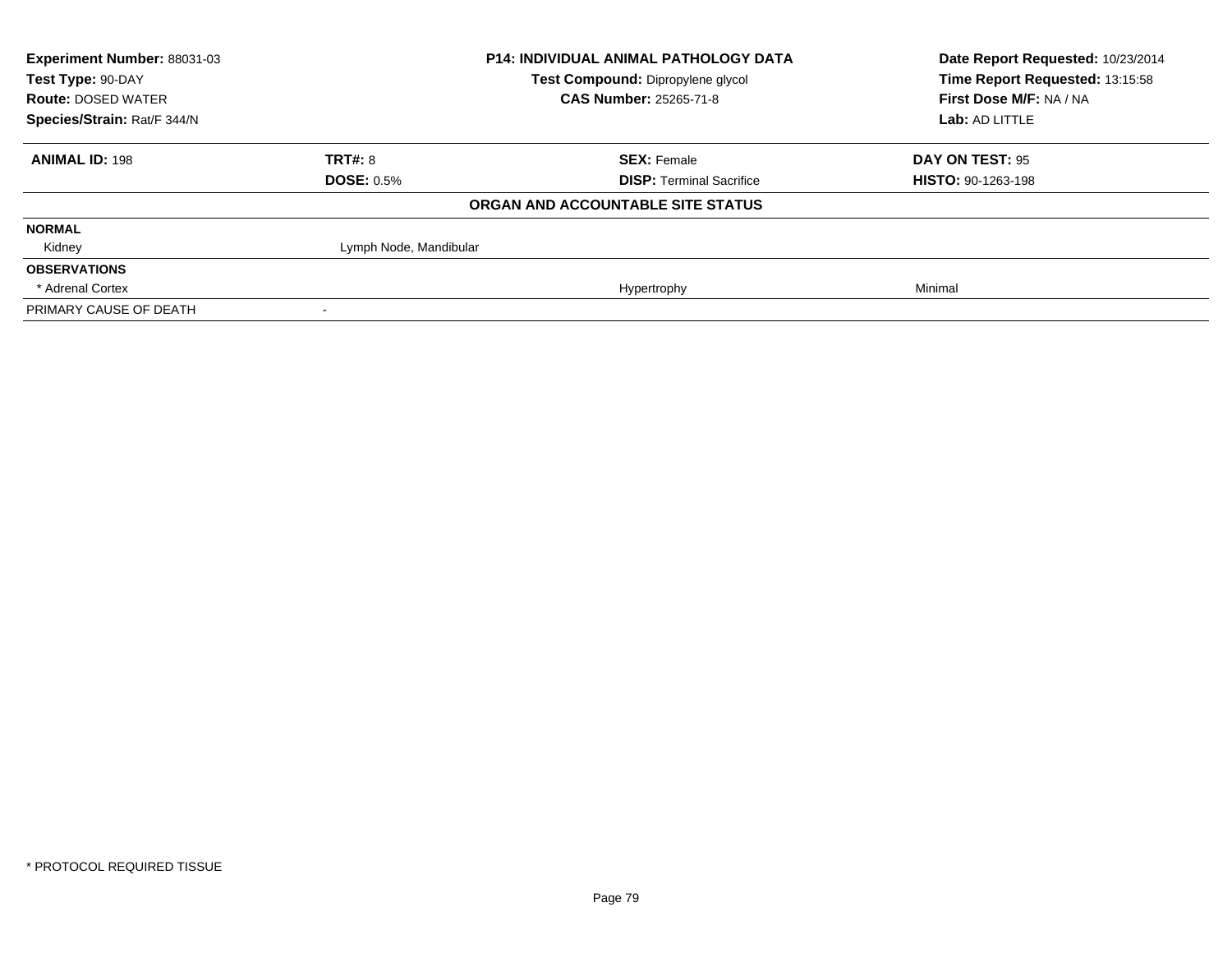| Experiment Number: 88031-03 |                        | <b>P14: INDIVIDUAL ANIMAL PATHOLOGY DATA</b> | Date Report Requested: 10/23/2014 |
|-----------------------------|------------------------|----------------------------------------------|-----------------------------------|
| Test Type: 90-DAY           |                        | Test Compound: Dipropylene glycol            | Time Report Requested: 13:15:58   |
| <b>Route: DOSED WATER</b>   |                        | <b>CAS Number: 25265-71-8</b>                | First Dose M/F: NA / NA           |
| Species/Strain: Rat/F 344/N |                        |                                              | Lab: AD LITTLE                    |
| <b>ANIMAL ID: 198</b>       | <b>TRT#: 8</b>         | <b>SEX: Female</b>                           | DAY ON TEST: 95                   |
|                             | <b>DOSE: 0.5%</b>      | <b>DISP: Terminal Sacrifice</b>              | <b>HISTO: 90-1263-198</b>         |
|                             |                        | ORGAN AND ACCOUNTABLE SITE STATUS            |                                   |
| <b>NORMAL</b>               |                        |                                              |                                   |
| Kidney                      | Lymph Node, Mandibular |                                              |                                   |
| <b>OBSERVATIONS</b>         |                        |                                              |                                   |
| * Adrenal Cortex            |                        | Hypertrophy                                  | Minimal                           |
| PRIMARY CAUSE OF DEATH      |                        |                                              |                                   |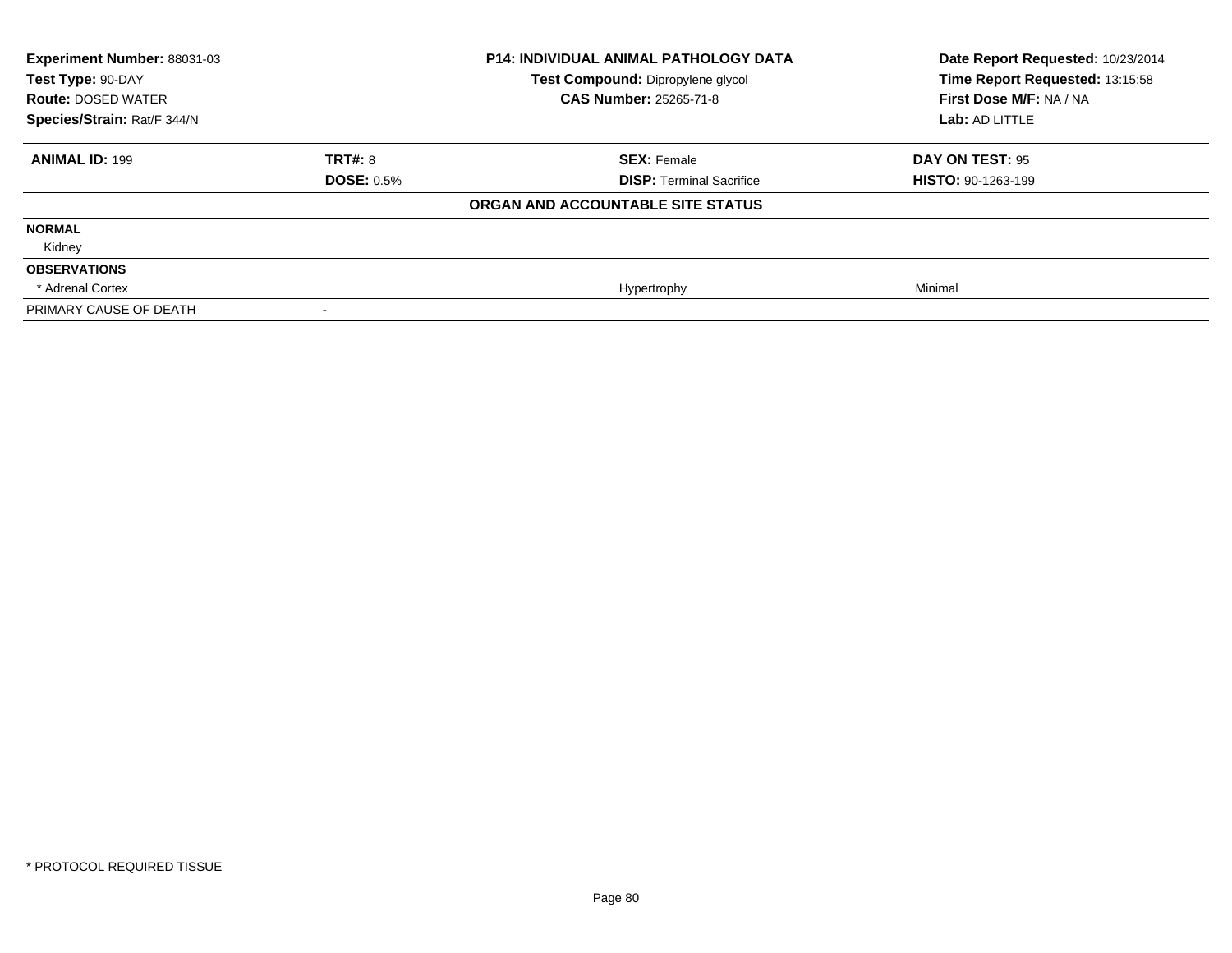| <b>Experiment Number: 88031-03</b><br>Test Type: 90-DAY<br><b>Route: DOSED WATER</b><br>Species/Strain: Rat/F 344/N |                   | <b>P14: INDIVIDUAL ANIMAL PATHOLOGY DATA</b><br>Test Compound: Dipropylene glycol<br><b>CAS Number: 25265-71-8</b> | Date Report Requested: 10/23/2014<br>Time Report Requested: 13:15:58<br>First Dose M/F: NA / NA<br>Lab: AD LITTLE |
|---------------------------------------------------------------------------------------------------------------------|-------------------|--------------------------------------------------------------------------------------------------------------------|-------------------------------------------------------------------------------------------------------------------|
|                                                                                                                     |                   |                                                                                                                    |                                                                                                                   |
| <b>ANIMAL ID: 199</b>                                                                                               | TRT#: 8           | <b>SEX: Female</b>                                                                                                 | DAY ON TEST: 95                                                                                                   |
|                                                                                                                     | <b>DOSE: 0.5%</b> | <b>DISP: Terminal Sacrifice</b>                                                                                    | <b>HISTO: 90-1263-199</b>                                                                                         |
|                                                                                                                     |                   | ORGAN AND ACCOUNTABLE SITE STATUS                                                                                  |                                                                                                                   |
| <b>NORMAL</b>                                                                                                       |                   |                                                                                                                    |                                                                                                                   |
| Kidney                                                                                                              |                   |                                                                                                                    |                                                                                                                   |
| <b>OBSERVATIONS</b>                                                                                                 |                   |                                                                                                                    |                                                                                                                   |
| * Adrenal Cortex                                                                                                    |                   | Hypertrophy                                                                                                        | Minimal                                                                                                           |
| PRIMARY CAUSE OF DEATH                                                                                              |                   |                                                                                                                    |                                                                                                                   |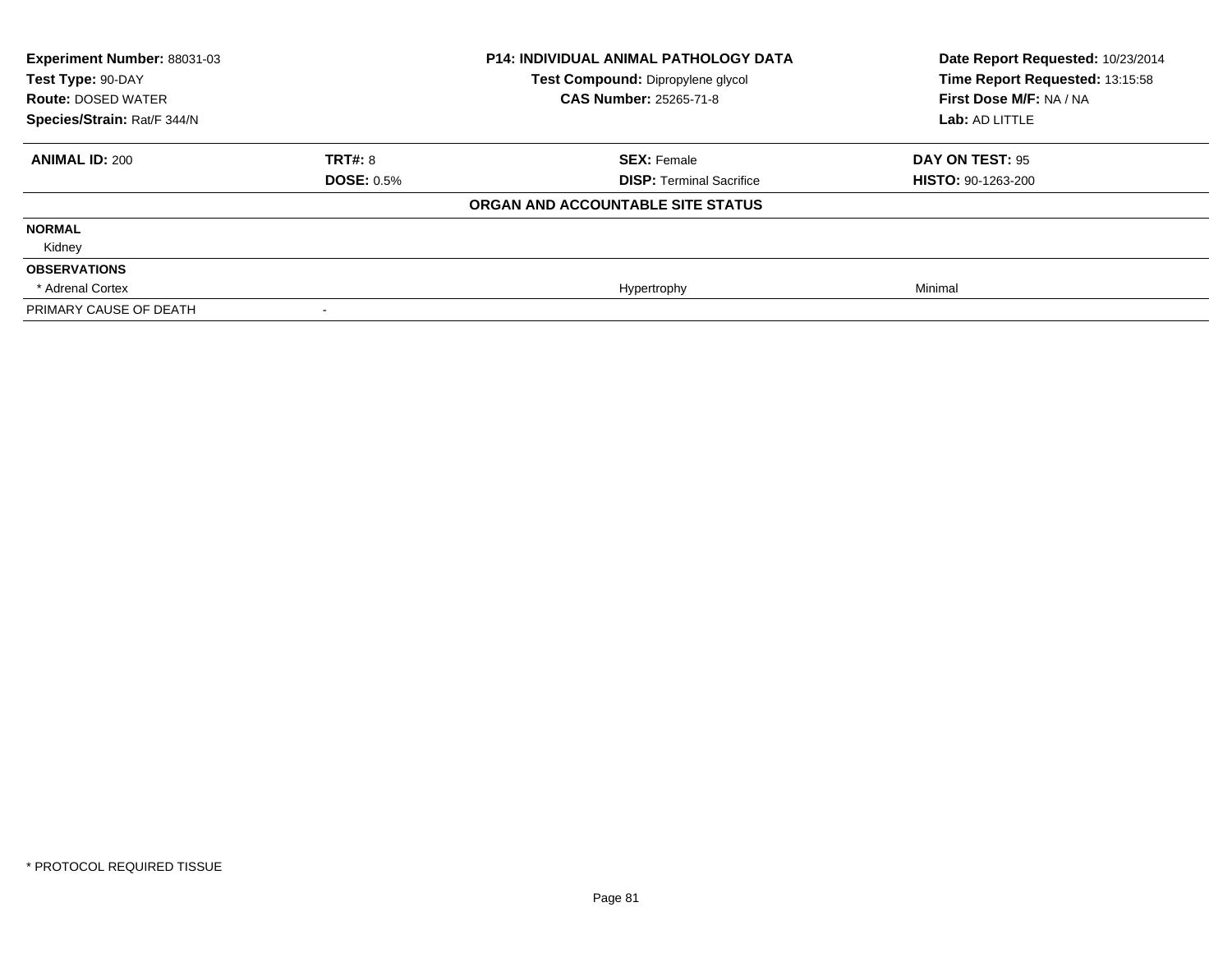| <b>Experiment Number: 88031-03</b><br>Test Type: 90-DAY<br><b>Route: DOSED WATER</b><br>Species/Strain: Rat/F 344/N |                   | <b>P14: INDIVIDUAL ANIMAL PATHOLOGY DATA</b><br>Test Compound: Dipropylene glycol<br><b>CAS Number: 25265-71-8</b> | Date Report Requested: 10/23/2014<br>Time Report Requested: 13:15:58<br>First Dose M/F: NA / NA<br>Lab: AD LITTLE |
|---------------------------------------------------------------------------------------------------------------------|-------------------|--------------------------------------------------------------------------------------------------------------------|-------------------------------------------------------------------------------------------------------------------|
|                                                                                                                     |                   |                                                                                                                    |                                                                                                                   |
| <b>ANIMAL ID: 200</b>                                                                                               | TRT#: 8           | <b>SEX: Female</b>                                                                                                 | DAY ON TEST: 95                                                                                                   |
|                                                                                                                     | <b>DOSE: 0.5%</b> | <b>DISP: Terminal Sacrifice</b>                                                                                    | <b>HISTO: 90-1263-200</b>                                                                                         |
|                                                                                                                     |                   | ORGAN AND ACCOUNTABLE SITE STATUS                                                                                  |                                                                                                                   |
| <b>NORMAL</b>                                                                                                       |                   |                                                                                                                    |                                                                                                                   |
| Kidney                                                                                                              |                   |                                                                                                                    |                                                                                                                   |
| <b>OBSERVATIONS</b>                                                                                                 |                   |                                                                                                                    |                                                                                                                   |
| * Adrenal Cortex                                                                                                    |                   | Hypertrophy                                                                                                        | Minimal                                                                                                           |
| PRIMARY CAUSE OF DEATH                                                                                              |                   |                                                                                                                    |                                                                                                                   |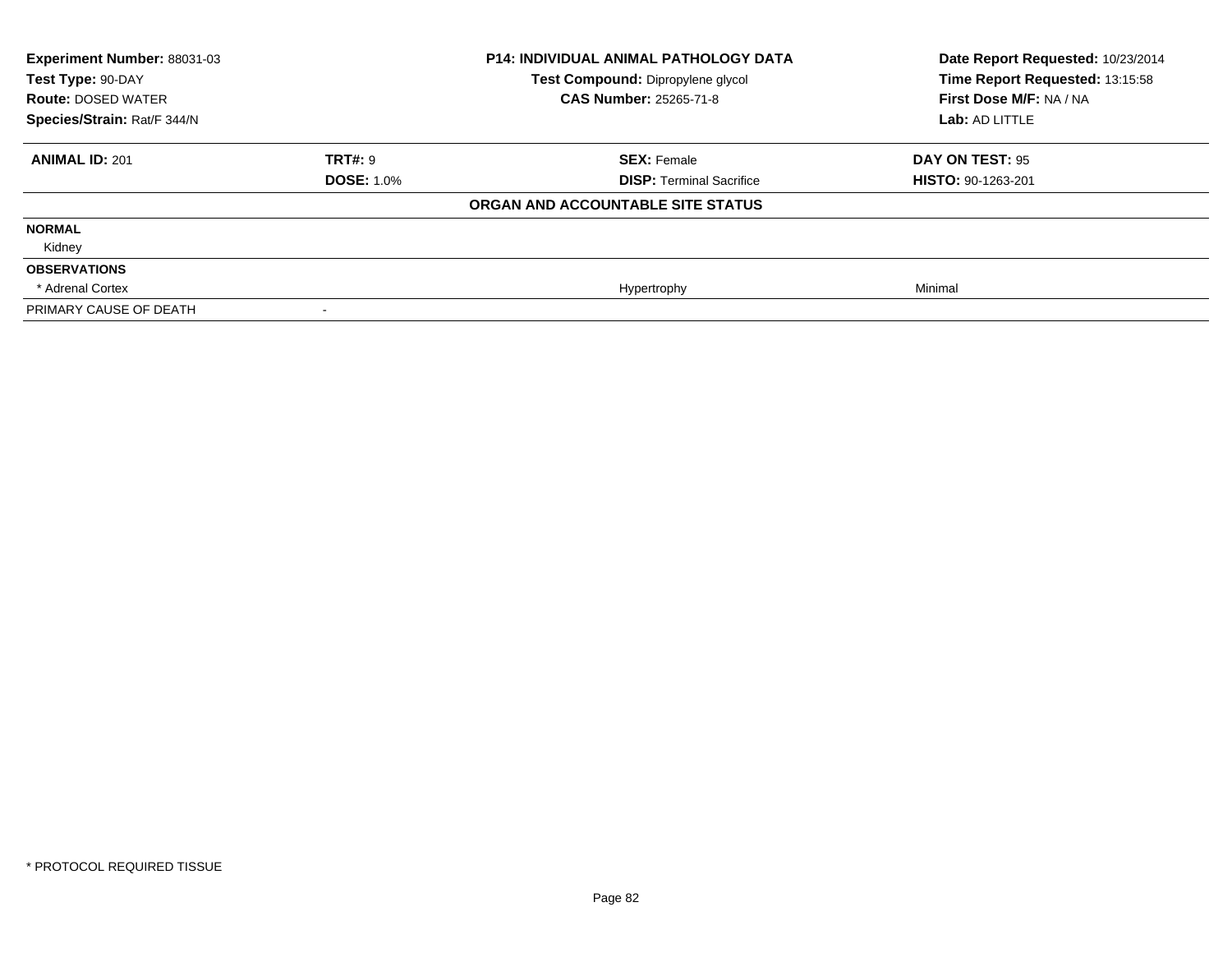| Experiment Number: 88031-03<br>Test Type: 90-DAY<br><b>Route: DOSED WATER</b><br>Species/Strain: Rat/F 344/N |                   | <b>P14: INDIVIDUAL ANIMAL PATHOLOGY DATA</b><br>Test Compound: Dipropylene glycol | Date Report Requested: 10/23/2014<br>Time Report Requested: 13:15:58 |
|--------------------------------------------------------------------------------------------------------------|-------------------|-----------------------------------------------------------------------------------|----------------------------------------------------------------------|
|                                                                                                              |                   | <b>CAS Number: 25265-71-8</b>                                                     | First Dose M/F: NA / NA                                              |
|                                                                                                              |                   |                                                                                   | Lab: AD LITTLE                                                       |
| <b>ANIMAL ID: 201</b>                                                                                        | TRT#: 9           | <b>SEX: Female</b>                                                                | <b>DAY ON TEST: 95</b>                                               |
|                                                                                                              | <b>DOSE: 1.0%</b> | <b>DISP: Terminal Sacrifice</b>                                                   | <b>HISTO: 90-1263-201</b>                                            |
|                                                                                                              |                   | ORGAN AND ACCOUNTABLE SITE STATUS                                                 |                                                                      |
| <b>NORMAL</b>                                                                                                |                   |                                                                                   |                                                                      |
| Kidney                                                                                                       |                   |                                                                                   |                                                                      |
| <b>OBSERVATIONS</b>                                                                                          |                   |                                                                                   |                                                                      |
| * Adrenal Cortex                                                                                             |                   | Hypertrophy                                                                       | Minimal                                                              |
| PRIMARY CAUSE OF DEATH                                                                                       |                   |                                                                                   |                                                                      |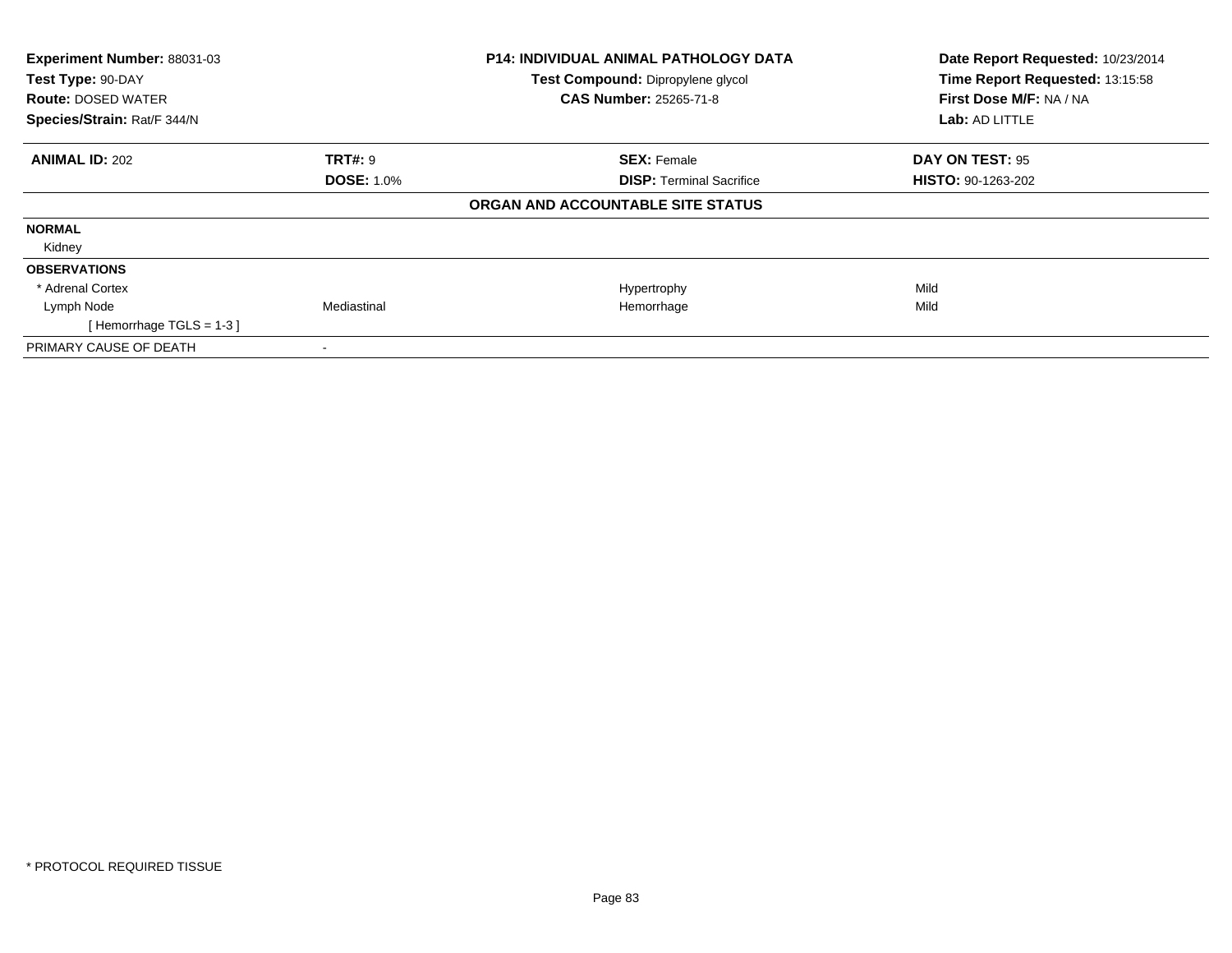| Experiment Number: 88031-03<br>Test Type: 90-DAY |                   | P14: INDIVIDUAL ANIMAL PATHOLOGY DATA | Date Report Requested: 10/23/2014<br>Time Report Requested: 13:15:58 |
|--------------------------------------------------|-------------------|---------------------------------------|----------------------------------------------------------------------|
|                                                  |                   | Test Compound: Dipropylene glycol     |                                                                      |
| <b>Route: DOSED WATER</b>                        |                   | <b>CAS Number: 25265-71-8</b>         | First Dose M/F: NA / NA                                              |
| Species/Strain: Rat/F 344/N                      |                   |                                       | Lab: AD LITTLE                                                       |
| <b>ANIMAL ID: 202</b>                            | <b>TRT#: 9</b>    | <b>SEX: Female</b>                    | DAY ON TEST: 95                                                      |
|                                                  | <b>DOSE: 1.0%</b> | <b>DISP:</b> Terminal Sacrifice       | <b>HISTO: 90-1263-202</b>                                            |
|                                                  |                   | ORGAN AND ACCOUNTABLE SITE STATUS     |                                                                      |
| <b>NORMAL</b>                                    |                   |                                       |                                                                      |
| Kidney                                           |                   |                                       |                                                                      |
| <b>OBSERVATIONS</b>                              |                   |                                       |                                                                      |
| * Adrenal Cortex                                 |                   | Hypertrophy                           | Mild                                                                 |
| Lymph Node                                       | Mediastinal       | Hemorrhage                            | Mild                                                                 |
| [Hemorrhage TGLS = $1-3$ ]                       |                   |                                       |                                                                      |
| PRIMARY CAUSE OF DEATH                           |                   |                                       |                                                                      |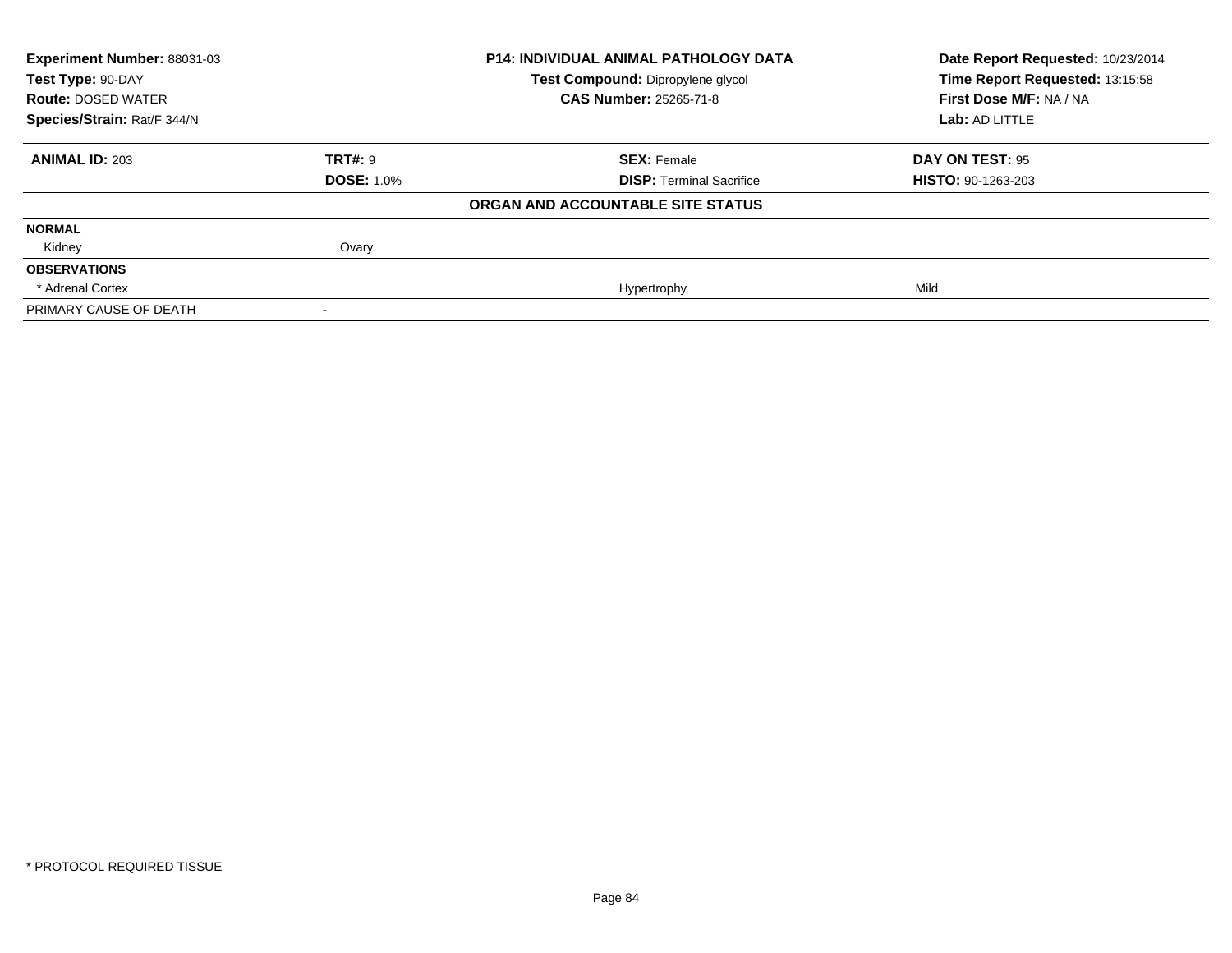| <b>Experiment Number: 88031-03</b><br>Test Type: 90-DAY |                   | <b>P14: INDIVIDUAL ANIMAL PATHOLOGY DATA</b> | Date Report Requested: 10/23/2014<br>Time Report Requested: 13:15:58 |
|---------------------------------------------------------|-------------------|----------------------------------------------|----------------------------------------------------------------------|
|                                                         |                   | Test Compound: Dipropylene glycol            |                                                                      |
| <b>Route: DOSED WATER</b>                               |                   | <b>CAS Number: 25265-71-8</b>                | First Dose M/F: NA / NA                                              |
| Species/Strain: Rat/F 344/N                             |                   |                                              | Lab: AD LITTLE                                                       |
| <b>ANIMAL ID: 203</b>                                   | <b>TRT#: 9</b>    | <b>SEX: Female</b>                           | DAY ON TEST: 95                                                      |
|                                                         | <b>DOSE: 1.0%</b> | <b>DISP:</b> Terminal Sacrifice              | <b>HISTO: 90-1263-203</b>                                            |
|                                                         |                   | ORGAN AND ACCOUNTABLE SITE STATUS            |                                                                      |
| <b>NORMAL</b>                                           |                   |                                              |                                                                      |
| Kidney                                                  | Ovary             |                                              |                                                                      |
| <b>OBSERVATIONS</b>                                     |                   |                                              |                                                                      |
| * Adrenal Cortex                                        |                   | Hypertrophy                                  | Mild                                                                 |
| PRIMARY CAUSE OF DEATH                                  |                   |                                              |                                                                      |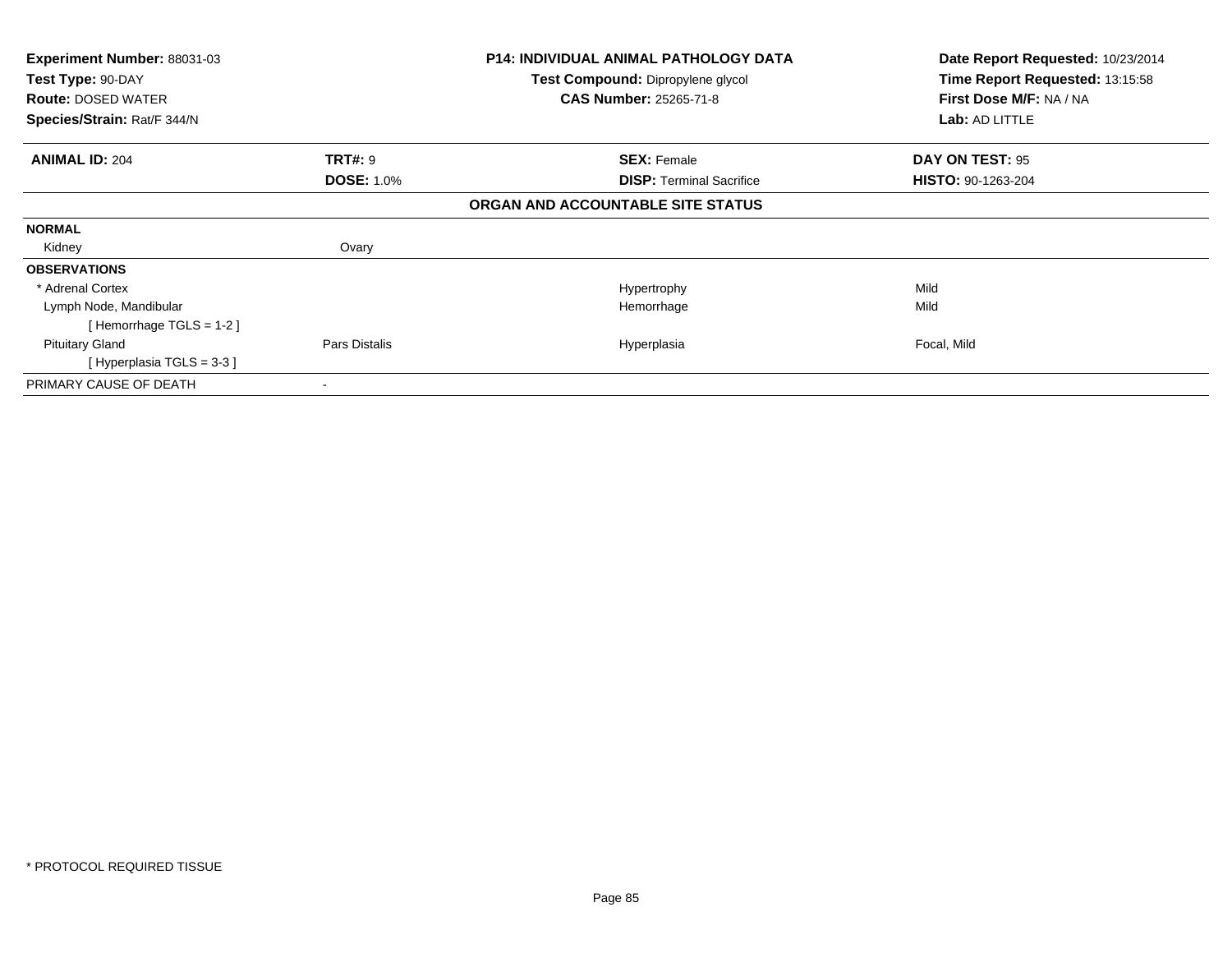| <b>Experiment Number: 88031-03</b> |                                   | <b>P14: INDIVIDUAL ANIMAL PATHOLOGY DATA</b> | Date Report Requested: 10/23/2014 |
|------------------------------------|-----------------------------------|----------------------------------------------|-----------------------------------|
| Test Type: 90-DAY                  | Test Compound: Dipropylene glycol | Time Report Requested: 13:15:58              |                                   |
| <b>Route: DOSED WATER</b>          |                                   | <b>CAS Number: 25265-71-8</b>                | First Dose M/F: NA / NA           |
| Species/Strain: Rat/F 344/N        |                                   |                                              | Lab: AD LITTLE                    |
| <b>ANIMAL ID: 204</b>              | <b>TRT#: 9</b>                    | <b>SEX: Female</b>                           | DAY ON TEST: 95                   |
|                                    | <b>DOSE: 1.0%</b>                 | <b>DISP:</b> Terminal Sacrifice              | <b>HISTO: 90-1263-204</b>         |
|                                    |                                   | ORGAN AND ACCOUNTABLE SITE STATUS            |                                   |
| <b>NORMAL</b>                      |                                   |                                              |                                   |
| Kidney                             | Ovary                             |                                              |                                   |
| <b>OBSERVATIONS</b>                |                                   |                                              |                                   |
| * Adrenal Cortex                   |                                   | Hypertrophy                                  | Mild                              |
| Lymph Node, Mandibular             |                                   | Hemorrhage                                   | Mild                              |
| [Hemorrhage TGLS = 1-2]            |                                   |                                              |                                   |
| <b>Pituitary Gland</b>             | Pars Distalis                     | Hyperplasia                                  | Focal, Mild                       |
| [Hyperplasia TGLS = 3-3 ]          |                                   |                                              |                                   |
| PRIMARY CAUSE OF DEATH             |                                   |                                              |                                   |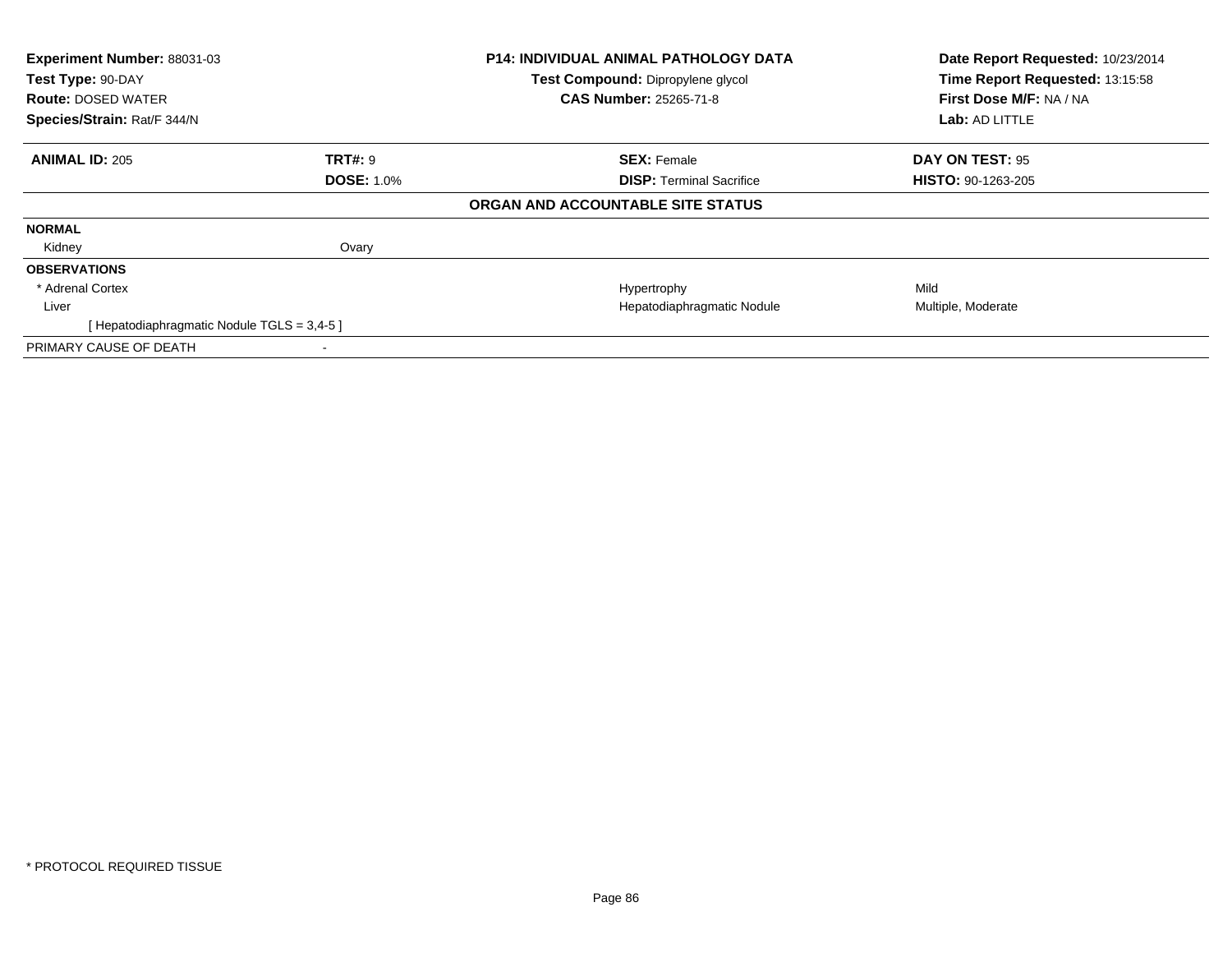| Experiment Number: 88031-03<br>Test Type: 90-DAY<br><b>Route: DOSED WATER</b><br>Species/Strain: Rat/F 344/N |                   | P14: INDIVIDUAL ANIMAL PATHOLOGY DATA<br>Test Compound: Dipropylene glycol<br><b>CAS Number: 25265-71-8</b> | Date Report Requested: 10/23/2014<br>Time Report Requested: 13:15:58<br>First Dose M/F: NA / NA<br>Lab: AD LITTLE |
|--------------------------------------------------------------------------------------------------------------|-------------------|-------------------------------------------------------------------------------------------------------------|-------------------------------------------------------------------------------------------------------------------|
| <b>ANIMAL ID: 205</b>                                                                                        | <b>TRT#: 9</b>    | <b>SEX: Female</b>                                                                                          | DAY ON TEST: 95                                                                                                   |
|                                                                                                              | <b>DOSE: 1.0%</b> | <b>DISP:</b> Terminal Sacrifice                                                                             | <b>HISTO: 90-1263-205</b>                                                                                         |
|                                                                                                              |                   | ORGAN AND ACCOUNTABLE SITE STATUS                                                                           |                                                                                                                   |
| <b>NORMAL</b>                                                                                                |                   |                                                                                                             |                                                                                                                   |
| Kidney                                                                                                       | Ovary             |                                                                                                             |                                                                                                                   |
| <b>OBSERVATIONS</b>                                                                                          |                   |                                                                                                             |                                                                                                                   |
| * Adrenal Cortex                                                                                             |                   | Hypertrophy                                                                                                 | Mild                                                                                                              |
| Liver                                                                                                        |                   | Hepatodiaphragmatic Nodule                                                                                  | Multiple, Moderate                                                                                                |
| [Hepatodiaphragmatic Nodule TGLS = 3,4-5 ]                                                                   |                   |                                                                                                             |                                                                                                                   |
| PRIMARY CAUSE OF DEATH                                                                                       |                   |                                                                                                             |                                                                                                                   |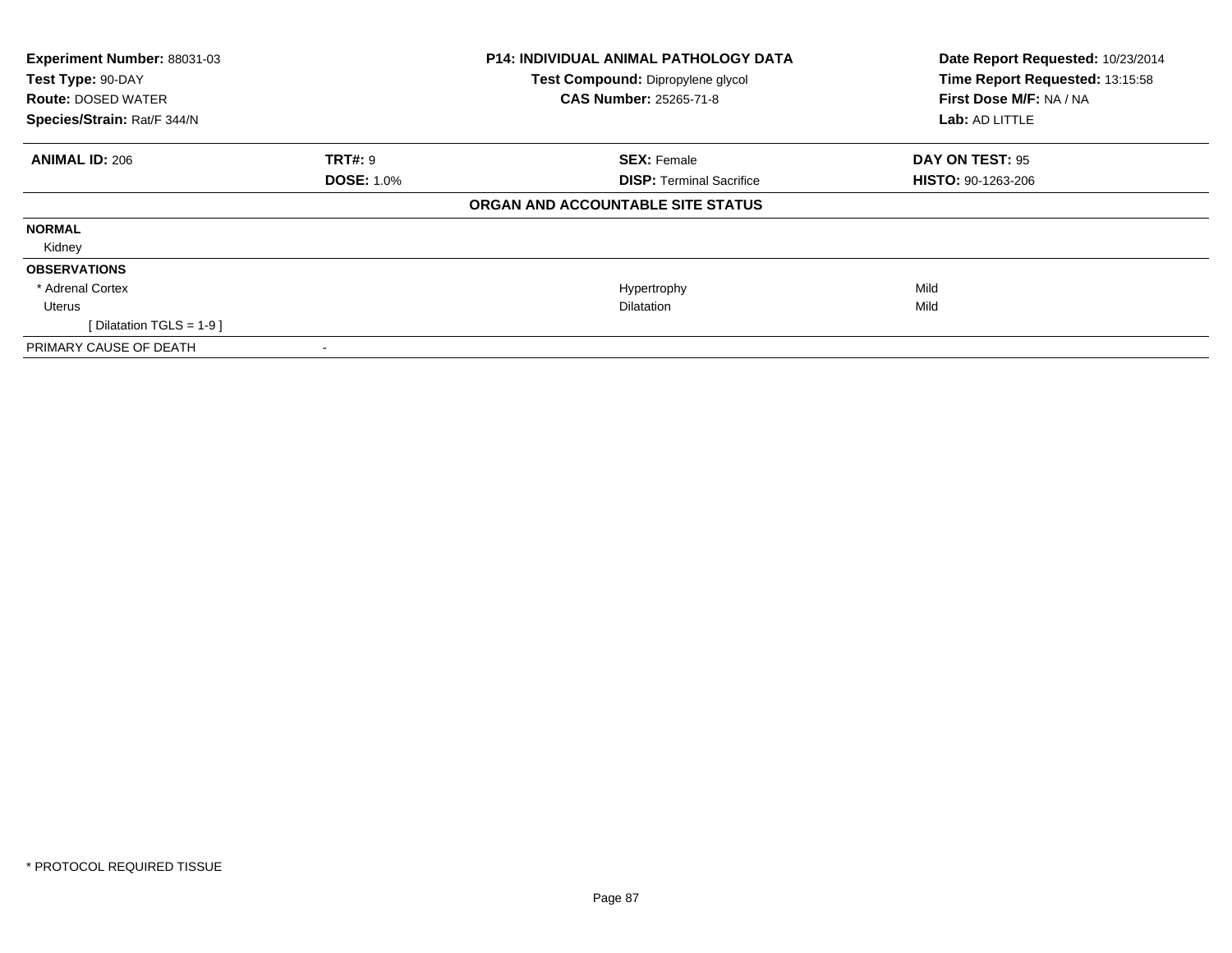| Experiment Number: 88031-03 |                                   | P14: INDIVIDUAL ANIMAL PATHOLOGY DATA | Date Report Requested: 10/23/2014 |
|-----------------------------|-----------------------------------|---------------------------------------|-----------------------------------|
| Test Type: 90-DAY           | Test Compound: Dipropylene glycol |                                       | Time Report Requested: 13:15:58   |
| <b>Route: DOSED WATER</b>   |                                   | <b>CAS Number: 25265-71-8</b>         | First Dose M/F: NA / NA           |
| Species/Strain: Rat/F 344/N |                                   |                                       | Lab: AD LITTLE                    |
| <b>ANIMAL ID: 206</b>       | <b>TRT#: 9</b>                    | <b>SEX: Female</b>                    | DAY ON TEST: 95                   |
|                             | <b>DOSE: 1.0%</b>                 | <b>DISP:</b> Terminal Sacrifice       | <b>HISTO: 90-1263-206</b>         |
|                             |                                   | ORGAN AND ACCOUNTABLE SITE STATUS     |                                   |
| <b>NORMAL</b>               |                                   |                                       |                                   |
| Kidney                      |                                   |                                       |                                   |
| <b>OBSERVATIONS</b>         |                                   |                                       |                                   |
| * Adrenal Cortex            |                                   | Hypertrophy                           | Mild                              |
| Uterus                      |                                   | <b>Dilatation</b>                     | Mild                              |
| [Dilatation TGLS = 1-9 ]    |                                   |                                       |                                   |
| PRIMARY CAUSE OF DEATH      |                                   |                                       |                                   |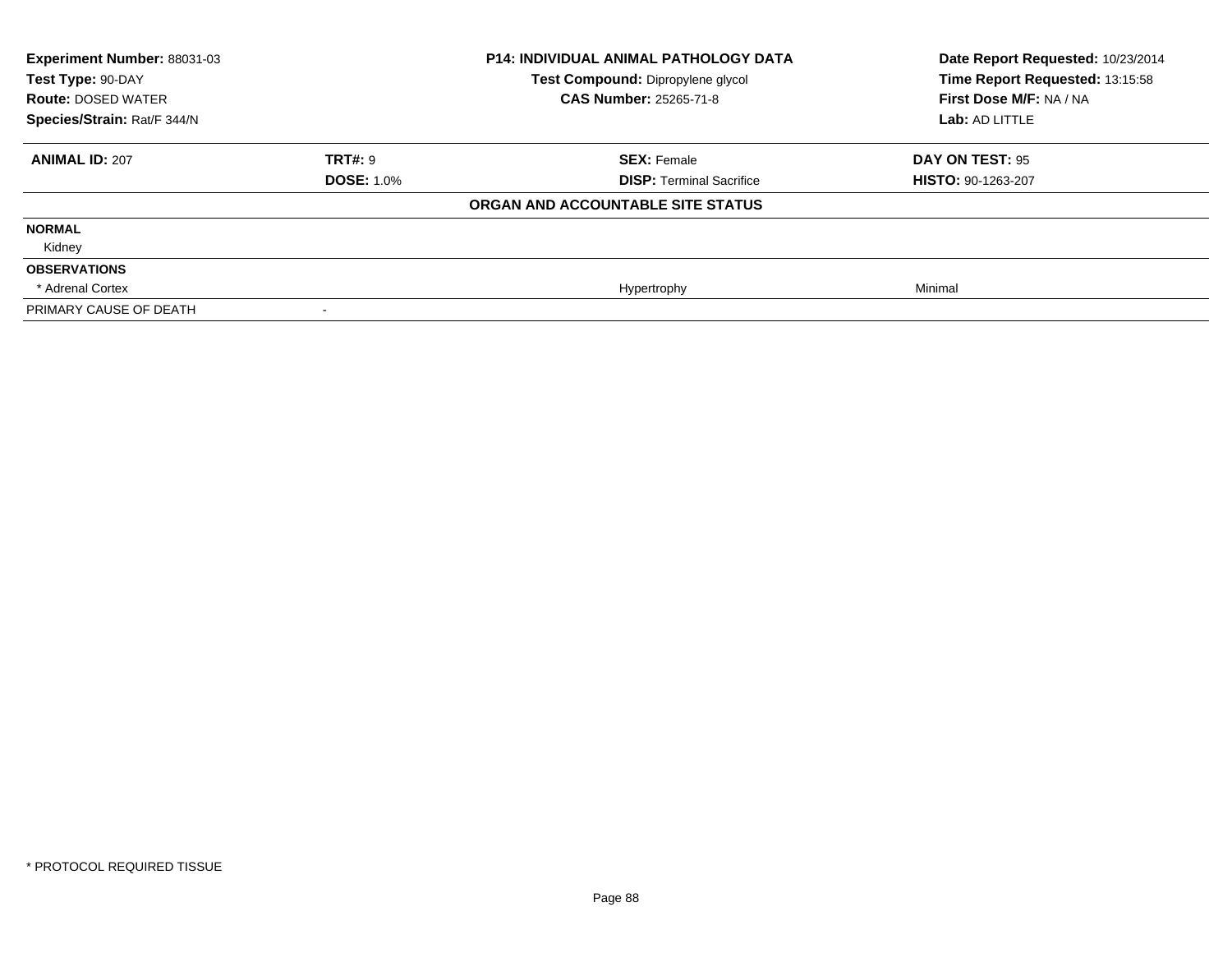| <b>Experiment Number: 88031-03</b><br>Test Type: 90-DAY<br><b>Route: DOSED WATER</b> |                   | <b>P14: INDIVIDUAL ANIMAL PATHOLOGY DATA</b><br>Test Compound: Dipropylene glycol<br><b>CAS Number: 25265-71-8</b> | Date Report Requested: 10/23/2014<br>Time Report Requested: 13:15:58<br>First Dose M/F: NA / NA<br>Lab: AD LITTLE |
|--------------------------------------------------------------------------------------|-------------------|--------------------------------------------------------------------------------------------------------------------|-------------------------------------------------------------------------------------------------------------------|
| Species/Strain: Rat/F 344/N                                                          |                   |                                                                                                                    |                                                                                                                   |
| <b>ANIMAL ID: 207</b>                                                                | <b>TRT#: 9</b>    | <b>SEX: Female</b>                                                                                                 | DAY ON TEST: 95                                                                                                   |
|                                                                                      | <b>DOSE: 1.0%</b> | <b>DISP: Terminal Sacrifice</b>                                                                                    | <b>HISTO: 90-1263-207</b>                                                                                         |
|                                                                                      |                   | ORGAN AND ACCOUNTABLE SITE STATUS                                                                                  |                                                                                                                   |
| <b>NORMAL</b>                                                                        |                   |                                                                                                                    |                                                                                                                   |
| Kidney                                                                               |                   |                                                                                                                    |                                                                                                                   |
| <b>OBSERVATIONS</b>                                                                  |                   |                                                                                                                    |                                                                                                                   |
| * Adrenal Cortex                                                                     |                   | Hypertrophy                                                                                                        | Minimal                                                                                                           |
| PRIMARY CAUSE OF DEATH                                                               |                   |                                                                                                                    |                                                                                                                   |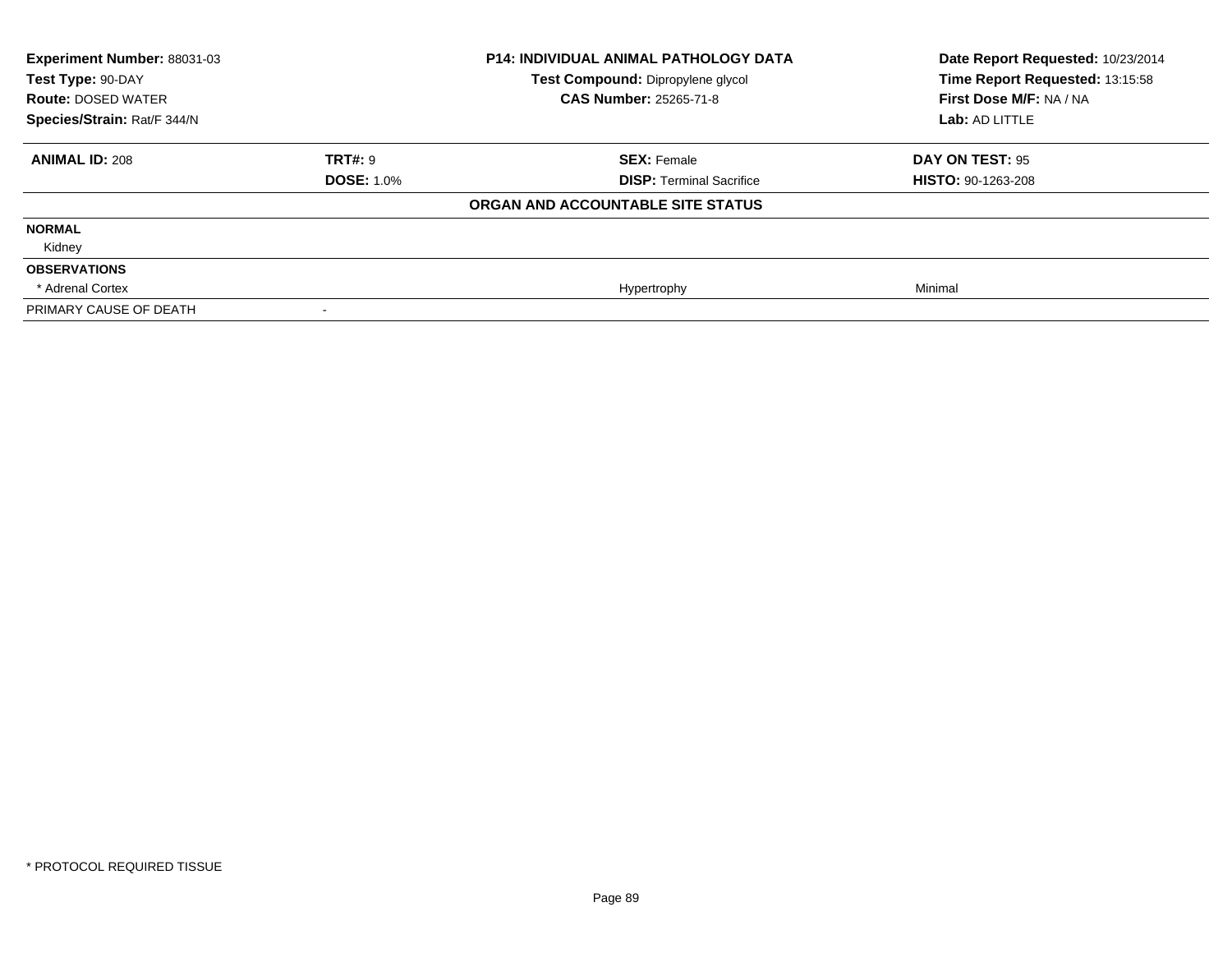| Experiment Number: 88031-03<br>Test Type: 90-DAY<br><b>Route: DOSED WATER</b> |                   | <b>P14: INDIVIDUAL ANIMAL PATHOLOGY DATA</b><br>Test Compound: Dipropylene glycol<br><b>CAS Number: 25265-71-8</b> | Date Report Requested: 10/23/2014<br>Time Report Requested: 13:15:58<br>First Dose M/F: NA / NA |
|-------------------------------------------------------------------------------|-------------------|--------------------------------------------------------------------------------------------------------------------|-------------------------------------------------------------------------------------------------|
| Species/Strain: Rat/F 344/N                                                   |                   |                                                                                                                    | Lab: AD LITTLE                                                                                  |
| <b>ANIMAL ID: 208</b>                                                         | <b>TRT#: 9</b>    | <b>SEX: Female</b>                                                                                                 | DAY ON TEST: 95                                                                                 |
|                                                                               | <b>DOSE: 1.0%</b> | <b>DISP: Terminal Sacrifice</b>                                                                                    | <b>HISTO: 90-1263-208</b>                                                                       |
|                                                                               |                   | ORGAN AND ACCOUNTABLE SITE STATUS                                                                                  |                                                                                                 |
| <b>NORMAL</b>                                                                 |                   |                                                                                                                    |                                                                                                 |
| Kidney                                                                        |                   |                                                                                                                    |                                                                                                 |
| <b>OBSERVATIONS</b>                                                           |                   |                                                                                                                    |                                                                                                 |
| * Adrenal Cortex                                                              |                   | Hypertrophy                                                                                                        | Minimal                                                                                         |
| PRIMARY CAUSE OF DEATH                                                        |                   |                                                                                                                    |                                                                                                 |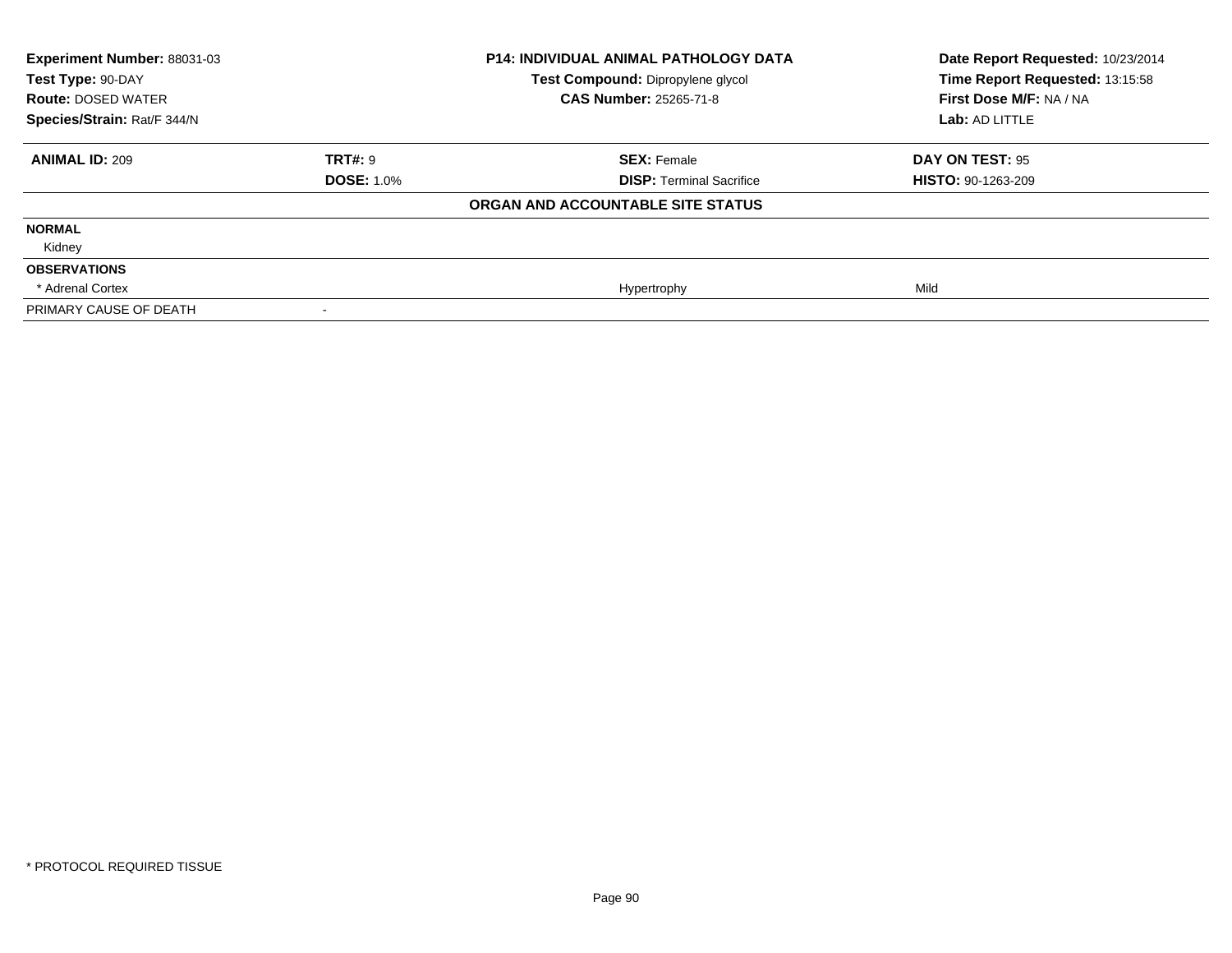| Experiment Number: 88031-03 | <b>P14: INDIVIDUAL ANIMAL PATHOLOGY DATA</b> |                                   | Date Report Requested: 10/23/2014 |
|-----------------------------|----------------------------------------------|-----------------------------------|-----------------------------------|
| Test Type: 90-DAY           |                                              | Test Compound: Dipropylene glycol | Time Report Requested: 13:15:58   |
| <b>Route: DOSED WATER</b>   |                                              | <b>CAS Number: 25265-71-8</b>     | First Dose M/F: NA / NA           |
| Species/Strain: Rat/F 344/N |                                              |                                   | Lab: AD LITTLE                    |
| <b>ANIMAL ID: 209</b>       | <b>TRT#: 9</b>                               | <b>SEX: Female</b>                | <b>DAY ON TEST: 95</b>            |
|                             | <b>DOSE: 1.0%</b>                            | <b>DISP: Terminal Sacrifice</b>   | <b>HISTO: 90-1263-209</b>         |
|                             |                                              | ORGAN AND ACCOUNTABLE SITE STATUS |                                   |
| <b>NORMAL</b>               |                                              |                                   |                                   |
| Kidney                      |                                              |                                   |                                   |
| <b>OBSERVATIONS</b>         |                                              |                                   |                                   |
| * Adrenal Cortex            |                                              | Hypertrophy                       | Mild                              |
| PRIMARY CAUSE OF DEATH      |                                              |                                   |                                   |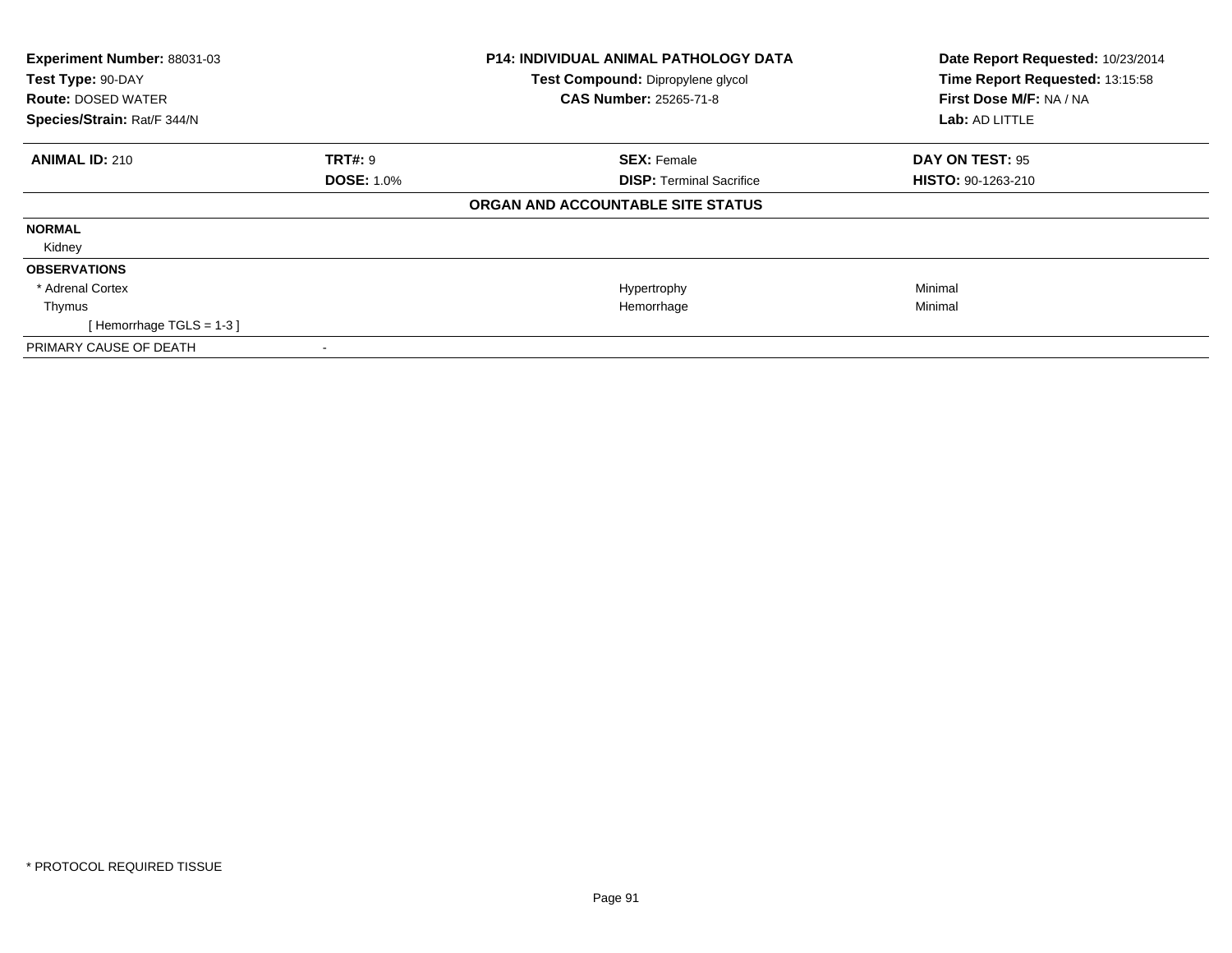| Experiment Number: 88031-03<br>Test Type: 90-DAY<br><b>Route: DOSED WATER</b><br>Species/Strain: Rat/F 344/N |                   | <b>P14: INDIVIDUAL ANIMAL PATHOLOGY DATA</b><br>Test Compound: Dipropylene glycol<br><b>CAS Number: 25265-71-8</b> | Date Report Requested: 10/23/2014<br>Time Report Requested: 13:15:58<br>First Dose M/F: NA / NA<br><b>Lab: AD LITTLE</b> |
|--------------------------------------------------------------------------------------------------------------|-------------------|--------------------------------------------------------------------------------------------------------------------|--------------------------------------------------------------------------------------------------------------------------|
| <b>ANIMAL ID: 210</b>                                                                                        | <b>TRT#: 9</b>    | <b>SEX: Female</b>                                                                                                 | <b>DAY ON TEST: 95</b>                                                                                                   |
|                                                                                                              | <b>DOSE: 1.0%</b> | <b>DISP:</b> Terminal Sacrifice                                                                                    | <b>HISTO: 90-1263-210</b>                                                                                                |
|                                                                                                              |                   | ORGAN AND ACCOUNTABLE SITE STATUS                                                                                  |                                                                                                                          |
| <b>NORMAL</b>                                                                                                |                   |                                                                                                                    |                                                                                                                          |
| Kidney                                                                                                       |                   |                                                                                                                    |                                                                                                                          |
| <b>OBSERVATIONS</b>                                                                                          |                   |                                                                                                                    |                                                                                                                          |
| * Adrenal Cortex                                                                                             |                   | Hypertrophy                                                                                                        | Minimal                                                                                                                  |
| Thymus                                                                                                       |                   | Hemorrhage                                                                                                         | Minimal                                                                                                                  |
| [Hemorrhage TGLS = $1-3$ ]                                                                                   |                   |                                                                                                                    |                                                                                                                          |
| PRIMARY CAUSE OF DEATH                                                                                       |                   |                                                                                                                    |                                                                                                                          |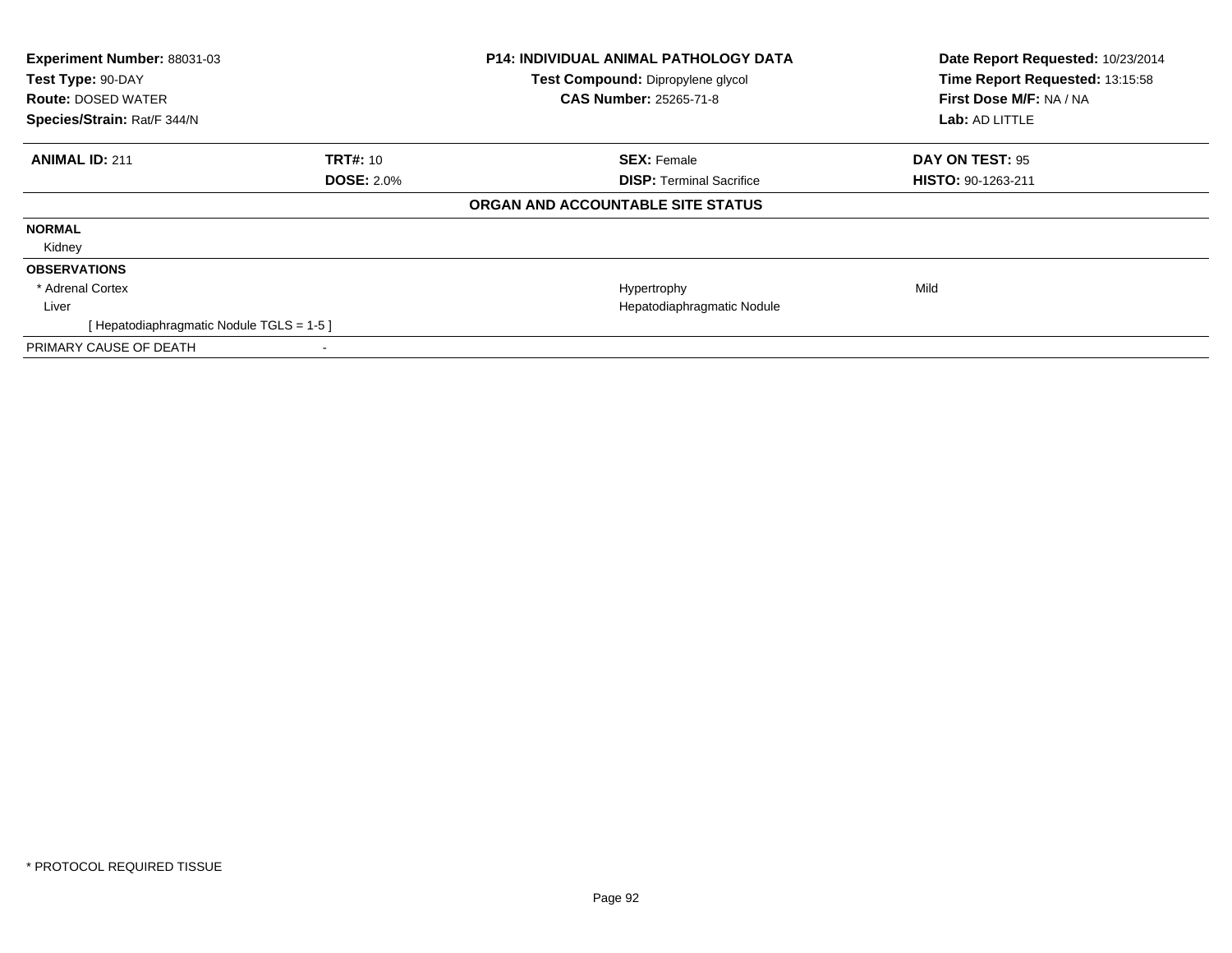| Experiment Number: 88031-03<br>Test Type: 90-DAY<br><b>Route: DOSED WATER</b><br>Species/Strain: Rat/F 344/N |                   | P14: INDIVIDUAL ANIMAL PATHOLOGY DATA<br>Test Compound: Dipropylene glycol<br>CAS Number: 25265-71-8 | Date Report Requested: 10/23/2014<br>Time Report Requested: 13:15:58<br>First Dose M/F: NA / NA<br>Lab: AD LITTLE |
|--------------------------------------------------------------------------------------------------------------|-------------------|------------------------------------------------------------------------------------------------------|-------------------------------------------------------------------------------------------------------------------|
| <b>ANIMAL ID: 211</b>                                                                                        | <b>TRT#: 10</b>   | <b>SEX: Female</b>                                                                                   | DAY ON TEST: 95                                                                                                   |
|                                                                                                              | <b>DOSE: 2.0%</b> | <b>DISP:</b> Terminal Sacrifice                                                                      | <b>HISTO: 90-1263-211</b>                                                                                         |
|                                                                                                              |                   | ORGAN AND ACCOUNTABLE SITE STATUS                                                                    |                                                                                                                   |
| <b>NORMAL</b>                                                                                                |                   |                                                                                                      |                                                                                                                   |
| Kidney                                                                                                       |                   |                                                                                                      |                                                                                                                   |
| <b>OBSERVATIONS</b>                                                                                          |                   |                                                                                                      |                                                                                                                   |
| * Adrenal Cortex                                                                                             |                   | Hypertrophy                                                                                          | Mild                                                                                                              |
| Liver                                                                                                        |                   | Hepatodiaphragmatic Nodule                                                                           |                                                                                                                   |
| [Hepatodiaphragmatic Nodule TGLS = 1-5]                                                                      |                   |                                                                                                      |                                                                                                                   |
| PRIMARY CAUSE OF DEATH                                                                                       |                   |                                                                                                      |                                                                                                                   |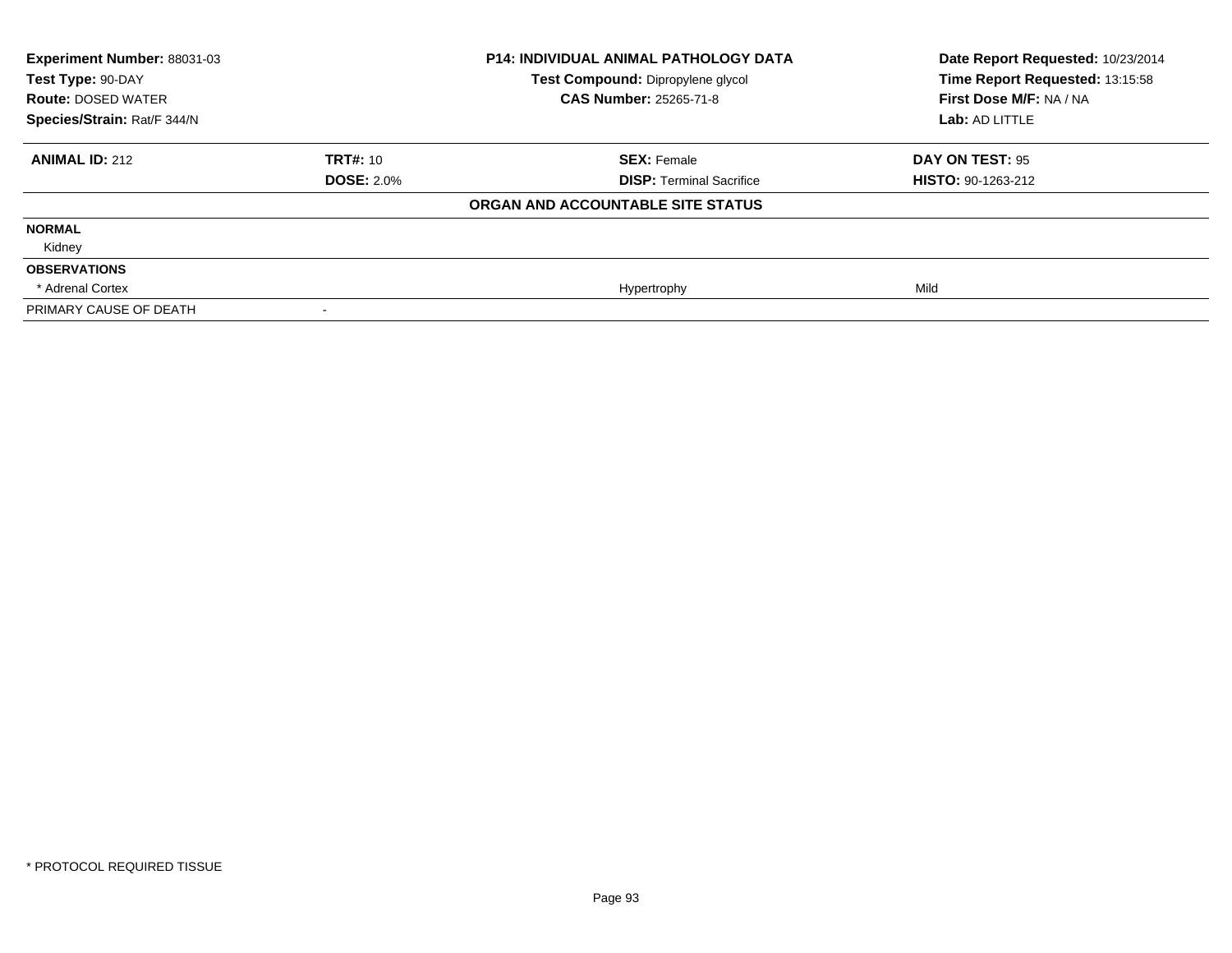| Experiment Number: 88031-03 |                   | <b>P14: INDIVIDUAL ANIMAL PATHOLOGY DATA</b> | Date Report Requested: 10/23/2014 |
|-----------------------------|-------------------|----------------------------------------------|-----------------------------------|
| Test Type: 90-DAY           |                   | Test Compound: Dipropylene glycol            | Time Report Requested: 13:15:58   |
| <b>Route: DOSED WATER</b>   |                   | <b>CAS Number: 25265-71-8</b>                | First Dose M/F: NA / NA           |
| Species/Strain: Rat/F 344/N |                   |                                              | Lab: AD LITTLE                    |
| <b>ANIMAL ID: 212</b>       | <b>TRT#: 10</b>   | <b>SEX: Female</b>                           | DAY ON TEST: 95                   |
|                             | <b>DOSE: 2.0%</b> | <b>DISP: Terminal Sacrifice</b>              | <b>HISTO: 90-1263-212</b>         |
|                             |                   | ORGAN AND ACCOUNTABLE SITE STATUS            |                                   |
| <b>NORMAL</b>               |                   |                                              |                                   |
| Kidney                      |                   |                                              |                                   |
| <b>OBSERVATIONS</b>         |                   |                                              |                                   |
| * Adrenal Cortex            |                   | Hypertrophy                                  | Mild                              |
| PRIMARY CAUSE OF DEATH      |                   |                                              |                                   |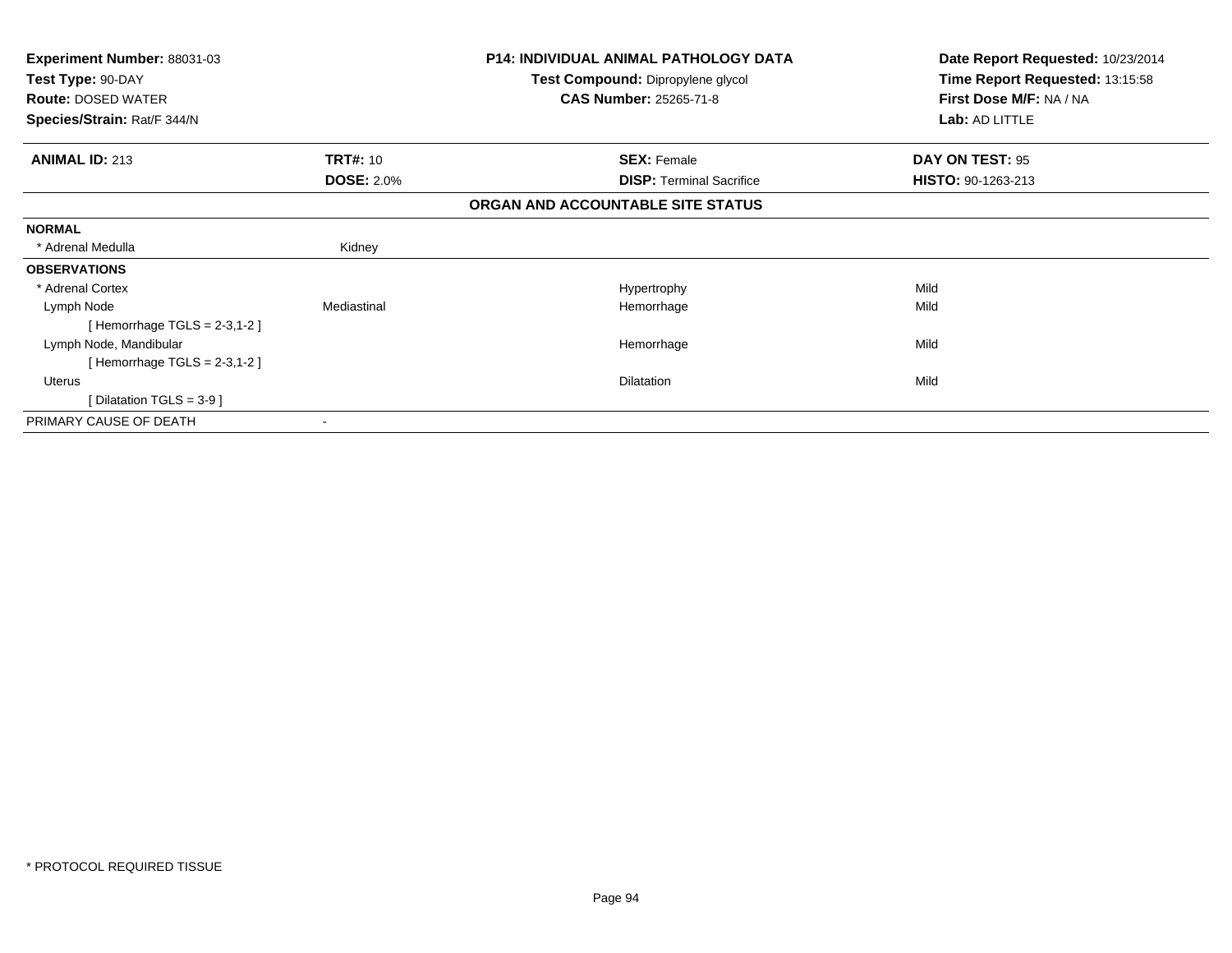| <b>Experiment Number: 88031-03</b> |                   | <b>P14: INDIVIDUAL ANIMAL PATHOLOGY DATA</b> | Date Report Requested: 10/23/2014 |
|------------------------------------|-------------------|----------------------------------------------|-----------------------------------|
| Test Type: 90-DAY                  |                   | Test Compound: Dipropylene glycol            | Time Report Requested: 13:15:58   |
| <b>Route: DOSED WATER</b>          |                   | <b>CAS Number: 25265-71-8</b>                | First Dose M/F: NA / NA           |
| Species/Strain: Rat/F 344/N        |                   |                                              | Lab: AD LITTLE                    |
| <b>ANIMAL ID: 213</b>              | <b>TRT#: 10</b>   | <b>SEX: Female</b>                           | DAY ON TEST: 95                   |
|                                    | <b>DOSE: 2.0%</b> | <b>DISP:</b> Terminal Sacrifice              | <b>HISTO: 90-1263-213</b>         |
|                                    |                   | ORGAN AND ACCOUNTABLE SITE STATUS            |                                   |
| <b>NORMAL</b>                      |                   |                                              |                                   |
| * Adrenal Medulla                  | Kidney            |                                              |                                   |
| <b>OBSERVATIONS</b>                |                   |                                              |                                   |
| * Adrenal Cortex                   |                   | Hypertrophy                                  | Mild                              |
| Lymph Node                         | Mediastinal       | Hemorrhage                                   | Mild                              |
| [Hemorrhage TGLS = $2-3,1-2$ ]     |                   |                                              |                                   |
| Lymph Node, Mandibular             |                   | Hemorrhage                                   | Mild                              |
| [Hemorrhage TGLS = $2-3,1-2$ ]     |                   |                                              |                                   |
| Uterus                             |                   | <b>Dilatation</b>                            | Mild                              |
| [Dilatation TGLS = $3-9$ ]         |                   |                                              |                                   |
| PRIMARY CAUSE OF DEATH             |                   |                                              |                                   |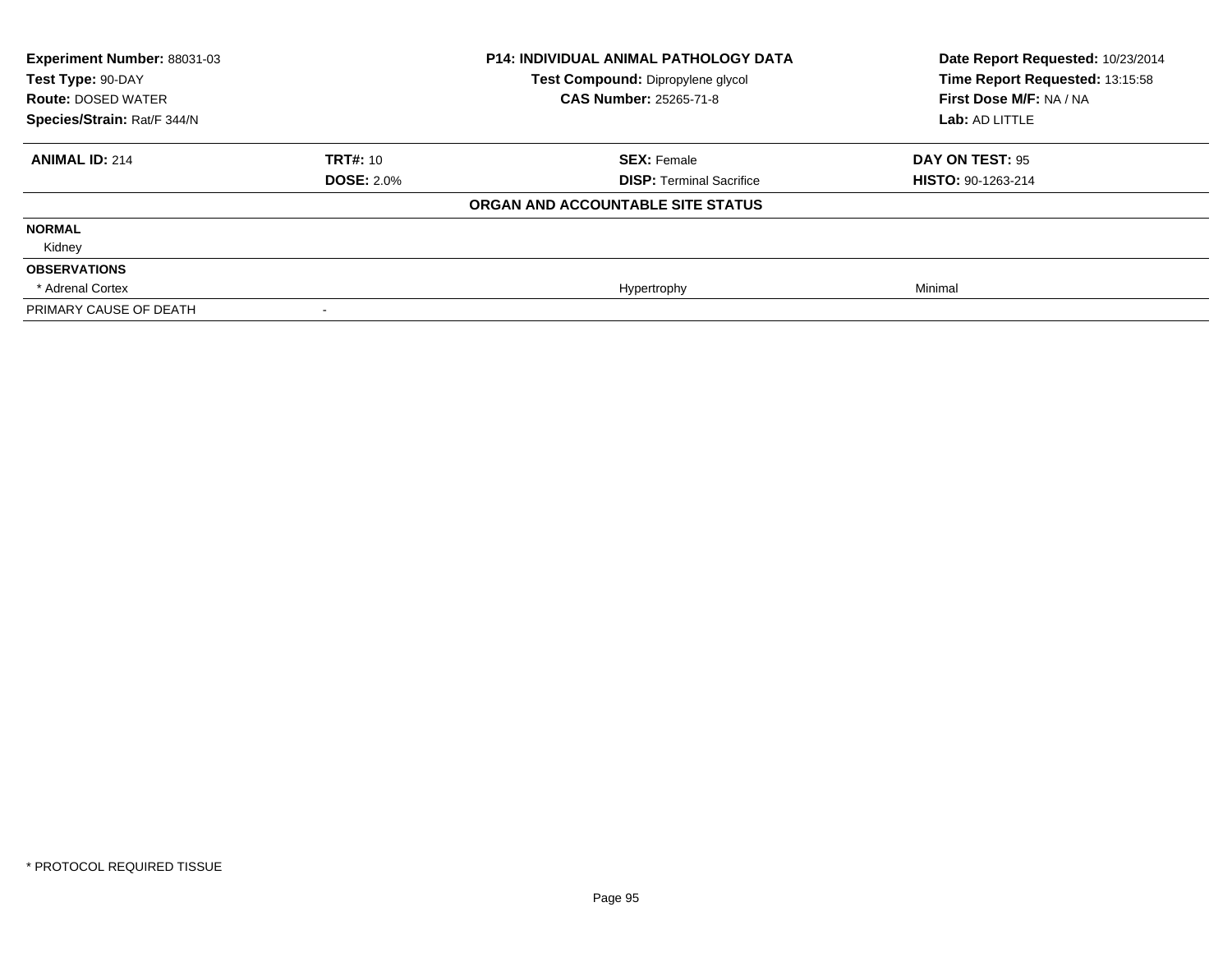| Experiment Number: 88031-03<br>Test Type: 90-DAY<br><b>Route: DOSED WATER</b> |                   | <b>P14: INDIVIDUAL ANIMAL PATHOLOGY DATA</b><br>Test Compound: Dipropylene glycol<br><b>CAS Number: 25265-71-8</b> | Date Report Requested: 10/23/2014<br>Time Report Requested: 13:15:58<br>First Dose M/F: NA / NA |
|-------------------------------------------------------------------------------|-------------------|--------------------------------------------------------------------------------------------------------------------|-------------------------------------------------------------------------------------------------|
| Species/Strain: Rat/F 344/N                                                   |                   |                                                                                                                    | Lab: AD LITTLE                                                                                  |
| <b>ANIMAL ID: 214</b>                                                         | <b>TRT#: 10</b>   | <b>SEX: Female</b>                                                                                                 | DAY ON TEST: 95                                                                                 |
|                                                                               | <b>DOSE: 2.0%</b> | <b>DISP: Terminal Sacrifice</b>                                                                                    | <b>HISTO: 90-1263-214</b>                                                                       |
|                                                                               |                   | ORGAN AND ACCOUNTABLE SITE STATUS                                                                                  |                                                                                                 |
| <b>NORMAL</b>                                                                 |                   |                                                                                                                    |                                                                                                 |
| Kidney                                                                        |                   |                                                                                                                    |                                                                                                 |
| <b>OBSERVATIONS</b>                                                           |                   |                                                                                                                    |                                                                                                 |
| * Adrenal Cortex                                                              |                   | Hypertrophy                                                                                                        | Minimal                                                                                         |
| PRIMARY CAUSE OF DEATH                                                        |                   |                                                                                                                    |                                                                                                 |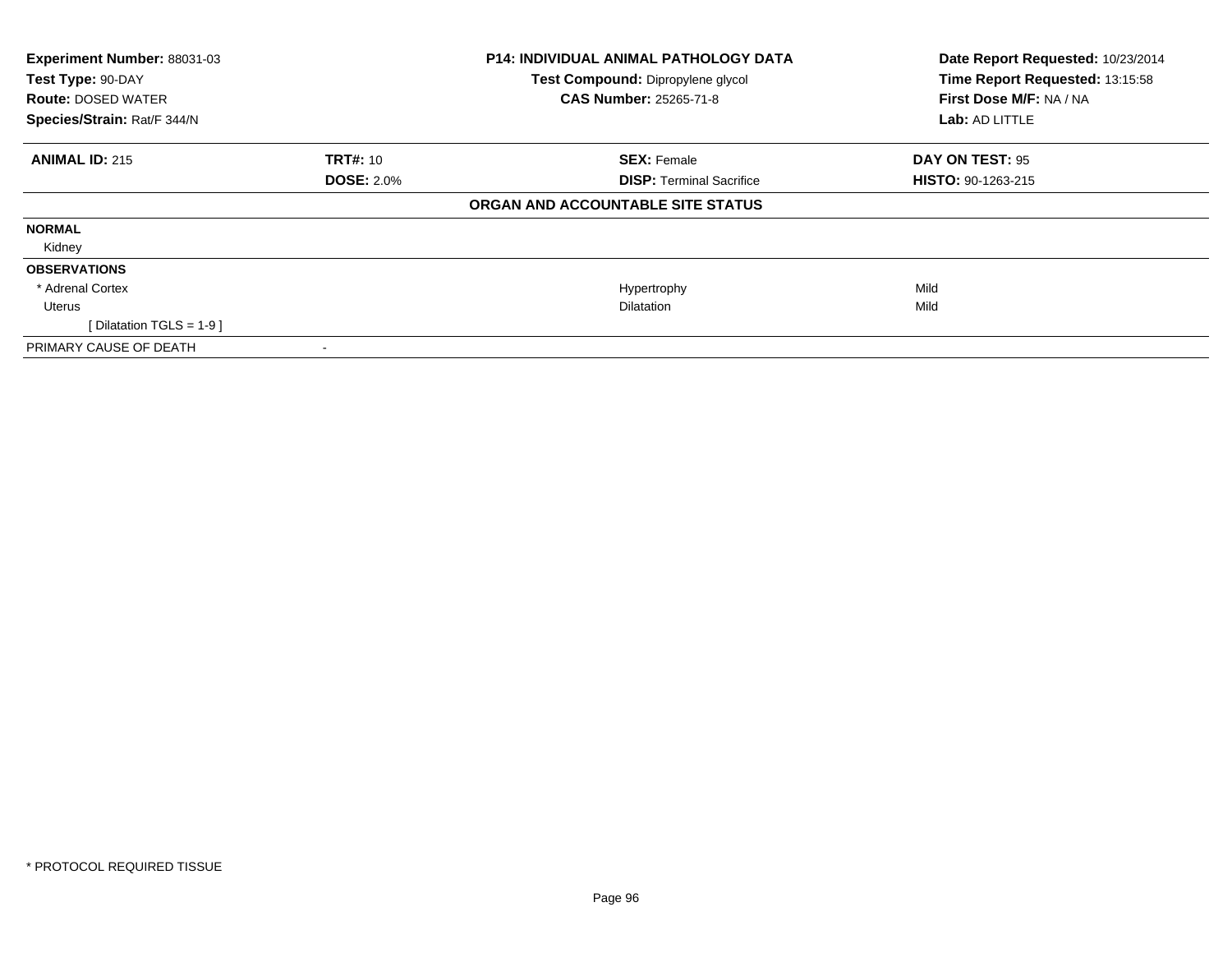| Experiment Number: 88031-03 |                   | P14: INDIVIDUAL ANIMAL PATHOLOGY DATA | Date Report Requested: 10/23/2014 |
|-----------------------------|-------------------|---------------------------------------|-----------------------------------|
| Test Type: 90-DAY           |                   | Test Compound: Dipropylene glycol     | Time Report Requested: 13:15:58   |
| <b>Route: DOSED WATER</b>   |                   | CAS Number: 25265-71-8                | First Dose M/F: NA / NA           |
| Species/Strain: Rat/F 344/N |                   |                                       | Lab: AD LITTLE                    |
| <b>ANIMAL ID: 215</b>       | <b>TRT#: 10</b>   | <b>SEX: Female</b>                    | DAY ON TEST: 95                   |
|                             | <b>DOSE: 2.0%</b> | <b>DISP:</b> Terminal Sacrifice       | <b>HISTO: 90-1263-215</b>         |
|                             |                   | ORGAN AND ACCOUNTABLE SITE STATUS     |                                   |
| <b>NORMAL</b>               |                   |                                       |                                   |
| Kidney                      |                   |                                       |                                   |
| <b>OBSERVATIONS</b>         |                   |                                       |                                   |
| * Adrenal Cortex            |                   | Hypertrophy                           | Mild                              |
| Uterus                      |                   | <b>Dilatation</b>                     | Mild                              |
| [ Dilatation TGLS = 1-9 ]   |                   |                                       |                                   |
| PRIMARY CAUSE OF DEATH      |                   |                                       |                                   |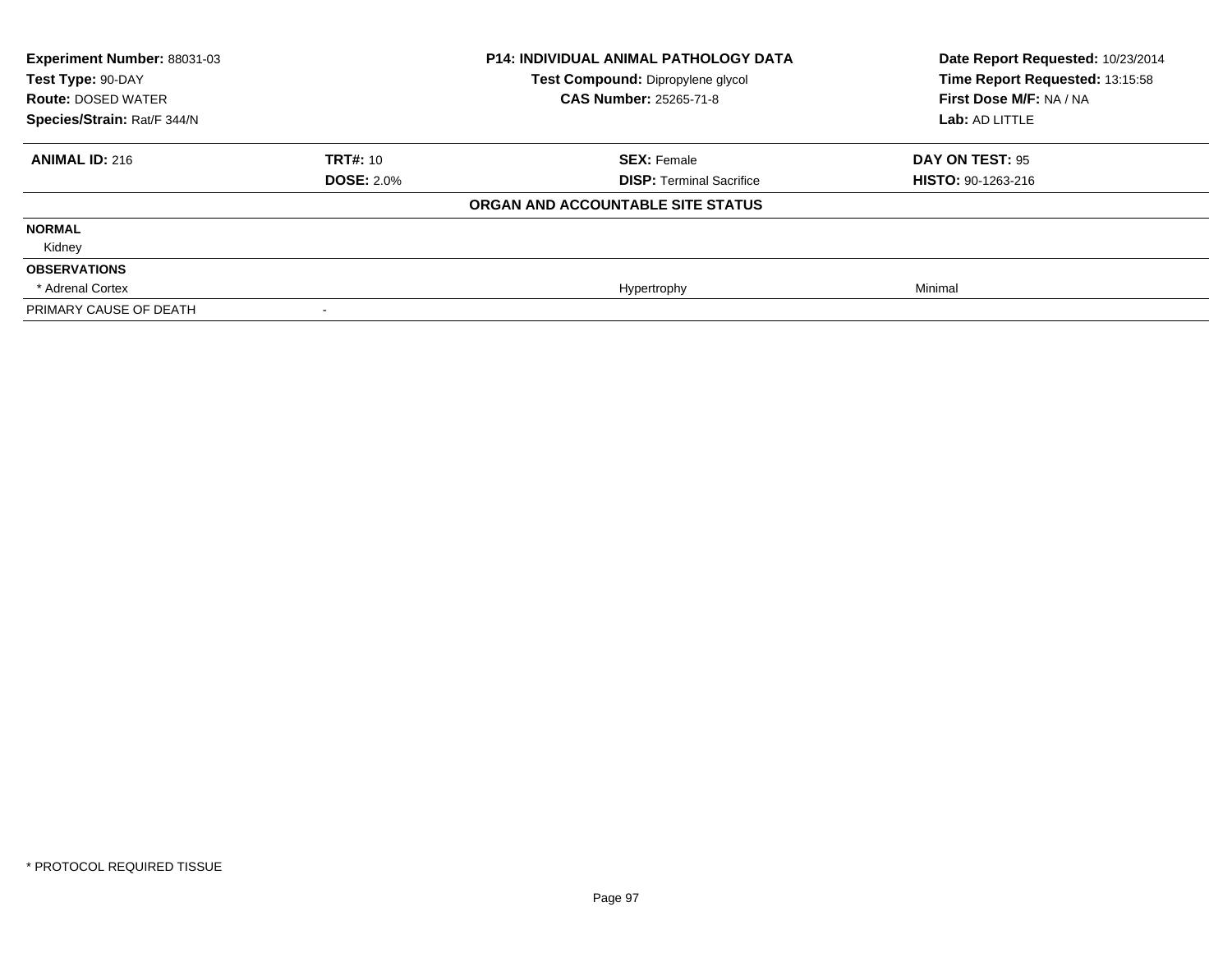| Experiment Number: 88031-03<br>Test Type: 90-DAY<br><b>Route: DOSED WATER</b><br>Species/Strain: Rat/F 344/N |                   | <b>P14: INDIVIDUAL ANIMAL PATHOLOGY DATA</b><br>Test Compound: Dipropylene glycol<br><b>CAS Number: 25265-71-8</b> | Date Report Requested: 10/23/2014<br>Time Report Requested: 13:15:58<br>First Dose M/F: NA / NA<br>Lab: AD LITTLE |
|--------------------------------------------------------------------------------------------------------------|-------------------|--------------------------------------------------------------------------------------------------------------------|-------------------------------------------------------------------------------------------------------------------|
|                                                                                                              |                   |                                                                                                                    |                                                                                                                   |
| <b>ANIMAL ID: 216</b>                                                                                        | <b>TRT#: 10</b>   | <b>SEX: Female</b>                                                                                                 | DAY ON TEST: 95                                                                                                   |
|                                                                                                              | <b>DOSE: 2.0%</b> | <b>DISP: Terminal Sacrifice</b>                                                                                    | HISTO: 90-1263-216                                                                                                |
|                                                                                                              |                   | ORGAN AND ACCOUNTABLE SITE STATUS                                                                                  |                                                                                                                   |
| <b>NORMAL</b>                                                                                                |                   |                                                                                                                    |                                                                                                                   |
| Kidney                                                                                                       |                   |                                                                                                                    |                                                                                                                   |
| <b>OBSERVATIONS</b>                                                                                          |                   |                                                                                                                    |                                                                                                                   |
| * Adrenal Cortex                                                                                             |                   | Hypertrophy                                                                                                        | Minimal                                                                                                           |
| PRIMARY CAUSE OF DEATH                                                                                       |                   |                                                                                                                    |                                                                                                                   |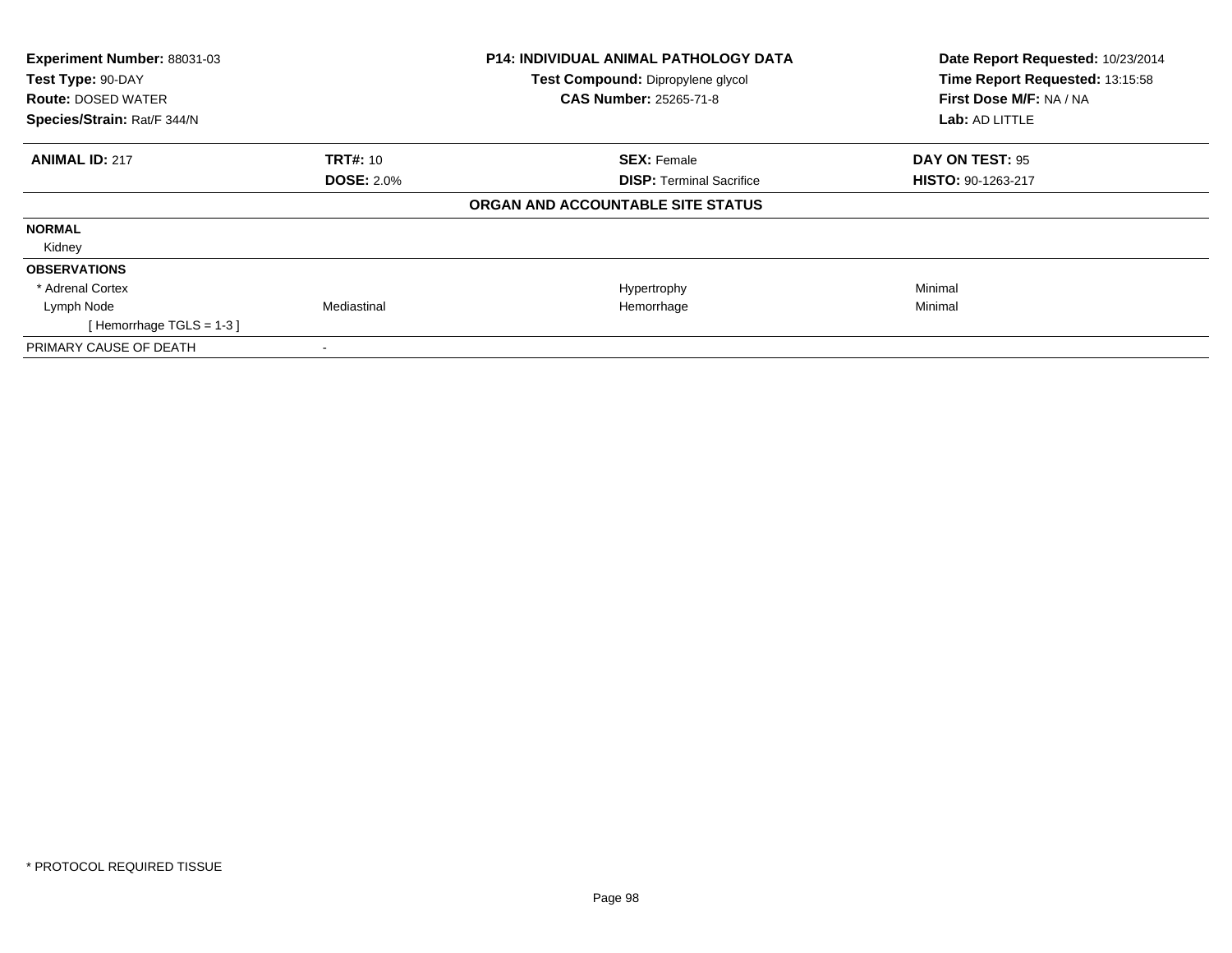| Experiment Number: 88031-03<br>Test Type: 90-DAY |                   | <b>P14: INDIVIDUAL ANIMAL PATHOLOGY DATA</b><br>Test Compound: Dipropylene glycol | Date Report Requested: 10/23/2014<br>Time Report Requested: 13:15:58 |
|--------------------------------------------------|-------------------|-----------------------------------------------------------------------------------|----------------------------------------------------------------------|
| <b>Route: DOSED WATER</b>                        |                   | <b>CAS Number: 25265-71-8</b>                                                     | First Dose M/F: NA / NA                                              |
| Species/Strain: Rat/F 344/N                      |                   |                                                                                   | Lab: AD LITTLE                                                       |
| <b>ANIMAL ID: 217</b>                            | <b>TRT#: 10</b>   | <b>SEX: Female</b>                                                                | DAY ON TEST: 95                                                      |
|                                                  | <b>DOSE: 2.0%</b> | <b>DISP:</b> Terminal Sacrifice                                                   | <b>HISTO: 90-1263-217</b>                                            |
|                                                  |                   | ORGAN AND ACCOUNTABLE SITE STATUS                                                 |                                                                      |
| <b>NORMAL</b>                                    |                   |                                                                                   |                                                                      |
| Kidney                                           |                   |                                                                                   |                                                                      |
| <b>OBSERVATIONS</b>                              |                   |                                                                                   |                                                                      |
| * Adrenal Cortex                                 |                   | Hypertrophy                                                                       | Minimal                                                              |
| Lymph Node                                       | Mediastinal       | Hemorrhage                                                                        | Minimal                                                              |
| [Hemorrhage TGLS = $1-3$ ]                       |                   |                                                                                   |                                                                      |
| PRIMARY CAUSE OF DEATH                           |                   |                                                                                   |                                                                      |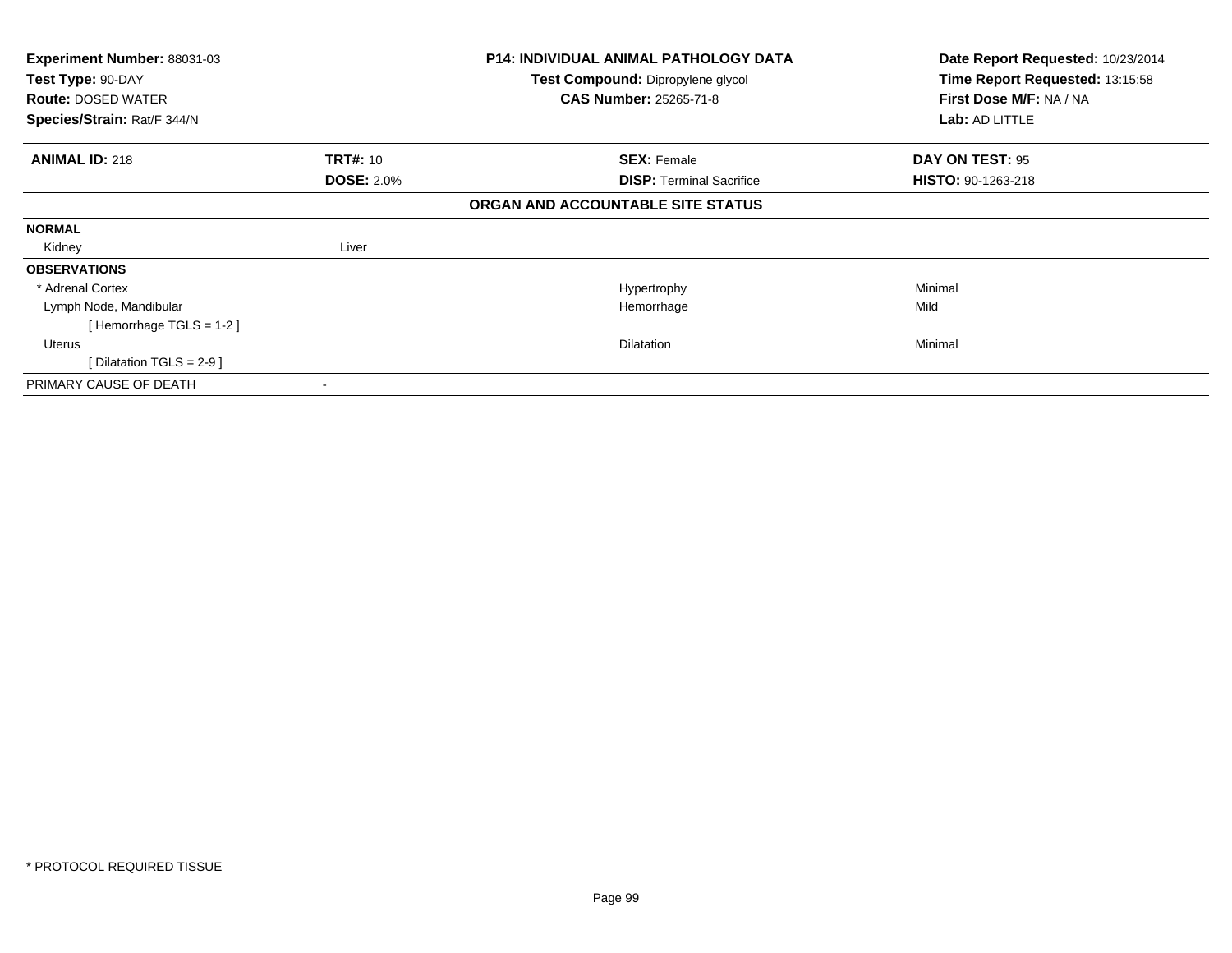| <b>Experiment Number: 88031-03</b> |                   | <b>P14: INDIVIDUAL ANIMAL PATHOLOGY DATA</b> | Date Report Requested: 10/23/2014 |
|------------------------------------|-------------------|----------------------------------------------|-----------------------------------|
| Test Type: 90-DAY                  |                   | Test Compound: Dipropylene glycol            | Time Report Requested: 13:15:58   |
| <b>Route: DOSED WATER</b>          |                   | <b>CAS Number: 25265-71-8</b>                | First Dose M/F: NA / NA           |
| Species/Strain: Rat/F 344/N        |                   |                                              | Lab: AD LITTLE                    |
| <b>ANIMAL ID: 218</b>              | <b>TRT#: 10</b>   | <b>SEX: Female</b>                           | <b>DAY ON TEST: 95</b>            |
|                                    | <b>DOSE: 2.0%</b> | <b>DISP: Terminal Sacrifice</b>              | <b>HISTO: 90-1263-218</b>         |
|                                    |                   | ORGAN AND ACCOUNTABLE SITE STATUS            |                                   |
| <b>NORMAL</b>                      |                   |                                              |                                   |
| Kidney                             | Liver             |                                              |                                   |
| <b>OBSERVATIONS</b>                |                   |                                              |                                   |
| * Adrenal Cortex                   |                   | Hypertrophy                                  | Minimal                           |
| Lymph Node, Mandibular             |                   | Hemorrhage                                   | Mild                              |
| [Hemorrhage TGLS = $1-2$ ]         |                   |                                              |                                   |
| <b>Uterus</b>                      |                   | <b>Dilatation</b>                            | Minimal                           |
| [Dilatation TGLS = $2-9$ ]         |                   |                                              |                                   |
| PRIMARY CAUSE OF DEATH             |                   |                                              |                                   |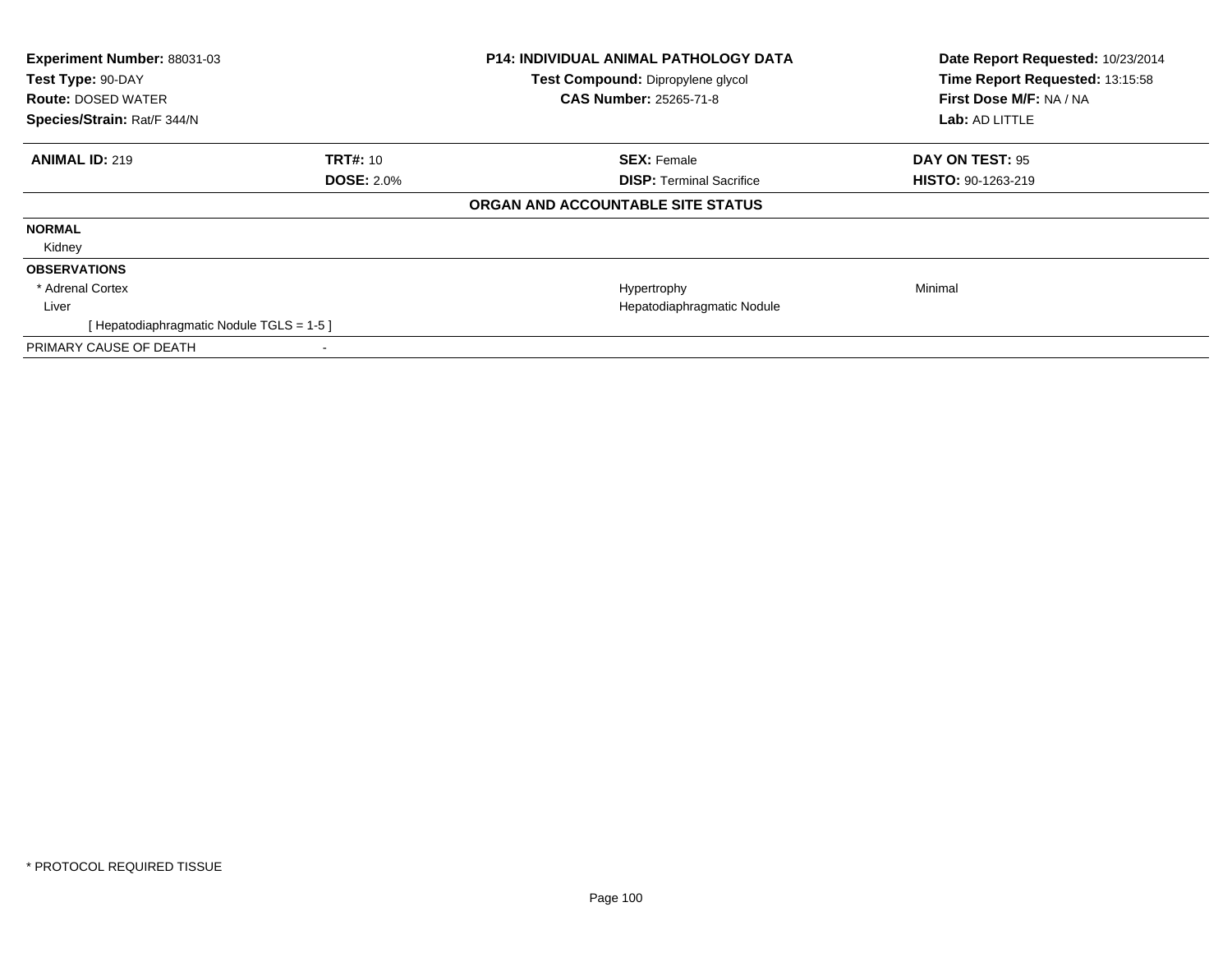| Experiment Number: 88031-03<br>Test Type: 90-DAY<br><b>Route: DOSED WATER</b><br>Species/Strain: Rat/F 344/N |                   | <b>P14: INDIVIDUAL ANIMAL PATHOLOGY DATA</b><br>Test Compound: Dipropylene glycol<br><b>CAS Number: 25265-71-8</b> | Date Report Requested: 10/23/2014<br>Time Report Requested: 13:15:58<br>First Dose M/F: NA / NA<br>Lab: AD LITTLE |
|--------------------------------------------------------------------------------------------------------------|-------------------|--------------------------------------------------------------------------------------------------------------------|-------------------------------------------------------------------------------------------------------------------|
| <b>ANIMAL ID: 219</b>                                                                                        | <b>TRT#: 10</b>   | <b>SEX: Female</b>                                                                                                 | DAY ON TEST: 95                                                                                                   |
|                                                                                                              | <b>DOSE: 2.0%</b> | <b>DISP:</b> Terminal Sacrifice                                                                                    | HISTO: 90-1263-219                                                                                                |
|                                                                                                              |                   | ORGAN AND ACCOUNTABLE SITE STATUS                                                                                  |                                                                                                                   |
| <b>NORMAL</b>                                                                                                |                   |                                                                                                                    |                                                                                                                   |
| Kidney                                                                                                       |                   |                                                                                                                    |                                                                                                                   |
| <b>OBSERVATIONS</b>                                                                                          |                   |                                                                                                                    |                                                                                                                   |
| * Adrenal Cortex                                                                                             |                   | Hypertrophy                                                                                                        | Minimal                                                                                                           |
| Liver                                                                                                        |                   | Hepatodiaphragmatic Nodule                                                                                         |                                                                                                                   |
| [ Hepatodiaphragmatic Nodule TGLS = 1-5 ]                                                                    |                   |                                                                                                                    |                                                                                                                   |
| PRIMARY CAUSE OF DEATH                                                                                       |                   |                                                                                                                    |                                                                                                                   |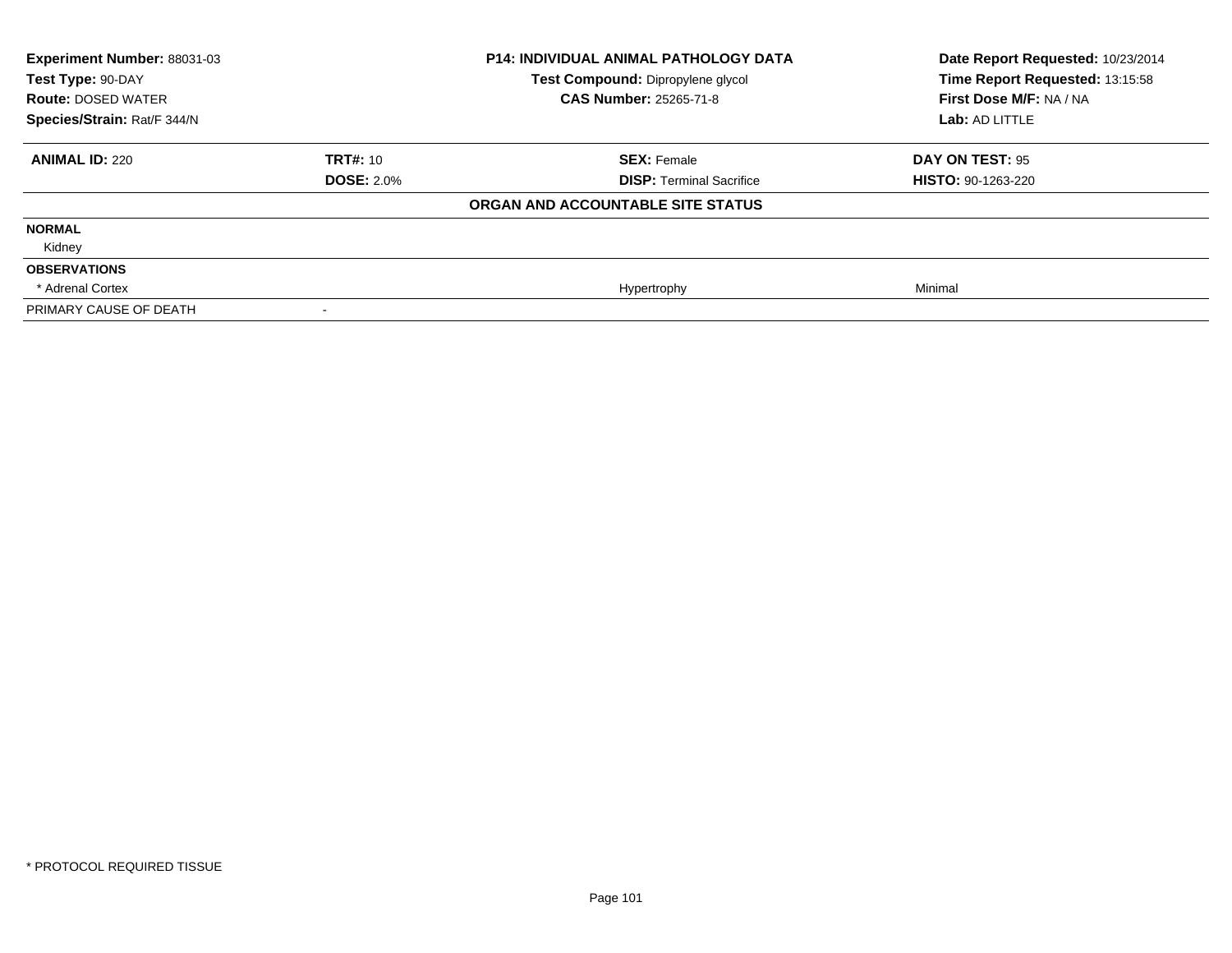| <b>Experiment Number: 88031-03</b><br>Test Type: 90-DAY<br><b>Route: DOSED WATER</b><br>Species/Strain: Rat/F 344/N |                   | <b>P14: INDIVIDUAL ANIMAL PATHOLOGY DATA</b><br>Test Compound: Dipropylene glycol<br><b>CAS Number: 25265-71-8</b> | Date Report Requested: 10/23/2014<br>Time Report Requested: 13:15:58<br>First Dose M/F: NA / NA<br>Lab: AD LITTLE |
|---------------------------------------------------------------------------------------------------------------------|-------------------|--------------------------------------------------------------------------------------------------------------------|-------------------------------------------------------------------------------------------------------------------|
|                                                                                                                     |                   |                                                                                                                    |                                                                                                                   |
| <b>ANIMAL ID: 220</b>                                                                                               | <b>TRT#: 10</b>   | <b>SEX: Female</b>                                                                                                 | DAY ON TEST: 95                                                                                                   |
|                                                                                                                     | <b>DOSE: 2.0%</b> | <b>DISP: Terminal Sacrifice</b>                                                                                    | <b>HISTO: 90-1263-220</b>                                                                                         |
|                                                                                                                     |                   | ORGAN AND ACCOUNTABLE SITE STATUS                                                                                  |                                                                                                                   |
| <b>NORMAL</b>                                                                                                       |                   |                                                                                                                    |                                                                                                                   |
| Kidney                                                                                                              |                   |                                                                                                                    |                                                                                                                   |
| <b>OBSERVATIONS</b>                                                                                                 |                   |                                                                                                                    |                                                                                                                   |
| * Adrenal Cortex                                                                                                    |                   | Hypertrophy                                                                                                        | Minimal                                                                                                           |
| PRIMARY CAUSE OF DEATH                                                                                              |                   |                                                                                                                    |                                                                                                                   |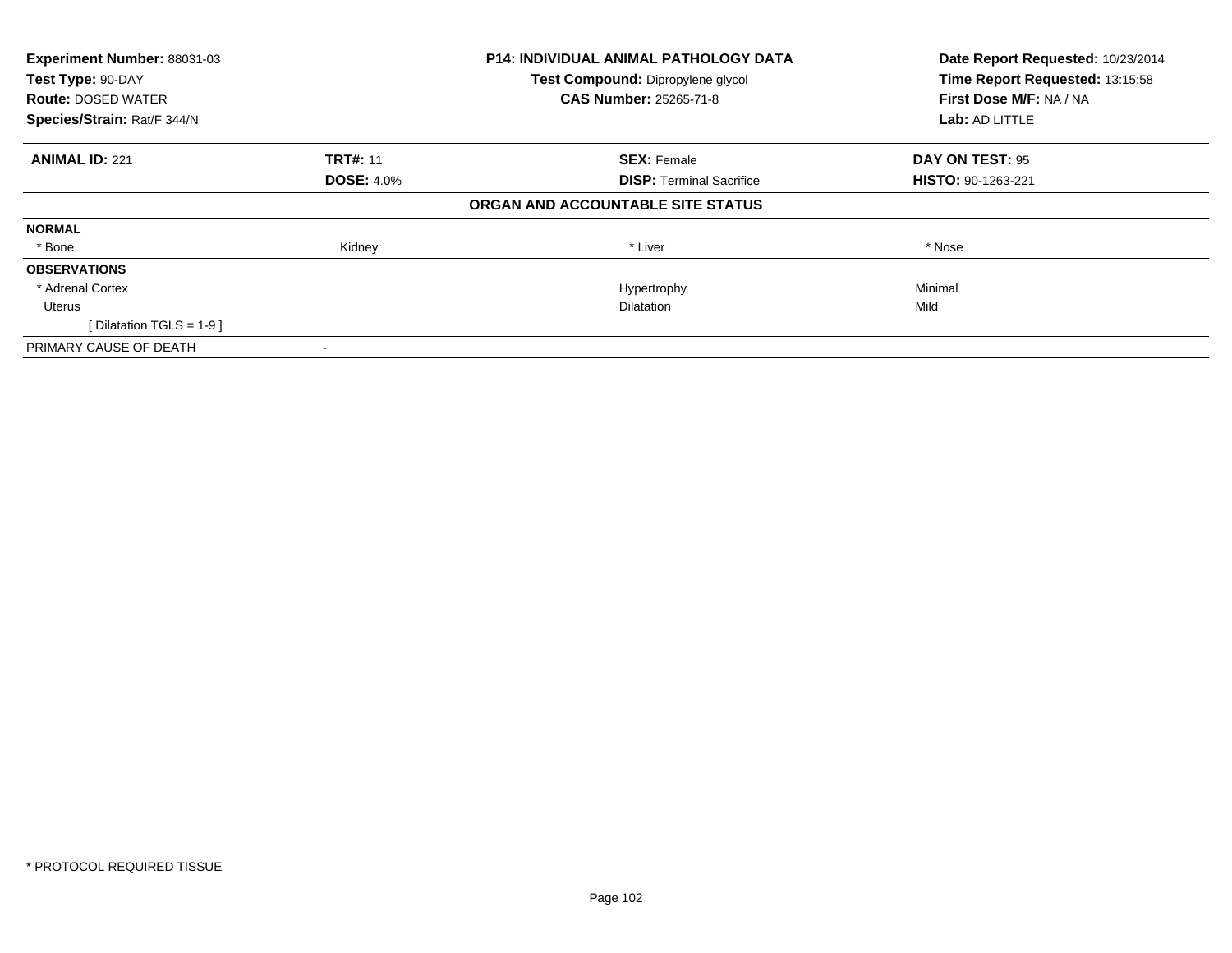| Experiment Number: 88031-03 | <b>P14: INDIVIDUAL ANIMAL PATHOLOGY DATA</b> |                                   | Date Report Requested: 10/23/2014 |
|-----------------------------|----------------------------------------------|-----------------------------------|-----------------------------------|
| Test Type: 90-DAY           |                                              | Test Compound: Dipropylene glycol | Time Report Requested: 13:15:58   |
| <b>Route: DOSED WATER</b>   |                                              | <b>CAS Number: 25265-71-8</b>     | First Dose M/F: NA / NA           |
| Species/Strain: Rat/F 344/N |                                              |                                   | <b>Lab: AD LITTLE</b>             |
| <b>ANIMAL ID: 221</b>       | <b>TRT#: 11</b>                              | <b>SEX: Female</b>                | DAY ON TEST: 95                   |
|                             | <b>DOSE: 4.0%</b>                            | <b>DISP:</b> Terminal Sacrifice   | <b>HISTO: 90-1263-221</b>         |
|                             |                                              | ORGAN AND ACCOUNTABLE SITE STATUS |                                   |
| <b>NORMAL</b>               |                                              |                                   |                                   |
| * Bone                      | Kidney                                       | * Liver                           | * Nose                            |
| <b>OBSERVATIONS</b>         |                                              |                                   |                                   |
| * Adrenal Cortex            |                                              | Hypertrophy                       | Minimal                           |
| Uterus                      |                                              | <b>Dilatation</b>                 | Mild                              |
| [Dilatation TGLS = 1-9 ]    |                                              |                                   |                                   |
| PRIMARY CAUSE OF DEATH      |                                              |                                   |                                   |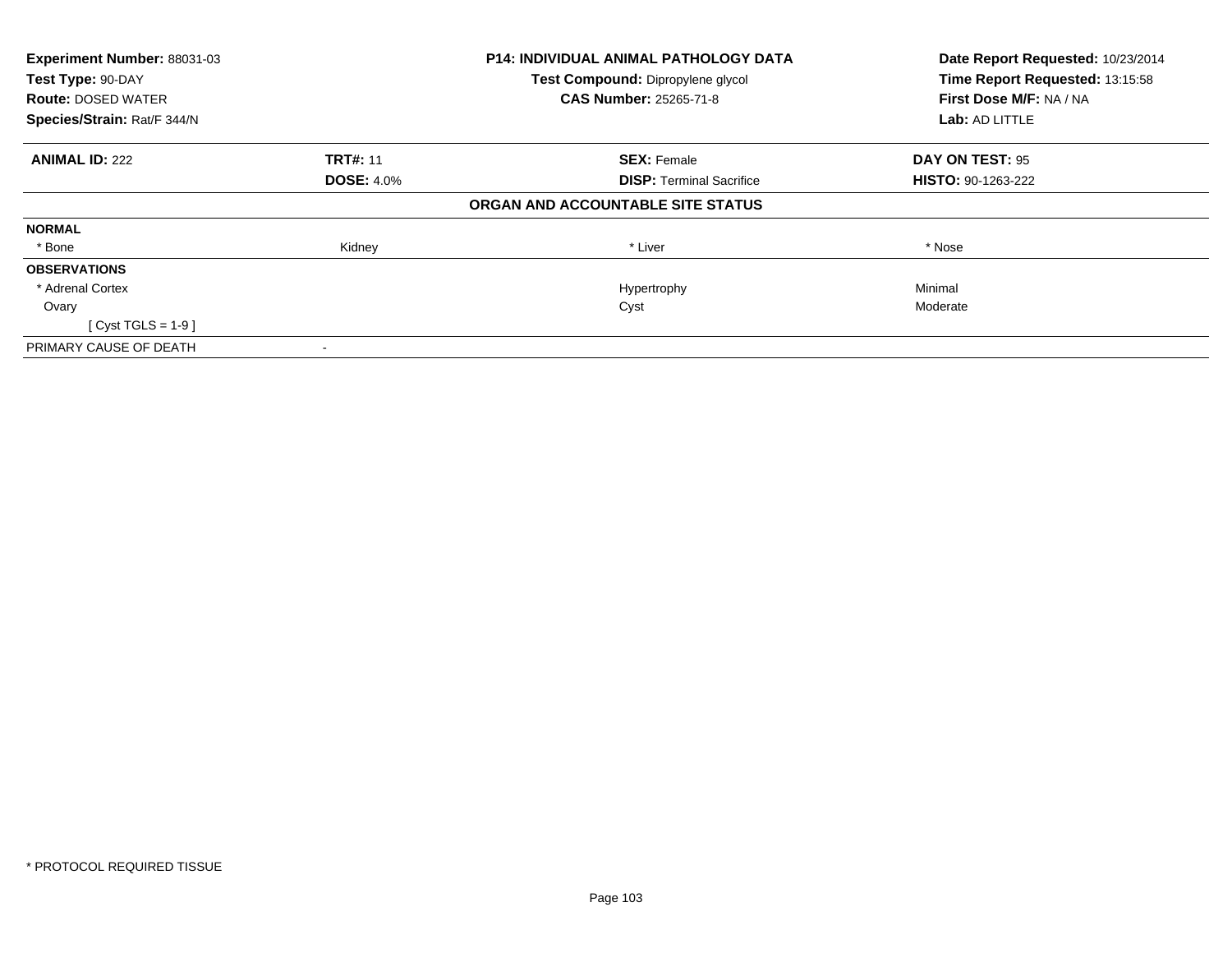| Experiment Number: 88031-03 | <b>P14: INDIVIDUAL ANIMAL PATHOLOGY DATA</b> |                                   | Date Report Requested: 10/23/2014 |
|-----------------------------|----------------------------------------------|-----------------------------------|-----------------------------------|
| Test Type: 90-DAY           |                                              | Test Compound: Dipropylene glycol | Time Report Requested: 13:15:58   |
| <b>Route: DOSED WATER</b>   |                                              | <b>CAS Number: 25265-71-8</b>     | First Dose M/F: NA / NA           |
| Species/Strain: Rat/F 344/N |                                              |                                   | <b>Lab: AD LITTLE</b>             |
| <b>ANIMAL ID: 222</b>       | <b>TRT#: 11</b>                              | <b>SEX: Female</b>                | DAY ON TEST: 95                   |
|                             | <b>DOSE: 4.0%</b>                            | <b>DISP:</b> Terminal Sacrifice   | <b>HISTO: 90-1263-222</b>         |
|                             |                                              | ORGAN AND ACCOUNTABLE SITE STATUS |                                   |
| <b>NORMAL</b>               |                                              |                                   |                                   |
| * Bone                      | Kidney                                       | * Liver                           | * Nose                            |
| <b>OBSERVATIONS</b>         |                                              |                                   |                                   |
| * Adrenal Cortex            |                                              | Hypertrophy                       | Minimal                           |
| Ovary                       |                                              | Cyst                              | Moderate                          |
| $Cvst TGLS = 1-9$           |                                              |                                   |                                   |
| PRIMARY CAUSE OF DEATH      |                                              |                                   |                                   |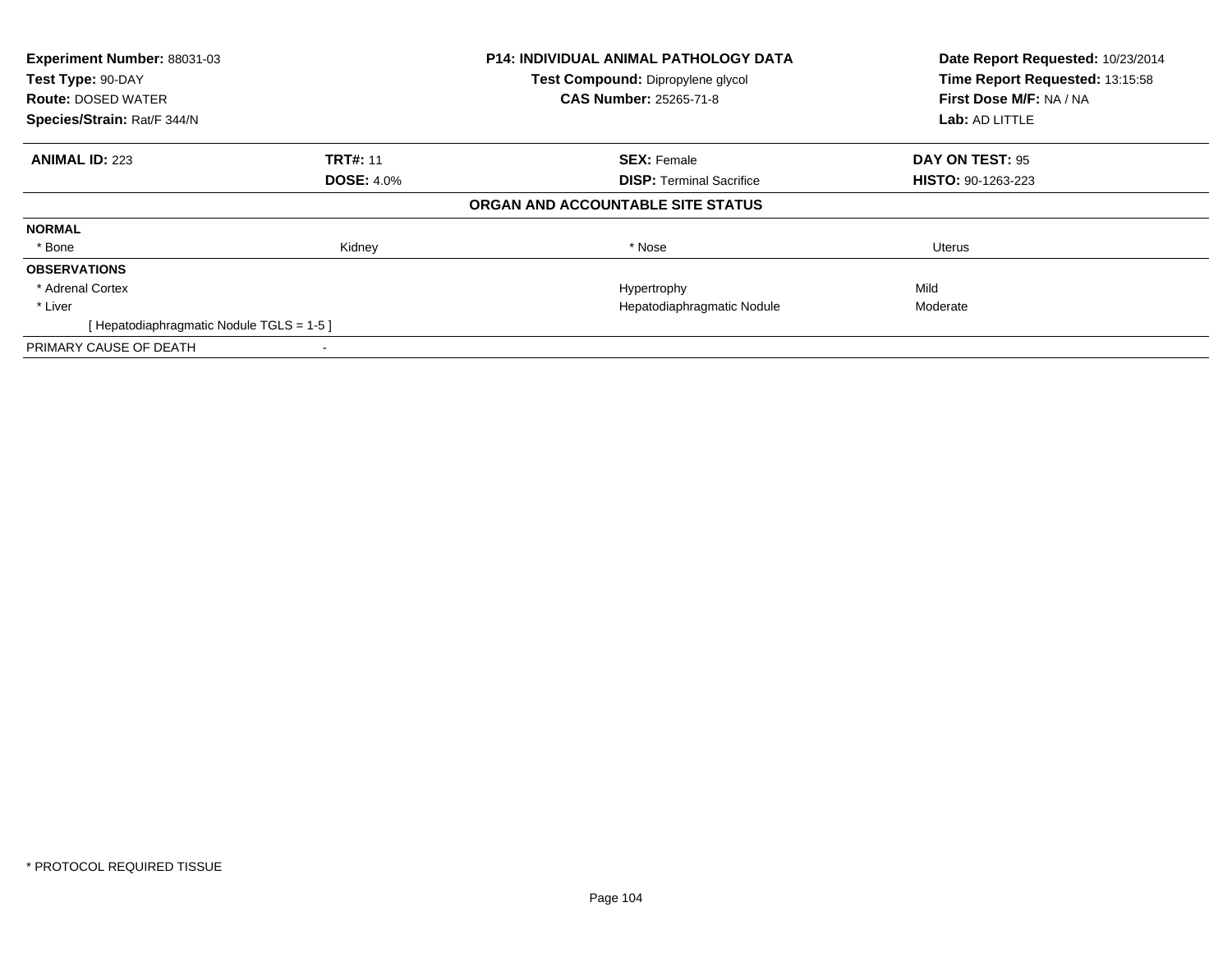| Experiment Number: 88031-03             |                   | <b>P14: INDIVIDUAL ANIMAL PATHOLOGY DATA</b> | Date Report Requested: 10/23/2014 |
|-----------------------------------------|-------------------|----------------------------------------------|-----------------------------------|
| Test Type: 90-DAY                       |                   | Test Compound: Dipropylene glycol            | Time Report Requested: 13:15:58   |
| <b>Route: DOSED WATER</b>               |                   | <b>CAS Number: 25265-71-8</b>                | First Dose M/F: NA / NA           |
| Species/Strain: Rat/F 344/N             |                   |                                              | <b>Lab: AD LITTLE</b>             |
| <b>ANIMAL ID: 223</b>                   | <b>TRT#: 11</b>   | <b>SEX: Female</b>                           | DAY ON TEST: 95                   |
|                                         | <b>DOSE: 4.0%</b> | <b>DISP:</b> Terminal Sacrifice              | <b>HISTO: 90-1263-223</b>         |
|                                         |                   | ORGAN AND ACCOUNTABLE SITE STATUS            |                                   |
| <b>NORMAL</b>                           |                   |                                              |                                   |
| * Bone                                  | Kidney            | * Nose                                       | Uterus                            |
| <b>OBSERVATIONS</b>                     |                   |                                              |                                   |
| * Adrenal Cortex                        |                   | Hypertrophy                                  | Mild                              |
| * Liver                                 |                   | Hepatodiaphragmatic Nodule                   | Moderate                          |
| [Hepatodiaphragmatic Nodule TGLS = 1-5] |                   |                                              |                                   |
| PRIMARY CAUSE OF DEATH                  |                   |                                              |                                   |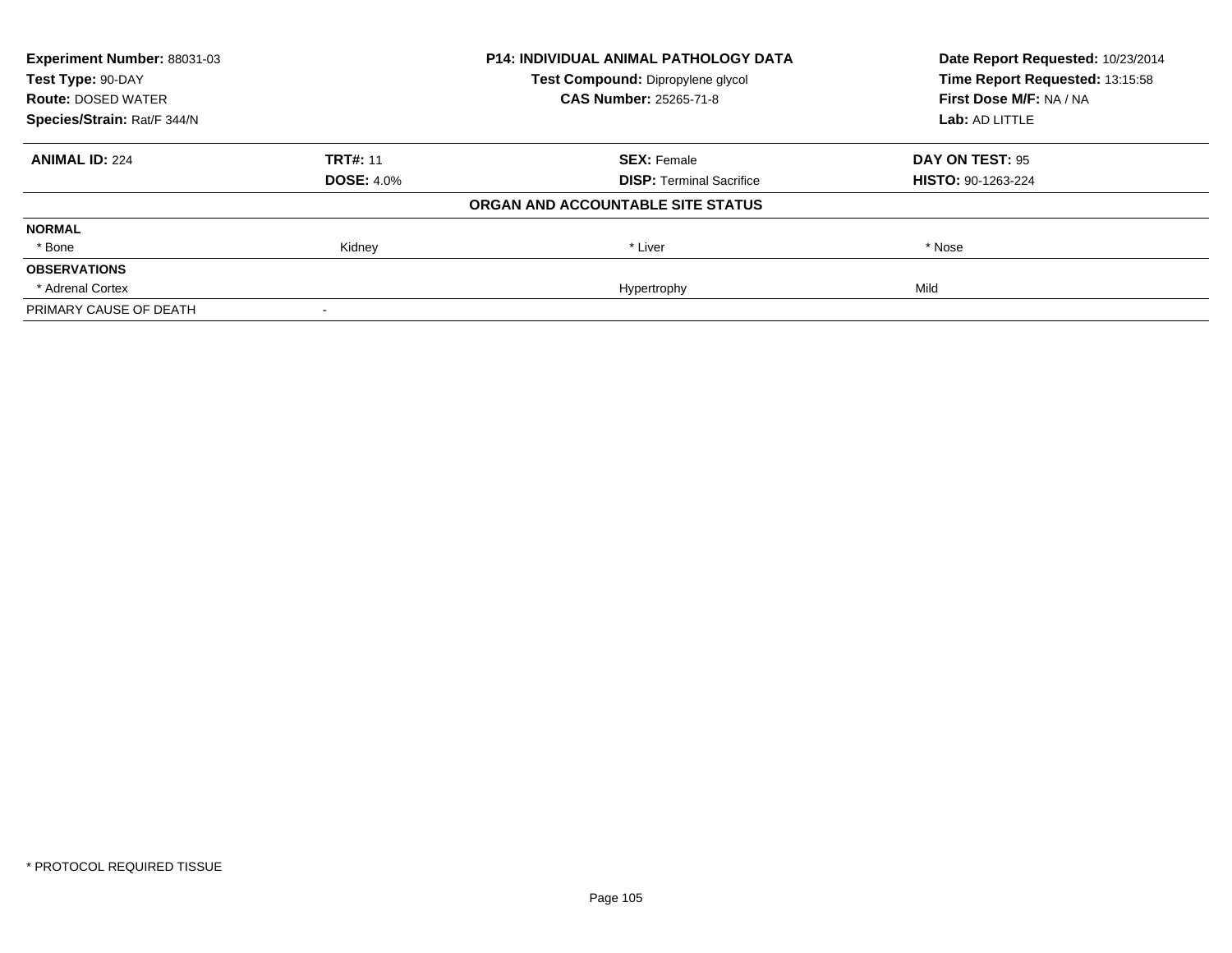| Experiment Number: 88031-03 | <b>P14: INDIVIDUAL ANIMAL PATHOLOGY DATA</b> |                                   | Date Report Requested: 10/23/2014 |
|-----------------------------|----------------------------------------------|-----------------------------------|-----------------------------------|
| Test Type: 90-DAY           |                                              | Test Compound: Dipropylene glycol | Time Report Requested: 13:15:58   |
| <b>Route: DOSED WATER</b>   |                                              | <b>CAS Number: 25265-71-8</b>     | First Dose M/F: NA / NA           |
| Species/Strain: Rat/F 344/N |                                              |                                   | Lab: AD LITTLE                    |
| <b>ANIMAL ID: 224</b>       | <b>TRT#: 11</b>                              | <b>SEX: Female</b>                | DAY ON TEST: 95                   |
|                             | <b>DOSE: 4.0%</b>                            | <b>DISP:</b> Terminal Sacrifice   | <b>HISTO: 90-1263-224</b>         |
|                             |                                              | ORGAN AND ACCOUNTABLE SITE STATUS |                                   |
| <b>NORMAL</b>               |                                              |                                   |                                   |
| * Bone                      | Kidney                                       | * Liver                           | * Nose                            |
| <b>OBSERVATIONS</b>         |                                              |                                   |                                   |
| * Adrenal Cortex            |                                              | Hypertrophy                       | Mild                              |
| PRIMARY CAUSE OF DEATH      |                                              |                                   |                                   |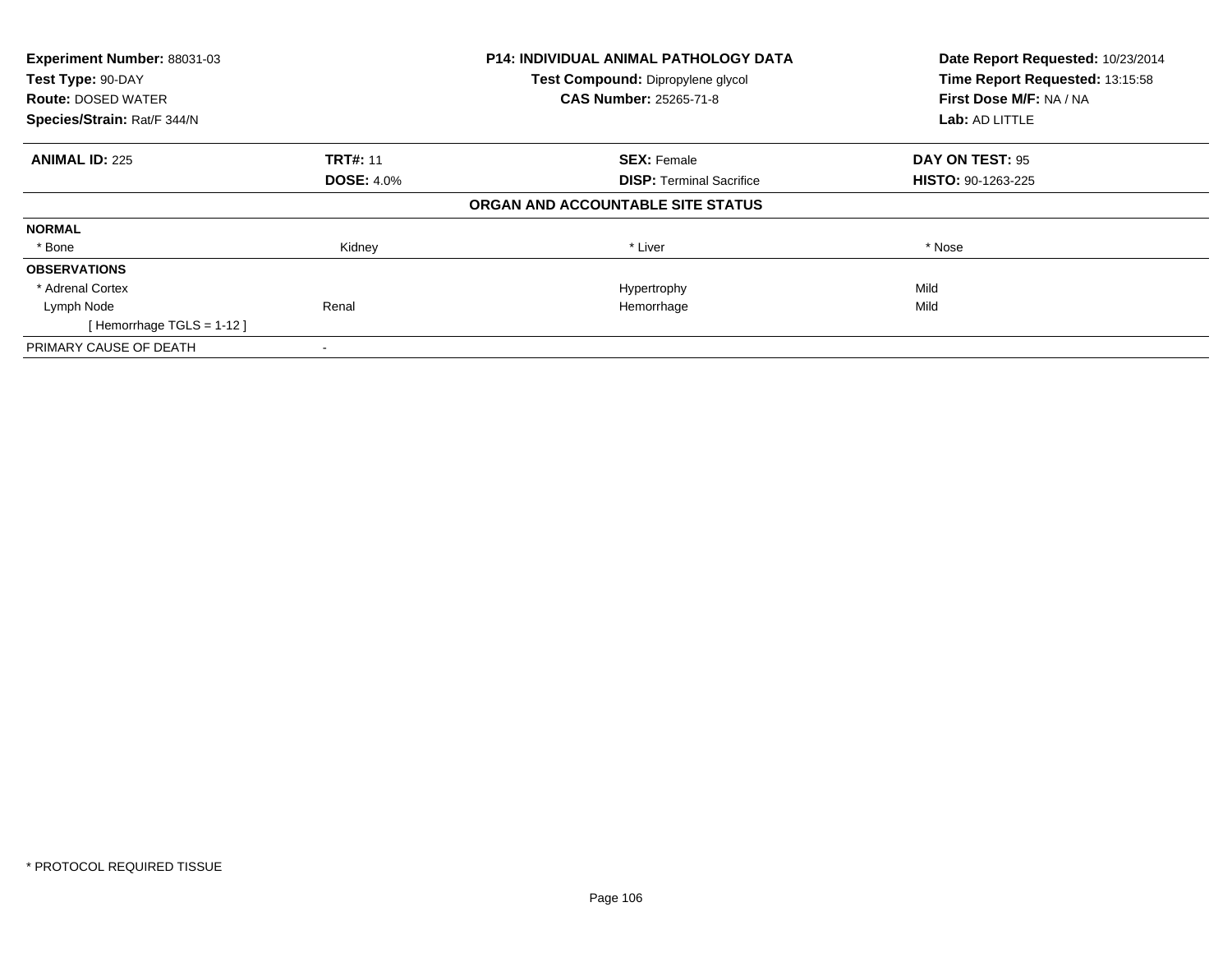| Experiment Number: 88031-03<br>Test Type: 90-DAY |                   | <b>P14: INDIVIDUAL ANIMAL PATHOLOGY DATA</b> | Date Report Requested: 10/23/2014<br>Time Report Requested: 13:15:58 |
|--------------------------------------------------|-------------------|----------------------------------------------|----------------------------------------------------------------------|
|                                                  |                   | <b>Test Compound: Dipropylene glycol</b>     |                                                                      |
| <b>Route: DOSED WATER</b>                        |                   | <b>CAS Number: 25265-71-8</b>                | First Dose M/F: NA / NA                                              |
| Species/Strain: Rat/F 344/N                      |                   |                                              | Lab: AD LITTLE                                                       |
| <b>ANIMAL ID: 225</b>                            | <b>TRT#: 11</b>   | <b>SEX: Female</b>                           | DAY ON TEST: 95                                                      |
|                                                  | <b>DOSE: 4.0%</b> | <b>DISP:</b> Terminal Sacrifice              | HISTO: 90-1263-225                                                   |
|                                                  |                   | ORGAN AND ACCOUNTABLE SITE STATUS            |                                                                      |
| <b>NORMAL</b>                                    |                   |                                              |                                                                      |
| * Bone                                           | Kidney            | * Liver                                      | * Nose                                                               |
| <b>OBSERVATIONS</b>                              |                   |                                              |                                                                      |
| * Adrenal Cortex                                 |                   | Hypertrophy                                  | Mild                                                                 |
| Lymph Node                                       | Renal             | Hemorrhage                                   | Mild                                                                 |
| [Hemorrhage TGLS = 1-12]                         |                   |                                              |                                                                      |
| PRIMARY CAUSE OF DEATH                           |                   |                                              |                                                                      |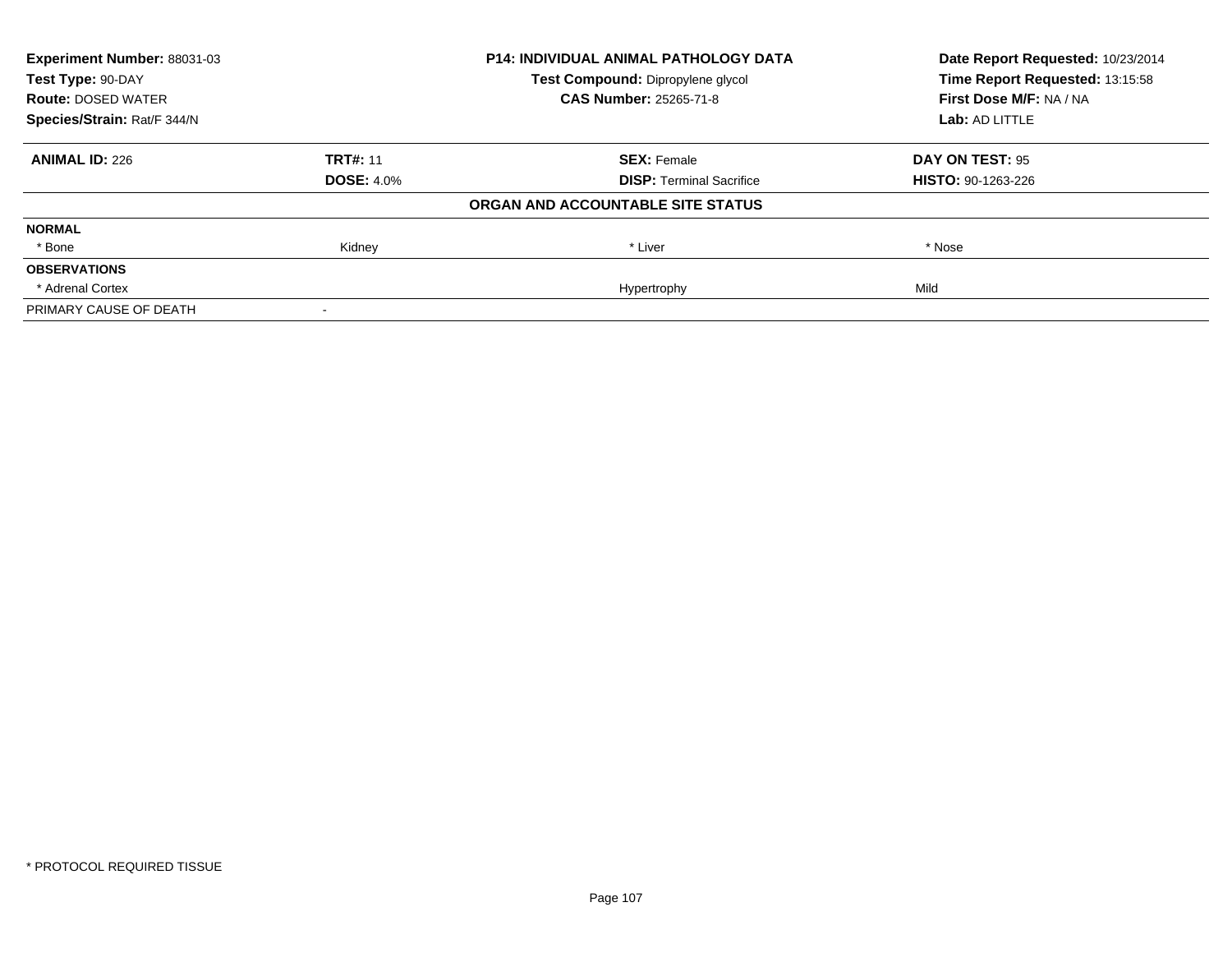| Experiment Number: 88031-03 | <b>P14: INDIVIDUAL ANIMAL PATHOLOGY DATA</b> |                                   | Date Report Requested: 10/23/2014 |
|-----------------------------|----------------------------------------------|-----------------------------------|-----------------------------------|
| Test Type: 90-DAY           |                                              | Test Compound: Dipropylene glycol | Time Report Requested: 13:15:58   |
| <b>Route: DOSED WATER</b>   |                                              | <b>CAS Number: 25265-71-8</b>     | First Dose M/F: NA / NA           |
| Species/Strain: Rat/F 344/N |                                              |                                   | Lab: AD LITTLE                    |
| <b>ANIMAL ID: 226</b>       | <b>TRT#: 11</b>                              | <b>SEX: Female</b>                | DAY ON TEST: 95                   |
|                             | <b>DOSE: 4.0%</b>                            | <b>DISP:</b> Terminal Sacrifice   | <b>HISTO: 90-1263-226</b>         |
|                             |                                              | ORGAN AND ACCOUNTABLE SITE STATUS |                                   |
| <b>NORMAL</b>               |                                              |                                   |                                   |
| * Bone                      | Kidney                                       | * Liver                           | * Nose                            |
| <b>OBSERVATIONS</b>         |                                              |                                   |                                   |
| * Adrenal Cortex            |                                              | Hypertrophy                       | Mild                              |
| PRIMARY CAUSE OF DEATH      |                                              |                                   |                                   |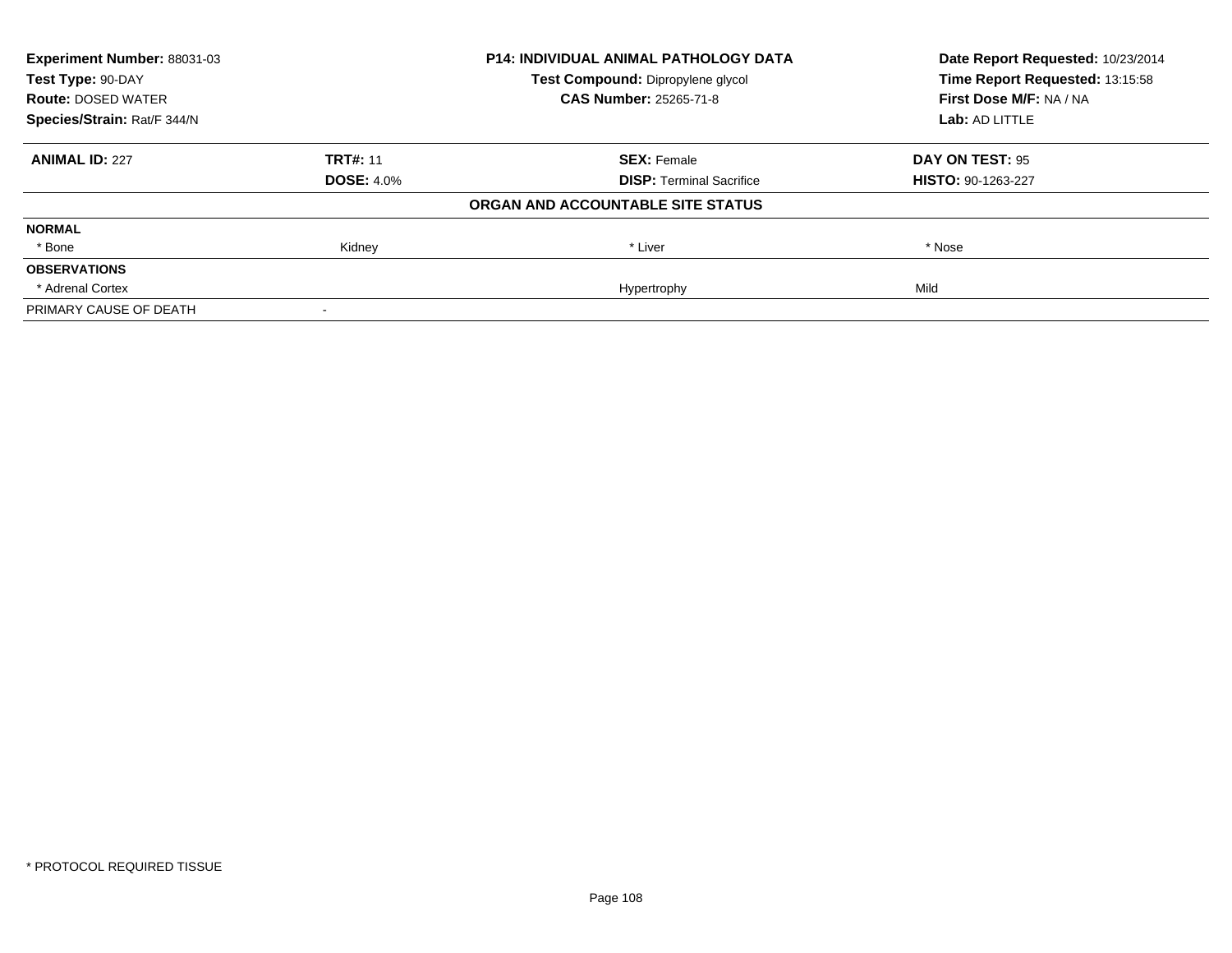| Experiment Number: 88031-03 | <b>P14: INDIVIDUAL ANIMAL PATHOLOGY DATA</b> |                                   | Date Report Requested: 10/23/2014 |
|-----------------------------|----------------------------------------------|-----------------------------------|-----------------------------------|
| Test Type: 90-DAY           |                                              | Test Compound: Dipropylene glycol | Time Report Requested: 13:15:58   |
| <b>Route: DOSED WATER</b>   |                                              | <b>CAS Number: 25265-71-8</b>     | First Dose M/F: NA / NA           |
| Species/Strain: Rat/F 344/N |                                              |                                   | Lab: AD LITTLE                    |
| <b>ANIMAL ID: 227</b>       | <b>TRT#: 11</b>                              | <b>SEX: Female</b>                | DAY ON TEST: 95                   |
|                             | <b>DOSE: 4.0%</b>                            | <b>DISP:</b> Terminal Sacrifice   | <b>HISTO: 90-1263-227</b>         |
|                             |                                              | ORGAN AND ACCOUNTABLE SITE STATUS |                                   |
| <b>NORMAL</b>               |                                              |                                   |                                   |
| * Bone                      | Kidney                                       | * Liver                           | * Nose                            |
| <b>OBSERVATIONS</b>         |                                              |                                   |                                   |
| * Adrenal Cortex            |                                              | Hypertrophy                       | Mild                              |
| PRIMARY CAUSE OF DEATH      |                                              |                                   |                                   |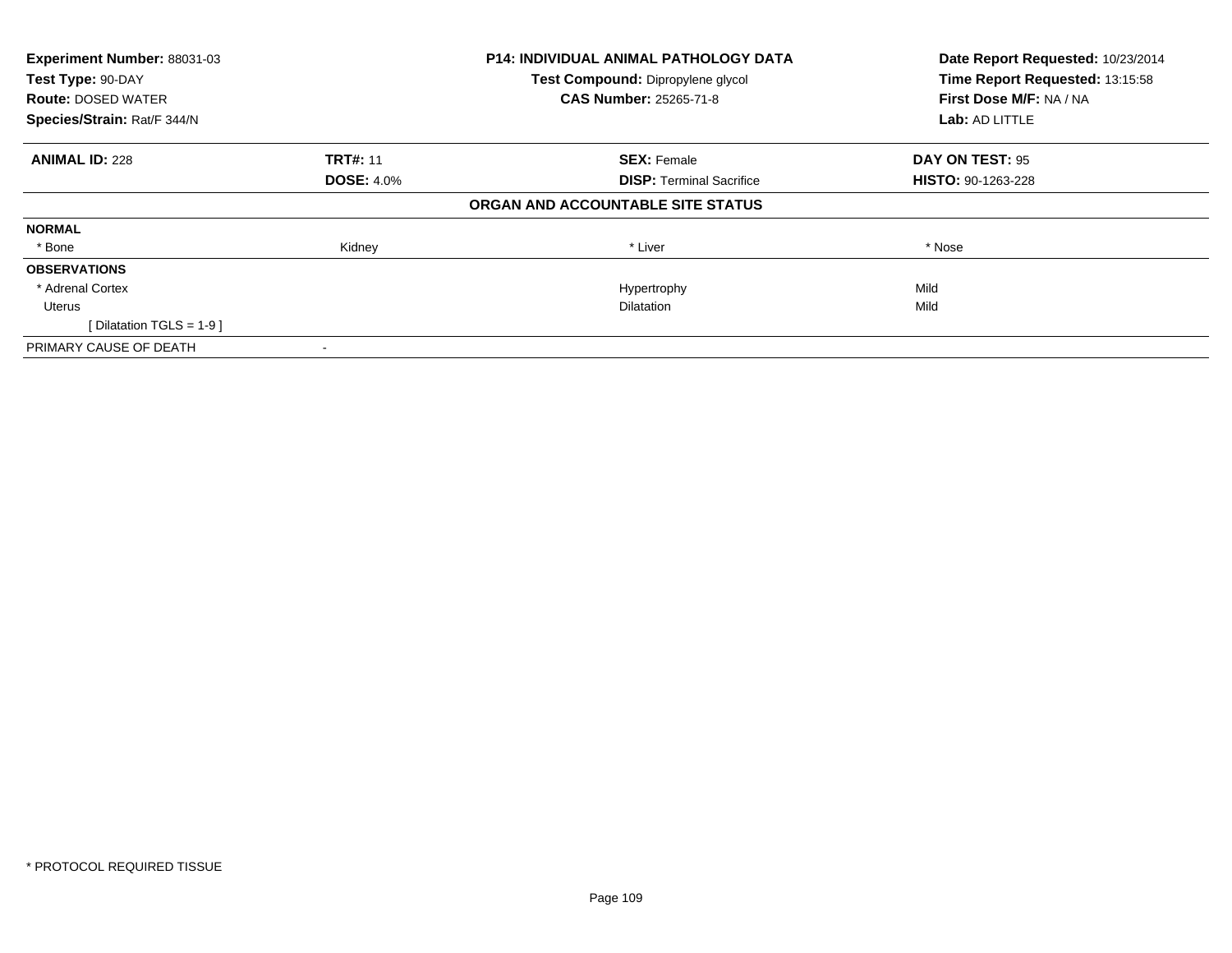| Experiment Number: 88031-03<br>Test Type: 90-DAY |                   | <b>P14: INDIVIDUAL ANIMAL PATHOLOGY DATA</b> | Date Report Requested: 10/23/2014<br>Time Report Requested: 13:15:58 |  |
|--------------------------------------------------|-------------------|----------------------------------------------|----------------------------------------------------------------------|--|
|                                                  |                   | Test Compound: Dipropylene glycol            |                                                                      |  |
| <b>Route: DOSED WATER</b>                        |                   | CAS Number: 25265-71-8                       | First Dose M/F: NA / NA                                              |  |
| Species/Strain: Rat/F 344/N                      |                   |                                              | Lab: AD LITTLE                                                       |  |
| <b>ANIMAL ID: 228</b>                            | <b>TRT#: 11</b>   | <b>SEX: Female</b>                           | DAY ON TEST: 95                                                      |  |
|                                                  | <b>DOSE: 4.0%</b> | <b>DISP:</b> Terminal Sacrifice              | HISTO: 90-1263-228                                                   |  |
|                                                  |                   | ORGAN AND ACCOUNTABLE SITE STATUS            |                                                                      |  |
| <b>NORMAL</b>                                    |                   |                                              |                                                                      |  |
| * Bone                                           | Kidney            | * Liver                                      | * Nose                                                               |  |
| <b>OBSERVATIONS</b>                              |                   |                                              |                                                                      |  |
| * Adrenal Cortex                                 |                   | Hypertrophy                                  | Mild                                                                 |  |
| Uterus                                           |                   | <b>Dilatation</b>                            | Mild                                                                 |  |
| Dilatation TGLS = 1-9 ]                          |                   |                                              |                                                                      |  |
| PRIMARY CAUSE OF DEATH                           |                   |                                              |                                                                      |  |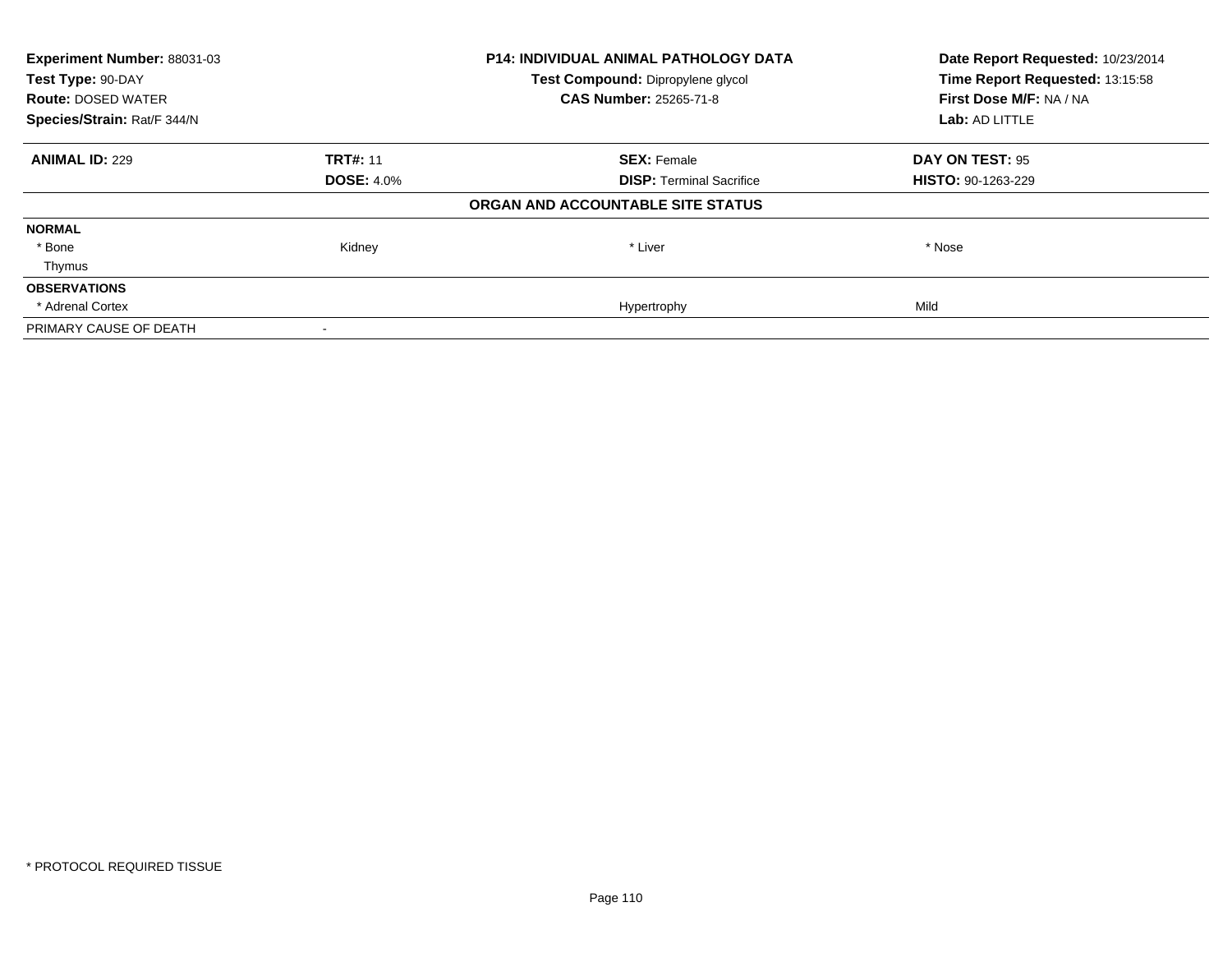| Experiment Number: 88031-03<br>Test Type: 90-DAY |                   | <b>P14: INDIVIDUAL ANIMAL PATHOLOGY DATA</b> | Date Report Requested: 10/23/2014<br>Time Report Requested: 13:15:58 |  |
|--------------------------------------------------|-------------------|----------------------------------------------|----------------------------------------------------------------------|--|
|                                                  |                   | Test Compound: Dipropylene glycol            |                                                                      |  |
| <b>Route: DOSED WATER</b>                        |                   | <b>CAS Number: 25265-71-8</b>                | First Dose M/F: NA / NA                                              |  |
| Species/Strain: Rat/F 344/N                      |                   |                                              | Lab: AD LITTLE                                                       |  |
| <b>ANIMAL ID: 229</b>                            | <b>TRT#: 11</b>   | <b>SEX: Female</b>                           | DAY ON TEST: 95                                                      |  |
|                                                  | <b>DOSE: 4.0%</b> | <b>DISP: Terminal Sacrifice</b>              | <b>HISTO: 90-1263-229</b>                                            |  |
|                                                  |                   | ORGAN AND ACCOUNTABLE SITE STATUS            |                                                                      |  |
| <b>NORMAL</b>                                    |                   |                                              |                                                                      |  |
| * Bone                                           | Kidney            | * Liver                                      | * Nose                                                               |  |
| Thymus                                           |                   |                                              |                                                                      |  |
| <b>OBSERVATIONS</b>                              |                   |                                              |                                                                      |  |
| * Adrenal Cortex                                 |                   | Hypertrophy                                  | Mild                                                                 |  |
| PRIMARY CAUSE OF DEATH                           |                   |                                              |                                                                      |  |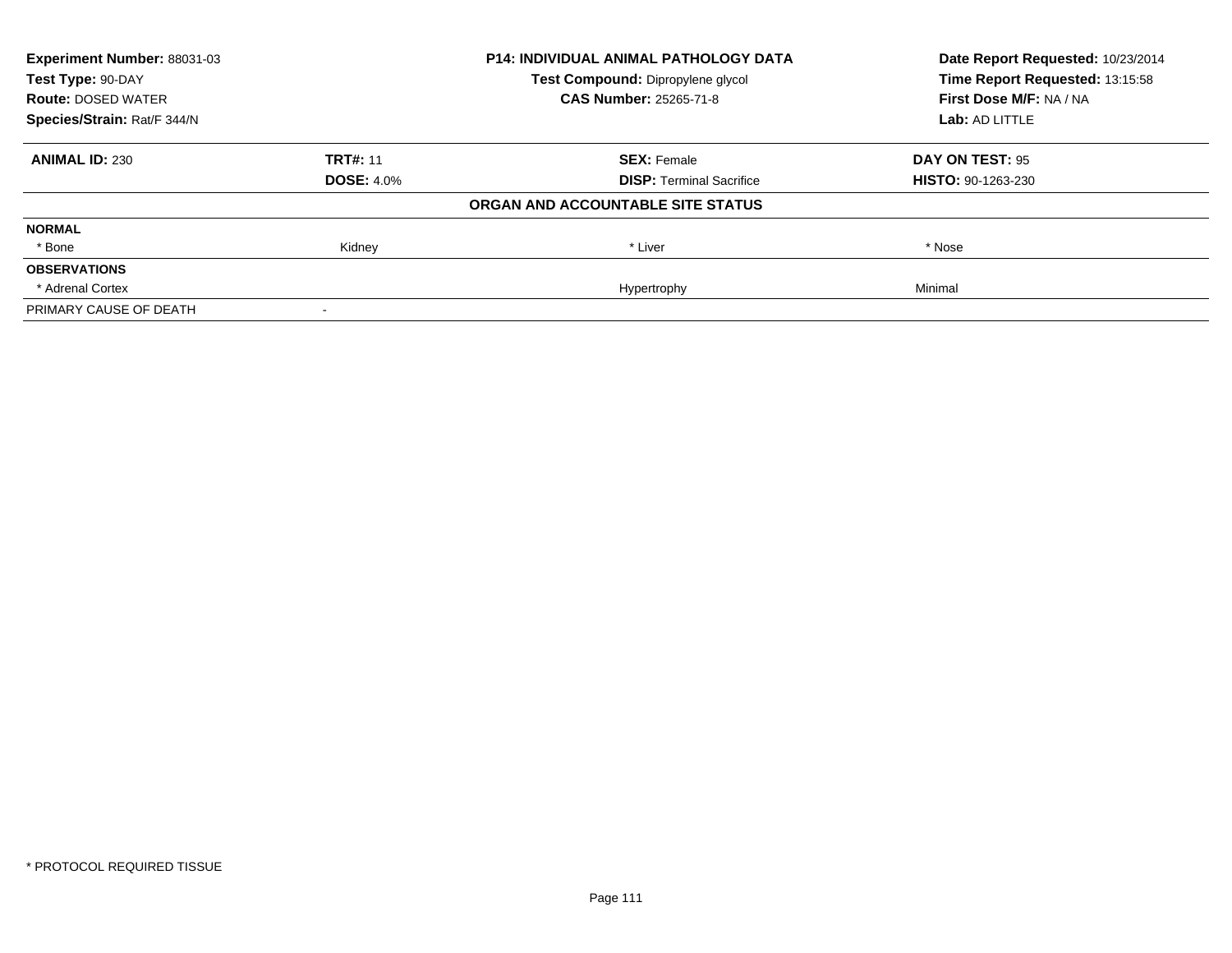| Experiment Number: 88031-03<br>Test Type: 90-DAY |                   | <b>P14: INDIVIDUAL ANIMAL PATHOLOGY DATA</b> | Date Report Requested: 10/23/2014<br>Time Report Requested: 13:15:58 |
|--------------------------------------------------|-------------------|----------------------------------------------|----------------------------------------------------------------------|
|                                                  |                   | Test Compound: Dipropylene glycol            |                                                                      |
| <b>Route: DOSED WATER</b>                        |                   | <b>CAS Number: 25265-71-8</b>                | First Dose M/F: NA / NA                                              |
| Species/Strain: Rat/F 344/N                      |                   |                                              | Lab: AD LITTLE                                                       |
| <b>ANIMAL ID: 230</b>                            | <b>TRT#: 11</b>   | <b>SEX: Female</b>                           | DAY ON TEST: 95                                                      |
|                                                  | <b>DOSE: 4.0%</b> | <b>DISP: Terminal Sacrifice</b>              | <b>HISTO: 90-1263-230</b>                                            |
|                                                  |                   | ORGAN AND ACCOUNTABLE SITE STATUS            |                                                                      |
| <b>NORMAL</b>                                    |                   |                                              |                                                                      |
| * Bone                                           | Kidney            | * Liver                                      | * Nose                                                               |
| <b>OBSERVATIONS</b>                              |                   |                                              |                                                                      |
| * Adrenal Cortex                                 |                   | Hypertrophy                                  | Minimal                                                              |
| PRIMARY CAUSE OF DEATH                           |                   |                                              |                                                                      |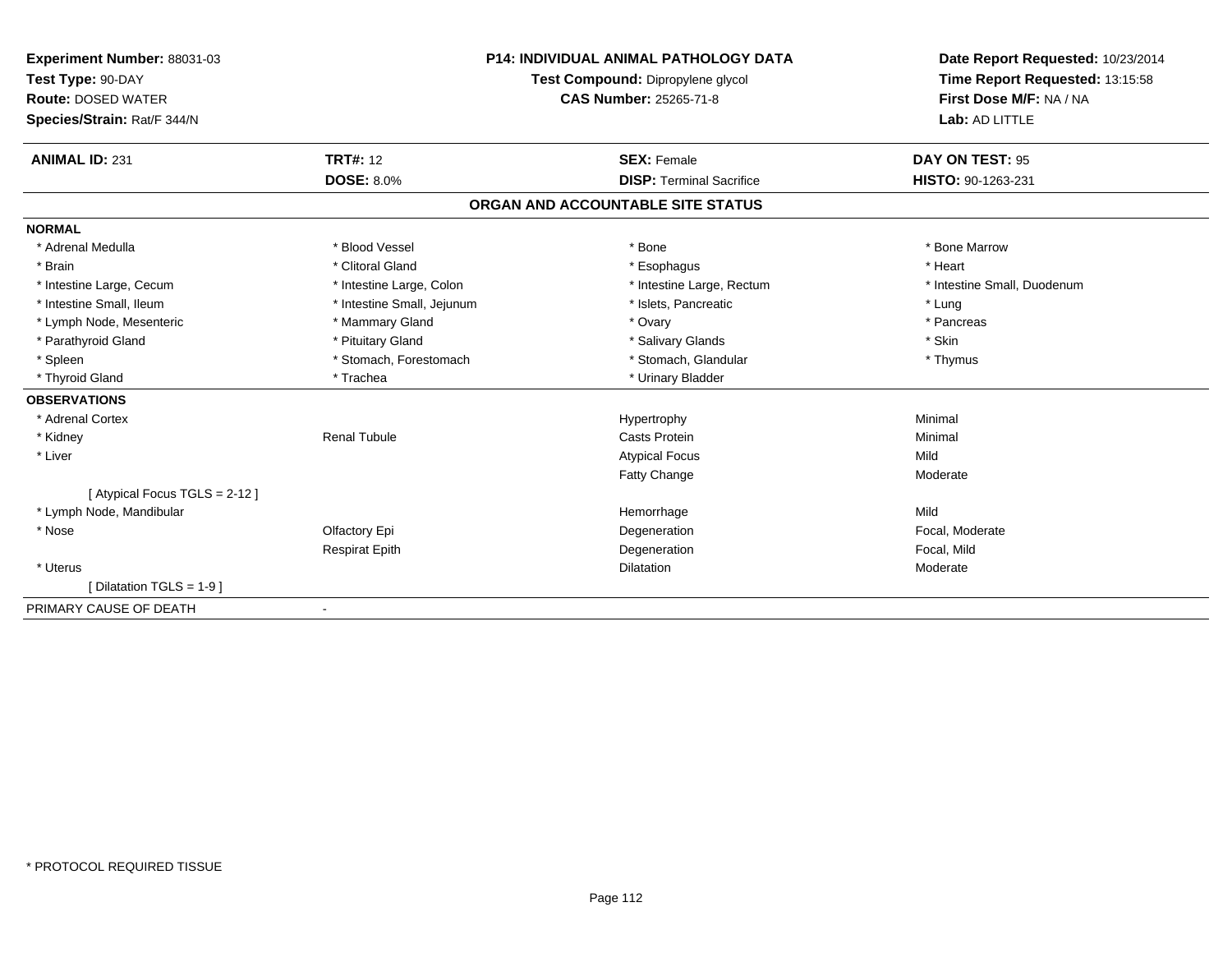| Experiment Number: 88031-03<br>Test Type: 90-DAY |                            | <b>P14: INDIVIDUAL ANIMAL PATHOLOGY DATA</b> | Date Report Requested: 10/23/2014<br>Time Report Requested: 13:15:58 |
|--------------------------------------------------|----------------------------|----------------------------------------------|----------------------------------------------------------------------|
|                                                  |                            | Test Compound: Dipropylene glycol            |                                                                      |
| <b>Route: DOSED WATER</b>                        |                            | <b>CAS Number: 25265-71-8</b>                | First Dose M/F: NA / NA                                              |
| Species/Strain: Rat/F 344/N                      |                            |                                              | Lab: AD LITTLE                                                       |
|                                                  |                            |                                              |                                                                      |
| <b>ANIMAL ID: 231</b>                            | <b>TRT#: 12</b>            | <b>SEX: Female</b>                           | DAY ON TEST: 95                                                      |
|                                                  | <b>DOSE: 8.0%</b>          | <b>DISP: Terminal Sacrifice</b>              | HISTO: 90-1263-231                                                   |
|                                                  |                            | ORGAN AND ACCOUNTABLE SITE STATUS            |                                                                      |
| <b>NORMAL</b>                                    |                            |                                              |                                                                      |
| * Adrenal Medulla                                | * Blood Vessel             | * Bone                                       | * Bone Marrow                                                        |
| * Brain                                          | * Clitoral Gland           | * Esophagus                                  | * Heart                                                              |
| * Intestine Large, Cecum                         | * Intestine Large, Colon   | * Intestine Large, Rectum                    | * Intestine Small, Duodenum                                          |
| * Intestine Small, Ileum                         | * Intestine Small, Jejunum | * Islets. Pancreatic                         | * Lung                                                               |
| * Lymph Node, Mesenteric                         | * Mammary Gland            | * Ovary                                      | * Pancreas                                                           |
| * Parathyroid Gland                              | * Pituitary Gland          | * Salivary Glands                            | * Skin                                                               |
| * Spleen                                         | * Stomach, Forestomach     | * Stomach, Glandular                         | * Thymus                                                             |
| * Thyroid Gland                                  | * Trachea                  | * Urinary Bladder                            |                                                                      |
| <b>OBSERVATIONS</b>                              |                            |                                              |                                                                      |
| * Adrenal Cortex                                 |                            | Hypertrophy                                  | Minimal                                                              |
| * Kidney                                         | <b>Renal Tubule</b>        | <b>Casts Protein</b>                         | Minimal                                                              |
| * Liver                                          |                            | <b>Atypical Focus</b>                        | Mild                                                                 |
|                                                  |                            | Fatty Change                                 | Moderate                                                             |
| [ Atypical Focus TGLS = 2-12 ]                   |                            |                                              |                                                                      |
| * Lymph Node, Mandibular                         |                            | Hemorrhage                                   | Mild                                                                 |
| * Nose                                           | Olfactory Epi              | Degeneration                                 | Focal, Moderate                                                      |
|                                                  | <b>Respirat Epith</b>      | Degeneration                                 | Focal, Mild                                                          |
| * Uterus                                         |                            | Dilatation                                   | Moderate                                                             |
| [Dilatation TGLS = $1-9$ ]                       |                            |                                              |                                                                      |
| PRIMARY CAUSE OF DEATH                           | $\blacksquare$             |                                              |                                                                      |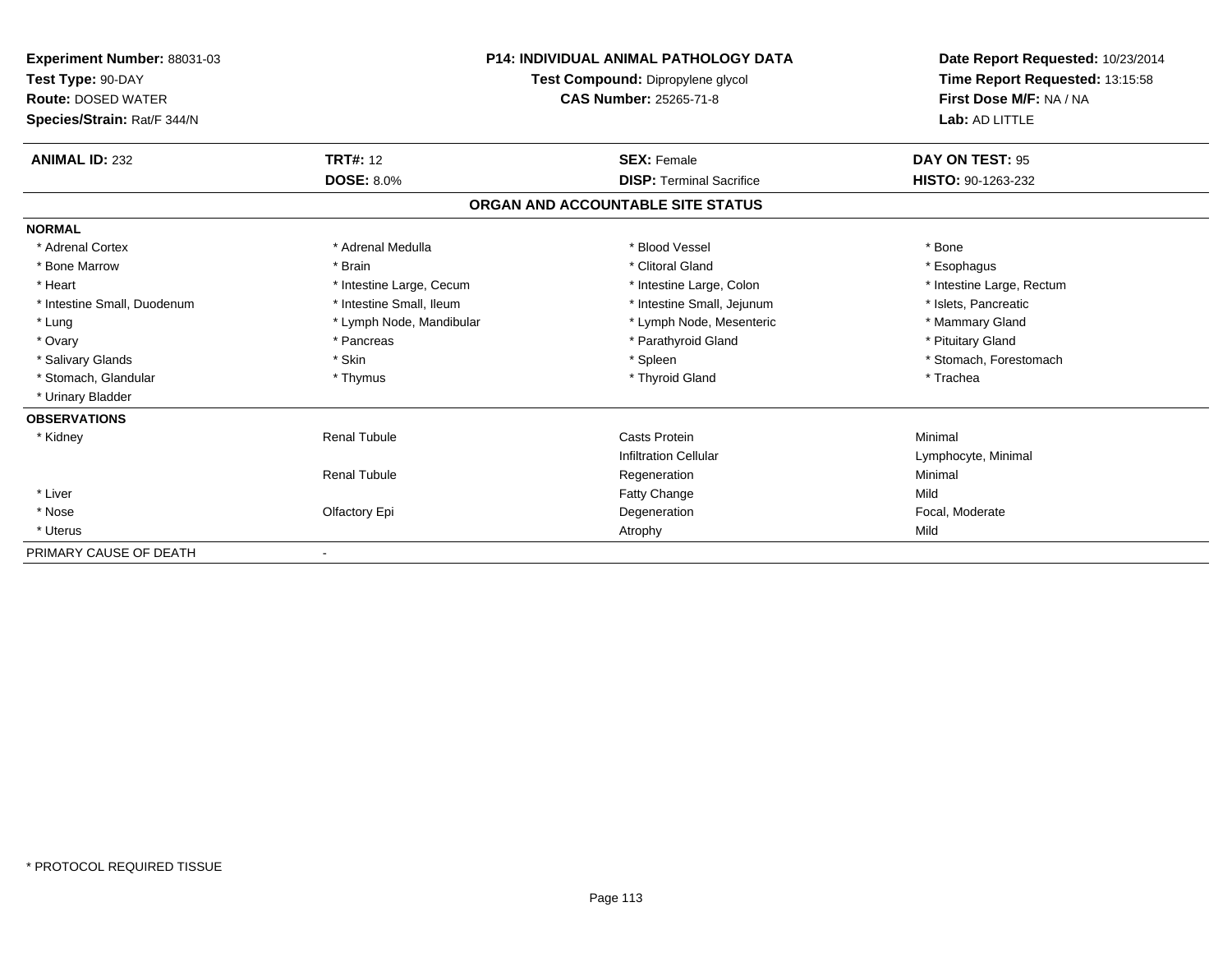| Experiment Number: 88031-03<br>Test Type: 90-DAY<br><b>Route: DOSED WATER</b><br>Species/Strain: Rat/F 344/N |                          | <b>P14: INDIVIDUAL ANIMAL PATHOLOGY DATA</b><br>Test Compound: Dipropylene glycol<br><b>CAS Number: 25265-71-8</b> | Date Report Requested: 10/23/2014<br>Time Report Requested: 13:15:58<br>First Dose M/F: NA / NA<br>Lab: AD LITTLE |
|--------------------------------------------------------------------------------------------------------------|--------------------------|--------------------------------------------------------------------------------------------------------------------|-------------------------------------------------------------------------------------------------------------------|
| <b>ANIMAL ID: 232</b>                                                                                        | <b>TRT#: 12</b>          | <b>SEX: Female</b>                                                                                                 | DAY ON TEST: 95                                                                                                   |
|                                                                                                              | <b>DOSE: 8.0%</b>        | <b>DISP: Terminal Sacrifice</b>                                                                                    | HISTO: 90-1263-232                                                                                                |
|                                                                                                              |                          | ORGAN AND ACCOUNTABLE SITE STATUS                                                                                  |                                                                                                                   |
| <b>NORMAL</b>                                                                                                |                          |                                                                                                                    |                                                                                                                   |
| * Adrenal Cortex                                                                                             | * Adrenal Medulla        | * Blood Vessel                                                                                                     | * Bone                                                                                                            |
| * Bone Marrow                                                                                                | * Brain                  | * Clitoral Gland                                                                                                   | * Esophagus                                                                                                       |
| * Heart                                                                                                      | * Intestine Large, Cecum | * Intestine Large, Colon                                                                                           | * Intestine Large, Rectum                                                                                         |
| * Intestine Small, Duodenum                                                                                  | * Intestine Small, Ileum | * Intestine Small, Jejunum                                                                                         | * Islets, Pancreatic                                                                                              |
| * Lung                                                                                                       | * Lymph Node, Mandibular | * Lymph Node, Mesenteric                                                                                           | * Mammary Gland                                                                                                   |
| * Ovary                                                                                                      | * Pancreas               | * Parathyroid Gland                                                                                                | * Pituitary Gland                                                                                                 |
| * Salivary Glands                                                                                            | * Skin                   | * Spleen                                                                                                           | * Stomach, Forestomach                                                                                            |
| * Stomach, Glandular                                                                                         | * Thymus                 | * Thyroid Gland                                                                                                    | * Trachea                                                                                                         |
| * Urinary Bladder                                                                                            |                          |                                                                                                                    |                                                                                                                   |
| <b>OBSERVATIONS</b>                                                                                          |                          |                                                                                                                    |                                                                                                                   |
| * Kidney                                                                                                     | <b>Renal Tubule</b>      | <b>Casts Protein</b>                                                                                               | Minimal                                                                                                           |
|                                                                                                              |                          | <b>Infiltration Cellular</b>                                                                                       | Lymphocyte, Minimal                                                                                               |
|                                                                                                              | <b>Renal Tubule</b>      | Regeneration                                                                                                       | Minimal                                                                                                           |
| * Liver                                                                                                      |                          | <b>Fatty Change</b>                                                                                                | Mild                                                                                                              |
| * Nose                                                                                                       | Olfactory Epi            | Degeneration                                                                                                       | Focal, Moderate                                                                                                   |
| * Uterus                                                                                                     |                          | Atrophy                                                                                                            | Mild                                                                                                              |
| PRIMARY CAUSE OF DEATH                                                                                       |                          |                                                                                                                    |                                                                                                                   |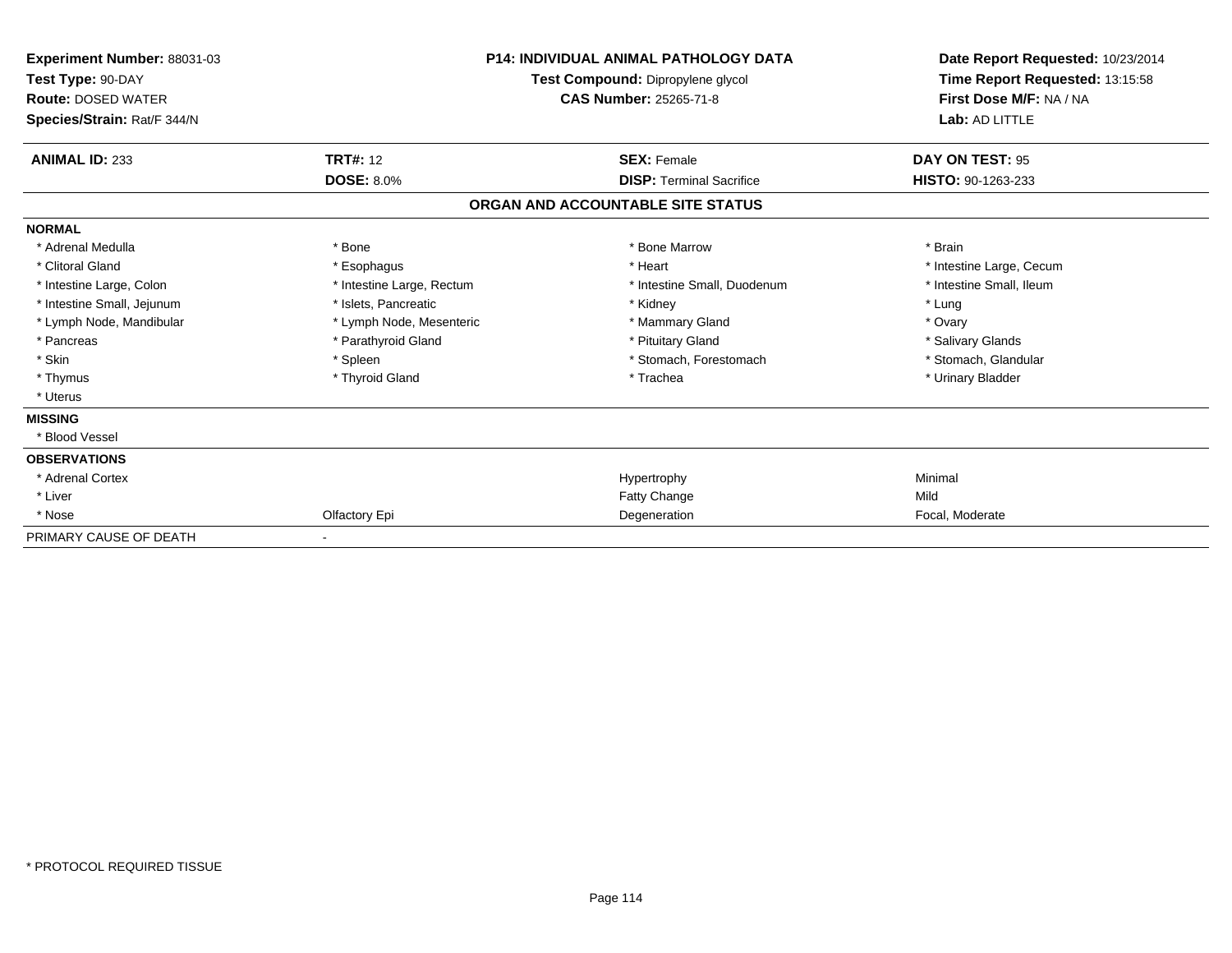| Experiment Number: 88031-03<br>Test Type: 90-DAY<br><b>Route: DOSED WATER</b><br>Species/Strain: Rat/F 344/N | <b>P14: INDIVIDUAL ANIMAL PATHOLOGY DATA</b><br>Test Compound: Dipropylene glycol<br><b>CAS Number: 25265-71-8</b> |                                   | Date Report Requested: 10/23/2014<br>Time Report Requested: 13:15:58<br>First Dose M/F: NA / NA<br>Lab: AD LITTLE |  |
|--------------------------------------------------------------------------------------------------------------|--------------------------------------------------------------------------------------------------------------------|-----------------------------------|-------------------------------------------------------------------------------------------------------------------|--|
| <b>ANIMAL ID: 233</b>                                                                                        | <b>TRT#: 12</b>                                                                                                    | <b>SEX: Female</b>                | DAY ON TEST: 95                                                                                                   |  |
|                                                                                                              | <b>DOSE: 8.0%</b>                                                                                                  | <b>DISP: Terminal Sacrifice</b>   | HISTO: 90-1263-233                                                                                                |  |
|                                                                                                              |                                                                                                                    | ORGAN AND ACCOUNTABLE SITE STATUS |                                                                                                                   |  |
| <b>NORMAL</b>                                                                                                |                                                                                                                    |                                   |                                                                                                                   |  |
| * Adrenal Medulla                                                                                            | * Bone                                                                                                             | * Bone Marrow                     | * Brain                                                                                                           |  |
| * Clitoral Gland                                                                                             | * Esophagus                                                                                                        | * Heart                           | * Intestine Large, Cecum                                                                                          |  |
| * Intestine Large, Colon                                                                                     | * Intestine Large, Rectum                                                                                          | * Intestine Small, Duodenum       | * Intestine Small, Ileum                                                                                          |  |
| * Intestine Small, Jejunum                                                                                   | * Islets, Pancreatic                                                                                               | * Kidney                          | * Lung                                                                                                            |  |
| * Lymph Node, Mandibular                                                                                     | * Lymph Node, Mesenteric                                                                                           | * Mammary Gland                   | * Ovary                                                                                                           |  |
| * Pancreas                                                                                                   | * Parathyroid Gland                                                                                                | * Pituitary Gland                 | * Salivary Glands                                                                                                 |  |
| * Skin                                                                                                       | * Spleen                                                                                                           | * Stomach, Forestomach            | * Stomach, Glandular                                                                                              |  |
| * Thymus                                                                                                     | * Thyroid Gland                                                                                                    | * Trachea                         | * Urinary Bladder                                                                                                 |  |
| * Uterus                                                                                                     |                                                                                                                    |                                   |                                                                                                                   |  |
| <b>MISSING</b>                                                                                               |                                                                                                                    |                                   |                                                                                                                   |  |
| * Blood Vessel                                                                                               |                                                                                                                    |                                   |                                                                                                                   |  |
| <b>OBSERVATIONS</b>                                                                                          |                                                                                                                    |                                   |                                                                                                                   |  |
| * Adrenal Cortex                                                                                             |                                                                                                                    | Hypertrophy                       | Minimal                                                                                                           |  |
| * Liver                                                                                                      |                                                                                                                    | <b>Fatty Change</b>               | Mild                                                                                                              |  |
| * Nose                                                                                                       | Olfactory Epi                                                                                                      | Degeneration                      | Focal, Moderate                                                                                                   |  |
| PRIMARY CAUSE OF DEATH                                                                                       |                                                                                                                    |                                   |                                                                                                                   |  |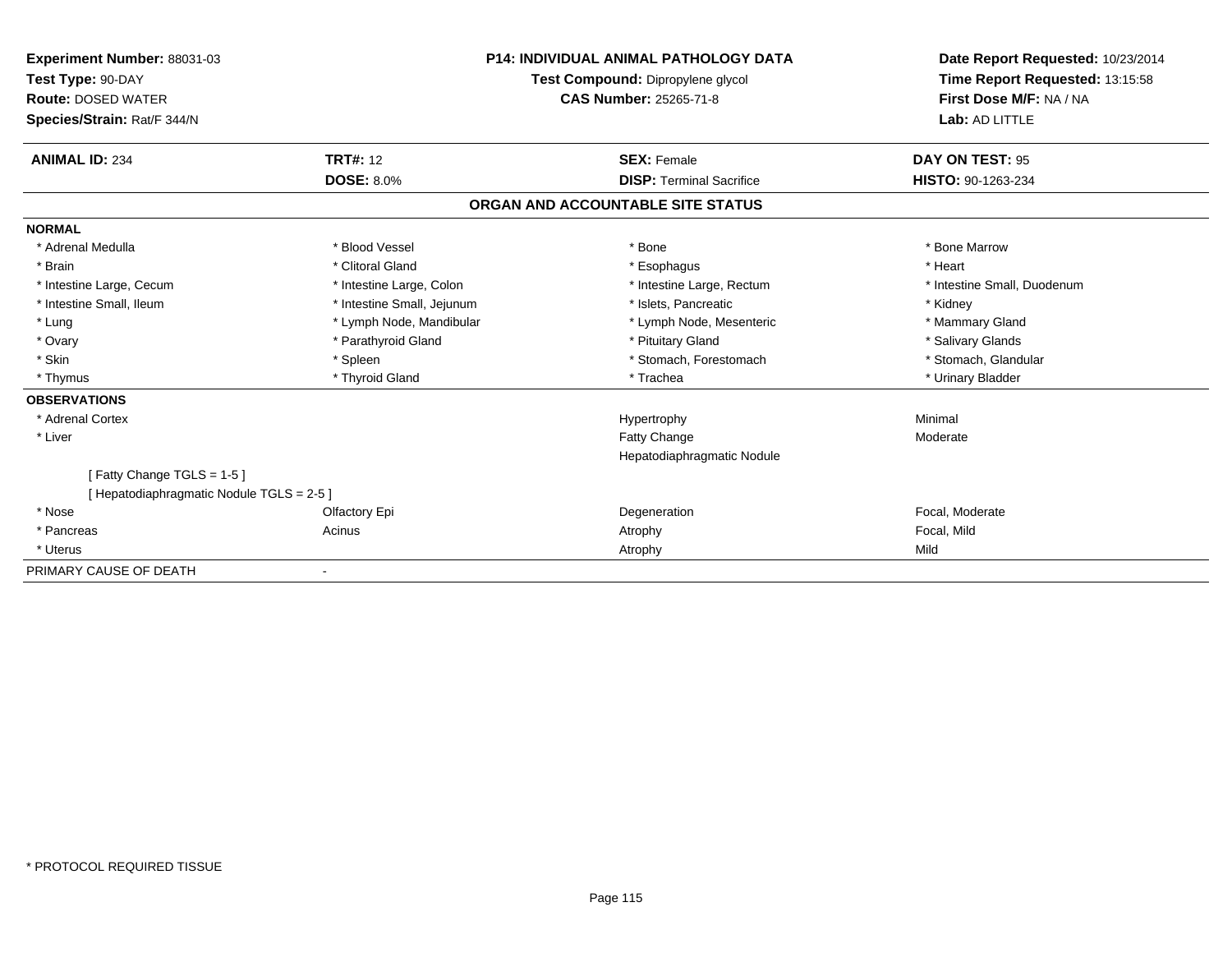| Experiment Number: 88031-03<br>Test Type: 90-DAY<br><b>Route: DOSED WATER</b><br>Species/Strain: Rat/F 344/N |                            | <b>P14: INDIVIDUAL ANIMAL PATHOLOGY DATA</b><br>Test Compound: Dipropylene glycol<br><b>CAS Number: 25265-71-8</b> | Date Report Requested: 10/23/2014<br>Time Report Requested: 13:15:58<br>First Dose M/F: NA / NA<br>Lab: AD LITTLE |
|--------------------------------------------------------------------------------------------------------------|----------------------------|--------------------------------------------------------------------------------------------------------------------|-------------------------------------------------------------------------------------------------------------------|
| <b>ANIMAL ID: 234</b>                                                                                        | <b>TRT#: 12</b>            | <b>SEX: Female</b>                                                                                                 | DAY ON TEST: 95                                                                                                   |
|                                                                                                              | <b>DOSE: 8.0%</b>          | <b>DISP:</b> Terminal Sacrifice                                                                                    | HISTO: 90-1263-234                                                                                                |
|                                                                                                              |                            | ORGAN AND ACCOUNTABLE SITE STATUS                                                                                  |                                                                                                                   |
| <b>NORMAL</b>                                                                                                |                            |                                                                                                                    |                                                                                                                   |
| * Adrenal Medulla                                                                                            | * Blood Vessel             | * Bone                                                                                                             | * Bone Marrow                                                                                                     |
| * Brain                                                                                                      | * Clitoral Gland           | * Esophagus                                                                                                        | * Heart                                                                                                           |
| * Intestine Large, Cecum                                                                                     | * Intestine Large, Colon   | * Intestine Large, Rectum                                                                                          | * Intestine Small, Duodenum                                                                                       |
| * Intestine Small, Ileum                                                                                     | * Intestine Small, Jejunum | * Islets, Pancreatic                                                                                               | * Kidney                                                                                                          |
| * Lung                                                                                                       | * Lymph Node, Mandibular   | * Lymph Node, Mesenteric                                                                                           | * Mammary Gland                                                                                                   |
| * Ovary                                                                                                      | * Parathyroid Gland        | * Pituitary Gland                                                                                                  | * Salivary Glands                                                                                                 |
| * Skin                                                                                                       | * Spleen                   | * Stomach, Forestomach                                                                                             | * Stomach, Glandular                                                                                              |
| * Thymus                                                                                                     | * Thyroid Gland            | * Trachea                                                                                                          | * Urinary Bladder                                                                                                 |
| <b>OBSERVATIONS</b>                                                                                          |                            |                                                                                                                    |                                                                                                                   |
| * Adrenal Cortex                                                                                             |                            | Hypertrophy                                                                                                        | Minimal                                                                                                           |
| * Liver                                                                                                      |                            | Fatty Change                                                                                                       | Moderate                                                                                                          |
|                                                                                                              |                            | Hepatodiaphragmatic Nodule                                                                                         |                                                                                                                   |
| [Fatty Change TGLS = 1-5]<br>[ Hepatodiaphragmatic Nodule TGLS = 2-5 ]                                       |                            |                                                                                                                    |                                                                                                                   |
| * Nose                                                                                                       | Olfactory Epi              | Degeneration                                                                                                       | Focal, Moderate                                                                                                   |
| * Pancreas                                                                                                   | Acinus                     | Atrophy                                                                                                            | Focal, Mild                                                                                                       |
| * Uterus                                                                                                     |                            | Atrophy                                                                                                            | Mild                                                                                                              |
| PRIMARY CAUSE OF DEATH                                                                                       | $\overline{\phantom{a}}$   |                                                                                                                    |                                                                                                                   |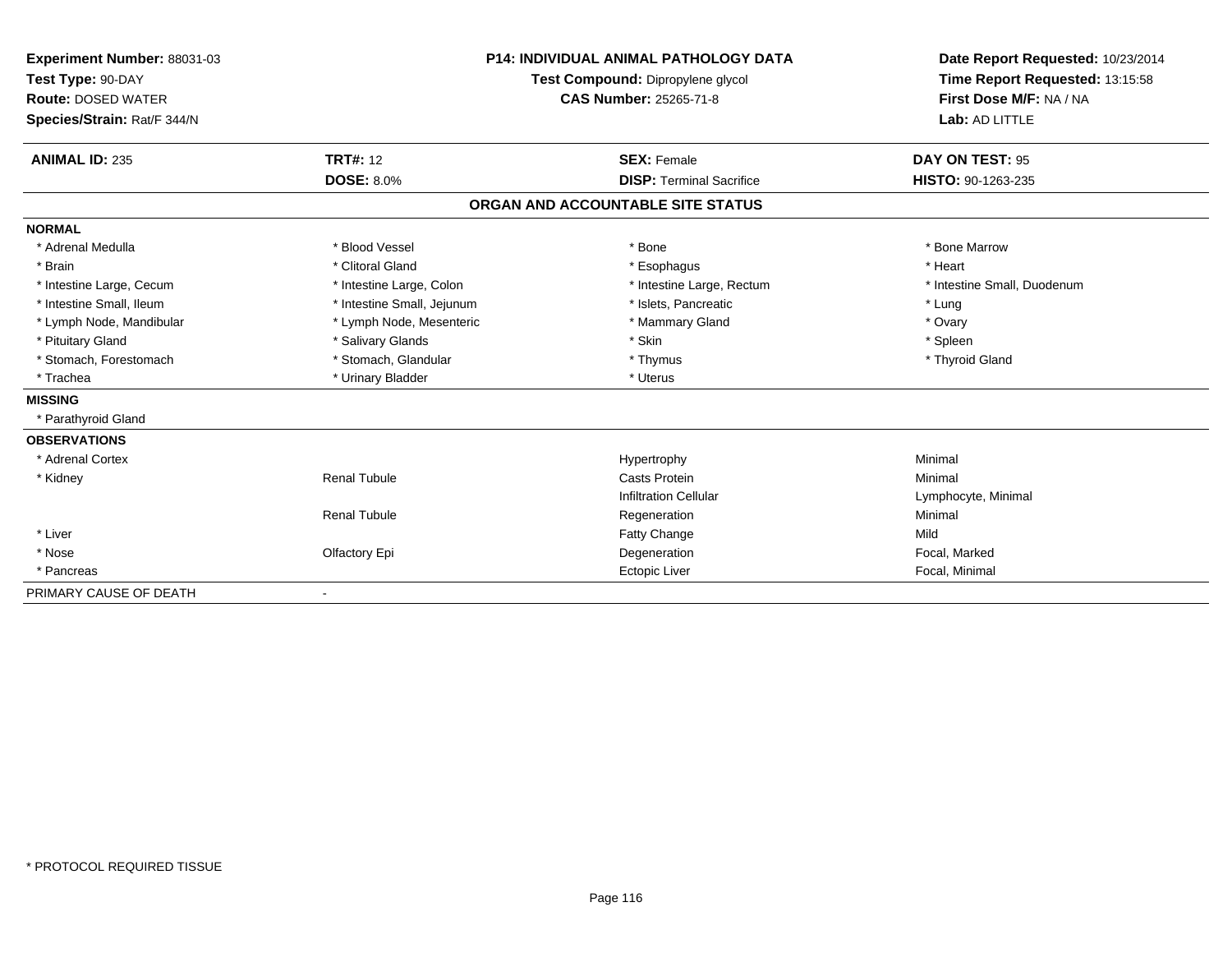| Experiment Number: 88031-03<br>Test Type: 90-DAY |                               | <b>P14: INDIVIDUAL ANIMAL PATHOLOGY DATA</b> | Date Report Requested: 10/23/2014 |
|--------------------------------------------------|-------------------------------|----------------------------------------------|-----------------------------------|
|                                                  |                               | Test Compound: Dipropylene glycol            | Time Report Requested: 13:15:58   |
| <b>Route: DOSED WATER</b>                        | <b>CAS Number: 25265-71-8</b> |                                              | First Dose M/F: NA / NA           |
| Species/Strain: Rat/F 344/N                      |                               |                                              | Lab: AD LITTLE                    |
| <b>ANIMAL ID: 235</b>                            | <b>TRT#: 12</b>               | <b>SEX: Female</b>                           | DAY ON TEST: 95                   |
|                                                  | <b>DOSE: 8.0%</b>             | <b>DISP: Terminal Sacrifice</b>              | HISTO: 90-1263-235                |
|                                                  |                               | ORGAN AND ACCOUNTABLE SITE STATUS            |                                   |
| <b>NORMAL</b>                                    |                               |                                              |                                   |
| * Adrenal Medulla                                | * Blood Vessel                | * Bone                                       | * Bone Marrow                     |
| * Brain                                          | * Clitoral Gland              | * Esophagus                                  | * Heart                           |
| * Intestine Large, Cecum                         | * Intestine Large, Colon      | * Intestine Large, Rectum                    | * Intestine Small, Duodenum       |
| * Intestine Small, Ileum                         | * Intestine Small, Jejunum    | * Islets, Pancreatic                         | * Lung                            |
| * Lymph Node, Mandibular                         | * Lymph Node, Mesenteric      | * Mammary Gland                              | * Ovary                           |
| * Pituitary Gland                                | * Salivary Glands             | * Skin                                       | * Spleen                          |
| * Stomach, Forestomach                           | * Stomach, Glandular          | * Thymus                                     | * Thyroid Gland                   |
| * Trachea                                        | * Urinary Bladder             | * Uterus                                     |                                   |
| <b>MISSING</b>                                   |                               |                                              |                                   |
| * Parathyroid Gland                              |                               |                                              |                                   |
| <b>OBSERVATIONS</b>                              |                               |                                              |                                   |
| * Adrenal Cortex                                 |                               | Hypertrophy                                  | Minimal                           |
| * Kidney                                         | <b>Renal Tubule</b>           | Casts Protein                                | Minimal                           |
|                                                  |                               | <b>Infiltration Cellular</b>                 | Lymphocyte, Minimal               |
|                                                  | <b>Renal Tubule</b>           | Regeneration                                 | Minimal                           |
| * Liver                                          |                               | <b>Fatty Change</b>                          | Mild                              |
| * Nose                                           | Olfactory Epi                 | Degeneration                                 | Focal, Marked                     |
| * Pancreas                                       |                               | Ectopic Liver                                | Focal, Minimal                    |
| PRIMARY CAUSE OF DEATH                           |                               |                                              |                                   |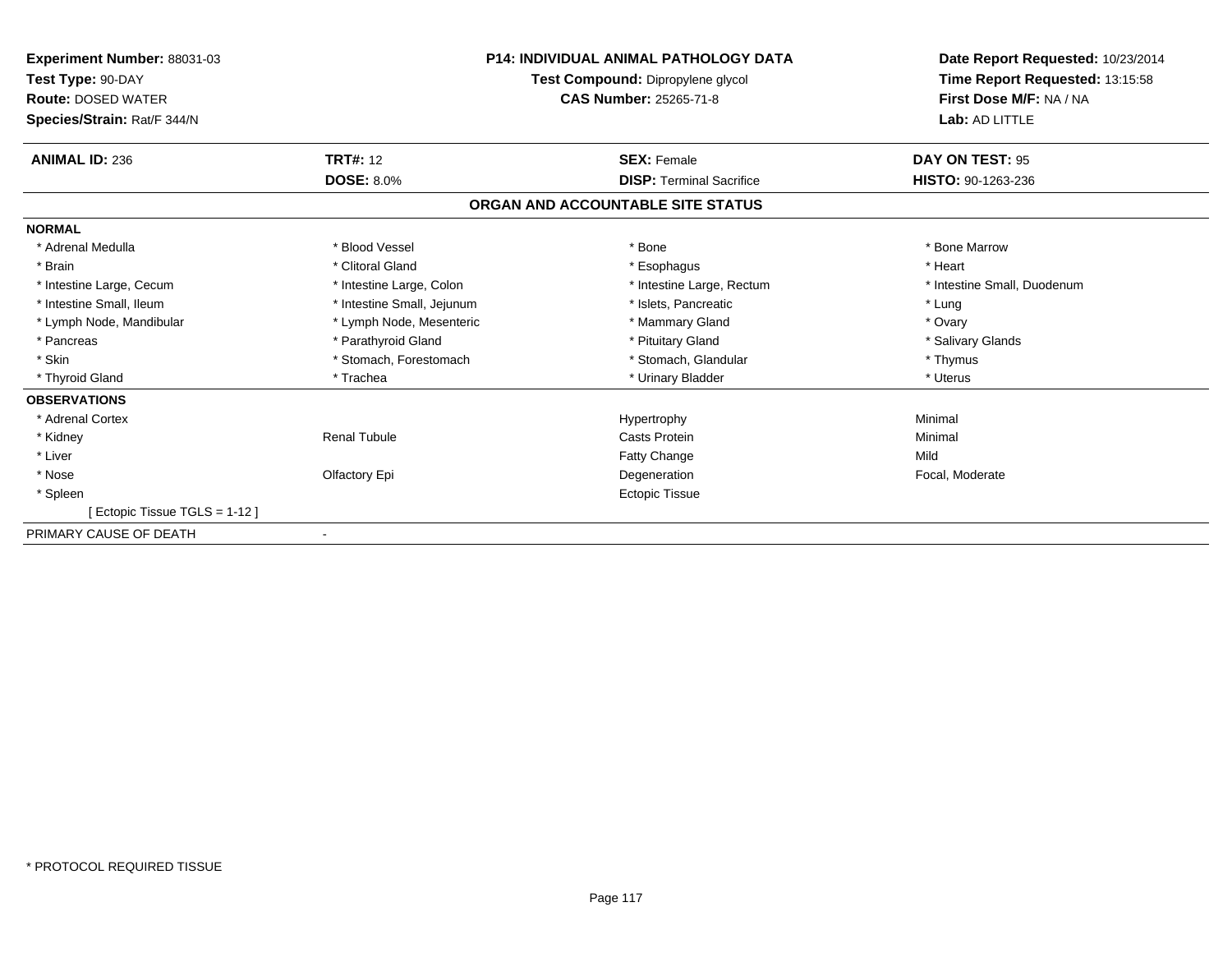| <b>Experiment Number: 88031-03</b><br>Test Type: 90-DAY<br><b>Route: DOSED WATER</b><br>Species/Strain: Rat/F 344/N | <b>P14: INDIVIDUAL ANIMAL PATHOLOGY DATA</b><br>Test Compound: Dipropylene glycol<br><b>CAS Number: 25265-71-8</b> |                                   | Date Report Requested: 10/23/2014<br>Time Report Requested: 13:15:58<br>First Dose M/F: NA / NA<br>Lab: AD LITTLE |
|---------------------------------------------------------------------------------------------------------------------|--------------------------------------------------------------------------------------------------------------------|-----------------------------------|-------------------------------------------------------------------------------------------------------------------|
| <b>ANIMAL ID: 236</b>                                                                                               | <b>TRT#: 12</b>                                                                                                    | <b>SEX: Female</b>                | DAY ON TEST: 95                                                                                                   |
|                                                                                                                     | <b>DOSE: 8.0%</b>                                                                                                  | <b>DISP: Terminal Sacrifice</b>   | HISTO: 90-1263-236                                                                                                |
|                                                                                                                     |                                                                                                                    | ORGAN AND ACCOUNTABLE SITE STATUS |                                                                                                                   |
| <b>NORMAL</b>                                                                                                       |                                                                                                                    |                                   |                                                                                                                   |
| * Adrenal Medulla                                                                                                   | * Blood Vessel                                                                                                     | * Bone                            | * Bone Marrow                                                                                                     |
| * Brain                                                                                                             | * Clitoral Gland                                                                                                   | * Esophagus                       | * Heart                                                                                                           |
| * Intestine Large, Cecum                                                                                            | * Intestine Large, Colon                                                                                           | * Intestine Large, Rectum         | * Intestine Small, Duodenum                                                                                       |
| * Intestine Small, Ileum                                                                                            | * Intestine Small, Jejunum                                                                                         | * Islets, Pancreatic              | * Lung                                                                                                            |
| * Lymph Node, Mandibular                                                                                            | * Lymph Node, Mesenteric                                                                                           | * Mammary Gland                   | * Ovary                                                                                                           |
| * Pancreas                                                                                                          | * Parathyroid Gland                                                                                                | * Pituitary Gland                 | * Salivary Glands                                                                                                 |
| * Skin                                                                                                              | * Stomach, Forestomach                                                                                             | * Stomach, Glandular              | * Thymus                                                                                                          |
| * Thyroid Gland                                                                                                     | * Trachea                                                                                                          | * Urinary Bladder                 | * Uterus                                                                                                          |
| <b>OBSERVATIONS</b>                                                                                                 |                                                                                                                    |                                   |                                                                                                                   |
| * Adrenal Cortex                                                                                                    |                                                                                                                    | Hypertrophy                       | Minimal                                                                                                           |
| * Kidney                                                                                                            | <b>Renal Tubule</b>                                                                                                | Casts Protein                     | Minimal                                                                                                           |
| * Liver                                                                                                             |                                                                                                                    | <b>Fatty Change</b>               | Mild                                                                                                              |
| * Nose                                                                                                              | Olfactory Epi                                                                                                      | Degeneration                      | Focal, Moderate                                                                                                   |
| * Spleen                                                                                                            |                                                                                                                    | <b>Ectopic Tissue</b>             |                                                                                                                   |
| [ Ectopic Tissue TGLS = 1-12 ]                                                                                      |                                                                                                                    |                                   |                                                                                                                   |
| PRIMARY CAUSE OF DEATH                                                                                              |                                                                                                                    |                                   |                                                                                                                   |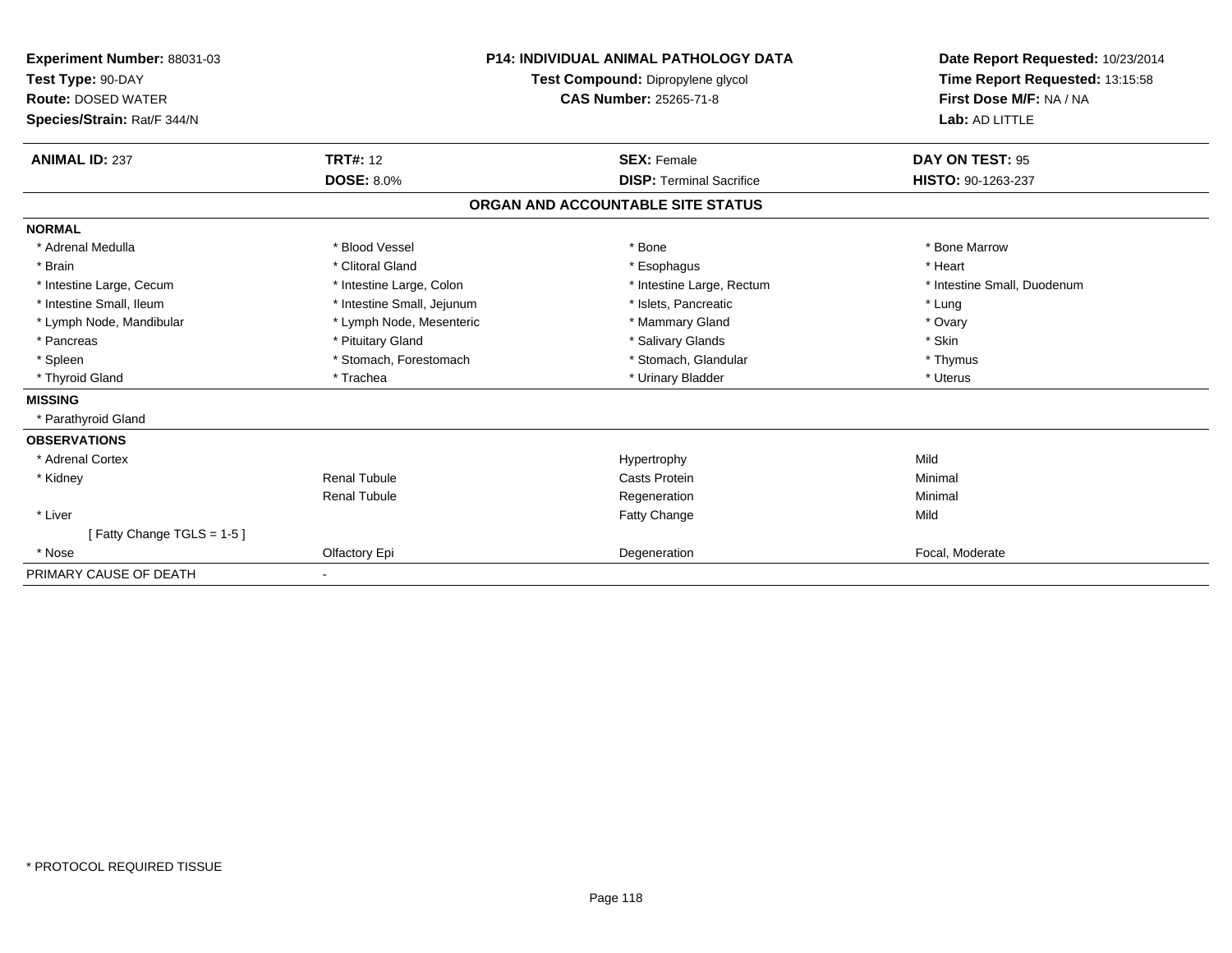| <b>Experiment Number: 88031-03</b><br>Test Type: 90-DAY<br><b>Route: DOSED WATER</b><br>Species/Strain: Rat/F 344/N<br><b>ANIMAL ID: 237</b>                                                           | <b>TRT#: 12</b><br><b>DOSE: 8.0%</b>                                                                                                                                                 | <b>P14: INDIVIDUAL ANIMAL PATHOLOGY DATA</b><br>Test Compound: Dipropylene glycol<br><b>CAS Number: 25265-71-8</b><br><b>SEX: Female</b>                        | Date Report Requested: 10/23/2014<br>Time Report Requested: 13:15:58<br>First Dose M/F: NA / NA<br>Lab: AD LITTLE<br>DAY ON TEST: 95<br>HISTO: 90-1263-237 |
|--------------------------------------------------------------------------------------------------------------------------------------------------------------------------------------------------------|--------------------------------------------------------------------------------------------------------------------------------------------------------------------------------------|-----------------------------------------------------------------------------------------------------------------------------------------------------------------|------------------------------------------------------------------------------------------------------------------------------------------------------------|
|                                                                                                                                                                                                        |                                                                                                                                                                                      | <b>DISP: Terminal Sacrifice</b><br>ORGAN AND ACCOUNTABLE SITE STATUS                                                                                            |                                                                                                                                                            |
| <b>NORMAL</b>                                                                                                                                                                                          |                                                                                                                                                                                      |                                                                                                                                                                 |                                                                                                                                                            |
| * Adrenal Medulla<br>* Brain<br>* Intestine Large, Cecum<br>* Intestine Small. Ileum<br>* Lymph Node, Mandibular<br>* Pancreas<br>* Spleen<br>* Thyroid Gland<br><b>MISSING</b><br>* Parathyroid Gland | * Blood Vessel<br>* Clitoral Gland<br>* Intestine Large, Colon<br>* Intestine Small, Jejunum<br>* Lymph Node, Mesenteric<br>* Pituitary Gland<br>* Stomach, Forestomach<br>* Trachea | * Bone<br>* Esophagus<br>* Intestine Large, Rectum<br>* Islets, Pancreatic<br>* Mammary Gland<br>* Salivary Glands<br>* Stomach, Glandular<br>* Urinary Bladder | * Bone Marrow<br>* Heart<br>* Intestine Small, Duodenum<br>* Lung<br>* Ovary<br>* Skin<br>* Thymus<br>* Uterus                                             |
| <b>OBSERVATIONS</b>                                                                                                                                                                                    |                                                                                                                                                                                      |                                                                                                                                                                 |                                                                                                                                                            |
| * Adrenal Cortex                                                                                                                                                                                       |                                                                                                                                                                                      | Hypertrophy                                                                                                                                                     | Mild                                                                                                                                                       |
| * Kidney                                                                                                                                                                                               | Renal Tubule<br><b>Renal Tubule</b>                                                                                                                                                  | <b>Casts Protein</b><br>Regeneration                                                                                                                            | Minimal<br>Minimal                                                                                                                                         |
| * Liver                                                                                                                                                                                                |                                                                                                                                                                                      | <b>Fatty Change</b>                                                                                                                                             | Mild                                                                                                                                                       |
| [Fatty Change TGLS = 1-5]<br>* Nose                                                                                                                                                                    | Olfactory Epi                                                                                                                                                                        | Degeneration                                                                                                                                                    | Focal, Moderate                                                                                                                                            |
| PRIMARY CAUSE OF DEATH                                                                                                                                                                                 | $\blacksquare$                                                                                                                                                                       |                                                                                                                                                                 |                                                                                                                                                            |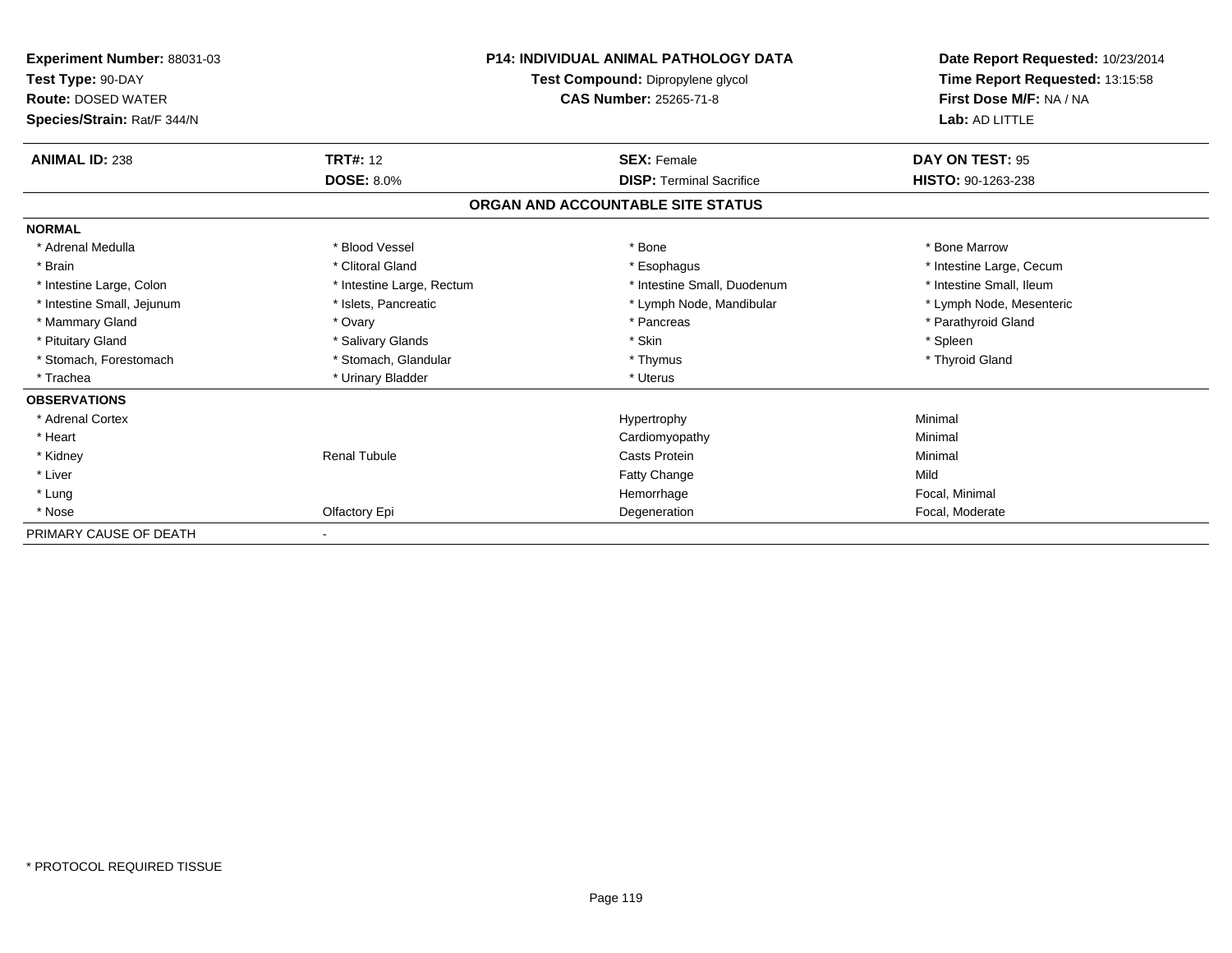| Experiment Number: 88031-03<br>Test Type: 90-DAY<br><b>Route: DOSED WATER</b><br>Species/Strain: Rat/F 344/N | <b>P14: INDIVIDUAL ANIMAL PATHOLOGY DATA</b><br>Test Compound: Dipropylene glycol<br><b>CAS Number: 25265-71-8</b> |                                   | Date Report Requested: 10/23/2014<br>Time Report Requested: 13:15:58<br>First Dose M/F: NA / NA<br>Lab: AD LITTLE |  |
|--------------------------------------------------------------------------------------------------------------|--------------------------------------------------------------------------------------------------------------------|-----------------------------------|-------------------------------------------------------------------------------------------------------------------|--|
| <b>ANIMAL ID: 238</b>                                                                                        | <b>TRT#: 12</b>                                                                                                    | <b>SEX: Female</b>                | DAY ON TEST: 95                                                                                                   |  |
|                                                                                                              | <b>DOSE: 8.0%</b>                                                                                                  | <b>DISP: Terminal Sacrifice</b>   | HISTO: 90-1263-238                                                                                                |  |
|                                                                                                              |                                                                                                                    | ORGAN AND ACCOUNTABLE SITE STATUS |                                                                                                                   |  |
| <b>NORMAL</b>                                                                                                |                                                                                                                    |                                   |                                                                                                                   |  |
| * Adrenal Medulla                                                                                            | * Blood Vessel                                                                                                     | * Bone                            | * Bone Marrow                                                                                                     |  |
| * Brain                                                                                                      | * Clitoral Gland                                                                                                   | * Esophagus                       | * Intestine Large, Cecum                                                                                          |  |
| * Intestine Large, Colon                                                                                     | * Intestine Large, Rectum                                                                                          | * Intestine Small, Duodenum       | * Intestine Small, Ileum                                                                                          |  |
| * Intestine Small, Jejunum                                                                                   | * Islets, Pancreatic                                                                                               | * Lymph Node, Mandibular          | * Lymph Node, Mesenteric                                                                                          |  |
| * Mammary Gland                                                                                              | * Ovary                                                                                                            | * Pancreas                        | * Parathyroid Gland                                                                                               |  |
| * Pituitary Gland                                                                                            | * Salivary Glands                                                                                                  | * Skin                            | * Spleen                                                                                                          |  |
| * Stomach, Forestomach                                                                                       | * Stomach, Glandular                                                                                               | * Thymus                          | * Thyroid Gland                                                                                                   |  |
| * Trachea                                                                                                    | * Urinary Bladder                                                                                                  | * Uterus                          |                                                                                                                   |  |
| <b>OBSERVATIONS</b>                                                                                          |                                                                                                                    |                                   |                                                                                                                   |  |
| * Adrenal Cortex                                                                                             |                                                                                                                    | Hypertrophy                       | Minimal                                                                                                           |  |
| * Heart                                                                                                      |                                                                                                                    | Cardiomyopathy                    | Minimal                                                                                                           |  |
| * Kidney                                                                                                     | <b>Renal Tubule</b>                                                                                                | <b>Casts Protein</b>              | Minimal                                                                                                           |  |
| * Liver                                                                                                      |                                                                                                                    | <b>Fatty Change</b>               | Mild                                                                                                              |  |
| * Lung                                                                                                       |                                                                                                                    | Hemorrhage                        | Focal, Minimal                                                                                                    |  |
| * Nose                                                                                                       | Olfactory Epi                                                                                                      | Degeneration                      | Focal, Moderate                                                                                                   |  |
| PRIMARY CAUSE OF DEATH                                                                                       |                                                                                                                    |                                   |                                                                                                                   |  |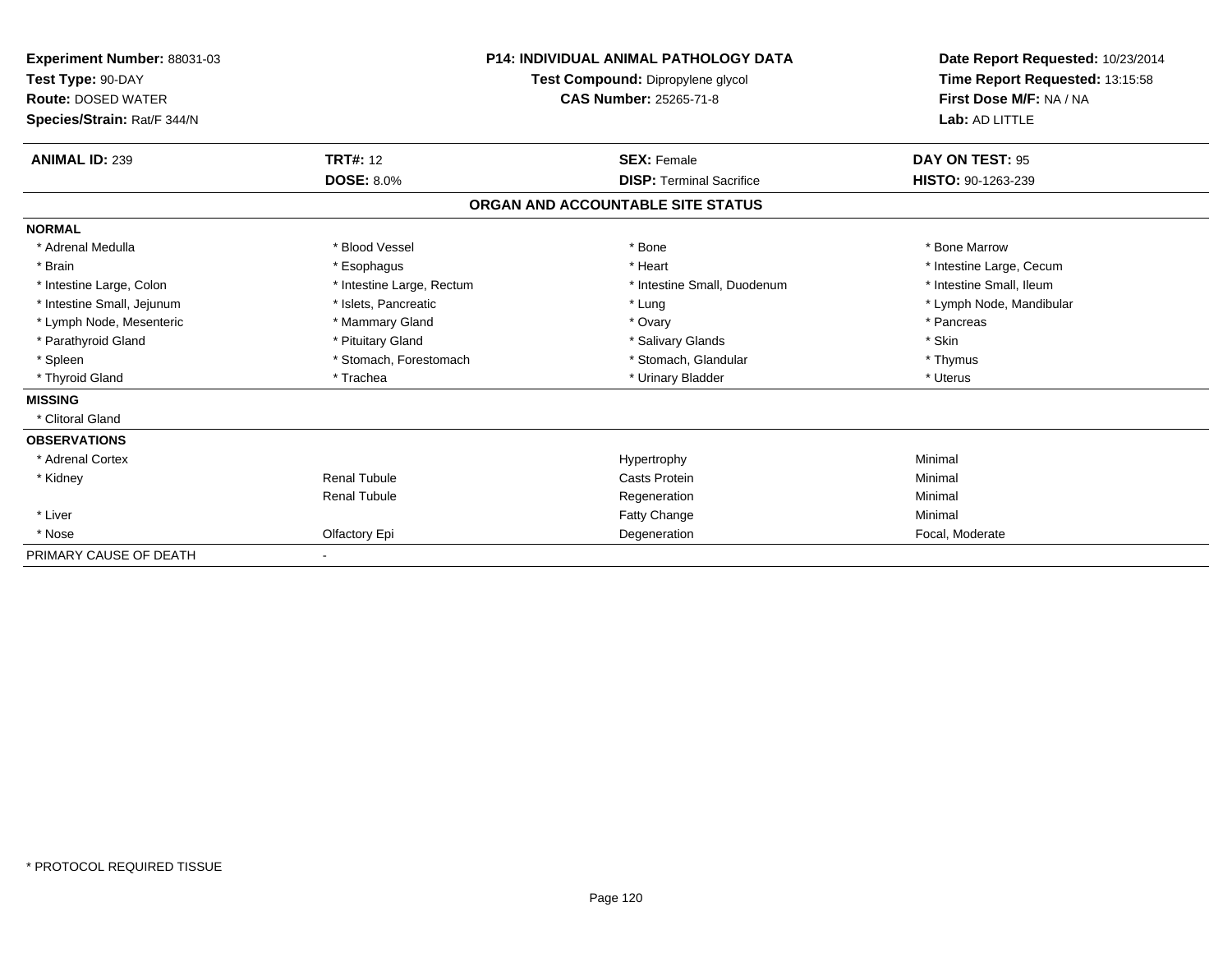| <b>Experiment Number: 88031-03</b><br>Test Type: 90-DAY<br><b>Route: DOSED WATER</b><br>Species/Strain: Rat/F 344/N |                           | <b>P14: INDIVIDUAL ANIMAL PATHOLOGY DATA</b><br>Test Compound: Dipropylene glycol<br><b>CAS Number: 25265-71-8</b> | Date Report Requested: 10/23/2014<br>Time Report Requested: 13:15:58<br>First Dose M/F: NA / NA<br>Lab: AD LITTLE |
|---------------------------------------------------------------------------------------------------------------------|---------------------------|--------------------------------------------------------------------------------------------------------------------|-------------------------------------------------------------------------------------------------------------------|
| <b>ANIMAL ID: 239</b>                                                                                               | <b>TRT#: 12</b>           | <b>SEX: Female</b>                                                                                                 | DAY ON TEST: 95                                                                                                   |
|                                                                                                                     | <b>DOSE: 8.0%</b>         | <b>DISP: Terminal Sacrifice</b>                                                                                    | HISTO: 90-1263-239                                                                                                |
|                                                                                                                     |                           | ORGAN AND ACCOUNTABLE SITE STATUS                                                                                  |                                                                                                                   |
| <b>NORMAL</b>                                                                                                       |                           |                                                                                                                    |                                                                                                                   |
| * Adrenal Medulla                                                                                                   | * Blood Vessel            | * Bone                                                                                                             | * Bone Marrow                                                                                                     |
| * Brain                                                                                                             | * Esophagus               | * Heart                                                                                                            | * Intestine Large, Cecum                                                                                          |
| * Intestine Large, Colon                                                                                            | * Intestine Large, Rectum | * Intestine Small, Duodenum                                                                                        | * Intestine Small, Ileum                                                                                          |
| * Intestine Small, Jejunum                                                                                          | * Islets, Pancreatic      | * Lung                                                                                                             | * Lymph Node, Mandibular                                                                                          |
| * Lymph Node, Mesenteric                                                                                            | * Mammary Gland           | * Ovary                                                                                                            | * Pancreas                                                                                                        |
| * Parathyroid Gland                                                                                                 | * Pituitary Gland         | * Salivary Glands                                                                                                  | * Skin                                                                                                            |
| * Spleen                                                                                                            | * Stomach, Forestomach    | * Stomach, Glandular                                                                                               | * Thymus                                                                                                          |
| * Thyroid Gland                                                                                                     | * Trachea                 | * Urinary Bladder                                                                                                  | * Uterus                                                                                                          |
| <b>MISSING</b>                                                                                                      |                           |                                                                                                                    |                                                                                                                   |
| * Clitoral Gland                                                                                                    |                           |                                                                                                                    |                                                                                                                   |
| <b>OBSERVATIONS</b>                                                                                                 |                           |                                                                                                                    |                                                                                                                   |
| * Adrenal Cortex                                                                                                    |                           | Hypertrophy                                                                                                        | Minimal                                                                                                           |
| * Kidney                                                                                                            | <b>Renal Tubule</b>       | <b>Casts Protein</b>                                                                                               | Minimal                                                                                                           |
|                                                                                                                     | <b>Renal Tubule</b>       | Regeneration                                                                                                       | Minimal                                                                                                           |
| * Liver                                                                                                             |                           | <b>Fatty Change</b>                                                                                                | Minimal                                                                                                           |
| * Nose                                                                                                              | Olfactory Epi             | Degeneration                                                                                                       | Focal, Moderate                                                                                                   |
| PRIMARY CAUSE OF DEATH                                                                                              |                           |                                                                                                                    |                                                                                                                   |